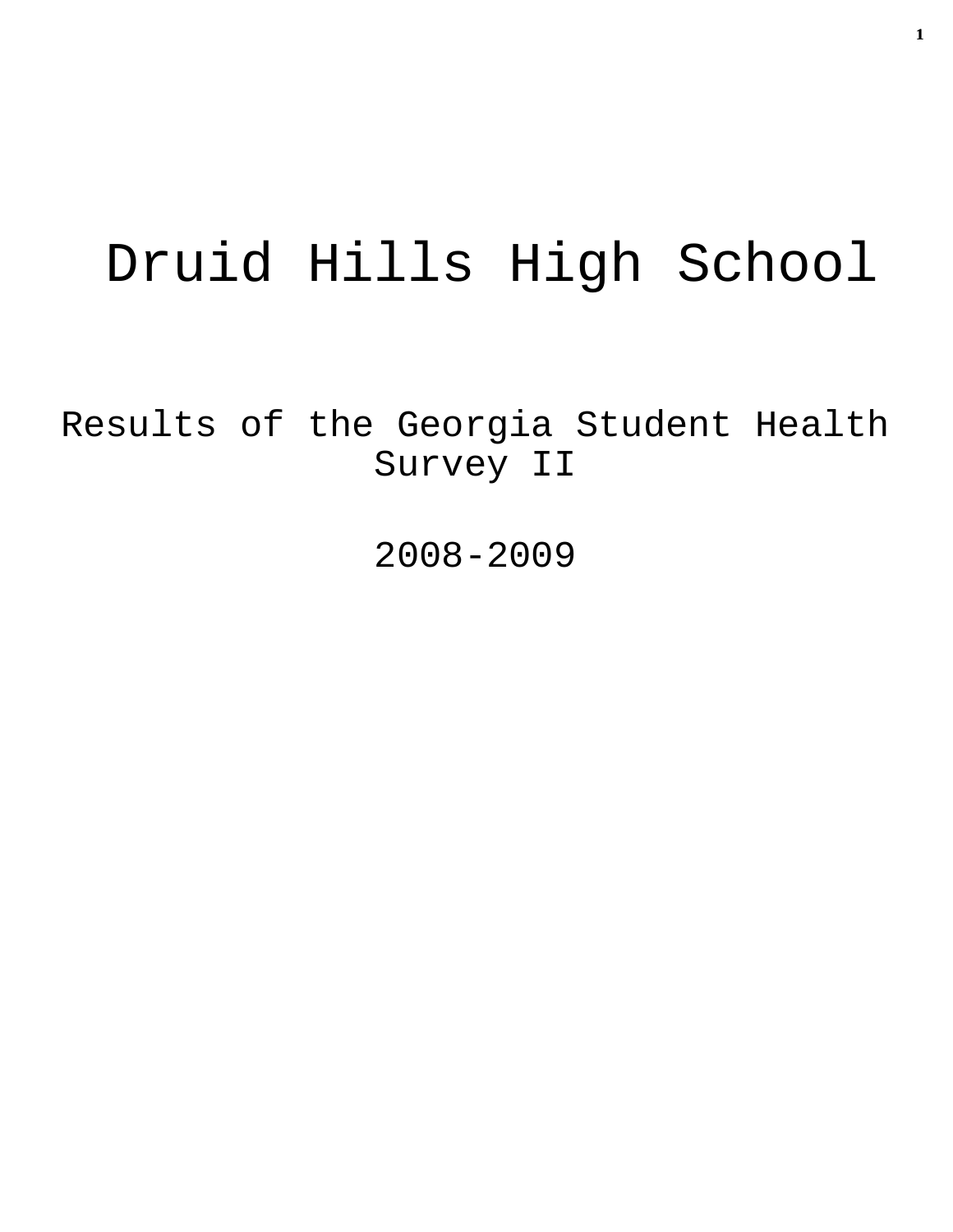# Druid Hills High School

Results of the Georgia Student Health Survey II

2008-2009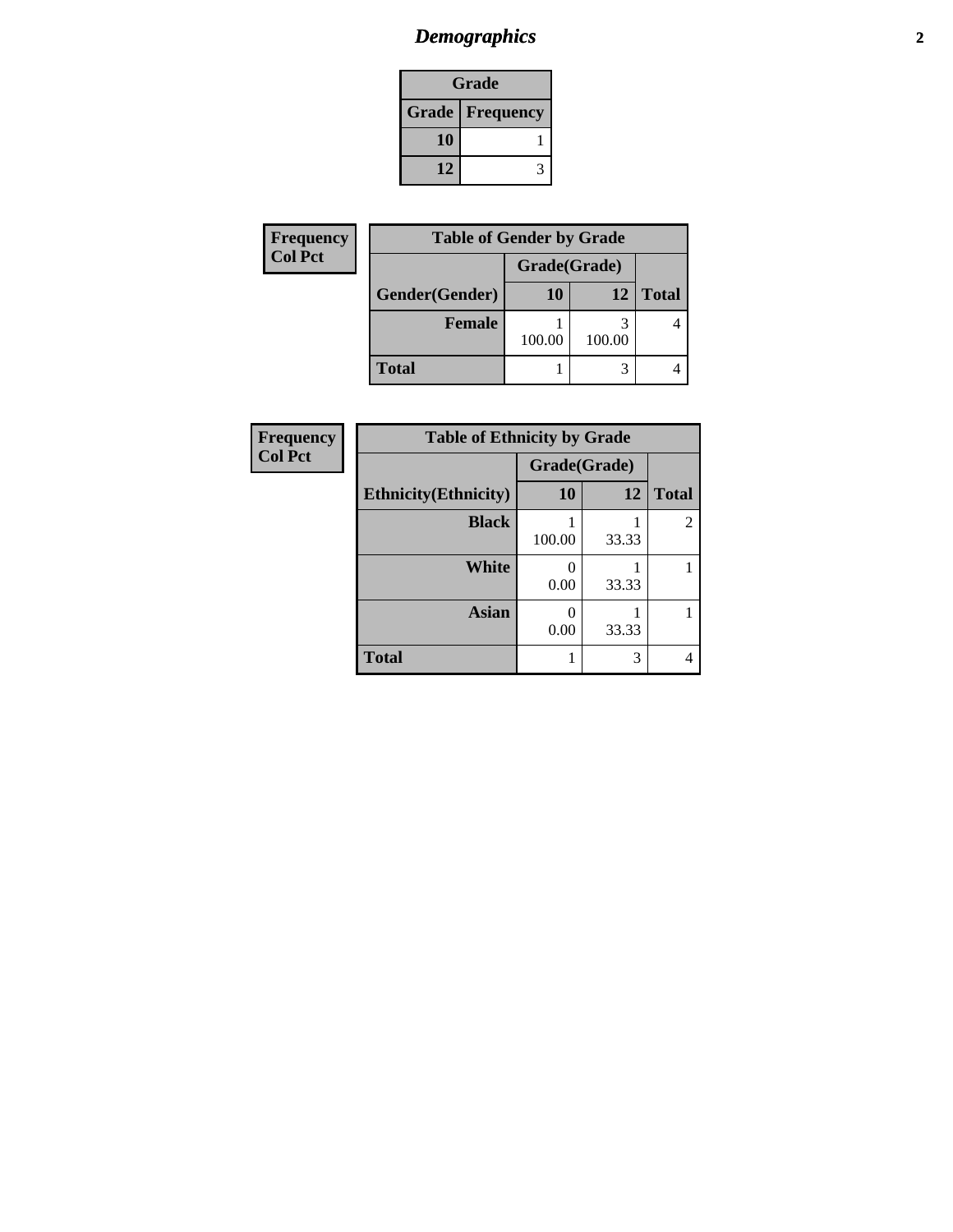#### *Demographics* **2**

| Grade                    |  |  |
|--------------------------|--|--|
| <b>Grade   Frequency</b> |  |  |
| 10                       |  |  |
| 12                       |  |  |

| <b>Frequency</b> | <b>Table of Gender by Grade</b> |              |                 |              |
|------------------|---------------------------------|--------------|-----------------|--------------|
| <b>Col Pct</b>   |                                 | Grade(Grade) |                 |              |
|                  | Gender(Gender)                  | 10           | 12 <sub>1</sub> | <b>Total</b> |
|                  | Female                          | 100.00       | 100.00          |              |
|                  | <b>Total</b>                    |              |                 |              |

| Frequency      | <b>Table of Ethnicity by Grade</b> |              |       |                |
|----------------|------------------------------------|--------------|-------|----------------|
| <b>Col Pct</b> |                                    | Grade(Grade) |       |                |
|                | <b>Ethnicity</b> (Ethnicity)       | 10           | 12    | <b>Total</b>   |
|                | <b>Black</b>                       | 100.00       | 33.33 | $\overline{2}$ |
|                | White                              | 0.00         | 33.33 |                |
|                | <b>Asian</b>                       | 0<br>0.00    | 33.33 |                |
|                | <b>Total</b>                       |              | 3     | 4              |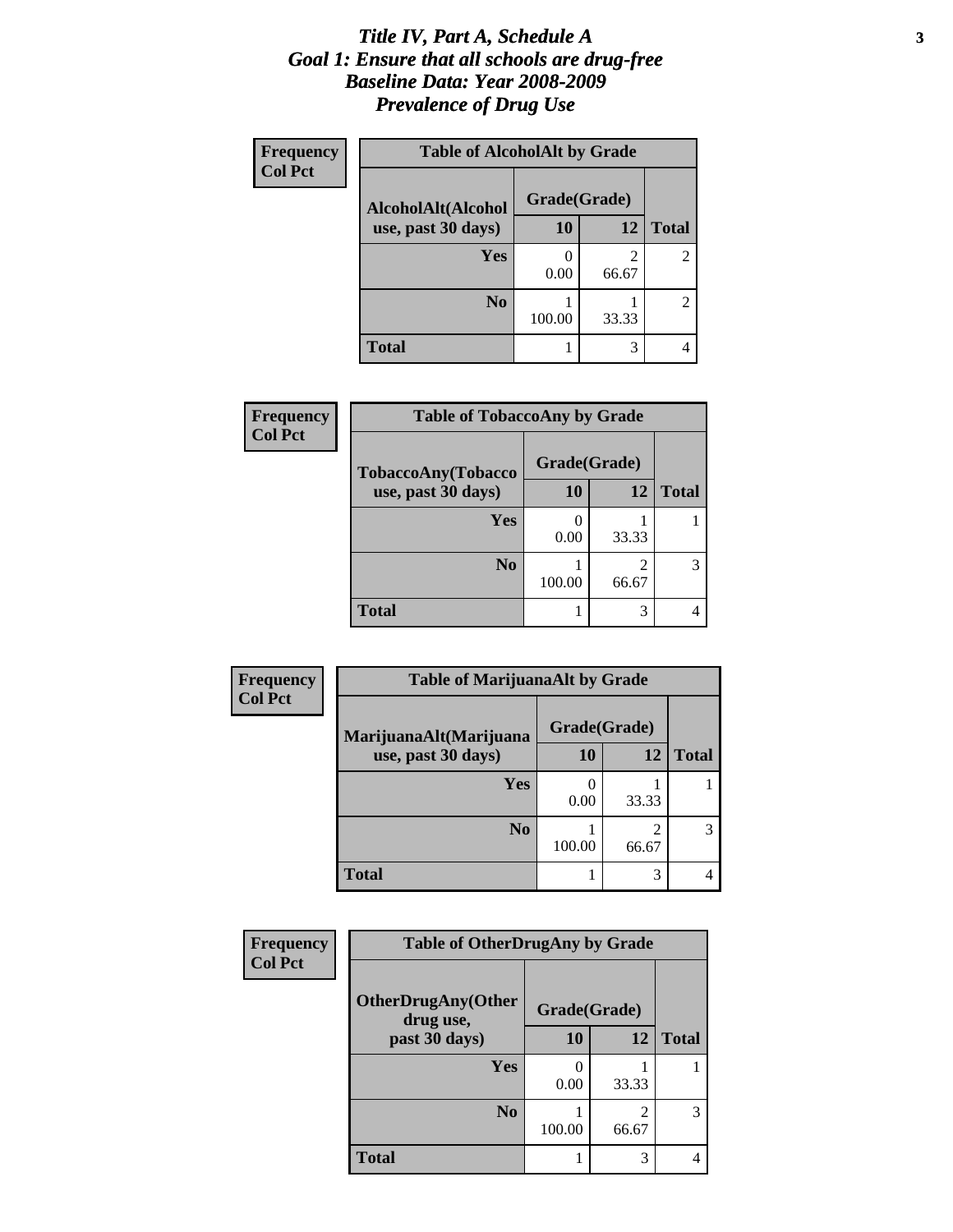#### *Title IV, Part A, Schedule A* **3** *Goal 1: Ensure that all schools are drug-free Baseline Data: Year 2008-2009 Prevalence of Drug Use*

| Frequency<br><b>Col Pct</b> | <b>Table of AlcoholAlt by Grade</b> |              |            |              |  |
|-----------------------------|-------------------------------------|--------------|------------|--------------|--|
|                             | AlcoholAlt(Alcohol                  | Grade(Grade) |            |              |  |
|                             | use, past 30 days)                  | 10           | 12         | <b>Total</b> |  |
|                             | Yes                                 | 0.00         | 2<br>66.67 | 2            |  |
|                             | N <sub>0</sub>                      | 100.00       | 33.33      | 2            |  |
|                             | <b>Total</b>                        |              | 3          |              |  |

| Frequency<br><b>Col Pct</b> | <b>Table of TobaccoAny by Grade</b> |              |            |              |
|-----------------------------|-------------------------------------|--------------|------------|--------------|
|                             | TobaccoAny(Tobacco                  | Grade(Grade) |            |              |
|                             | use, past 30 days)                  | <b>10</b>    | 12         | <b>Total</b> |
|                             | Yes                                 | 0.00         | 33.33      |              |
|                             | N <sub>0</sub>                      | 100.00       | 2<br>66.67 |              |
|                             | Total                               |              | 3          |              |

| Frequency      | <b>Table of MarijuanaAlt by Grade</b> |                          |            |              |  |
|----------------|---------------------------------------|--------------------------|------------|--------------|--|
| <b>Col Pct</b> | MarijuanaAlt(Marijuana                | Grade(Grade)             |            |              |  |
|                | use, past 30 days)                    | 10                       | 12         | <b>Total</b> |  |
|                | Yes                                   | $\left( \right)$<br>0.00 | 33.33      |              |  |
|                | N <sub>0</sub>                        | 100.00                   | 2<br>66.67 | 3            |  |
|                | <b>Total</b>                          |                          | 3          |              |  |

| Frequency<br><b>Col Pct</b> | <b>Table of OtherDrugAny by Grade</b>  |              |            |              |
|-----------------------------|----------------------------------------|--------------|------------|--------------|
|                             | <b>OtherDrugAny(Other</b><br>drug use, | Grade(Grade) |            |              |
|                             | past 30 days)                          | 10           | 12         | <b>Total</b> |
|                             | Yes                                    | 0.00         | 33.33      |              |
|                             | N <sub>0</sub>                         | 100.00       | 2<br>66.67 | 3            |
|                             | <b>Total</b>                           |              | 3          | 4            |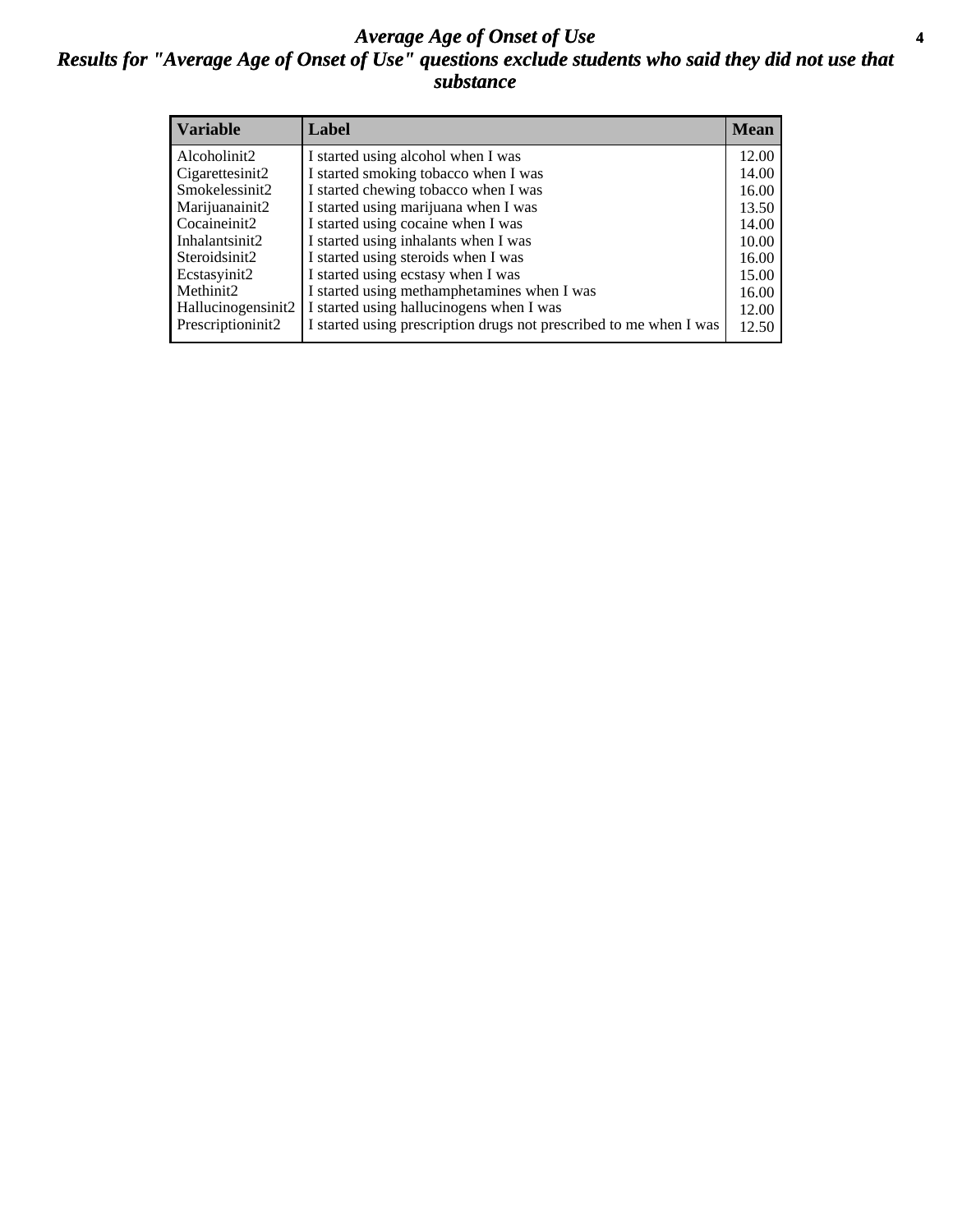#### *Average Age of Onset of Use* **4** *Results for "Average Age of Onset of Use" questions exclude students who said they did not use that substance*

| <b>Variable</b>    | Label                                                              | <b>Mean</b> |
|--------------------|--------------------------------------------------------------------|-------------|
| Alcoholinit2       | I started using alcohol when I was                                 | 12.00       |
| Cigarettesinit2    | I started smoking tobacco when I was                               | 14.00       |
| Smokelessinit2     | I started chewing tobacco when I was                               | 16.00       |
| Marijuanainit2     | I started using marijuana when I was                               | 13.50       |
| Cocaineinit2       | I started using cocaine when I was                                 | 14.00       |
| Inhalantsinit2     | I started using inhalants when I was                               | 10.00       |
| Steroidsinit2      | I started using steroids when I was                                | 16.00       |
| Ecstasyinit2       | I started using ecstasy when I was                                 | 15.00       |
| Methinit2          | I started using methamphetamines when I was                        | 16.00       |
| Hallucinogensinit2 | I started using hallucinogens when I was                           | 12.00       |
| Prescriptioninit2  | I started using prescription drugs not prescribed to me when I was | 12.50       |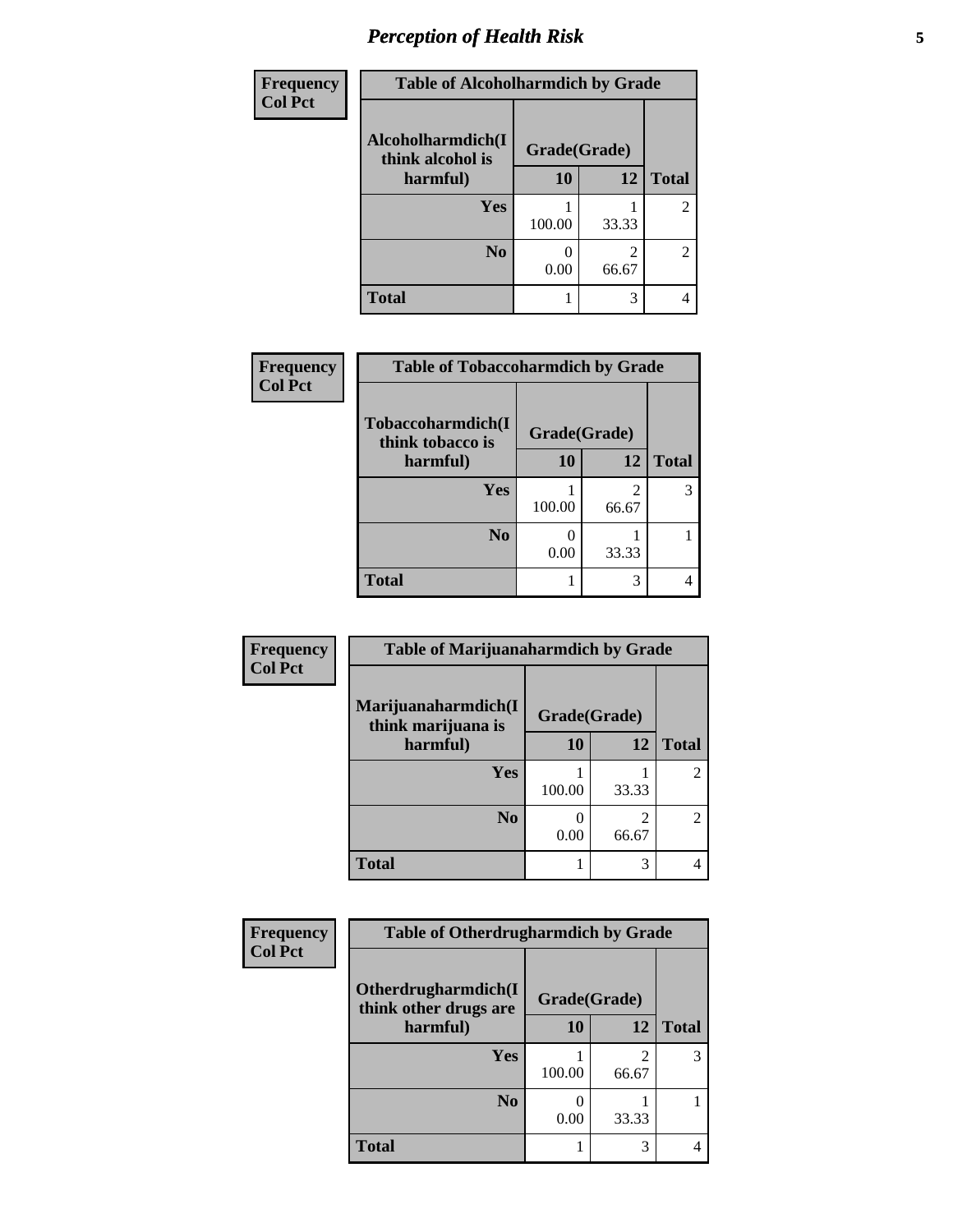# *Perception of Health Risk* **5**

| Frequency      | <b>Table of Alcoholharmdich by Grade</b> |              |       |                |
|----------------|------------------------------------------|--------------|-------|----------------|
| <b>Col Pct</b> | Alcoholharmdich(I<br>think alcohol is    | Grade(Grade) |       |                |
|                | harmful)                                 | 10           | 12    | <b>Total</b>   |
|                | <b>Yes</b>                               | 100.00       | 33.33 | $\overline{2}$ |
|                | N <sub>0</sub>                           | 0.00         | 66.67 | $\overline{c}$ |
|                | <b>Total</b>                             |              | 3     | 4              |

| <b>Frequency</b> | <b>Table of Tobaccoharmdich by Grade</b> |              |                         |              |
|------------------|------------------------------------------|--------------|-------------------------|--------------|
| <b>Col Pct</b>   | Tobaccoharmdich(I<br>think tobacco is    | Grade(Grade) |                         |              |
|                  | harmful)                                 | 10           | 12                      | <b>Total</b> |
|                  | Yes                                      | 100.00       | $\mathfrak{D}$<br>66.67 |              |
|                  | N <sub>0</sub>                           | 0.00         | 33.33                   |              |
|                  | <b>Total</b>                             |              | 3                       |              |

| Frequency      | <b>Table of Marijuanaharmdich by Grade</b> |              |            |                |
|----------------|--------------------------------------------|--------------|------------|----------------|
| <b>Col Pct</b> | Marijuanaharmdich(I<br>think marijuana is  | Grade(Grade) |            |                |
|                | harmful)                                   | 10           | 12         | <b>Total</b>   |
|                | Yes                                        | 100.00       | 33.33      | $\overline{2}$ |
|                | N <sub>0</sub>                             | 0.00         | 2<br>66.67 | $\overline{2}$ |
|                | <b>Total</b>                               |              | 3          |                |

| Frequency      | <b>Table of Otherdrugharmdich by Grade</b>                   |        |            |              |
|----------------|--------------------------------------------------------------|--------|------------|--------------|
| <b>Col Pct</b> | Otherdrugharmdich(I<br>Grade(Grade)<br>think other drugs are |        |            |              |
|                | harmful)                                                     | 10     | 12         | <b>Total</b> |
|                | <b>Yes</b>                                                   | 100.00 | 2<br>66.67 | 3            |
|                | N <sub>0</sub>                                               | 0.00   | 33.33      |              |
|                | <b>Total</b>                                                 |        | 3          |              |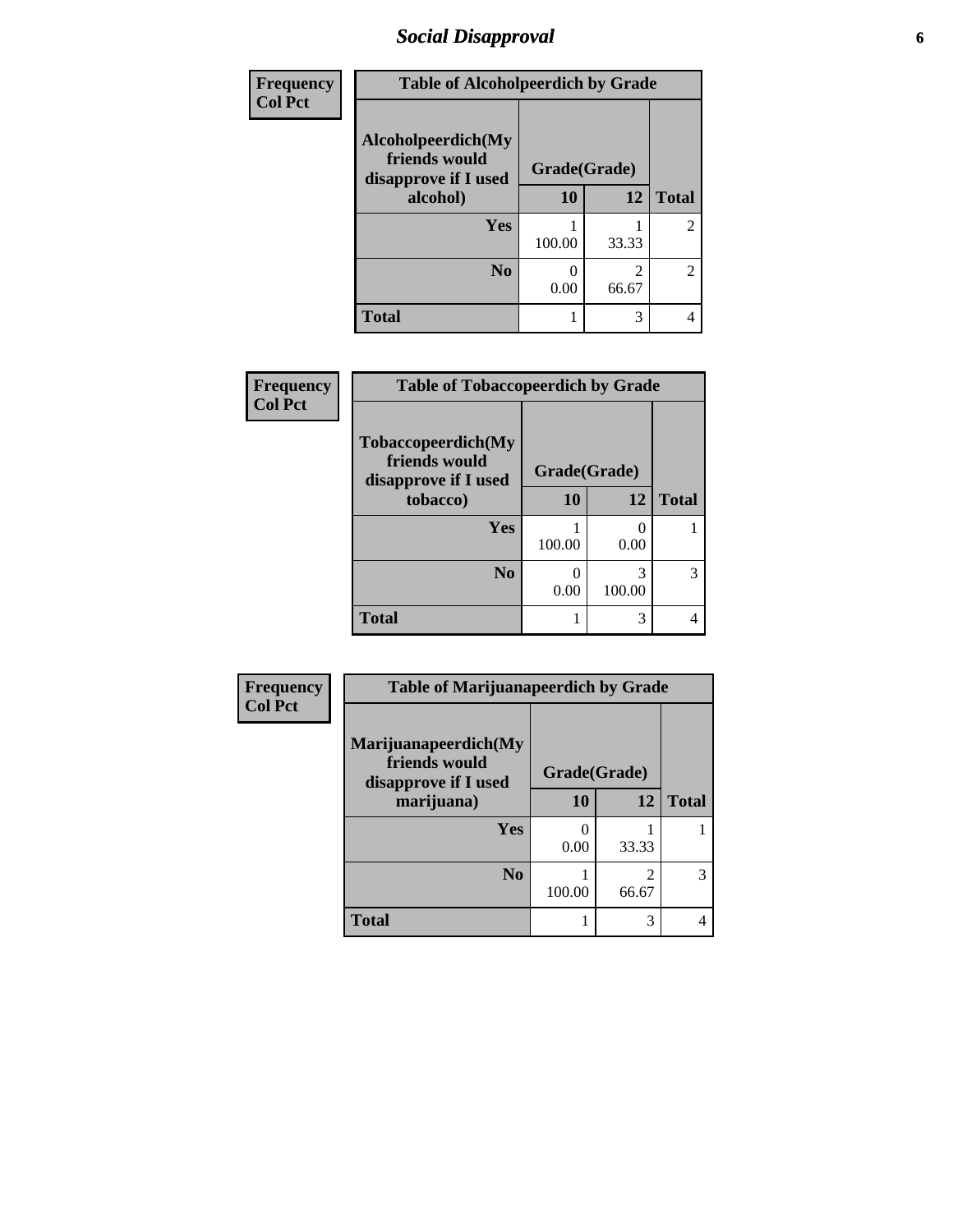# *Social Disapproval* **6**

| Frequency      | <b>Table of Alcoholpeerdich by Grade</b>                    |              |                         |                |
|----------------|-------------------------------------------------------------|--------------|-------------------------|----------------|
| <b>Col Pct</b> | Alcoholpeerdich(My<br>friends would<br>disapprove if I used | Grade(Grade) |                         |                |
|                | alcohol)                                                    | 10           | 12                      | <b>Total</b>   |
|                | Yes                                                         | 100.00       | 33.33                   | $\overline{c}$ |
|                | N <sub>0</sub>                                              | 0.00         | $\mathfrak{D}$<br>66.67 | $\overline{c}$ |
|                | <b>Total</b>                                                |              | 3                       | 4              |

| Frequency<br>Col Pct |  |
|----------------------|--|

| <b>Table of Tobaccopeerdich by Grade</b>                            |              |             |              |  |
|---------------------------------------------------------------------|--------------|-------------|--------------|--|
| <b>Tobaccopeerdich</b> (My<br>friends would<br>disapprove if I used | Grade(Grade) |             |              |  |
| tobacco)                                                            | 10           | 12          | <b>Total</b> |  |
| Yes                                                                 | 100.00       | 0.00        |              |  |
| N <sub>0</sub>                                                      | 0.00         | 3<br>100.00 |              |  |
| <b>Total</b>                                                        | 1            | 3           |              |  |

| Frequency      | <b>Table of Marijuanapeerdich by Grade</b>                    |              |                         |              |
|----------------|---------------------------------------------------------------|--------------|-------------------------|--------------|
| <b>Col Pct</b> | Marijuanapeerdich(My<br>friends would<br>disapprove if I used | Grade(Grade) |                         |              |
|                | marijuana)                                                    | 10           | 12                      | <b>Total</b> |
|                | <b>Yes</b>                                                    | 0.00         | 33.33                   |              |
|                | N <sub>0</sub>                                                | 100.00       | $\overline{c}$<br>66.67 | 3            |
|                | <b>Total</b>                                                  |              | 3                       |              |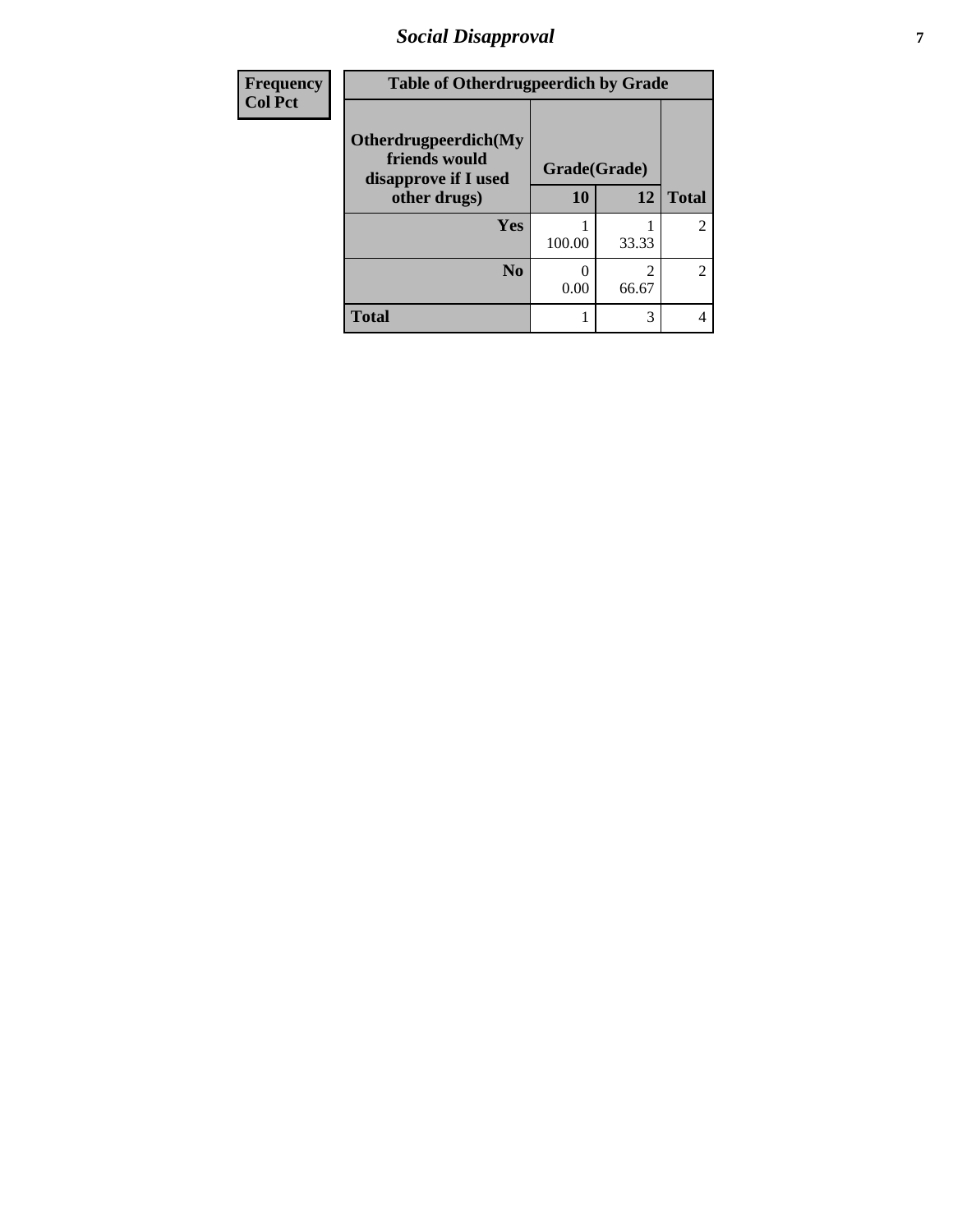# *Social Disapproval* **7**

| Frequency      | <b>Table of Otherdrugpeerdich by Grade</b>                    |        |              |                |
|----------------|---------------------------------------------------------------|--------|--------------|----------------|
| <b>Col Pct</b> | Otherdrugpeerdich(My<br>friends would<br>disapprove if I used |        | Grade(Grade) |                |
|                | other drugs)                                                  | 10     | 12           | <b>Total</b>   |
|                | Yes                                                           | 100.00 | 33.33        | $\overline{c}$ |
|                | N <sub>0</sub>                                                | 0.00   | 2<br>66.67   | $\overline{2}$ |
|                | <b>Total</b>                                                  |        | 3            | 4              |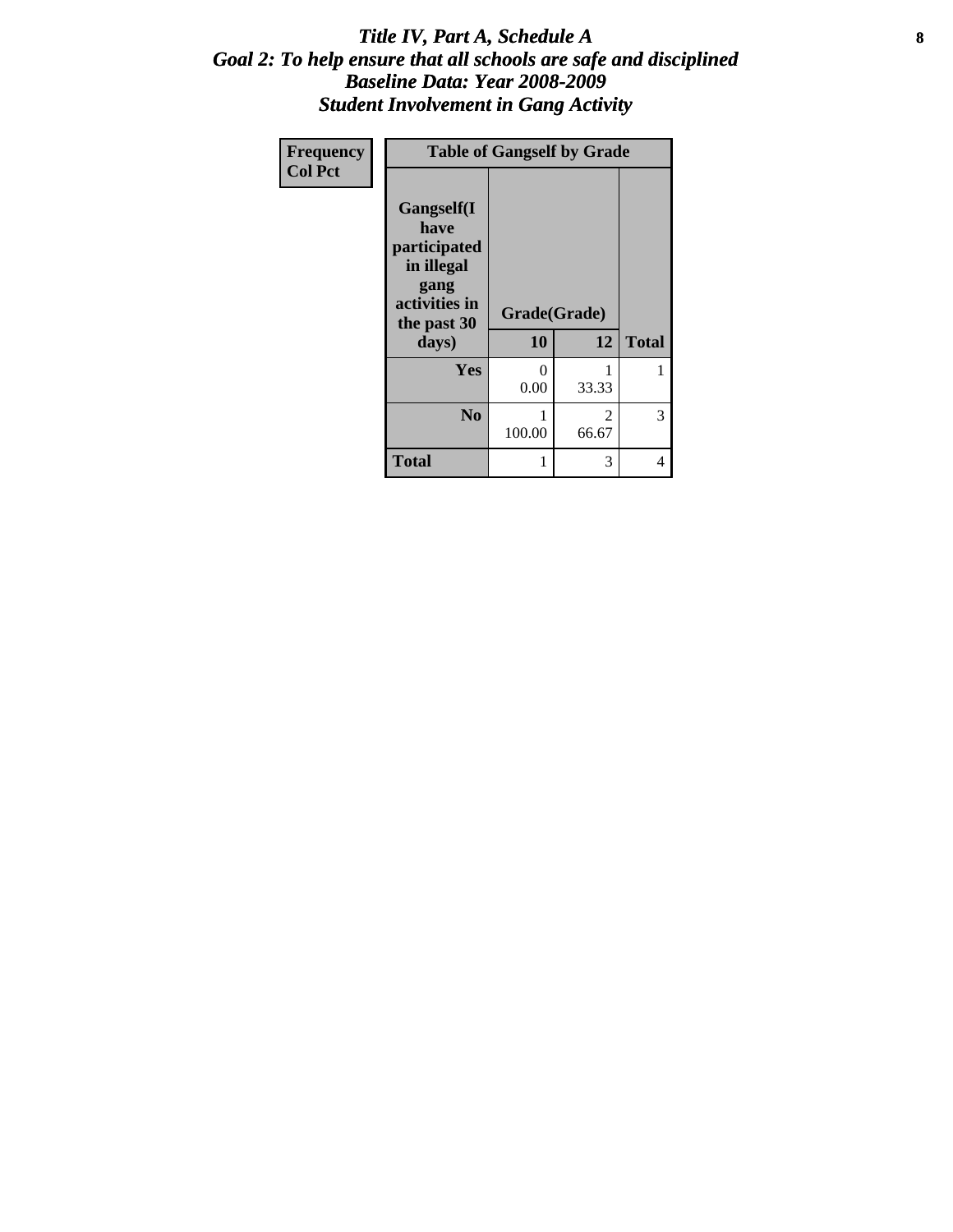#### Title IV, Part A, Schedule A **8** *Goal 2: To help ensure that all schools are safe and disciplined Baseline Data: Year 2008-2009 Student Involvement in Gang Activity*

| Frequency      | <b>Table of Gangself by Grade</b>                                                                 |                    |            |              |
|----------------|---------------------------------------------------------------------------------------------------|--------------------|------------|--------------|
| <b>Col Pct</b> | Gangself(I<br>have<br>participated<br>in illegal<br>gang<br>activities in<br>the past 30<br>days) | Grade(Grade)<br>10 | 12         | <b>Total</b> |
|                | Yes                                                                                               | 0<br>0.00          | 1<br>33.33 |              |
|                | N <sub>0</sub>                                                                                    | 1<br>100.00        | 2<br>66.67 | 3            |
|                | <b>Total</b>                                                                                      | 1                  | 3          | 4            |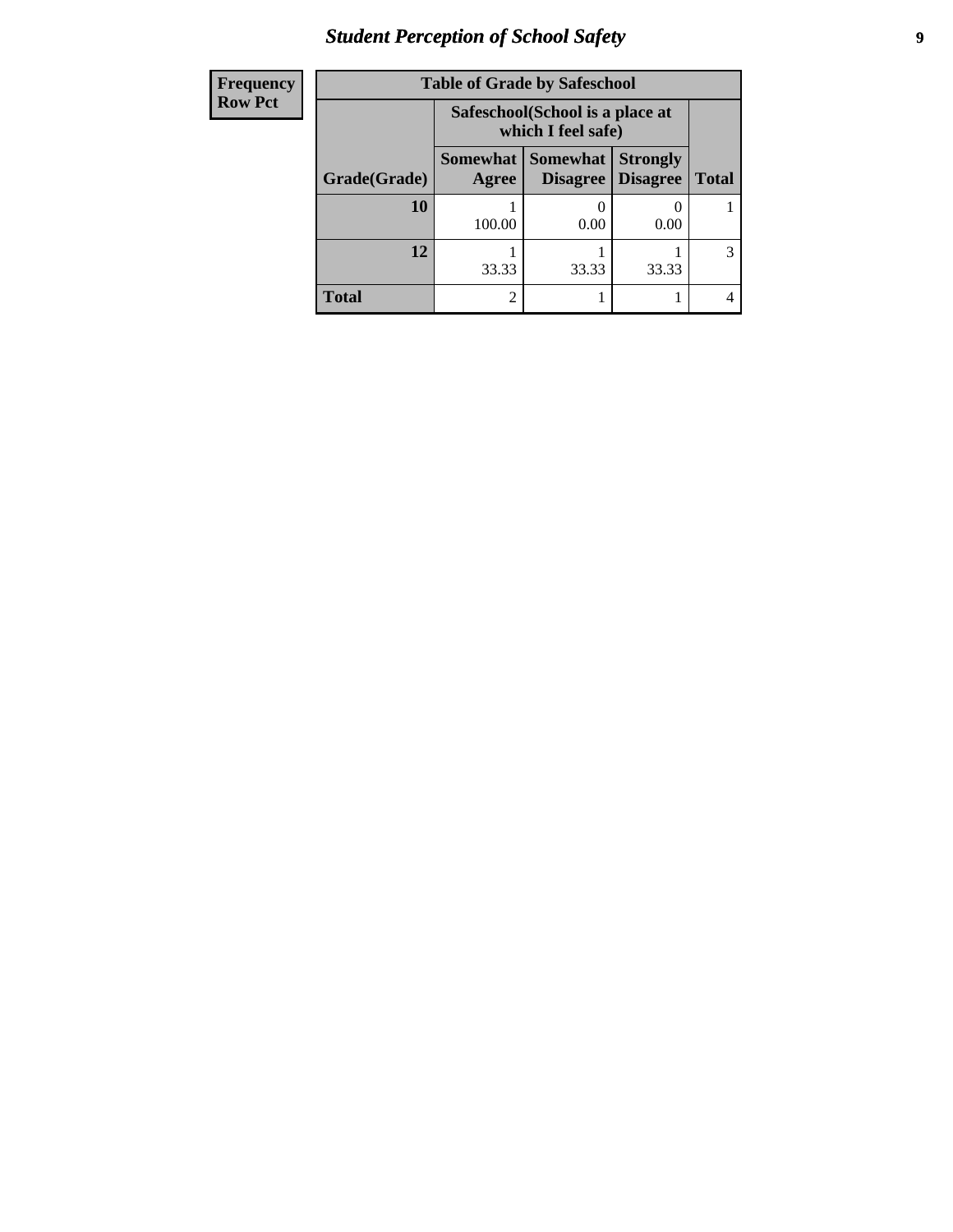# *Student Perception of School Safety* **9**

| <b>Frequenc</b> |
|-----------------|
| - Row Pct       |

| y | <b>Table of Grade by Safeschool</b> |                                                        |                                          |                                    |              |  |
|---|-------------------------------------|--------------------------------------------------------|------------------------------------------|------------------------------------|--------------|--|
|   |                                     | Safeschool (School is a place at<br>which I feel safe) |                                          |                                    |              |  |
|   | Grade(Grade)                        | Agree                                                  | Somewhat   Somewhat  <br><b>Disagree</b> | <b>Strongly</b><br><b>Disagree</b> | <b>Total</b> |  |
|   | 10                                  | 100.00                                                 | 0.00                                     | 0.00                               |              |  |
|   | 12                                  | 33.33                                                  | 33.33                                    | 33.33                              |              |  |
|   | <b>Total</b>                        | $\mathcal{D}_{\mathcal{L}}$                            |                                          |                                    |              |  |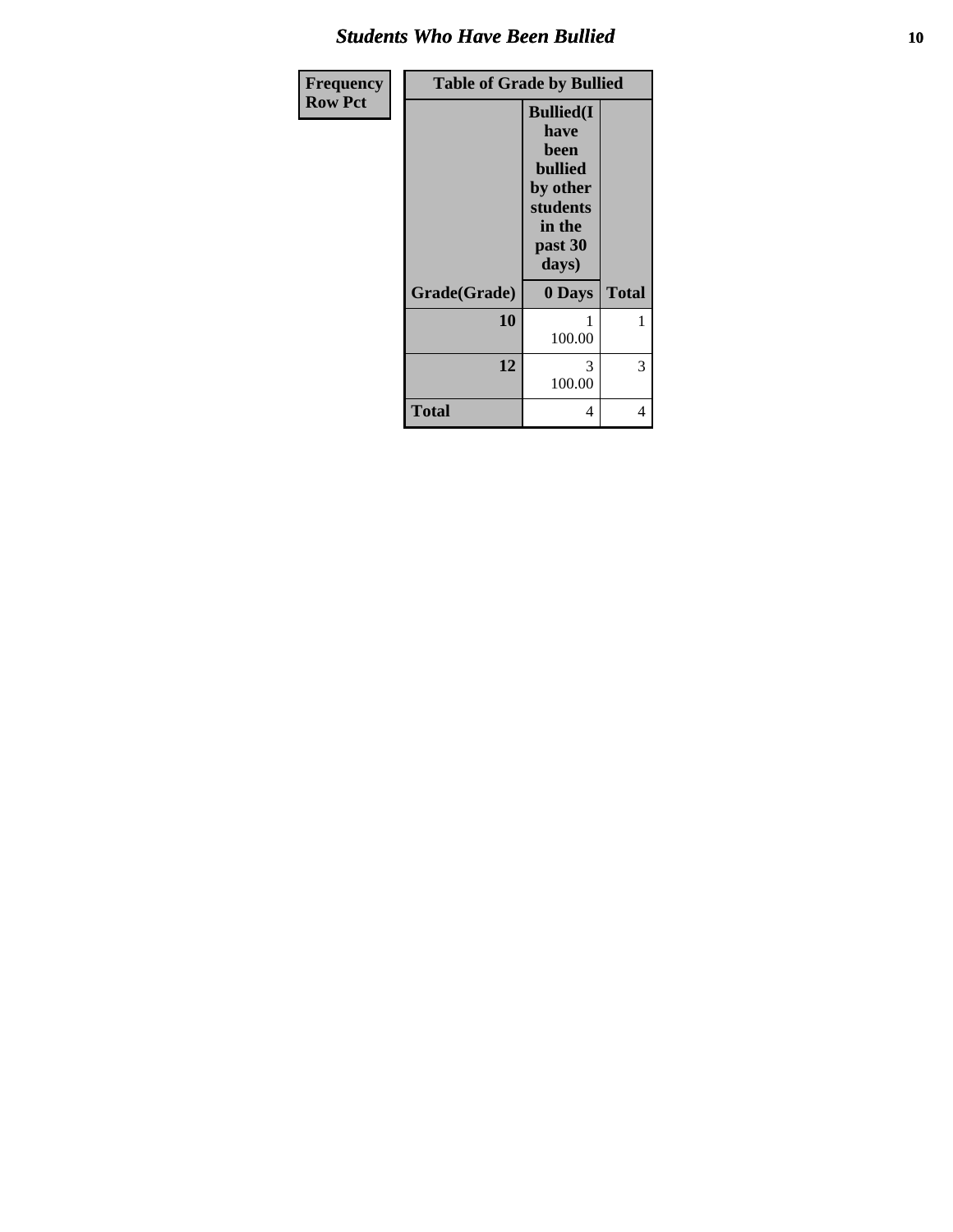### *Students Who Have Been Bullied* **10**

| Frequency      | <b>Table of Grade by Bullied</b> |                                                                                                           |              |  |
|----------------|----------------------------------|-----------------------------------------------------------------------------------------------------------|--------------|--|
| <b>Row Pct</b> |                                  | <b>Bullied(I)</b><br>have<br>been<br><b>bullied</b><br>by other<br>students<br>in the<br>past 30<br>days) |              |  |
|                | Grade(Grade)                     | 0 Days                                                                                                    | <b>Total</b> |  |
|                | 10                               | 100.00                                                                                                    | 1            |  |
|                | 12                               | 3<br>100.00                                                                                               | 3            |  |
|                | <b>Total</b>                     | 4                                                                                                         | 4            |  |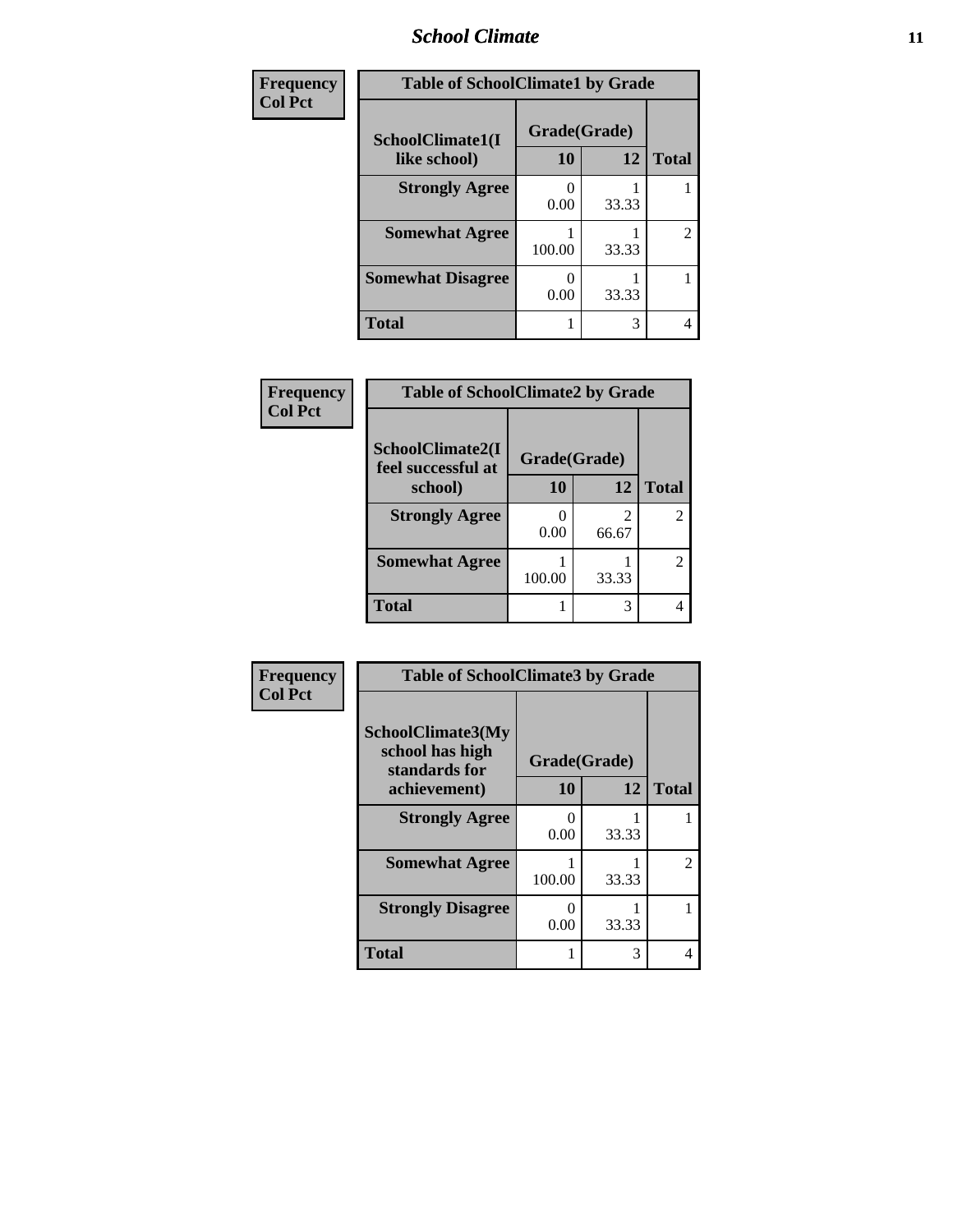### *School Climate* **11**

| Frequency      | <b>Table of SchoolClimate1 by Grade</b> |                    |       |                |
|----------------|-----------------------------------------|--------------------|-------|----------------|
| <b>Col Pct</b> | SchoolClimate1(I<br>like school)        | Grade(Grade)<br>10 | 12    | <b>Total</b>   |
|                | <b>Strongly Agree</b>                   | 0.00               | 33.33 |                |
|                | <b>Somewhat Agree</b>                   | 100.00             | 33.33 | $\overline{2}$ |
|                | <b>Somewhat Disagree</b>                | 0.00               | 33.33 |                |
|                | <b>Total</b>                            |                    | 3     | 4              |

| <b>Frequency</b> | <b>Table of SchoolClimate2 by Grade</b> |              |                         |              |  |
|------------------|-----------------------------------------|--------------|-------------------------|--------------|--|
| <b>Col Pct</b>   | SchoolClimate2(I<br>feel successful at  | Grade(Grade) |                         |              |  |
|                  | school)                                 | <b>10</b>    | 12                      | <b>Total</b> |  |
|                  | <b>Strongly Agree</b>                   | 0.00         | $\mathfrak{D}$<br>66.67 |              |  |
|                  | <b>Somewhat Agree</b>                   | 100.00       | 33.33                   |              |  |
|                  | <b>Total</b>                            |              | 3                       |              |  |

| Frequency<br><b>Col Pct</b> | <b>Table of SchoolClimate3 by Grade</b>                               |                           |       |                |
|-----------------------------|-----------------------------------------------------------------------|---------------------------|-------|----------------|
|                             | SchoolClimate3(My<br>school has high<br>standards for<br>achievement) | Grade(Grade)<br><b>10</b> | 12    | <b>Total</b>   |
|                             | <b>Strongly Agree</b>                                                 | 0<br>0.00                 | 33.33 |                |
|                             | <b>Somewhat Agree</b>                                                 | 100.00                    | 33.33 | $\overline{c}$ |
|                             | <b>Strongly Disagree</b>                                              | 0<br>0.00                 | 33.33 |                |
|                             | Total                                                                 | 1                         | 3     | 4              |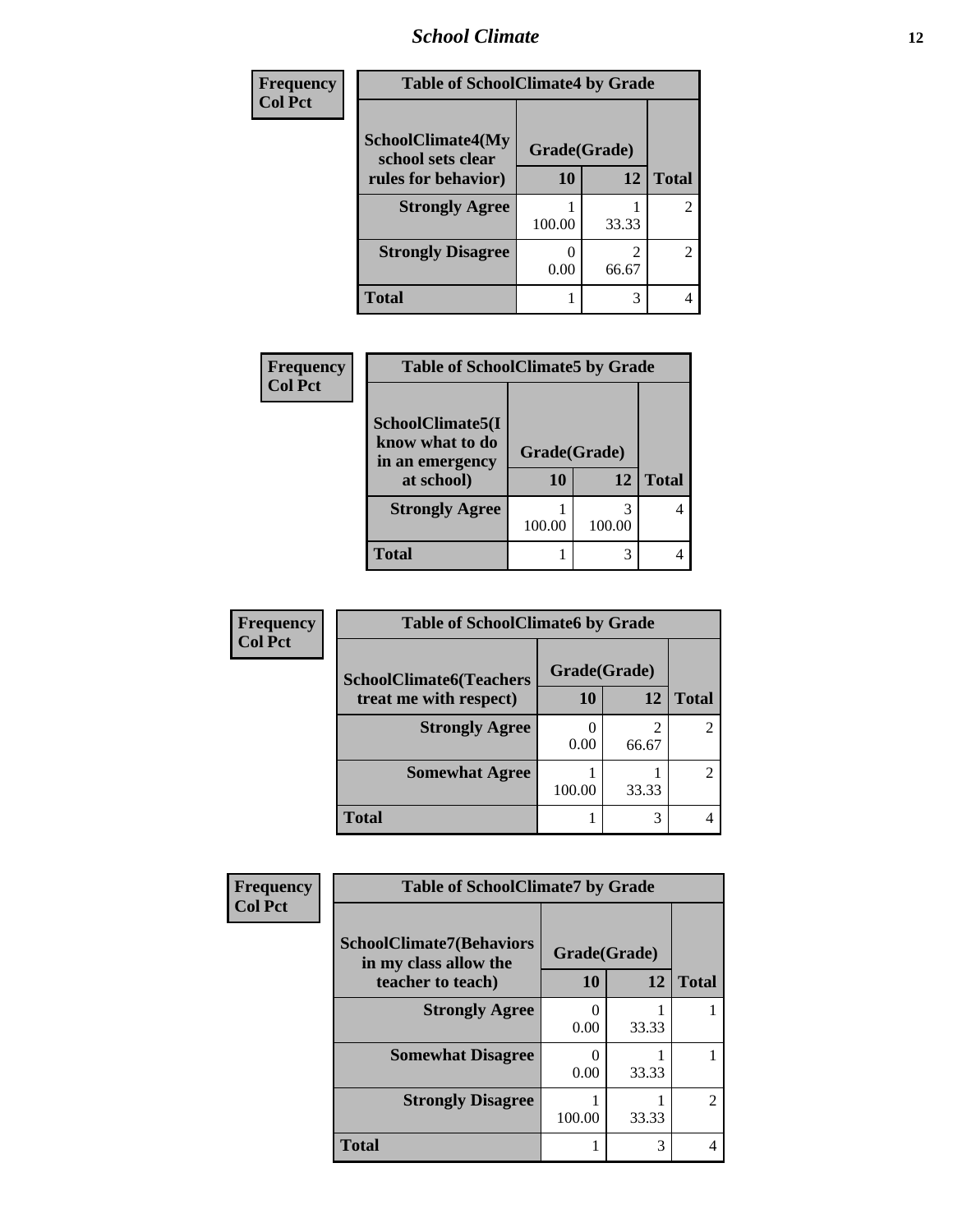### *School Climate* **12**

| <b>Frequency</b> | <b>Table of SchoolClimate4 by Grade</b>       |              |       |                |
|------------------|-----------------------------------------------|--------------|-------|----------------|
| <b>Col Pct</b>   | <b>SchoolClimate4(My</b><br>school sets clear | Grade(Grade) |       |                |
|                  | rules for behavior)                           | 10           | 12    | <b>Total</b>   |
|                  | <b>Strongly Agree</b>                         | 100.00       | 33.33 | $\overline{c}$ |
|                  | <b>Strongly Disagree</b>                      | 0.00         | 66.67 | $\overline{2}$ |
|                  | <b>Total</b>                                  |              | 3     | 4              |

| <b>Frequency</b> | <b>Table of SchoolClimate5 by Grade</b>                              |                           |             |              |
|------------------|----------------------------------------------------------------------|---------------------------|-------------|--------------|
| <b>Col Pct</b>   | SchoolClimate5(I<br>know what to do<br>in an emergency<br>at school) | Grade(Grade)<br><b>10</b> | 12          | <b>Total</b> |
|                  | <b>Strongly Agree</b>                                                | 100.00                    | 3<br>100.00 |              |
|                  | <b>Total</b>                                                         |                           | 3           |              |

| Frequency      | <b>Table of SchoolClimate6 by Grade</b> |              |       |       |
|----------------|-----------------------------------------|--------------|-------|-------|
| <b>Col Pct</b> | <b>SchoolClimate6(Teachers</b>          | Grade(Grade) |       |       |
|                | treat me with respect)                  | 10           | 12    | Total |
|                | <b>Strongly Agree</b>                   | 0.00         | 66.67 |       |
|                | <b>Somewhat Agree</b>                   | 100.00       | 33.33 |       |
|                | <b>Total</b>                            |              | 3     |       |

| Frequency      | <b>Table of SchoolClimate7 by Grade</b>                                       |                    |       |                |  |
|----------------|-------------------------------------------------------------------------------|--------------------|-------|----------------|--|
| <b>Col Pct</b> | <b>SchoolClimate7(Behaviors</b><br>in my class allow the<br>teacher to teach) | Grade(Grade)<br>10 | 12    | <b>Total</b>   |  |
|                | <b>Strongly Agree</b>                                                         | 0.00               | 33.33 |                |  |
|                | <b>Somewhat Disagree</b>                                                      | 0.00               | 33.33 |                |  |
|                | <b>Strongly Disagree</b>                                                      | 100.00             | 33.33 | $\mathfrak{D}$ |  |
|                | <b>Total</b>                                                                  |                    | 3     |                |  |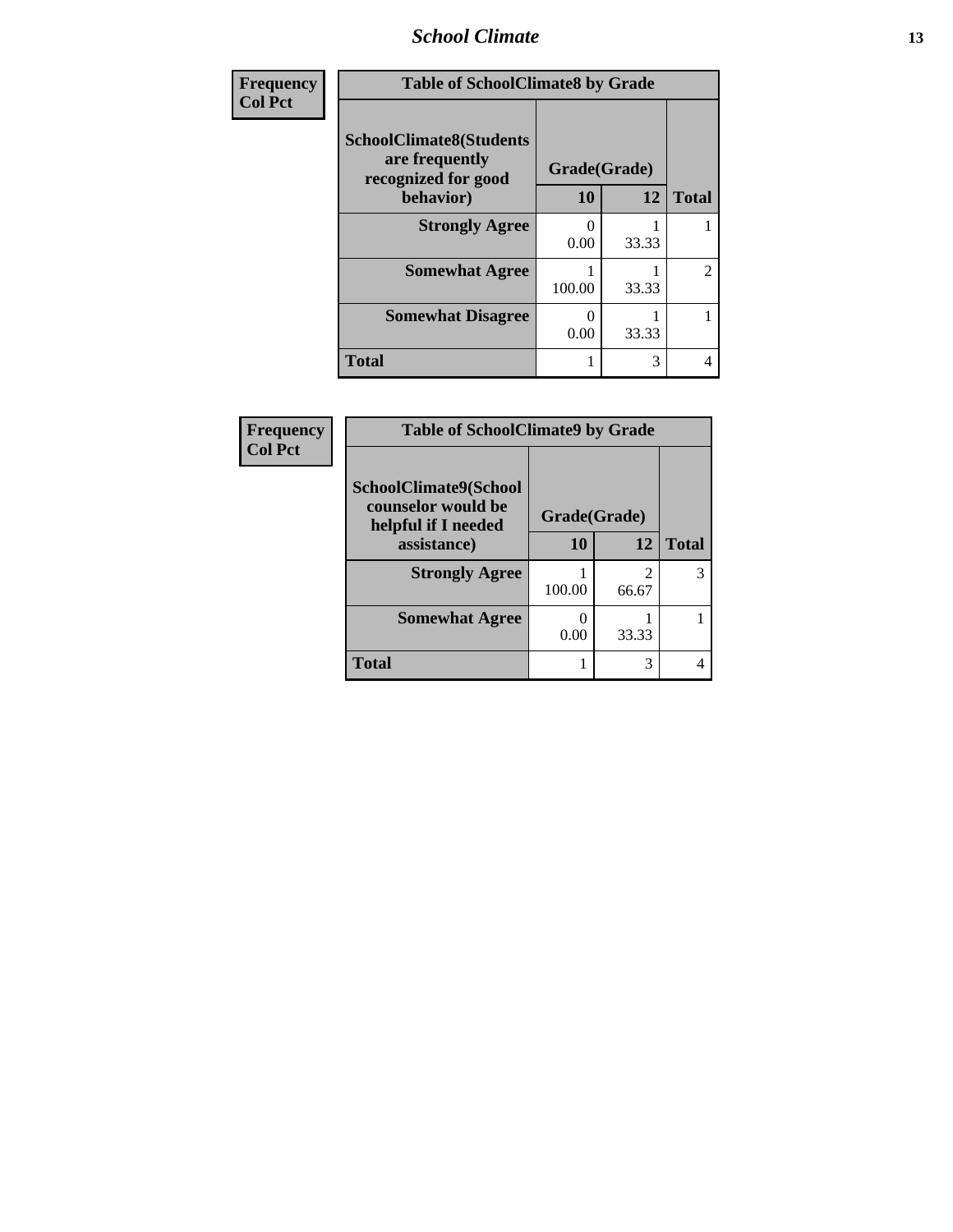### *School Climate* **13**

| <b>Frequency</b> | <b>Table of SchoolClimate8 by Grade</b>                                 |              |       |                |
|------------------|-------------------------------------------------------------------------|--------------|-------|----------------|
| <b>Col Pct</b>   | <b>SchoolClimate8(Students</b><br>are frequently<br>recognized for good | Grade(Grade) |       |                |
|                  | behavior)                                                               | 10           | 12    | <b>Total</b>   |
|                  | <b>Strongly Agree</b>                                                   | 0<br>0.00    | 33.33 |                |
|                  | <b>Somewhat Agree</b>                                                   | 100.00       | 33.33 | $\overline{c}$ |
|                  | <b>Somewhat Disagree</b>                                                | 0<br>0.00    | 33.33 | 1              |
|                  | <b>Total</b>                                                            |              | 3     | 4              |

| <b>Frequency</b> | <b>Table of SchoolClimate9 by Grade</b>                            |              |                         |              |
|------------------|--------------------------------------------------------------------|--------------|-------------------------|--------------|
| <b>Col Pct</b>   | SchoolClimate9(School<br>counselor would be<br>helpful if I needed | Grade(Grade) |                         |              |
|                  | assistance)                                                        | 10           | 12                      | <b>Total</b> |
|                  | <b>Strongly Agree</b>                                              | 100.00       | $\overline{2}$<br>66.67 | 3            |
|                  | <b>Somewhat Agree</b>                                              | 0.00         | 33.33                   |              |
|                  | <b>Total</b>                                                       |              | 3                       |              |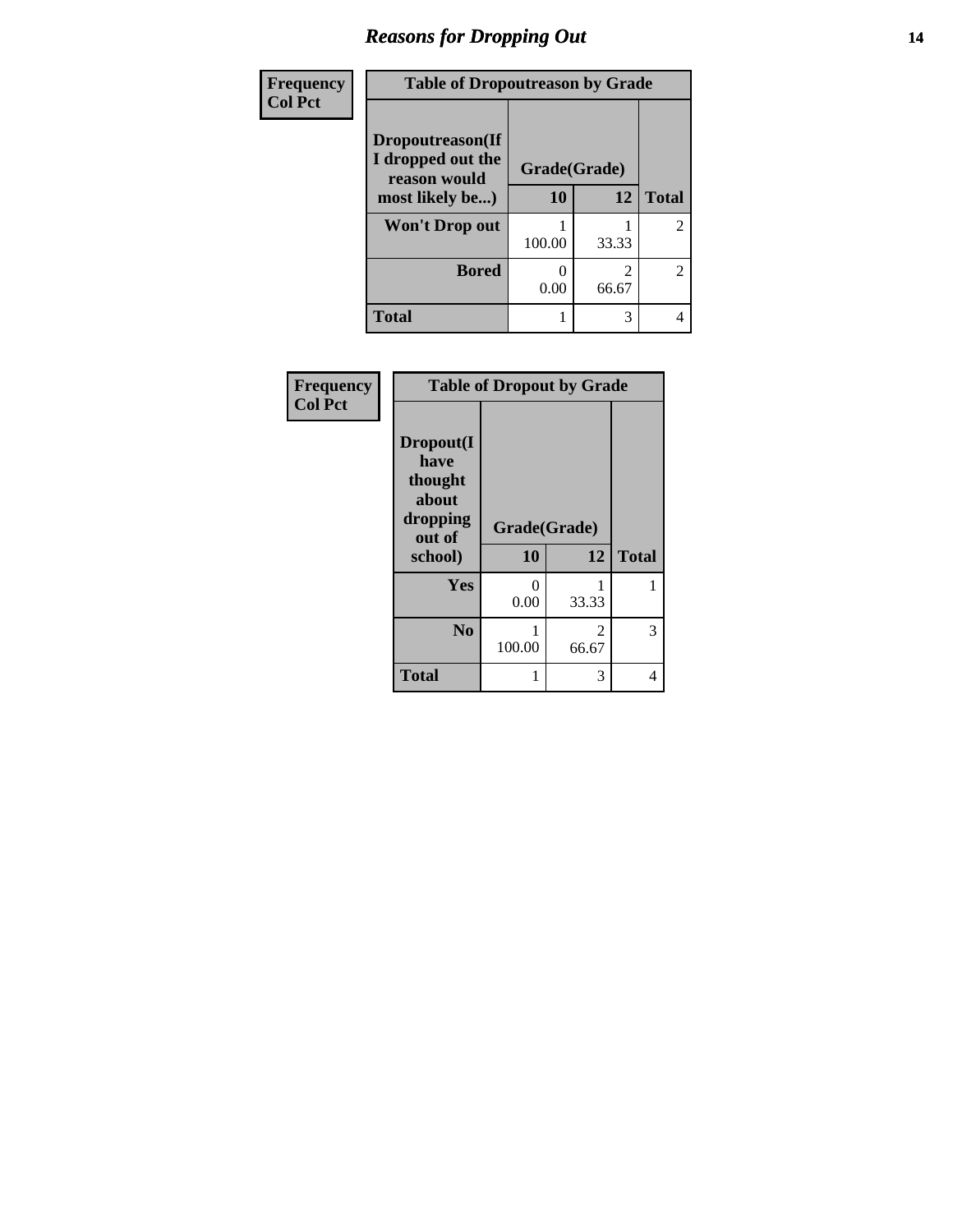# *Reasons for Dropping Out* **14**

| Frequency      | <b>Table of Dropoutreason by Grade</b>                |              |       |                |
|----------------|-------------------------------------------------------|--------------|-------|----------------|
| <b>Col Pct</b> |                                                       |              |       |                |
|                | Dropoutreason(If<br>I dropped out the<br>reason would | Grade(Grade) |       |                |
|                | most likely be)                                       | 10           | 12    | <b>Total</b>   |
|                | Won't Drop out                                        | 100.00       | 33.33 | $\overline{2}$ |
|                | <b>Bored</b>                                          | 0<br>0.00    | 66.67 | 2              |
|                | <b>Total</b>                                          |              | 3     |                |

| Frequency<br><b>Col Pct</b> | <b>Table of Dropout by Grade</b>                                       |                    |                        |              |  |
|-----------------------------|------------------------------------------------------------------------|--------------------|------------------------|--------------|--|
|                             | Dropout(I<br>have<br>thought<br>about<br>dropping<br>out of<br>school) | Grade(Grade)<br>10 | 12                     | <b>Total</b> |  |
|                             | Yes                                                                    | 0<br>0.00          | 33.33                  | 1            |  |
|                             | N <sub>0</sub>                                                         | 100.00             | $\mathcal{L}$<br>66.67 | 3            |  |
|                             | <b>Total</b>                                                           | 1                  | 3                      | 4            |  |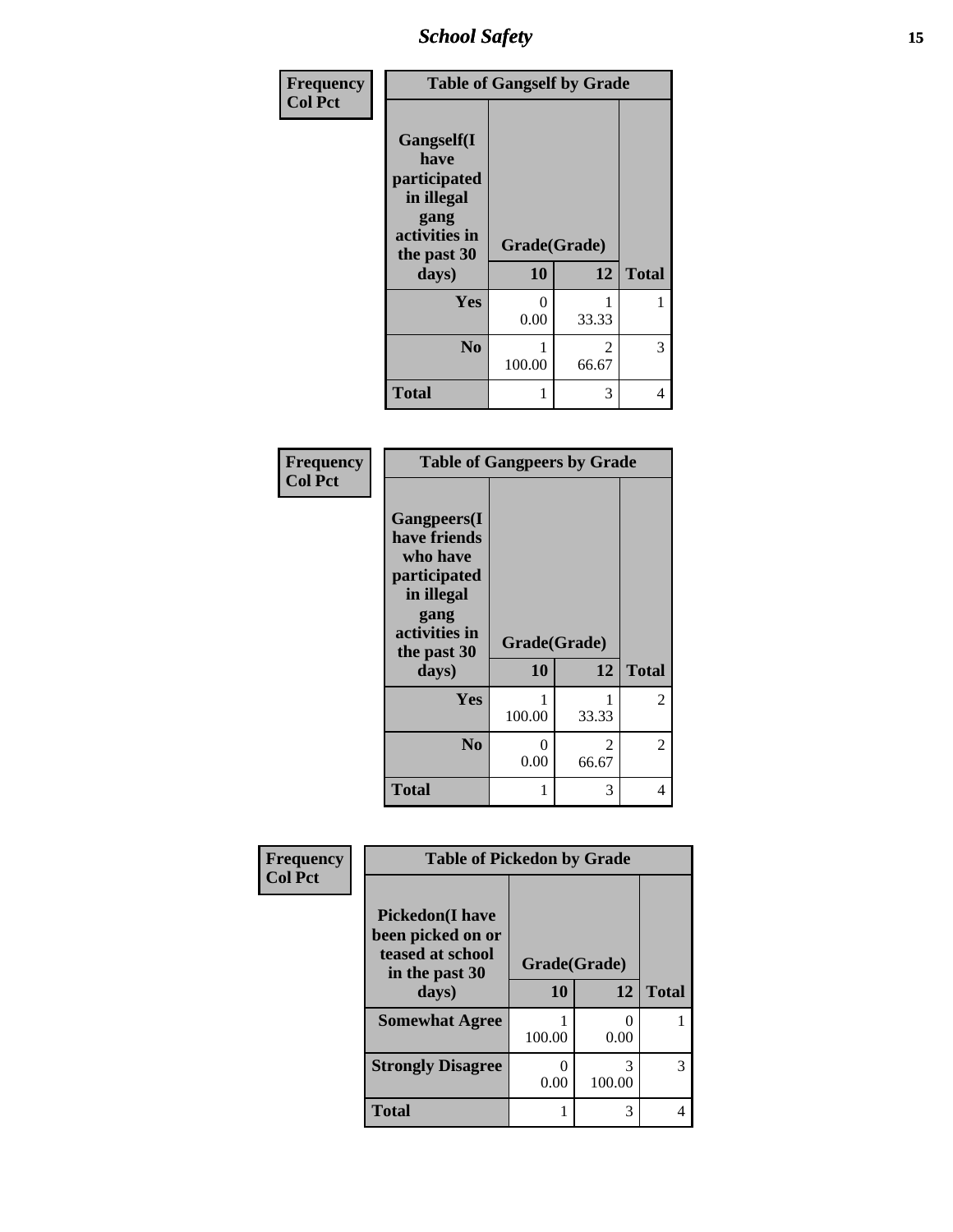*School Safety* **15**

| Frequency      |                                                                                                   | <b>Table of Gangself by Grade</b> |                         |              |
|----------------|---------------------------------------------------------------------------------------------------|-----------------------------------|-------------------------|--------------|
| <b>Col Pct</b> | Gangself(I<br>have<br>participated<br>in illegal<br>gang<br>activities in<br>the past 30<br>days) | Grade(Grade)<br>10                | 12                      | <b>Total</b> |
|                | Yes                                                                                               | 0                                 | 1                       | 1            |
|                |                                                                                                   | 0.00                              | 33.33                   |              |
|                | N <sub>0</sub>                                                                                    | 100.00                            | $\mathfrak{D}$<br>66.67 | 3            |
|                | <b>Total</b>                                                                                      | 1                                 | 3                       | 4            |

| Frequency<br><b>Col Pct</b> |                                                                                                                                | <b>Table of Gangpeers by Grade</b> |            |              |  |
|-----------------------------|--------------------------------------------------------------------------------------------------------------------------------|------------------------------------|------------|--------------|--|
|                             | <b>Gangpeers</b> (I<br>have friends<br>who have<br>participated<br>in illegal<br>gang<br>activities in<br>the past 30<br>days) | Grade(Grade)<br>10                 | 12         | <b>Total</b> |  |
|                             | Yes                                                                                                                            | 100.00                             | 1<br>33.33 | 2            |  |
|                             | N <sub>0</sub>                                                                                                                 | 0<br>0.00                          | 2<br>66.67 | 2            |  |
|                             | <b>Total</b>                                                                                                                   | 1                                  | 3          | 4            |  |

| Frequency      | <b>Table of Pickedon by Grade</b>                                                 |              |             |              |
|----------------|-----------------------------------------------------------------------------------|--------------|-------------|--------------|
| <b>Col Pct</b> | <b>Pickedon(I have</b><br>been picked on or<br>teased at school<br>in the past 30 | Grade(Grade) |             |              |
|                | days)                                                                             | 10           | 12          | <b>Total</b> |
|                | <b>Somewhat Agree</b>                                                             | 100.00       | 0.00        |              |
|                | <b>Strongly Disagree</b>                                                          | 0.00         | 3<br>100.00 | 3            |
|                | <b>Total</b>                                                                      |              | 3           |              |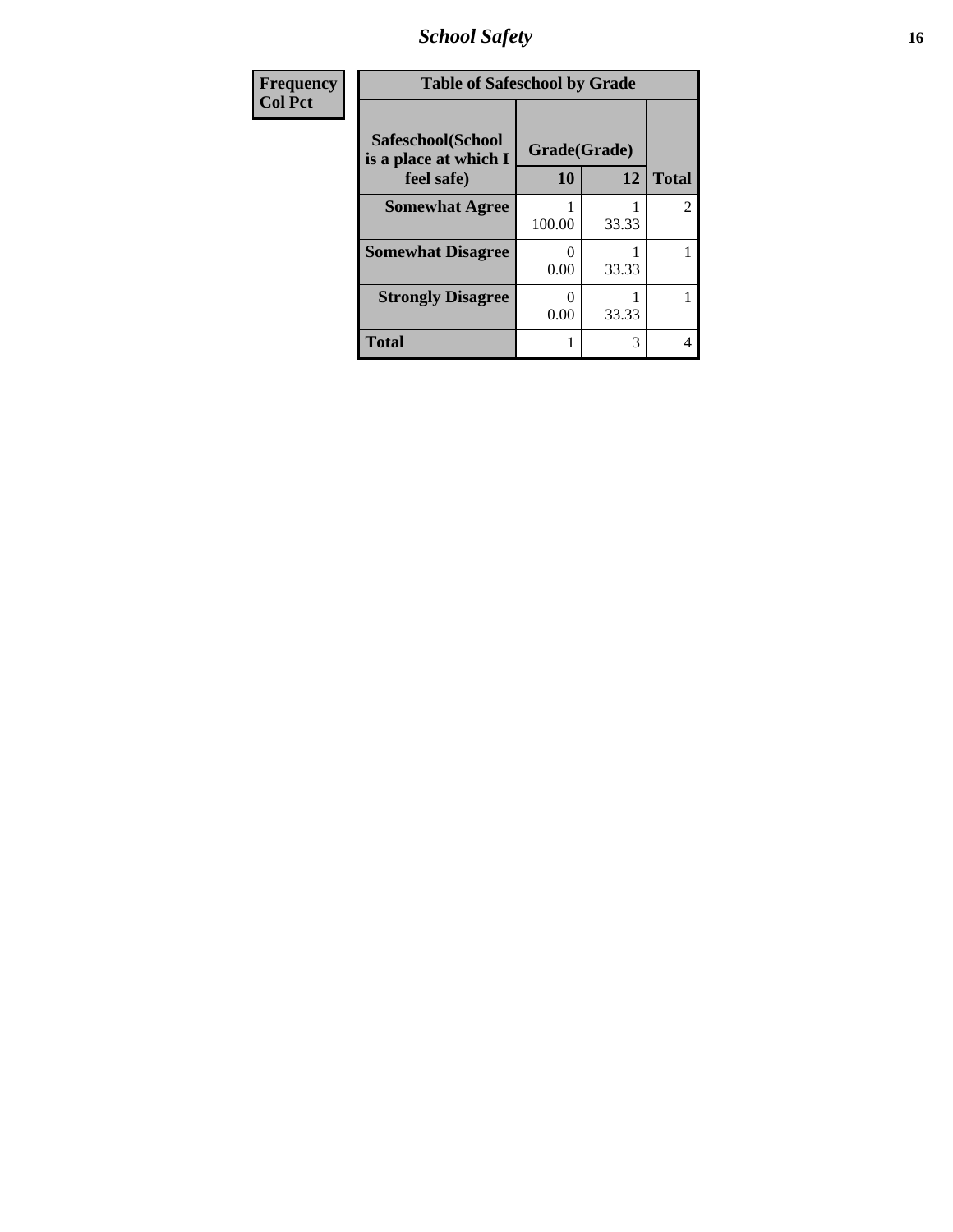*School Safety* **16**

| <b>Frequency</b> | <b>Table of Safeschool by Grade</b>                      |                    |       |              |
|------------------|----------------------------------------------------------|--------------------|-------|--------------|
| <b>Col Pct</b>   | Safeschool(School<br>is a place at which I<br>feel safe) | Grade(Grade)<br>10 | 12    | <b>Total</b> |
|                  | <b>Somewhat Agree</b>                                    | 100.00             | 33.33 | 2            |
|                  | <b>Somewhat Disagree</b>                                 | 0.00               | 33.33 |              |
|                  | <b>Strongly Disagree</b>                                 | O<br>0.00          | 33.33 |              |
|                  | <b>Total</b>                                             |                    | 3     | 4            |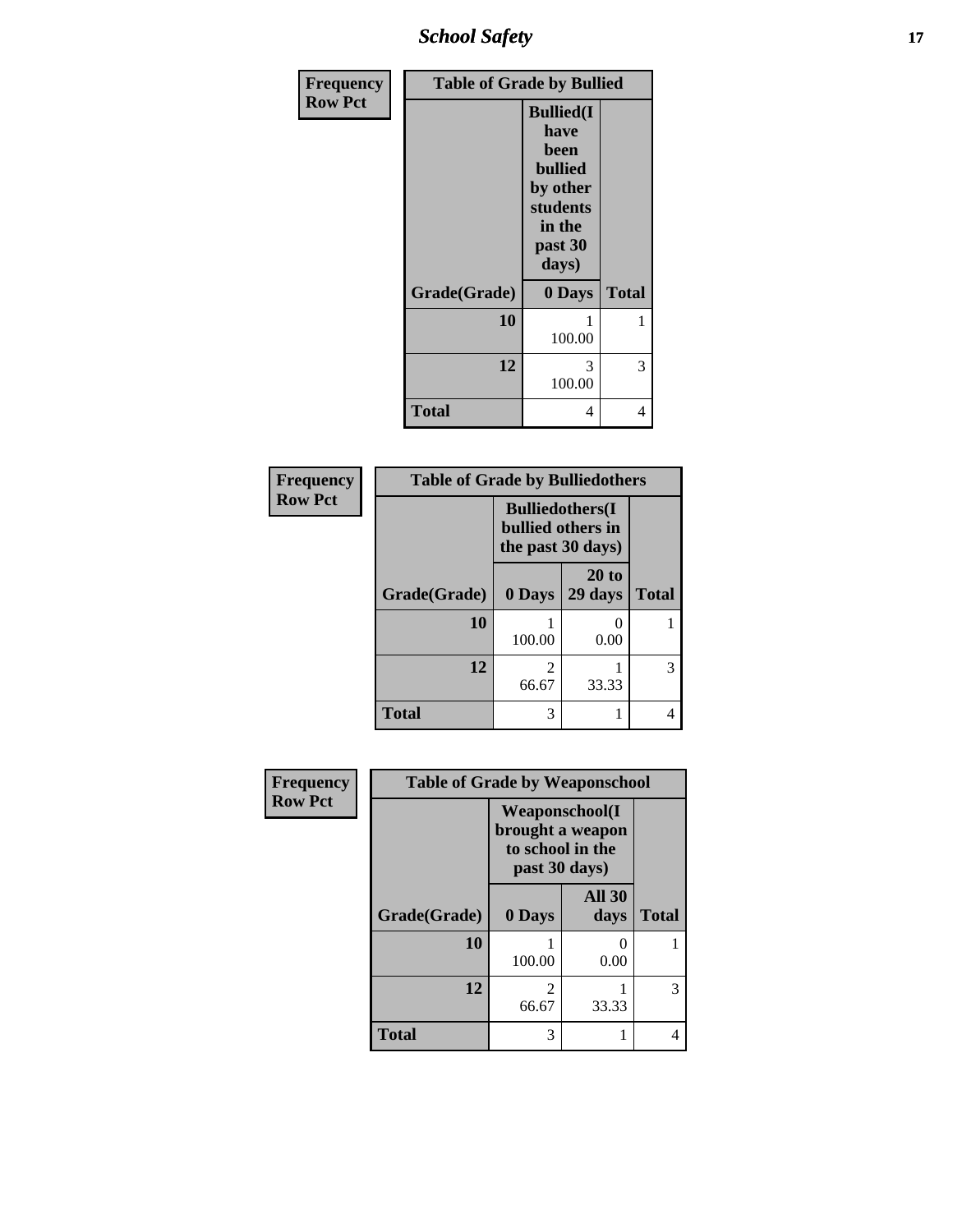*School Safety* **17**

| Frequency      | <b>Table of Grade by Bullied</b> |                                                                                                           |              |  |  |
|----------------|----------------------------------|-----------------------------------------------------------------------------------------------------------|--------------|--|--|
| <b>Row Pct</b> |                                  | <b>Bullied(I)</b><br>have<br>been<br><b>bullied</b><br>by other<br>students<br>in the<br>past 30<br>days) |              |  |  |
|                | Grade(Grade)                     | 0 Days                                                                                                    | <b>Total</b> |  |  |
|                | 10                               | 1<br>100.00                                                                                               | 1            |  |  |
|                | 12                               | 3<br>100.00                                                                                               | 3            |  |  |
|                | <b>Total</b>                     | 4                                                                                                         | 4            |  |  |

| <b>Frequency</b> | <b>Table of Grade by Bulliedothers</b> |                                                                   |                           |              |  |
|------------------|----------------------------------------|-------------------------------------------------------------------|---------------------------|--------------|--|
| <b>Row Pct</b>   |                                        | <b>Bulliedothers</b> (I<br>bullied others in<br>the past 30 days) |                           |              |  |
|                  | Grade(Grade)                           | 0 Days                                                            | 20 to<br>29 days          | <b>Total</b> |  |
|                  | 10                                     | 100.00                                                            | $\mathbf{\Omega}$<br>0.00 |              |  |
|                  | 12                                     | $\overline{\mathcal{L}}$<br>66.67                                 | 33.33                     | 3            |  |
|                  | <b>Total</b>                           | 3                                                                 |                           |              |  |

| Frequency      |              | <b>Table of Grade by Weaponschool</b>                                           |                       |              |  |
|----------------|--------------|---------------------------------------------------------------------------------|-----------------------|--------------|--|
| <b>Row Pct</b> |              | <b>Weaponschool</b> (I<br>brought a weapon<br>to school in the<br>past 30 days) |                       |              |  |
|                | Grade(Grade) | 0 Days                                                                          | <b>All 30</b><br>days | <b>Total</b> |  |
|                | 10           | 100.00                                                                          | 0.00                  |              |  |
|                | 12           | 2<br>66.67                                                                      | 33.33                 | 3            |  |
|                | <b>Total</b> | 3                                                                               |                       | 4            |  |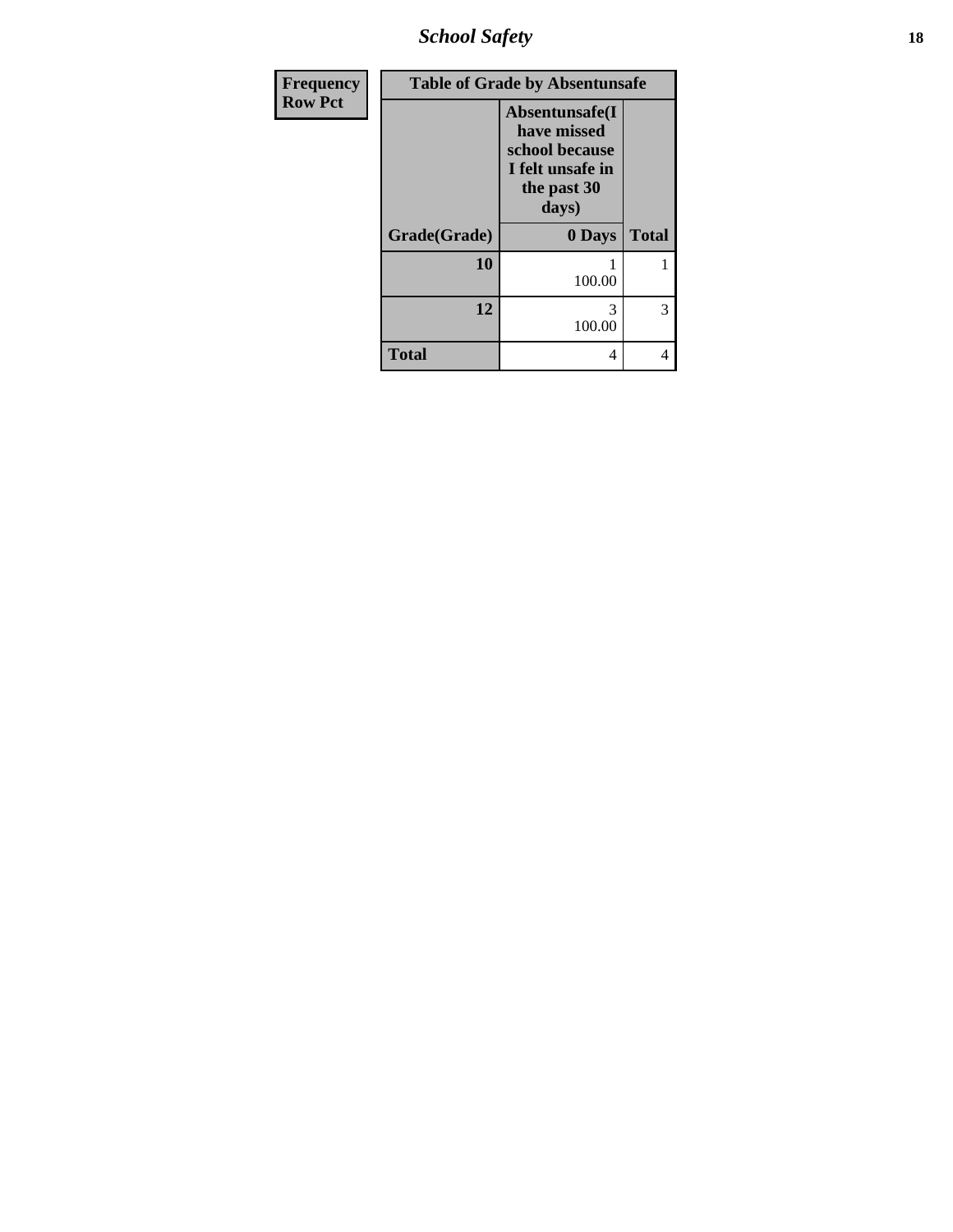*School Safety* **18**

| Frequency      |              | <b>Table of Grade by Absentunsafe</b>                                                       |              |  |  |
|----------------|--------------|---------------------------------------------------------------------------------------------|--------------|--|--|
| <b>Row Pct</b> |              | Absentunsafe(I<br>have missed<br>school because<br>I felt unsafe in<br>the past 30<br>days) |              |  |  |
|                | Grade(Grade) | 0 Days                                                                                      | <b>Total</b> |  |  |
|                | 10           | 100.00                                                                                      |              |  |  |
|                | 12           | 3<br>100.00                                                                                 | 3            |  |  |
|                | <b>Total</b> | 4                                                                                           | 4            |  |  |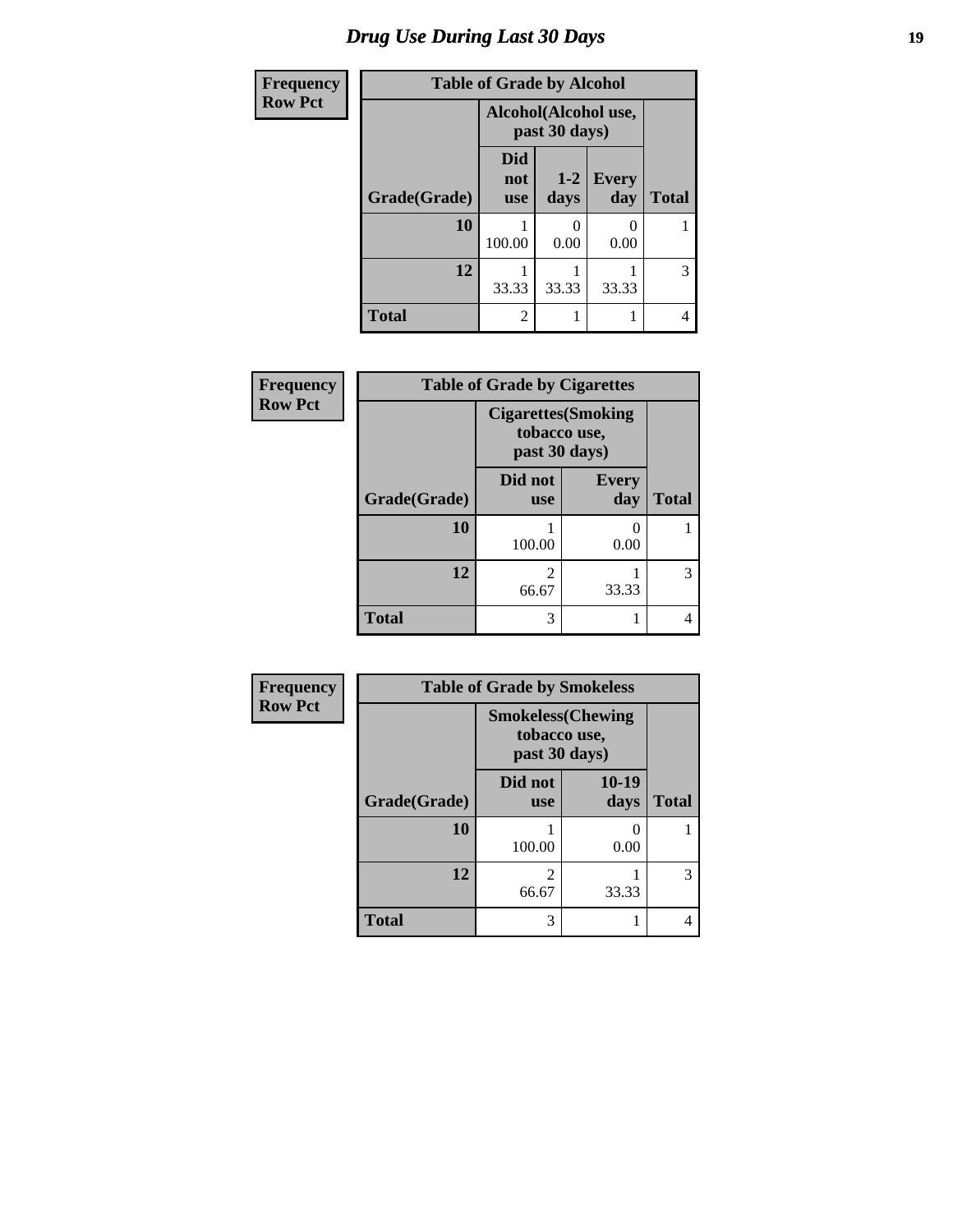# *Drug Use During Last 30 Days* **19**

| <b>Frequency</b> | <b>Table of Grade by Alcohol</b> |                                       |               |                     |              |
|------------------|----------------------------------|---------------------------------------|---------------|---------------------|--------------|
| <b>Row Pct</b>   |                                  | Alcohol(Alcohol use,<br>past 30 days) |               |                     |              |
|                  | Grade(Grade)                     | <b>Did</b><br>not<br><b>use</b>       | $1-2$<br>days | <b>Every</b><br>day | <b>Total</b> |
|                  | 10                               | 100.00                                | 0<br>0.00     | 0.00                |              |
|                  | 12                               | 33.33                                 | 33.33         | 33.33               | 3            |
|                  | <b>Total</b>                     | $\overline{2}$                        |               |                     | 4            |

| Frequency      |              | <b>Table of Grade by Cigarettes</b> |                            |              |
|----------------|--------------|-------------------------------------|----------------------------|--------------|
| <b>Row Pct</b> |              | tobacco use,<br>past 30 days)       | <b>Cigarettes</b> (Smoking |              |
|                | Grade(Grade) | Did not<br><b>use</b>               | <b>Every</b><br>day        | <b>Total</b> |
|                | 10           | 100.00                              | 0<br>0.00                  |              |
|                | 12           | 2<br>66.67                          | 33.33                      | 3            |
|                | <b>Total</b> | 3                                   |                            | 4            |

| <b>Frequency</b> |              | <b>Table of Grade by Smokeless</b>                        |               |              |  |
|------------------|--------------|-----------------------------------------------------------|---------------|--------------|--|
| <b>Row Pct</b>   |              | <b>Smokeless(Chewing</b><br>tobacco use,<br>past 30 days) |               |              |  |
|                  | Grade(Grade) | Did not<br><b>use</b>                                     | 10-19<br>days | <b>Total</b> |  |
|                  | 10           | 100.00                                                    | 0.00          |              |  |
|                  | 12           | $\overline{c}$<br>66.67                                   | 33.33         | 3            |  |
|                  | <b>Total</b> | 3                                                         |               | 4            |  |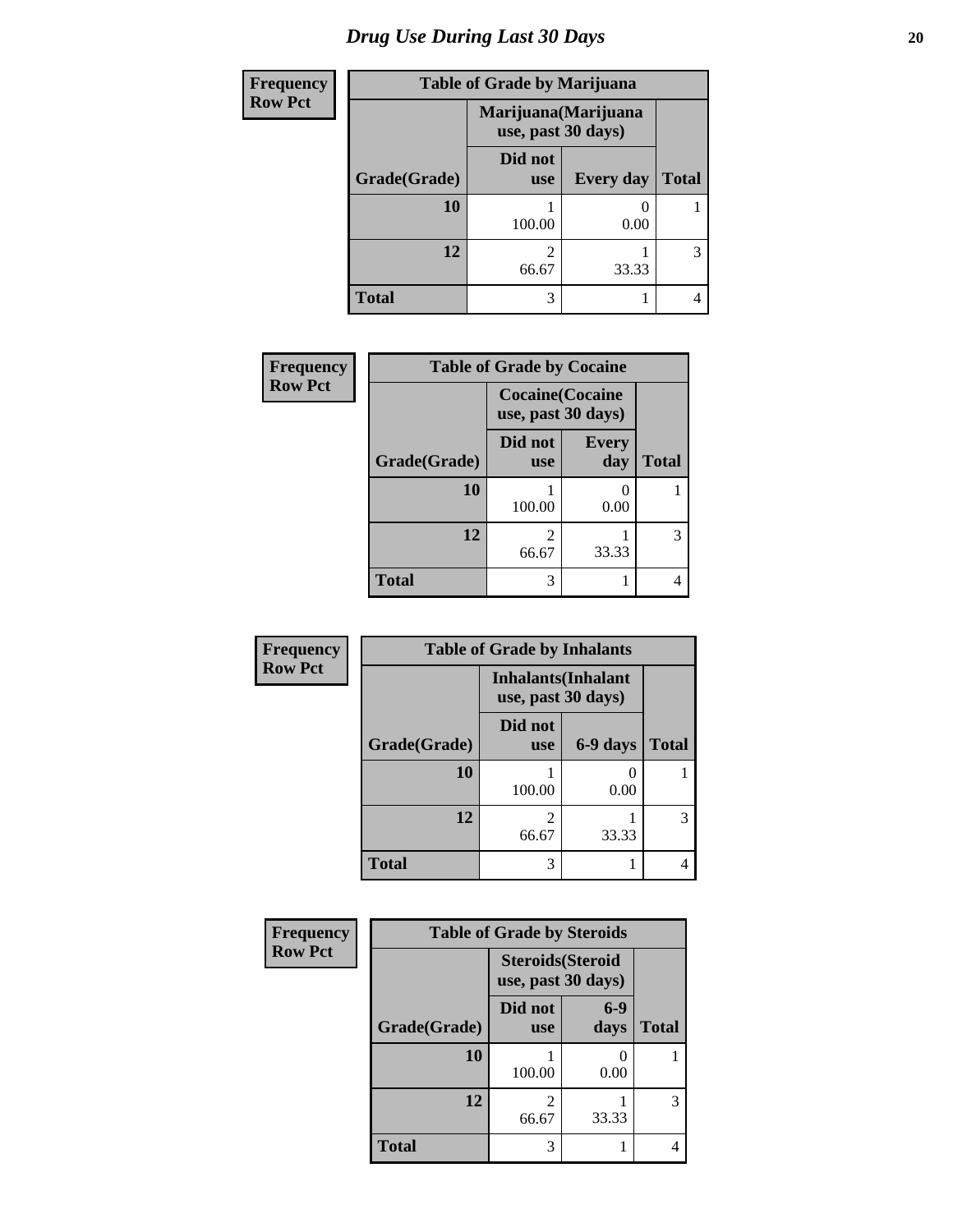# *Drug Use During Last 30 Days* 20

| <b>Frequency</b> |              | <b>Table of Grade by Marijuana</b>         |                  |              |  |
|------------------|--------------|--------------------------------------------|------------------|--------------|--|
| <b>Row Pct</b>   |              | Marijuana (Marijuana<br>use, past 30 days) |                  |              |  |
|                  | Grade(Grade) | Did not<br><b>use</b>                      | <b>Every day</b> | <b>Total</b> |  |
|                  | 10           | 100.00                                     | 0.00             |              |  |
|                  | 12           | 66.67                                      | 33.33            | 3            |  |
|                  | <b>Total</b> | 3                                          |                  | 4            |  |

| Frequency      | <b>Table of Grade by Cocaine</b> |                                               |                     |              |  |
|----------------|----------------------------------|-----------------------------------------------|---------------------|--------------|--|
| <b>Row Pct</b> |                                  | <b>Cocaine</b> (Cocaine<br>use, past 30 days) |                     |              |  |
|                | Grade(Grade)                     | Did not<br><b>use</b>                         | <b>Every</b><br>day | <b>Total</b> |  |
|                | 10                               | 100.00                                        | 0.00                |              |  |
|                | 12                               | 2<br>66.67                                    | 33.33               | 3            |  |
|                | <b>Total</b>                     | 3                                             |                     |              |  |

| <b>Frequency</b> |              | <b>Table of Grade by Inhalants</b> |                            |              |
|------------------|--------------|------------------------------------|----------------------------|--------------|
| <b>Row Pct</b>   |              | use, past 30 days)                 | <b>Inhalants</b> (Inhalant |              |
|                  | Grade(Grade) | Did not<br><b>use</b>              | 6-9 days                   | <b>Total</b> |
|                  | 10           | 100.00                             | 0.00                       |              |
|                  | 12           | 2<br>66.67                         | 33.33                      | 3            |
|                  | <b>Total</b> | 3                                  |                            |              |

| Frequency      | <b>Table of Grade by Steroids</b> |                                                |               |              |
|----------------|-----------------------------------|------------------------------------------------|---------------|--------------|
| <b>Row Pct</b> |                                   | <b>Steroids</b> (Steroid<br>use, past 30 days) |               |              |
|                | Grade(Grade)                      | Did not<br><b>use</b>                          | $6-9$<br>days | <b>Total</b> |
|                | 10                                | 100.00                                         | 0.00          |              |
|                | 12                                | 2<br>66.67                                     | 33.33         | 3            |
|                | <b>Total</b>                      | 3                                              |               | 4            |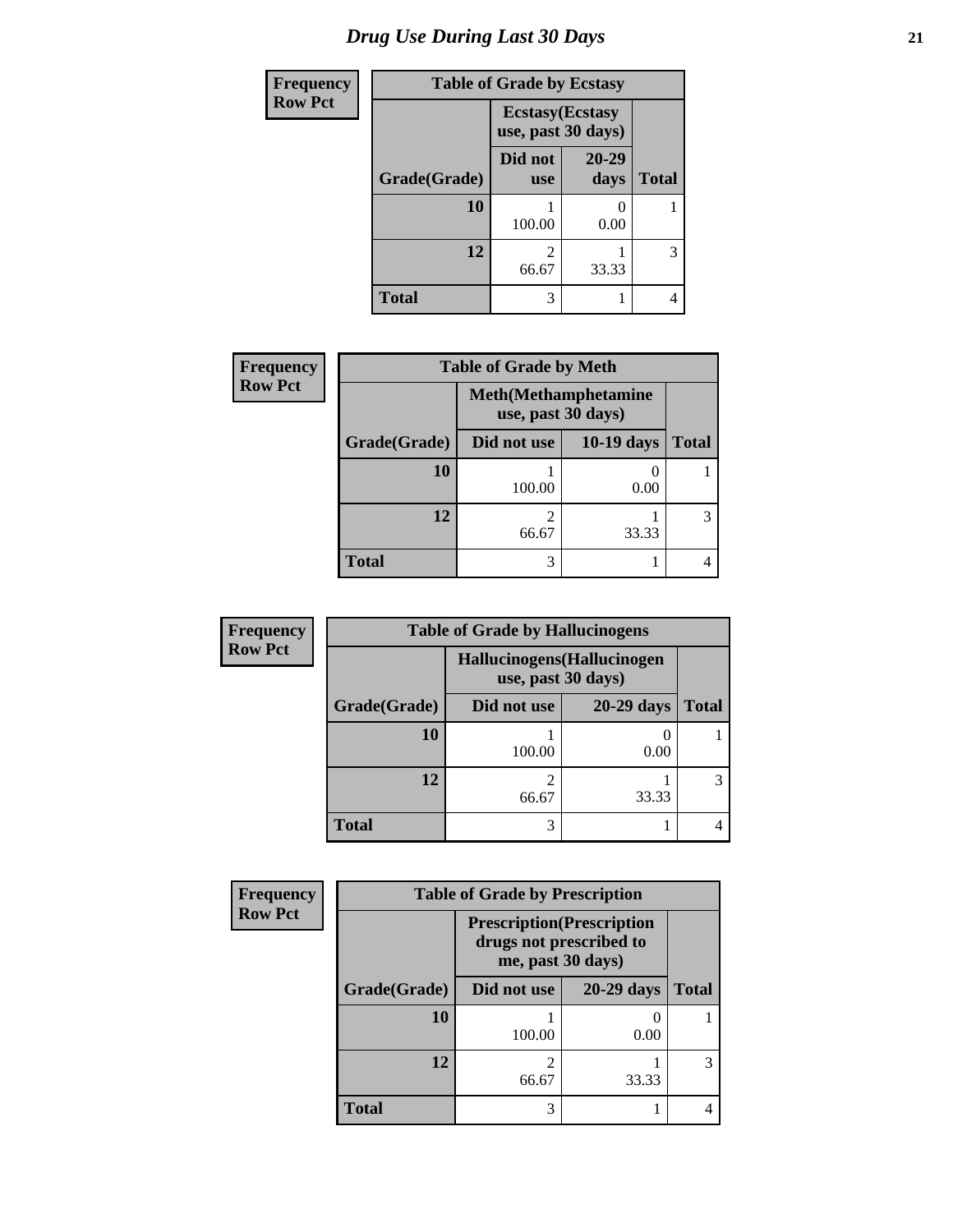# *Drug Use During Last 30 Days* **21**

| <b>Frequency</b> |              | <b>Table of Grade by Ecstasy</b>              |               |              |  |  |
|------------------|--------------|-----------------------------------------------|---------------|--------------|--|--|
| <b>Row Pct</b>   |              | <b>Ecstasy</b> (Ecstasy<br>use, past 30 days) |               |              |  |  |
|                  | Grade(Grade) | Did not<br><b>use</b>                         | 20-29<br>days | <b>Total</b> |  |  |
|                  | 10           | 100.00                                        | 0.00          |              |  |  |
|                  | 12           | 2<br>66.67                                    | 33.33         | 3            |  |  |
|                  | <b>Total</b> | 3                                             |               | 4            |  |  |

| <b>Frequency</b> | <b>Table of Grade by Meth</b> |                         |                              |              |  |
|------------------|-------------------------------|-------------------------|------------------------------|--------------|--|
| <b>Row Pct</b>   |                               | use, past 30 days)      | <b>Meth</b> (Methamphetamine |              |  |
|                  | Grade(Grade)                  | Did not use             | $10-19$ days                 | <b>Total</b> |  |
|                  | 10                            | 100.00                  | 0.00                         |              |  |
|                  | 12                            | $\mathfrak{D}$<br>66.67 | 33.33                        |              |  |
|                  | <b>Total</b>                  | 3                       |                              |              |  |

| <b>Frequency</b> | <b>Table of Grade by Hallucinogens</b> |                             |                    |              |
|------------------|----------------------------------------|-----------------------------|--------------------|--------------|
| <b>Row Pct</b>   |                                        | Hallucinogens (Hallucinogen | use, past 30 days) |              |
|                  | Grade(Grade)                           | Did not use                 | $20-29$ days       | <b>Total</b> |
|                  | 10                                     | 100.00                      | 0.00               |              |
|                  | 12                                     | 66.67                       | 33.33              | 3            |
|                  | <b>Total</b>                           | 3                           |                    |              |

| Frequency      | <b>Table of Grade by Prescription</b> |                                                                                   |                   |              |  |
|----------------|---------------------------------------|-----------------------------------------------------------------------------------|-------------------|--------------|--|
| <b>Row Pct</b> |                                       | <b>Prescription</b> (Prescription<br>drugs not prescribed to<br>me, past 30 days) |                   |              |  |
|                | Grade(Grade)                          | Did not use                                                                       | <b>20-29 days</b> | <b>Total</b> |  |
|                | 10                                    | 100.00                                                                            | 0.00              |              |  |
|                | 12                                    | 2<br>66.67                                                                        | 33.33             | 3            |  |
|                | <b>Total</b>                          | 3                                                                                 |                   |              |  |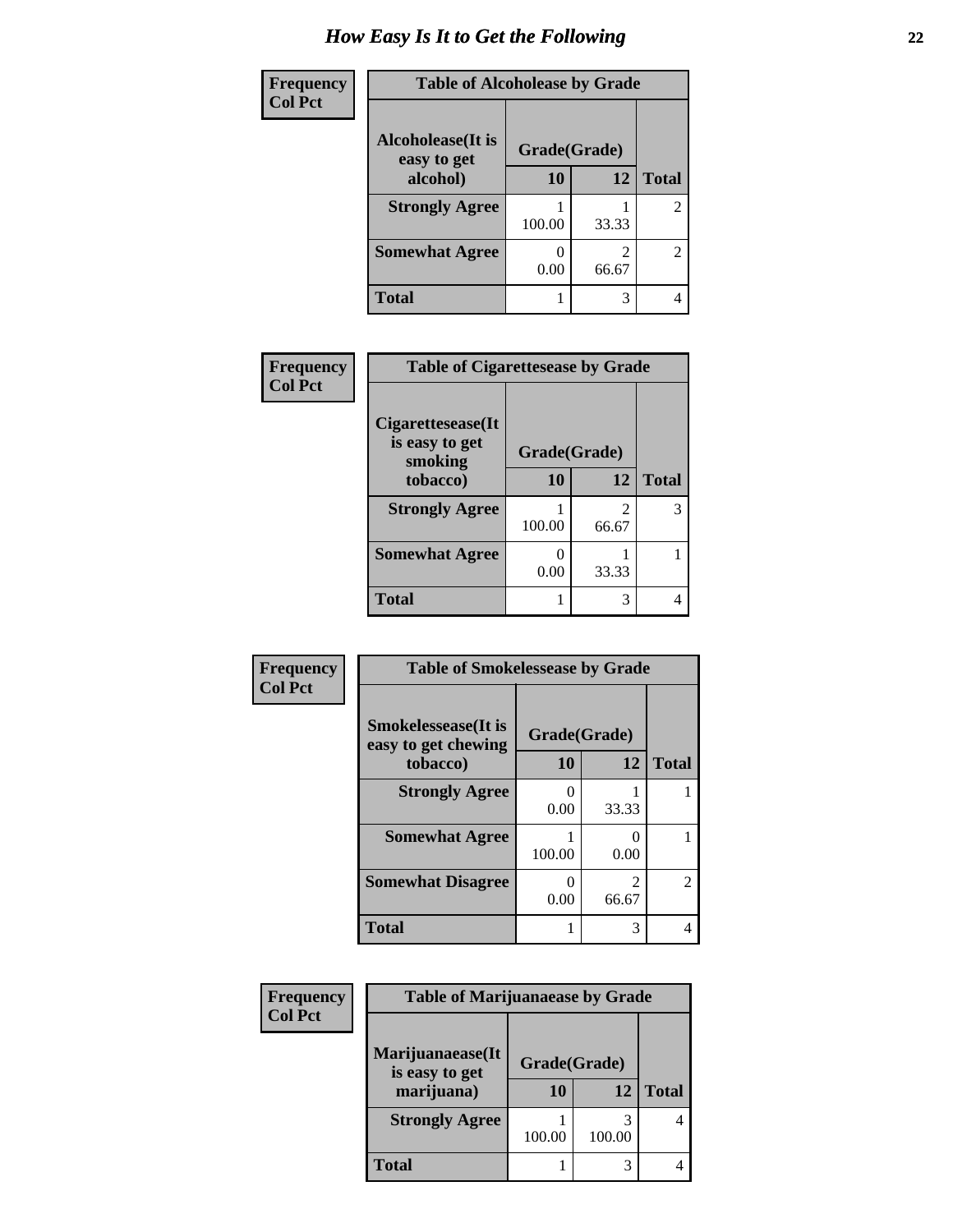| Frequency      | <b>Table of Alcoholease by Grade</b>     |              |                         |                |
|----------------|------------------------------------------|--------------|-------------------------|----------------|
| <b>Col Pct</b> | <b>Alcoholease</b> (It is<br>easy to get | Grade(Grade) |                         |                |
|                | alcohol)                                 | 10           | 12                      | <b>Total</b>   |
|                | <b>Strongly Agree</b>                    | 100.00       | 33.33                   | $\overline{2}$ |
|                | <b>Somewhat Agree</b>                    | 0.00         | $\mathfrak{D}$<br>66.67 | $\overline{2}$ |
|                | Total                                    |              | 3                       | 4              |

| Frequency      | <b>Table of Cigarettesease by Grade</b>         |              |                        |              |
|----------------|-------------------------------------------------|--------------|------------------------|--------------|
| <b>Col Pct</b> | Cigarettesease(It)<br>is easy to get<br>smoking | Grade(Grade) |                        |              |
|                | tobacco)                                        | 10           | 12                     | <b>Total</b> |
|                | <b>Strongly Agree</b>                           | 100.00       | $\mathcal{L}$<br>66.67 |              |
|                | <b>Somewhat Agree</b>                           | 0<br>0.00    | 33.33                  |              |
|                | <b>Total</b>                                    |              | 3                      |              |

| Frequency      | <b>Table of Smokelessease by Grade</b>                         |                    |                         |                |
|----------------|----------------------------------------------------------------|--------------------|-------------------------|----------------|
| <b>Col Pct</b> | <b>Smokelessease</b> (It is<br>easy to get chewing<br>tobacco) | Grade(Grade)<br>10 | 12                      | <b>Total</b>   |
|                | <b>Strongly Agree</b>                                          | 0.00               | 33.33                   |                |
|                | <b>Somewhat Agree</b>                                          | 100.00             | 0.00                    |                |
|                | <b>Somewhat Disagree</b>                                       | 0.00               | $\mathfrak{D}$<br>66.67 | $\overline{2}$ |
|                | <b>Total</b>                                                   |                    | 3                       | 4              |

| Frequency      | <b>Table of Marijuanaease by Grade</b> |        |              |              |
|----------------|----------------------------------------|--------|--------------|--------------|
| <b>Col Pct</b> |                                        |        |              |              |
|                | Marijuanaease(It<br>is easy to get     |        | Grade(Grade) |              |
|                | marijuana)                             | 10     | 12           | <b>Total</b> |
|                | <b>Strongly Agree</b>                  | 100.00 | 100.00       |              |
|                | Total                                  |        | 3            |              |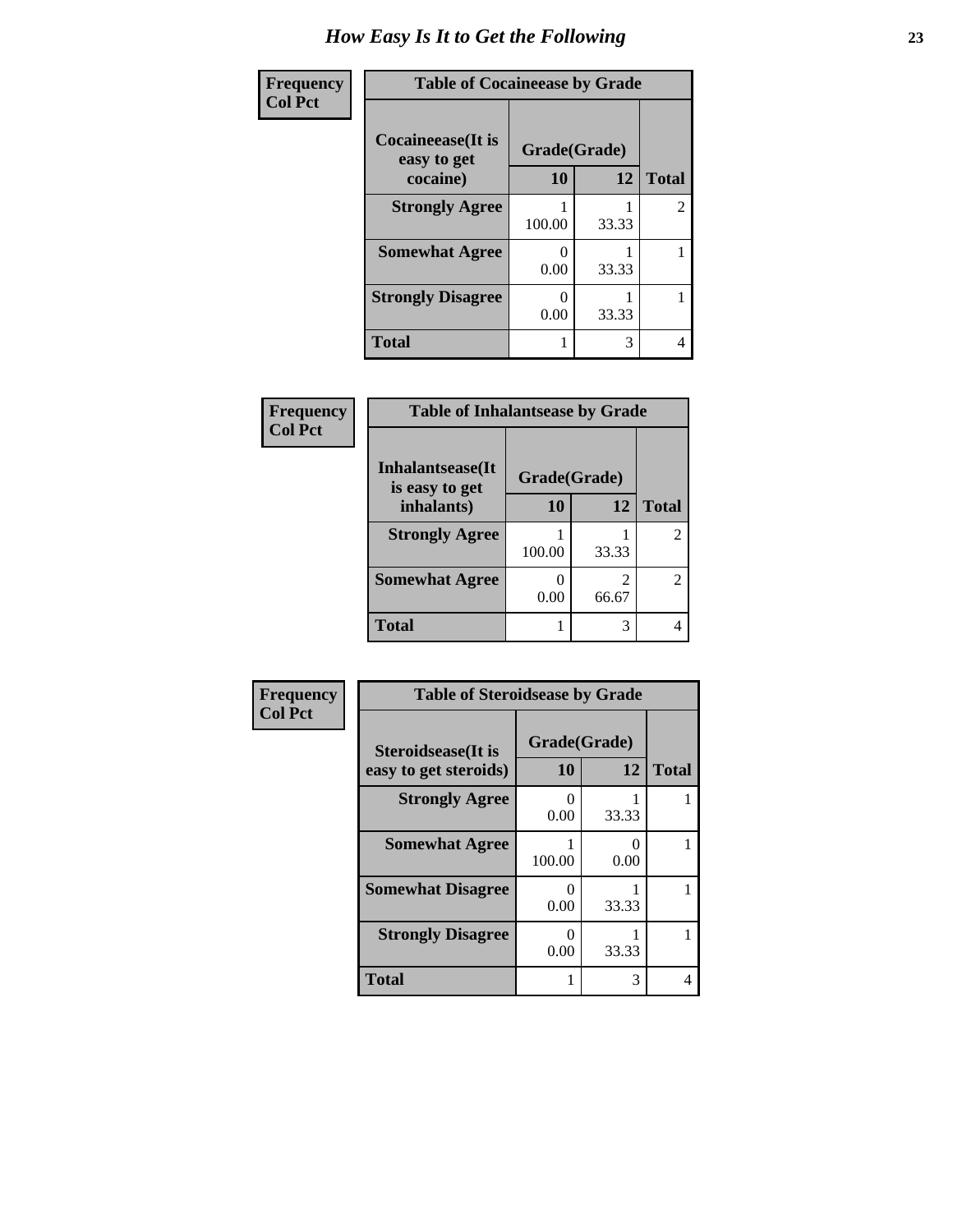| Frequency      | <b>Table of Cocaineease by Grade</b>     |                           |       |                |  |
|----------------|------------------------------------------|---------------------------|-------|----------------|--|
| <b>Col Pct</b> | <b>Cocaineease</b> (It is<br>easy to get | Grade(Grade)              |       |                |  |
|                | cocaine)                                 | 10                        | 12    | <b>Total</b>   |  |
|                | <b>Strongly Agree</b>                    | 100.00                    | 33.33 | $\overline{2}$ |  |
|                | <b>Somewhat Agree</b>                    | 0.00                      | 33.33 |                |  |
|                | <b>Strongly Disagree</b>                 | $\mathbf{\Omega}$<br>0.00 | 33.33 |                |  |
|                | <b>Total</b>                             |                           | 3     | 4              |  |

| Frequency<br><b>Col Pct</b> | <b>Table of Inhalantsease by Grade</b> |              |       |                |
|-----------------------------|----------------------------------------|--------------|-------|----------------|
|                             | Inhalantsease(It)<br>is easy to get    | Grade(Grade) |       |                |
|                             | inhalants)                             | 10           | 12    | <b>Total</b>   |
|                             | <b>Strongly Agree</b>                  | 100.00       | 33.33 | $\mathfrak{D}$ |
|                             | <b>Somewhat Agree</b>                  | 0.00         | 66.67 | $\mathfrak{D}$ |
|                             | Total                                  |              | 3     |                |

| Frequency      | <b>Table of Steroidsease by Grade</b>               |                           |           |              |
|----------------|-----------------------------------------------------|---------------------------|-----------|--------------|
| <b>Col Pct</b> | <b>Steroidsease</b> (It is<br>easy to get steroids) | Grade(Grade)<br><b>10</b> | 12        | <b>Total</b> |
|                | <b>Strongly Agree</b>                               | 0<br>0.00                 | 33.33     |              |
|                | <b>Somewhat Agree</b>                               | 100.00                    | 0<br>0.00 |              |
|                | <b>Somewhat Disagree</b>                            | 0<br>0.00                 | 33.33     |              |
|                | <b>Strongly Disagree</b>                            | 0<br>0.00                 | 33.33     |              |
|                | <b>Total</b>                                        | 1                         | 3         | 4            |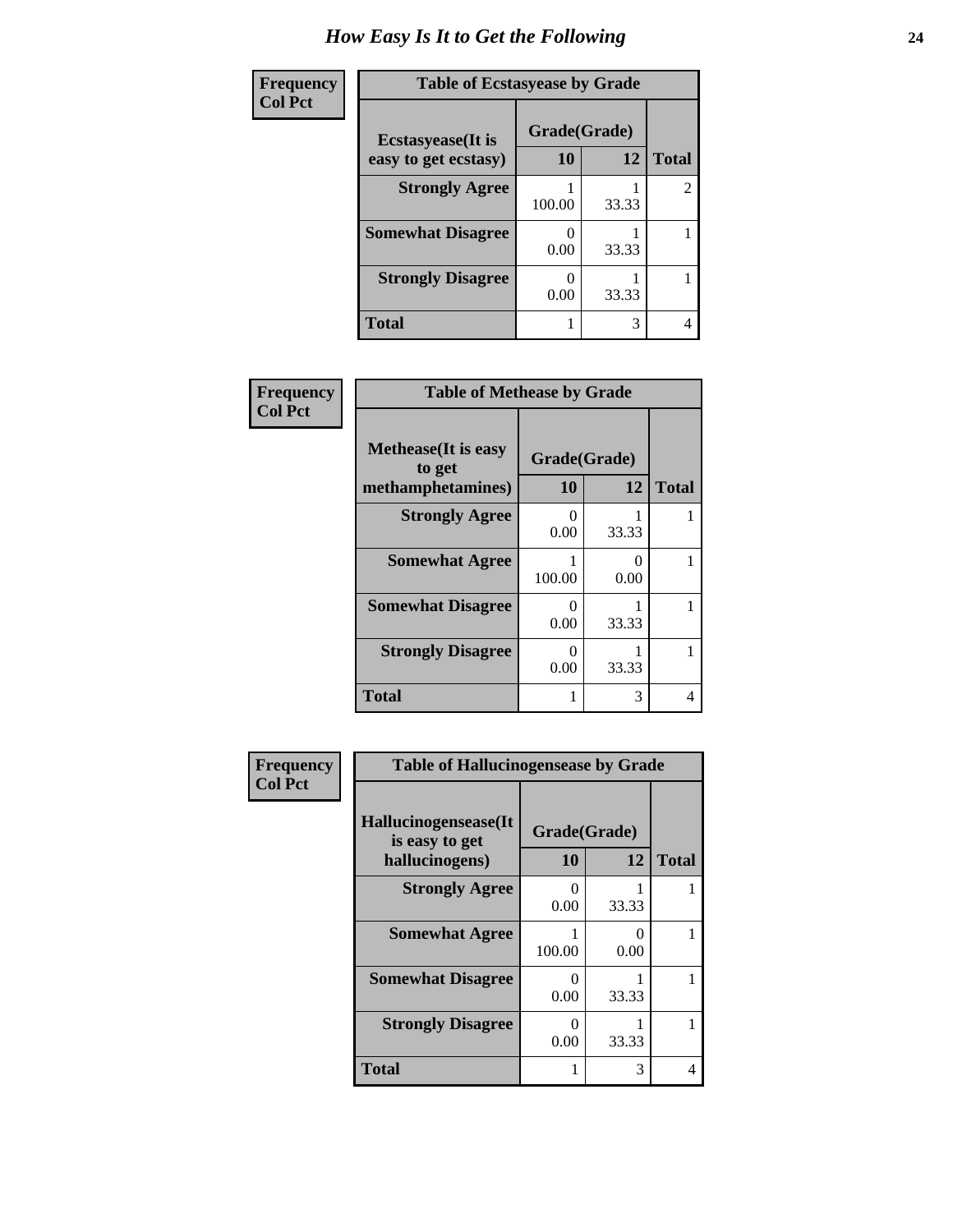| Frequency      | <b>Table of Ecstasyease by Grade</b>              |                    |       |                |
|----------------|---------------------------------------------------|--------------------|-------|----------------|
| <b>Col Pct</b> | <b>Ecstasyease</b> (It is<br>easy to get ecstasy) | Grade(Grade)<br>10 | 12    | <b>Total</b>   |
|                | <b>Strongly Agree</b>                             | 100.00             | 33.33 | $\overline{2}$ |
|                | <b>Somewhat Disagree</b>                          | 0.00               | 33.33 |                |
|                | <b>Strongly Disagree</b>                          | 0.00               | 33.33 |                |
|                | <b>Total</b>                                      |                    | 3     | 4              |

| Frequency      | <b>Table of Methease by Grade</b>                          |                           |           |              |
|----------------|------------------------------------------------------------|---------------------------|-----------|--------------|
| <b>Col Pct</b> | <b>Methease</b> (It is easy<br>to get<br>methamphetamines) | Grade(Grade)<br>10        | 12        | <b>Total</b> |
|                | <b>Strongly Agree</b>                                      | $\mathbf{\Omega}$<br>0.00 | 33.33     |              |
|                | <b>Somewhat Agree</b>                                      | 100.00                    | 0<br>0.00 | 1            |
|                | <b>Somewhat Disagree</b>                                   | 0<br>0.00                 | 33.33     | 1            |
|                | <b>Strongly Disagree</b>                                   | ∩<br>0.00                 | 33.33     | 1            |
|                | Total                                                      |                           | 3         | 4            |

| Frequency      | <b>Table of Hallucinogensease by Grade</b>               |                    |           |              |
|----------------|----------------------------------------------------------|--------------------|-----------|--------------|
| <b>Col Pct</b> | Hallucinogensease(It<br>is easy to get<br>hallucinogens) | Grade(Grade)<br>10 | 12        | <b>Total</b> |
|                | <b>Strongly Agree</b>                                    | 0.00               | 33.33     |              |
|                | <b>Somewhat Agree</b>                                    | 100.00             | 0<br>0.00 |              |
|                | <b>Somewhat Disagree</b>                                 | 0<br>0.00          | 33.33     |              |
|                | <b>Strongly Disagree</b>                                 | ∩<br>0.00          | 33.33     |              |
|                | <b>Total</b>                                             |                    | 3         | 4            |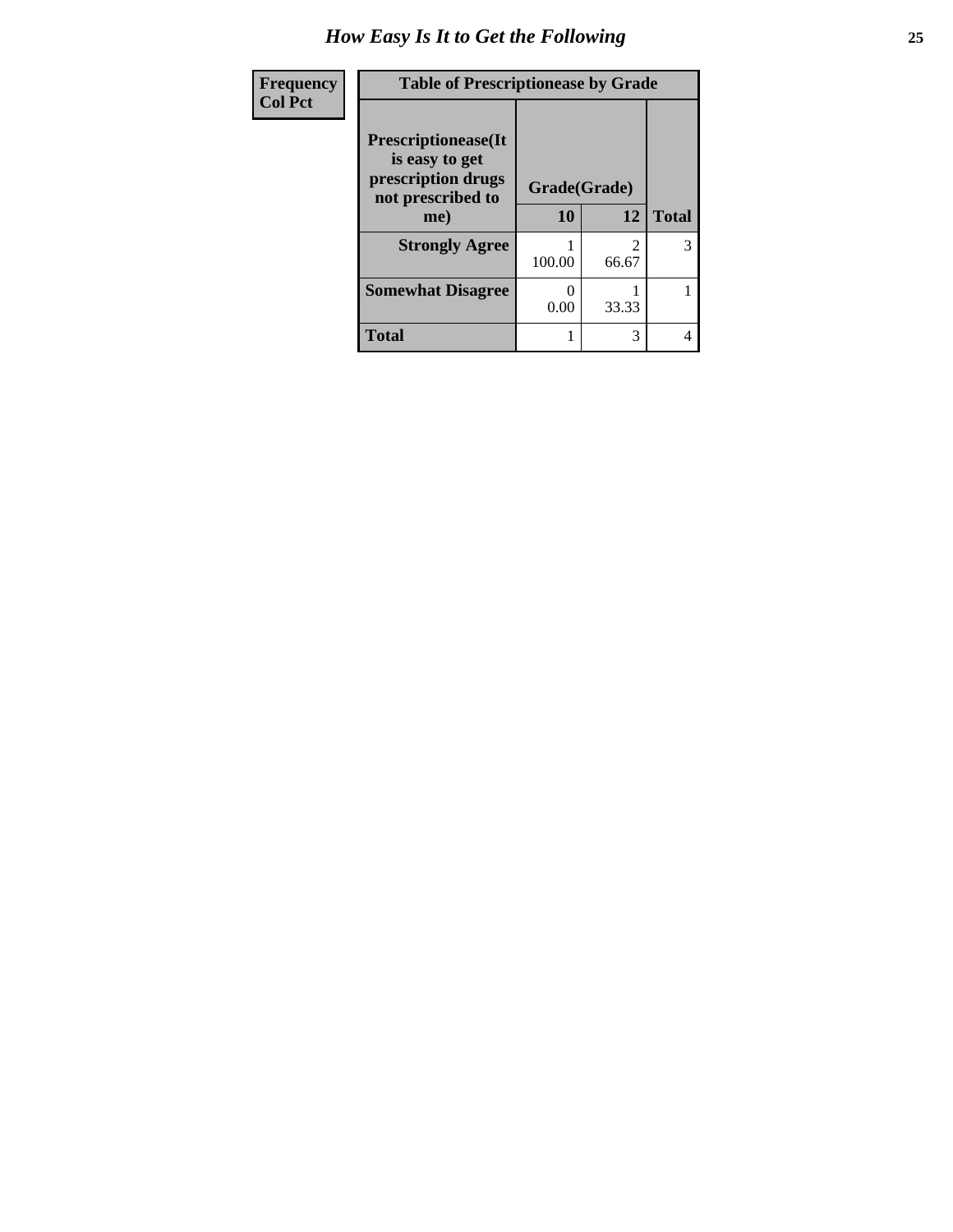| Frequency      | <b>Table of Prescriptionease by Grade</b>                                                |              |                         |              |
|----------------|------------------------------------------------------------------------------------------|--------------|-------------------------|--------------|
| <b>Col Pct</b> | <b>Prescriptionease</b> (It<br>is easy to get<br>prescription drugs<br>not prescribed to | Grade(Grade) |                         |              |
|                | me)                                                                                      | 10           | 12                      | <b>Total</b> |
|                | <b>Strongly Agree</b>                                                                    | 100.00       | $\mathfrak{D}$<br>66.67 | 3            |
|                | <b>Somewhat Disagree</b>                                                                 | 0<br>0.00    | 33.33                   |              |
|                | <b>Total</b>                                                                             |              | 3                       | 4            |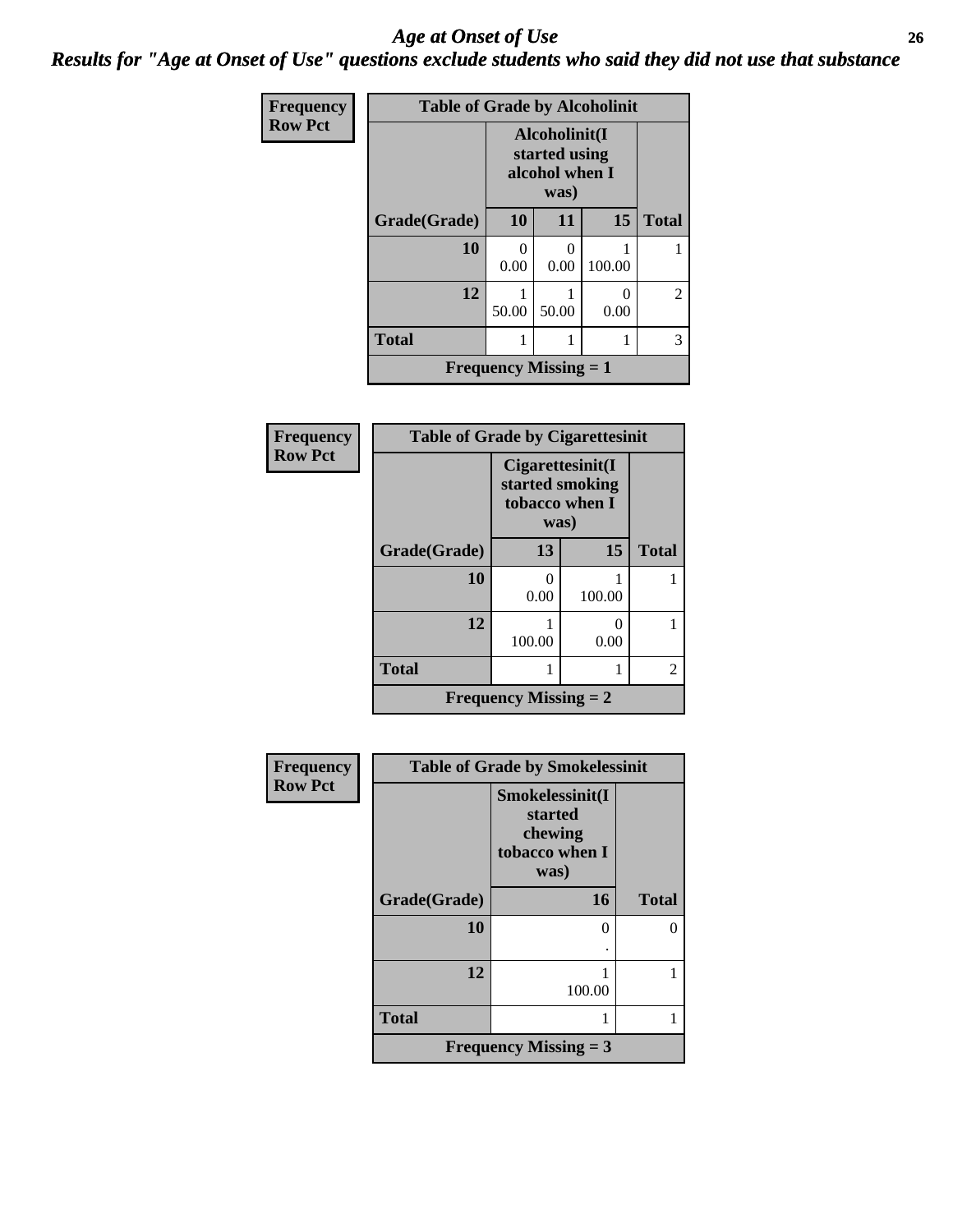#### *Age at Onset of Use* **26** *Results for "Age at Onset of Use" questions exclude students who said they did not use that substance*

| Frequency      | <b>Table of Grade by Alcoholinit</b> |                                                          |       |        |                |
|----------------|--------------------------------------|----------------------------------------------------------|-------|--------|----------------|
| <b>Row Pct</b> |                                      | Alcoholinit(I<br>started using<br>alcohol when I<br>was) |       |        |                |
|                | Grade(Grade)                         | 10                                                       | 11    | 15     | <b>Total</b>   |
|                | 10                                   | ∩<br>0.00                                                | 0.00  | 100.00 |                |
|                | 12                                   | 50.00                                                    | 50.00 | 0.00   | $\overline{2}$ |
|                | <b>Total</b>                         |                                                          |       |        | 3              |
|                |                                      | <b>Frequency Missing <math>= 1</math></b>                |       |        |                |

| <b>Frequency</b> | <b>Table of Grade by Cigarettesinit</b> |                                                               |                       |                |  |
|------------------|-----------------------------------------|---------------------------------------------------------------|-----------------------|----------------|--|
| <b>Row Pct</b>   |                                         | Cigarettesinit(I<br>started smoking<br>tobacco when I<br>was) |                       |                |  |
|                  | Grade(Grade)                            | 13                                                            | 15                    | <b>Total</b>   |  |
|                  | 10                                      | 0<br>0.00                                                     | 100.00                |                |  |
|                  | 12                                      | 100.00                                                        | $\mathcal{O}$<br>0.00 |                |  |
|                  | <b>Total</b>                            |                                                               |                       | $\overline{2}$ |  |
|                  |                                         | <b>Frequency Missing = 2</b>                                  |                       |                |  |

| Frequency<br><b>Row Pct</b> | <b>Table of Grade by Smokelessinit</b> |                                                                 |              |
|-----------------------------|----------------------------------------|-----------------------------------------------------------------|--------------|
|                             |                                        | Smokelessinit(I<br>started<br>chewing<br>tobacco when I<br>was) |              |
|                             | Grade(Grade)                           | 16                                                              | <b>Total</b> |
|                             | 10                                     | 0                                                               | O            |
|                             | 12                                     | 100.00                                                          |              |
|                             | <b>Total</b>                           |                                                                 |              |
|                             |                                        | <b>Frequency Missing = 3</b>                                    |              |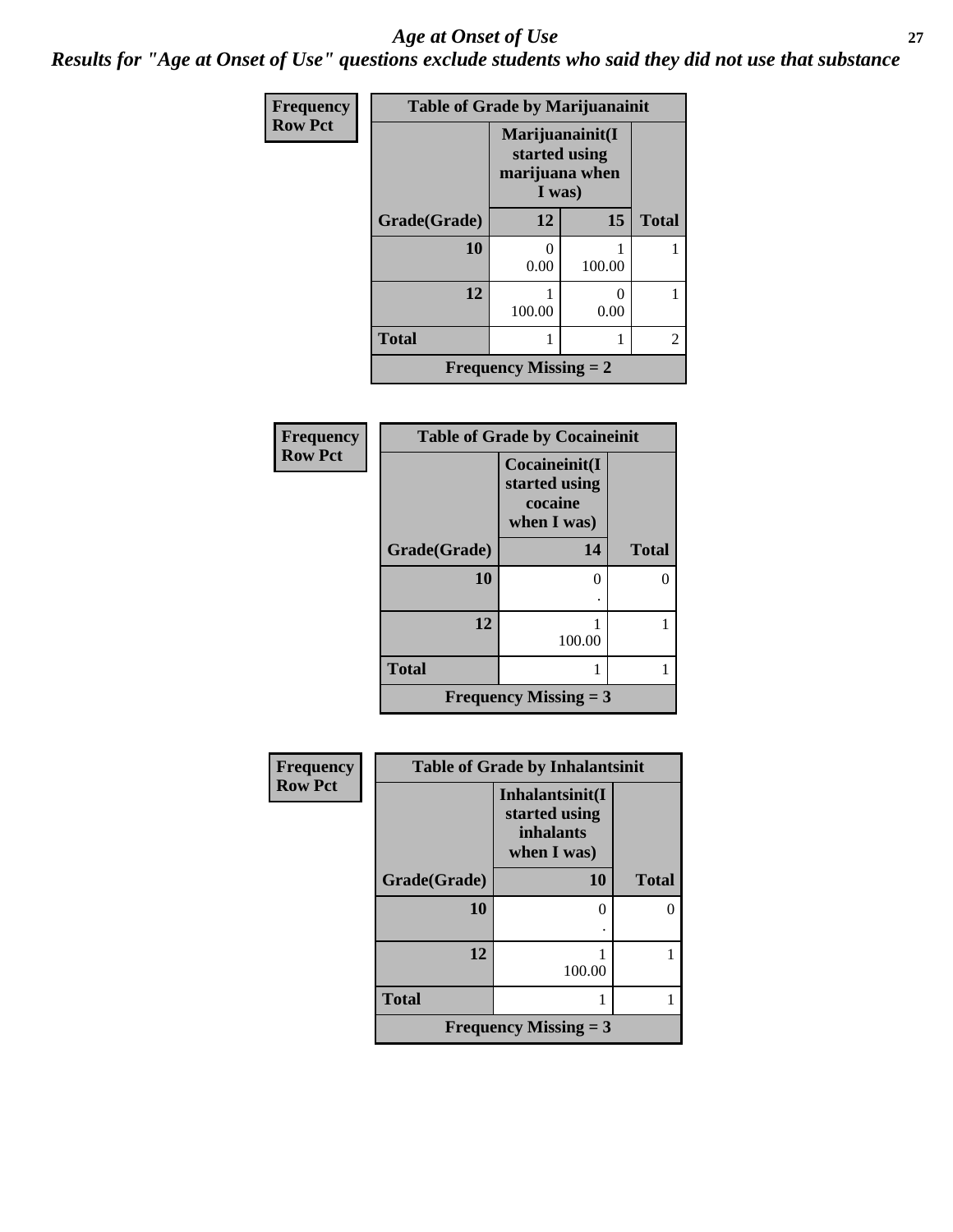#### *Age at Onset of Use* **27**

*Results for "Age at Onset of Use" questions exclude students who said they did not use that substance*

| Frequency      | <b>Table of Grade by Marijuanainit</b> |                                                              |           |                |
|----------------|----------------------------------------|--------------------------------------------------------------|-----------|----------------|
| <b>Row Pct</b> |                                        | Marijuanainit(I<br>started using<br>marijuana when<br>I was) |           |                |
|                | Grade(Grade)                           | 12                                                           | 15        | <b>Total</b>   |
|                | 10                                     | 0<br>0.00                                                    | 100.00    |                |
|                | 12                                     | 100.00                                                       | 0<br>0.00 |                |
|                | <b>Total</b>                           |                                                              |           | $\overline{2}$ |
|                |                                        | <b>Frequency Missing = 2</b>                                 |           |                |

| Frequency      |              | <b>Table of Grade by Cocaineinit</b>                     |              |  |
|----------------|--------------|----------------------------------------------------------|--------------|--|
| <b>Row Pct</b> |              | Cocaineinit(I<br>started using<br>cocaine<br>when I was) |              |  |
|                | Grade(Grade) | 14                                                       | <b>Total</b> |  |
|                | 10           | 0                                                        | ∩            |  |
|                | 12           | 100.00                                                   |              |  |
|                | <b>Total</b> |                                                          |              |  |
|                |              | <b>Frequency Missing = 3</b>                             |              |  |

| Frequency      | <b>Table of Grade by Inhalantsinit</b> |                                                                     |              |
|----------------|----------------------------------------|---------------------------------------------------------------------|--------------|
| <b>Row Pct</b> |                                        | Inhalantsinit(I<br>started using<br><i>inhalants</i><br>when I was) |              |
|                | Grade(Grade)                           | <b>10</b>                                                           | <b>Total</b> |
|                | 10                                     | 0                                                                   |              |
|                | 12                                     | 100.00                                                              |              |
|                | <b>Total</b>                           |                                                                     |              |
|                |                                        | Frequency Missing $=$ 3                                             |              |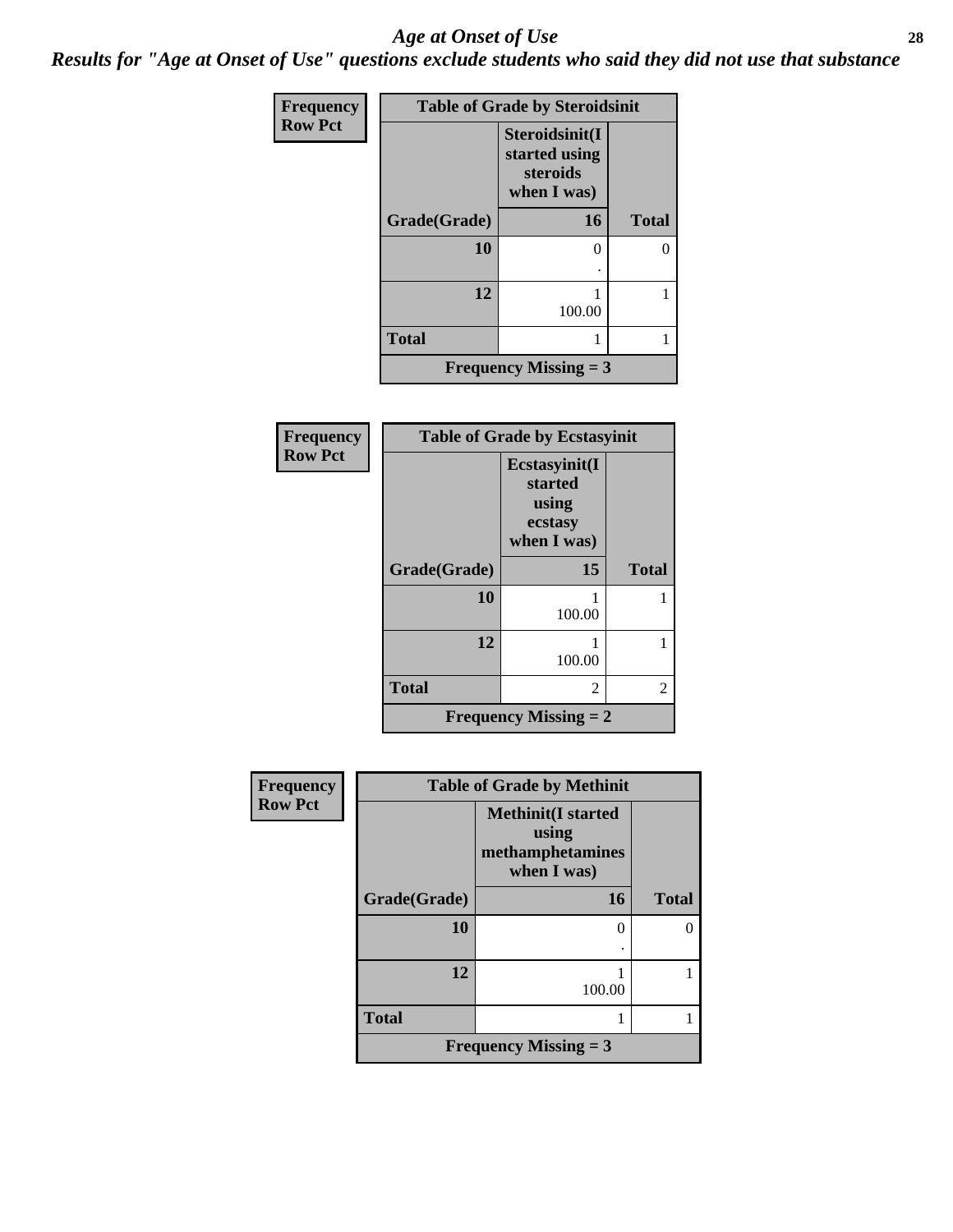#### *Age at Onset of Use* **28**

*Results for "Age at Onset of Use" questions exclude students who said they did not use that substance*

| Frequency      | <b>Table of Grade by Steroidsinit</b> |                                                            |              |  |
|----------------|---------------------------------------|------------------------------------------------------------|--------------|--|
| <b>Row Pct</b> |                                       | Steroidsinit(I<br>started using<br>steroids<br>when I was) |              |  |
|                | Grade(Grade)                          | 16                                                         | <b>Total</b> |  |
|                | 10                                    |                                                            | $\theta$     |  |
|                | 12                                    | 100.00                                                     |              |  |
|                | <b>Total</b>                          |                                                            |              |  |
|                |                                       | Frequency Missing $=$ 3                                    |              |  |

| Frequency      |              | <b>Table of Grade by Ecstasyinit</b>                        |              |
|----------------|--------------|-------------------------------------------------------------|--------------|
| <b>Row Pct</b> |              | Ecstasyinit(I<br>started<br>using<br>ecstasy<br>when I was) |              |
|                | Grade(Grade) | 15                                                          | <b>Total</b> |
|                | 10           | 100.00                                                      |              |
|                | 12           | 100.00                                                      |              |
|                | <b>Total</b> | 2                                                           | 2            |
|                |              | <b>Frequency Missing = 2</b>                                |              |

| <b>Frequency</b> |              | <b>Table of Grade by Methinit</b>                                     |              |
|------------------|--------------|-----------------------------------------------------------------------|--------------|
| <b>Row Pct</b>   |              | <b>Methinit(I started</b><br>using<br>methamphetamines<br>when I was) |              |
|                  | Grade(Grade) | 16                                                                    | <b>Total</b> |
|                  | 10           | $\mathcal{O}$                                                         |              |
|                  | 12           | 100.00                                                                |              |
|                  | <b>Total</b> |                                                                       |              |
|                  |              | <b>Frequency Missing = 3</b>                                          |              |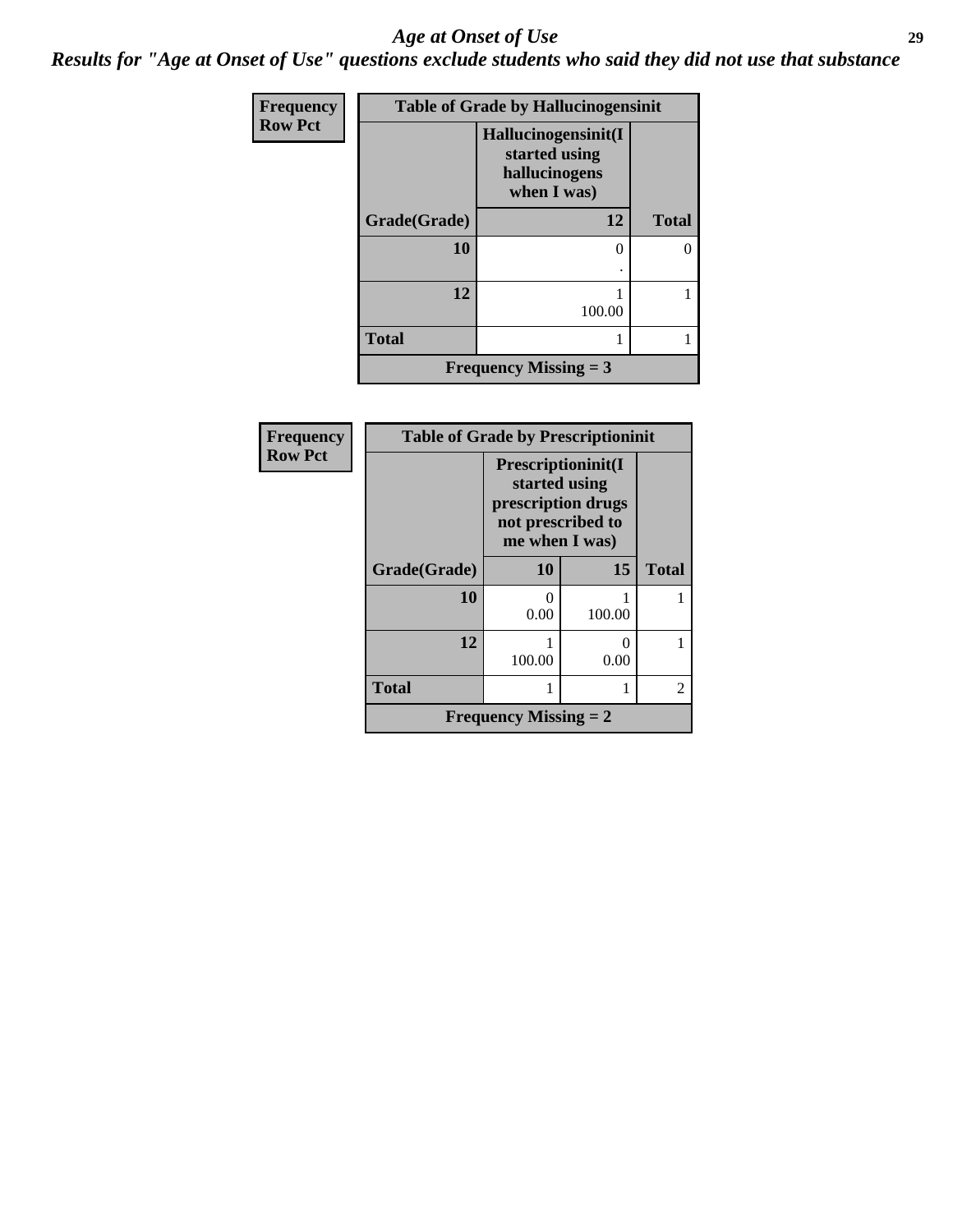#### *Age at Onset of Use* **29**

*Results for "Age at Onset of Use" questions exclude students who said they did not use that substance*

| Frequency      |              | <b>Table of Grade by Hallucinogensinit</b>                           |              |
|----------------|--------------|----------------------------------------------------------------------|--------------|
| <b>Row Pct</b> |              | Hallucinogensinit(I<br>started using<br>hallucinogens<br>when I was) |              |
|                | Grade(Grade) | 12                                                                   | <b>Total</b> |
|                | 10           |                                                                      | 0            |
|                | 12           | 100.00                                                               |              |
|                | <b>Total</b> |                                                                      |              |
|                |              | <b>Frequency Missing = 3</b>                                         |              |

| <b>Frequency</b> | <b>Table of Grade by Prescriptioninit</b> |                                                                                                  |        |                |
|------------------|-------------------------------------------|--------------------------------------------------------------------------------------------------|--------|----------------|
| <b>Row Pct</b>   |                                           | Prescriptioninit(I<br>started using<br>prescription drugs<br>not prescribed to<br>me when I was) |        |                |
|                  | Grade(Grade)                              | <b>10</b>                                                                                        | 15     | <b>Total</b>   |
|                  | 10                                        | 0<br>0.00                                                                                        | 100.00 |                |
|                  | 12                                        | 100.00                                                                                           | 0.00   |                |
|                  | <b>Total</b>                              |                                                                                                  |        | $\mathfrak{D}$ |
|                  |                                           | <b>Frequency Missing = 2</b>                                                                     |        |                |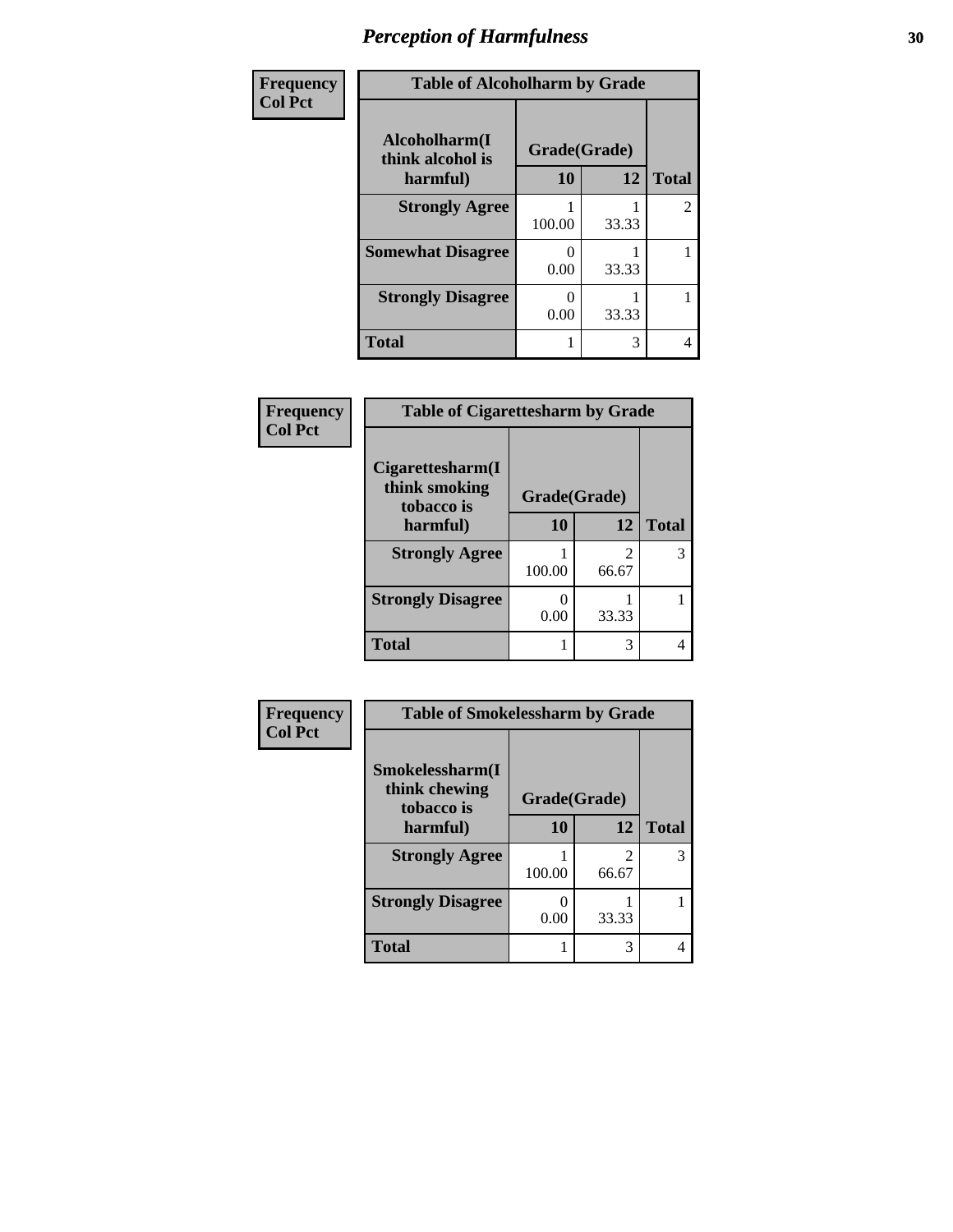| Frequency      | <b>Table of Alcoholharm by Grade</b>          |                    |       |              |
|----------------|-----------------------------------------------|--------------------|-------|--------------|
| <b>Col Pct</b> | Alcoholharm(I<br>think alcohol is<br>harmful) | Grade(Grade)<br>10 | 12    | <b>Total</b> |
|                | <b>Strongly Agree</b>                         | 100.00             | 33.33 | 2            |
|                | <b>Somewhat Disagree</b>                      | 0.00               | 33.33 |              |
|                | <b>Strongly Disagree</b>                      | 0.00               | 33.33 |              |
|                | <b>Total</b>                                  |                    | 3     | 4            |

| Frequency      | <b>Table of Cigarettesharm by Grade</b>         |              |            |              |
|----------------|-------------------------------------------------|--------------|------------|--------------|
| <b>Col Pct</b> | Cigarettesharm(I<br>think smoking<br>tobacco is | Grade(Grade) |            |              |
|                | harmful)                                        | 10           | 12         | <b>Total</b> |
|                | <b>Strongly Agree</b>                           | 100.00       | 2<br>66.67 | 3            |
|                | <b>Strongly Disagree</b>                        | 0.00         | 33.33      |              |
|                | <b>Total</b>                                    |              | 3          |              |

| Frequency      | <b>Table of Smokelessharm by Grade</b>         |              |            |              |
|----------------|------------------------------------------------|--------------|------------|--------------|
| <b>Col Pct</b> | Smokelessharm(I<br>think chewing<br>tobacco is | Grade(Grade) |            |              |
|                | harmful)                                       | 10           | 12         | <b>Total</b> |
|                | <b>Strongly Agree</b>                          | 100.00       | っ<br>66.67 | 3            |
|                | <b>Strongly Disagree</b>                       | 0.00         | 33.33      |              |
|                | <b>Total</b>                                   |              | 3          | 4            |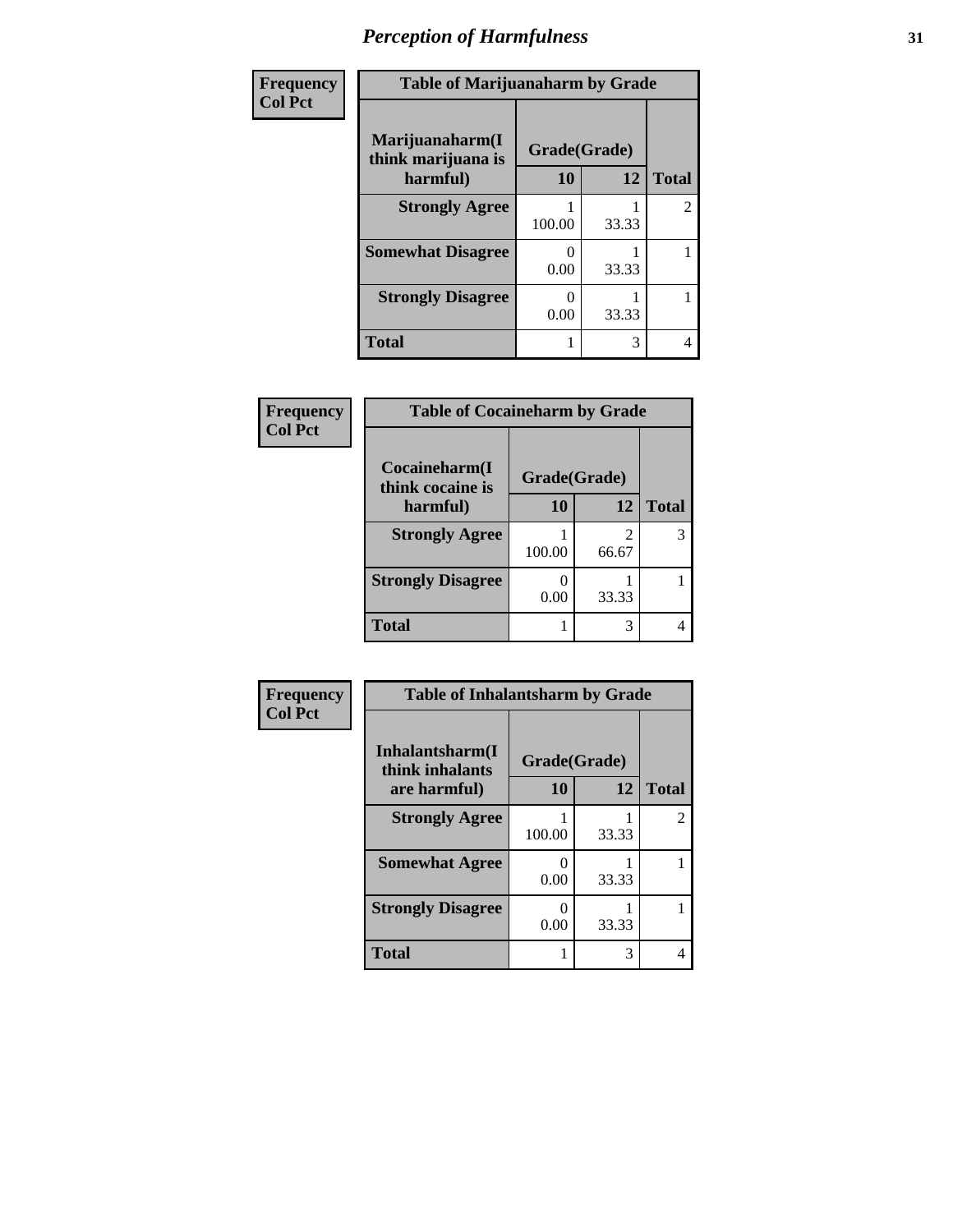| Frequency      | <b>Table of Marijuanaharm by Grade</b>            |                    |       |                |
|----------------|---------------------------------------------------|--------------------|-------|----------------|
| <b>Col Pct</b> | Marijuanaharm(I<br>think marijuana is<br>harmful) | Grade(Grade)<br>10 | 12    | <b>Total</b>   |
|                | <b>Strongly Agree</b>                             | 100.00             | 33.33 | $\overline{2}$ |
|                | <b>Somewhat Disagree</b>                          | 0<br>0.00          | 33.33 |                |
|                | <b>Strongly Disagree</b>                          | 0.00               | 33.33 |                |
|                | <b>Total</b>                                      |                    | 3     | 4              |

| Frequency      | <b>Table of Cocaineharm by Grade</b> |              |            |              |
|----------------|--------------------------------------|--------------|------------|--------------|
| <b>Col Pct</b> | Cocaineharm(I<br>think cocaine is    | Grade(Grade) |            |              |
|                | harmful)                             | 10           | 12         | <b>Total</b> |
|                | <b>Strongly Agree</b>                | 100.00       | 2<br>66.67 | 3            |
|                | <b>Strongly Disagree</b>             | 0.00         | 33.33      |              |
|                | <b>Total</b>                         |              | 3          |              |

| Frequency      | <b>Table of Inhalantsharm by Grade</b> |              |       |                |
|----------------|----------------------------------------|--------------|-------|----------------|
| <b>Col Pct</b> | Inhalantsharm(I<br>think inhalants     | Grade(Grade) |       |                |
|                | are harmful)                           | 10           | 12    | <b>Total</b>   |
|                | <b>Strongly Agree</b>                  | 100.00       | 33.33 | $\overline{2}$ |
|                | <b>Somewhat Agree</b>                  | 0<br>0.00    | 33.33 |                |
|                | <b>Strongly Disagree</b>               | 0<br>0.00    | 33.33 |                |
|                | <b>Total</b>                           |              | 3     | 4              |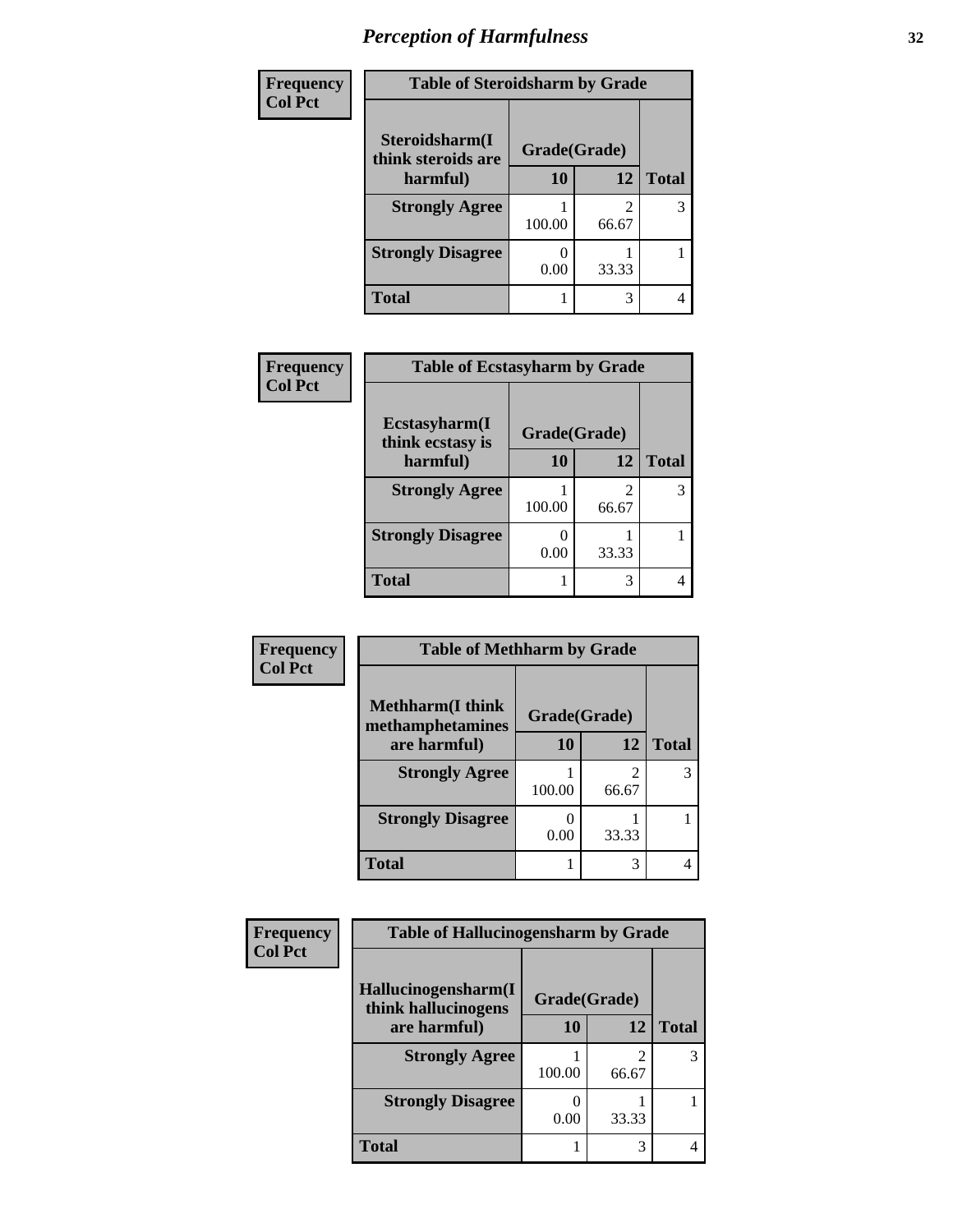| Frequency      | <b>Table of Steroidsharm by Grade</b> |              |       |              |
|----------------|---------------------------------------|--------------|-------|--------------|
| <b>Col Pct</b> | Steroidsharm(I<br>think steroids are  | Grade(Grade) |       |              |
|                | harmful)                              | 10           | 12    | <b>Total</b> |
|                | <b>Strongly Agree</b>                 | 100.00       | 66.67 | 3            |
|                | <b>Strongly Disagree</b>              | 0.00         | 33.33 |              |
|                | <b>Total</b>                          |              |       | 4            |

| Frequency      | <b>Table of Ecstasyharm by Grade</b> |              |            |              |
|----------------|--------------------------------------|--------------|------------|--------------|
| <b>Col Pct</b> | Ecstasyharm(I<br>think ecstasy is    | Grade(Grade) |            |              |
|                | harmful)                             | 10           | 12         | <b>Total</b> |
|                | <b>Strongly Agree</b>                | 100.00       | 2<br>66.67 |              |
|                | <b>Strongly Disagree</b>             | 0.00         | 33.33      |              |
|                | <b>Total</b>                         |              | 3          |              |

| Frequency      | <b>Table of Methharm by Grade</b>            |              |       |              |
|----------------|----------------------------------------------|--------------|-------|--------------|
| <b>Col Pct</b> | <b>Methharm</b> (I think<br>methamphetamines | Grade(Grade) |       |              |
|                | are harmful)                                 | 10           | 12    | <b>Total</b> |
|                | <b>Strongly Agree</b>                        | 100.00       | 66.67 |              |
|                | <b>Strongly Disagree</b>                     | 0.00         | 33.33 |              |
|                | <b>Total</b>                                 |              | 3     |              |

| Frequency      | <b>Table of Hallucinogensharm by Grade</b> |              |                                   |              |
|----------------|--------------------------------------------|--------------|-----------------------------------|--------------|
| <b>Col Pct</b> | Hallucinogensharm(I<br>think hallucinogens | Grade(Grade) |                                   |              |
|                | are harmful)                               | 10           | 12                                | <b>Total</b> |
|                | <b>Strongly Agree</b>                      | 100.00       | $\overline{\mathcal{L}}$<br>66.67 | 3            |
|                | <b>Strongly Disagree</b>                   | 0.00         | 33.33                             |              |
|                | <b>Total</b>                               |              | 3                                 |              |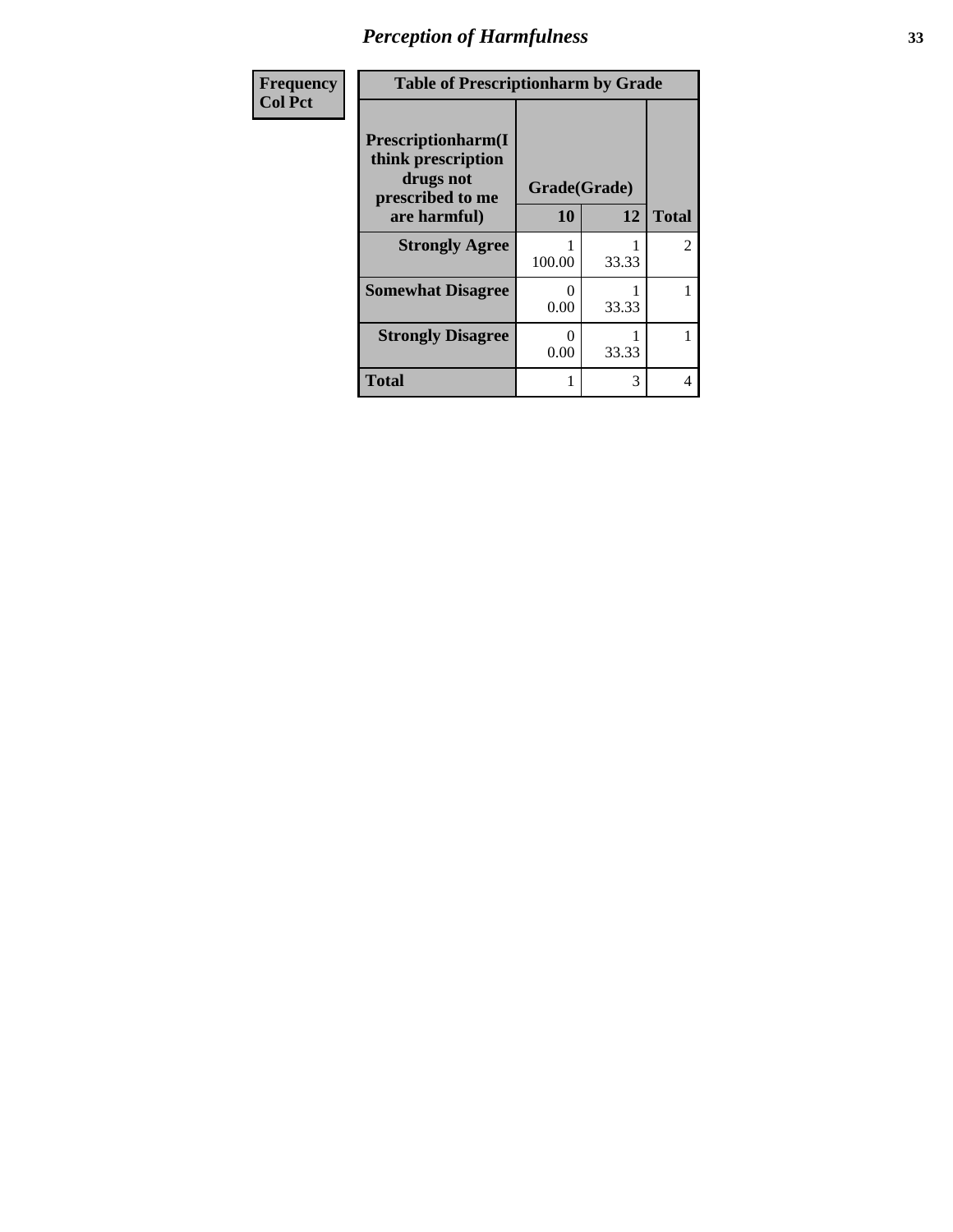| Frequency<br><b>Col Pct</b> | <b>Table of Prescriptionharm by Grade</b>                                         |              |       |               |
|-----------------------------|-----------------------------------------------------------------------------------|--------------|-------|---------------|
|                             | <b>Prescriptionharm</b> (I<br>think prescription<br>drugs not<br>prescribed to me | Grade(Grade) |       |               |
|                             | are harmful)                                                                      | 10           | 12    | <b>Total</b>  |
|                             | <b>Strongly Agree</b>                                                             | 100.00       | 33.33 | $\mathcal{L}$ |
|                             | <b>Somewhat Disagree</b>                                                          | 0<br>0.00    | 33.33 |               |
|                             | <b>Strongly Disagree</b>                                                          | 0<br>0.00    | 33.33 |               |
|                             | <b>Total</b>                                                                      |              | 3     | 4             |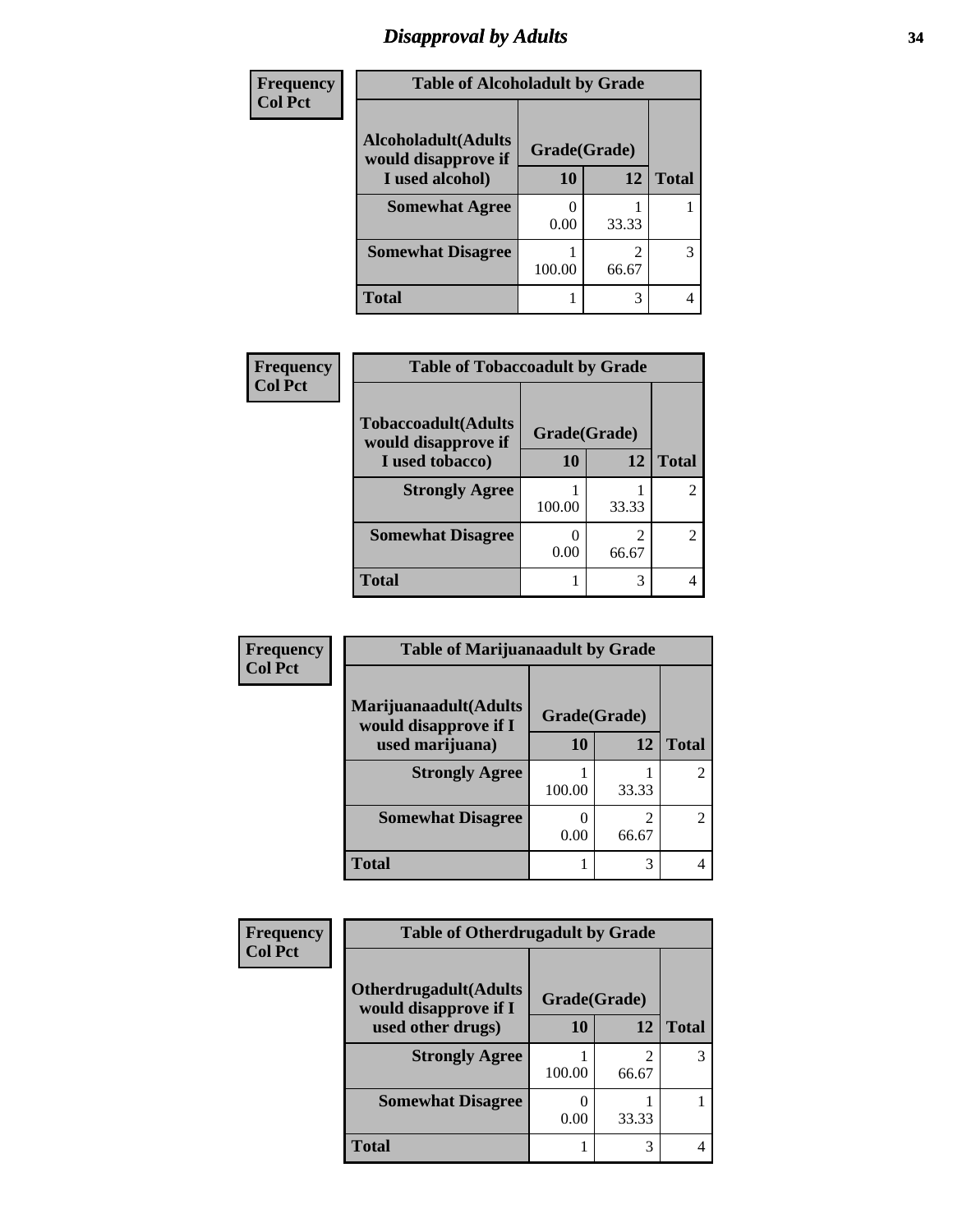# *Disapproval by Adults* **34**

| Frequency      | <b>Table of Alcoholadult by Grade</b>              |              |       |              |
|----------------|----------------------------------------------------|--------------|-------|--------------|
| <b>Col Pct</b> | <b>Alcoholadult</b> (Adults<br>would disapprove if | Grade(Grade) |       |              |
|                | I used alcohol)                                    | 10           | 12    | <b>Total</b> |
|                | <b>Somewhat Agree</b>                              | 0.00         | 33.33 |              |
|                | <b>Somewhat Disagree</b>                           | 100.00       | 66.67 | 3            |
|                | <b>Total</b>                                       |              | 3     | 4            |

| Frequency      | <b>Table of Tobaccoadult by Grade</b>              |              |                         |              |
|----------------|----------------------------------------------------|--------------|-------------------------|--------------|
| <b>Col Pct</b> | <b>Tobaccoadult</b> (Adults<br>would disapprove if | Grade(Grade) |                         |              |
|                | I used tobacco)                                    | 10           | 12                      | <b>Total</b> |
|                | <b>Strongly Agree</b>                              | 100.00       | 33.33                   |              |
|                | <b>Somewhat Disagree</b>                           | 0.00         | $\mathfrak{D}$<br>66.67 |              |
|                | <b>Total</b>                                       |              | 3                       |              |

| Frequency      | <b>Table of Marijuanaadult by Grade</b>        |              |                         |              |
|----------------|------------------------------------------------|--------------|-------------------------|--------------|
| <b>Col Pct</b> | Marijuanaadult(Adults<br>would disapprove if I | Grade(Grade) |                         |              |
|                | used marijuana)                                | 10           | 12                      | <b>Total</b> |
|                | <b>Strongly Agree</b>                          | 100.00       | 33.33                   |              |
|                | <b>Somewhat Disagree</b>                       | 0.00         | $\mathfrak{D}$<br>66.67 |              |
|                | <b>Total</b>                                   |              | 3                       |              |

| <b>Frequency</b> | <b>Table of Otherdrugadult by Grade</b>                |              |                         |              |
|------------------|--------------------------------------------------------|--------------|-------------------------|--------------|
| <b>Col Pct</b>   | <b>Otherdrugadult</b> (Adults<br>would disapprove if I | Grade(Grade) |                         |              |
|                  | used other drugs)                                      | 10           | 12                      | <b>Total</b> |
|                  | <b>Strongly Agree</b>                                  | 100.00       | $\mathfrak{D}$<br>66.67 |              |
|                  | <b>Somewhat Disagree</b>                               | 0.00         | 33.33                   |              |
|                  | <b>Total</b>                                           |              | 3                       |              |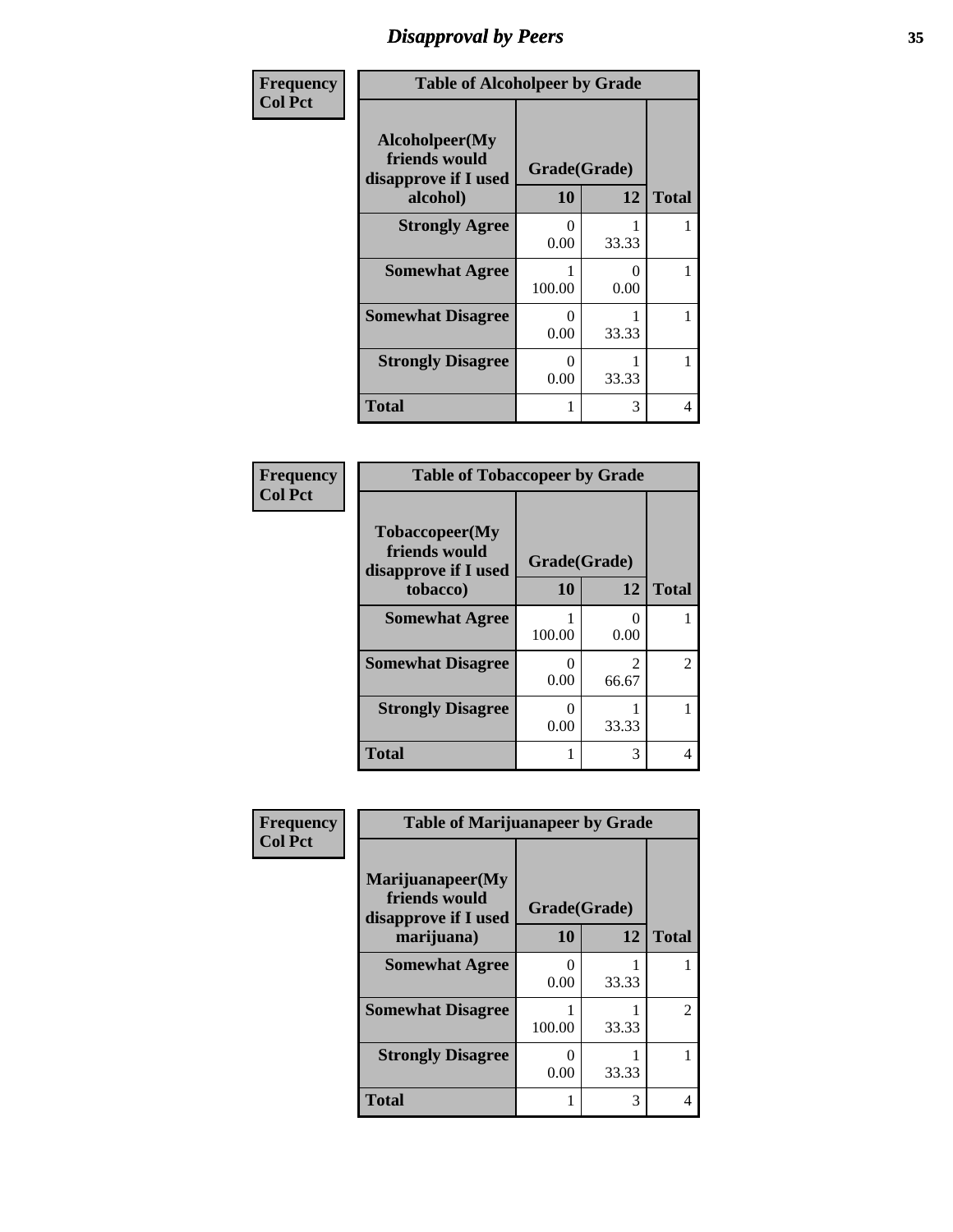# *Disapproval by Peers* **35**

| Frequency      | <b>Table of Alcoholpeer by Grade</b>                                |                           |                           |              |
|----------------|---------------------------------------------------------------------|---------------------------|---------------------------|--------------|
| <b>Col Pct</b> | Alcoholpeer(My<br>friends would<br>disapprove if I used<br>alcohol) | Grade(Grade)<br>10        | 12                        | <b>Total</b> |
|                | <b>Strongly Agree</b>                                               | $\mathbf{\Omega}$<br>0.00 | 33.33                     |              |
|                | <b>Somewhat Agree</b>                                               | 100.00                    | $\mathbf{\Omega}$<br>0.00 |              |
|                | <b>Somewhat Disagree</b>                                            | $\mathbf{\Omega}$<br>0.00 | 33.33                     |              |
|                | <b>Strongly Disagree</b>                                            | $\mathbf{0}$<br>0.00      | 33.33                     |              |
|                | Total                                                               |                           | 3                         | 4            |

| Frequency<br><b>Col Pct</b> | <b>Table of Tobaccopeer by Grade</b>                                |                          |                         |              |
|-----------------------------|---------------------------------------------------------------------|--------------------------|-------------------------|--------------|
|                             | Tobaccopeer(My<br>friends would<br>disapprove if I used<br>tobacco) | Grade(Grade)<br>10<br>12 |                         | <b>Total</b> |
|                             | <b>Somewhat Agree</b>                                               | 100.00                   | 0.00                    | 1            |
|                             | <b>Somewhat Disagree</b>                                            | 0.00                     | $\mathfrak{D}$<br>66.67 | 2            |
|                             | <b>Strongly Disagree</b>                                            | 0<br>0.00                | 33.33                   | 1            |
|                             | <b>Total</b>                                                        |                          | 3                       | 4            |

| Frequency      | <b>Table of Marijuanapeer by Grade</b>                    |              |       |                |
|----------------|-----------------------------------------------------------|--------------|-------|----------------|
| <b>Col Pct</b> | Marijuanapeer(My<br>friends would<br>disapprove if I used | Grade(Grade) |       |                |
|                | marijuana)                                                | 10           | 12    | <b>Total</b>   |
|                | <b>Somewhat Agree</b>                                     | 0.00         | 33.33 |                |
|                | <b>Somewhat Disagree</b>                                  | 100.00       | 33.33 | $\mathfrak{D}$ |
|                | <b>Strongly Disagree</b>                                  | 0<br>0.00    | 33.33 |                |
|                | <b>Total</b>                                              |              | 3     |                |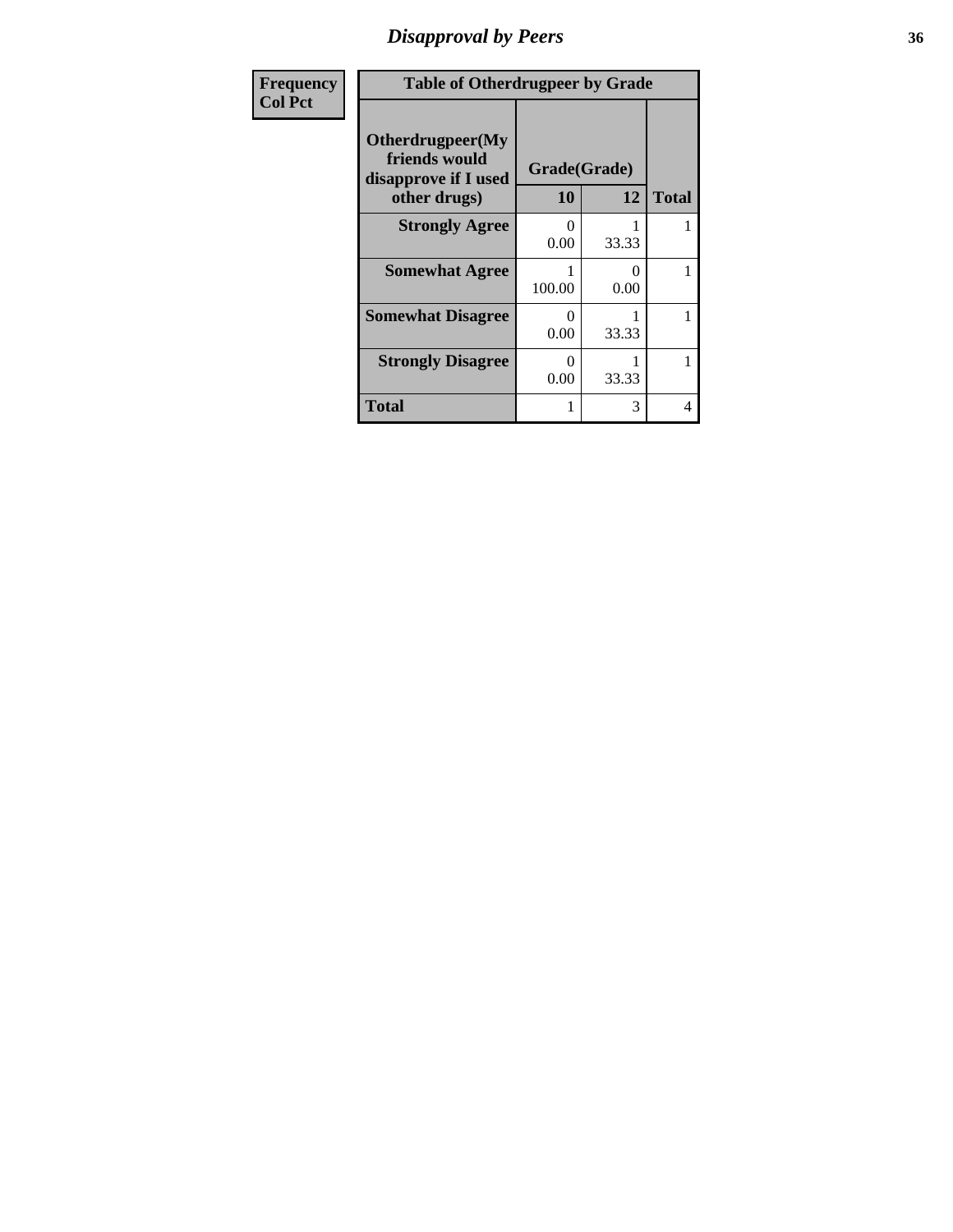# *Disapproval by Peers* **36**

| Frequency      | <b>Table of Otherdrugpeer by Grade</b>                    |                  |              |              |
|----------------|-----------------------------------------------------------|------------------|--------------|--------------|
| <b>Col Pct</b> | Otherdrugpeer(My<br>friends would<br>disapprove if I used |                  | Grade(Grade) |              |
|                | other drugs)                                              | 10               | 12           | <b>Total</b> |
|                | <b>Strongly Agree</b>                                     | 0<br>0.00        | 33.33        |              |
|                | <b>Somewhat Agree</b>                                     | 100.00           | 0<br>0.00    |              |
|                | <b>Somewhat Disagree</b>                                  | $\Omega$<br>0.00 | 33.33        |              |
|                | <b>Strongly Disagree</b>                                  | 0<br>0.00        | 33.33        |              |
|                | Total                                                     |                  | 3            | 4            |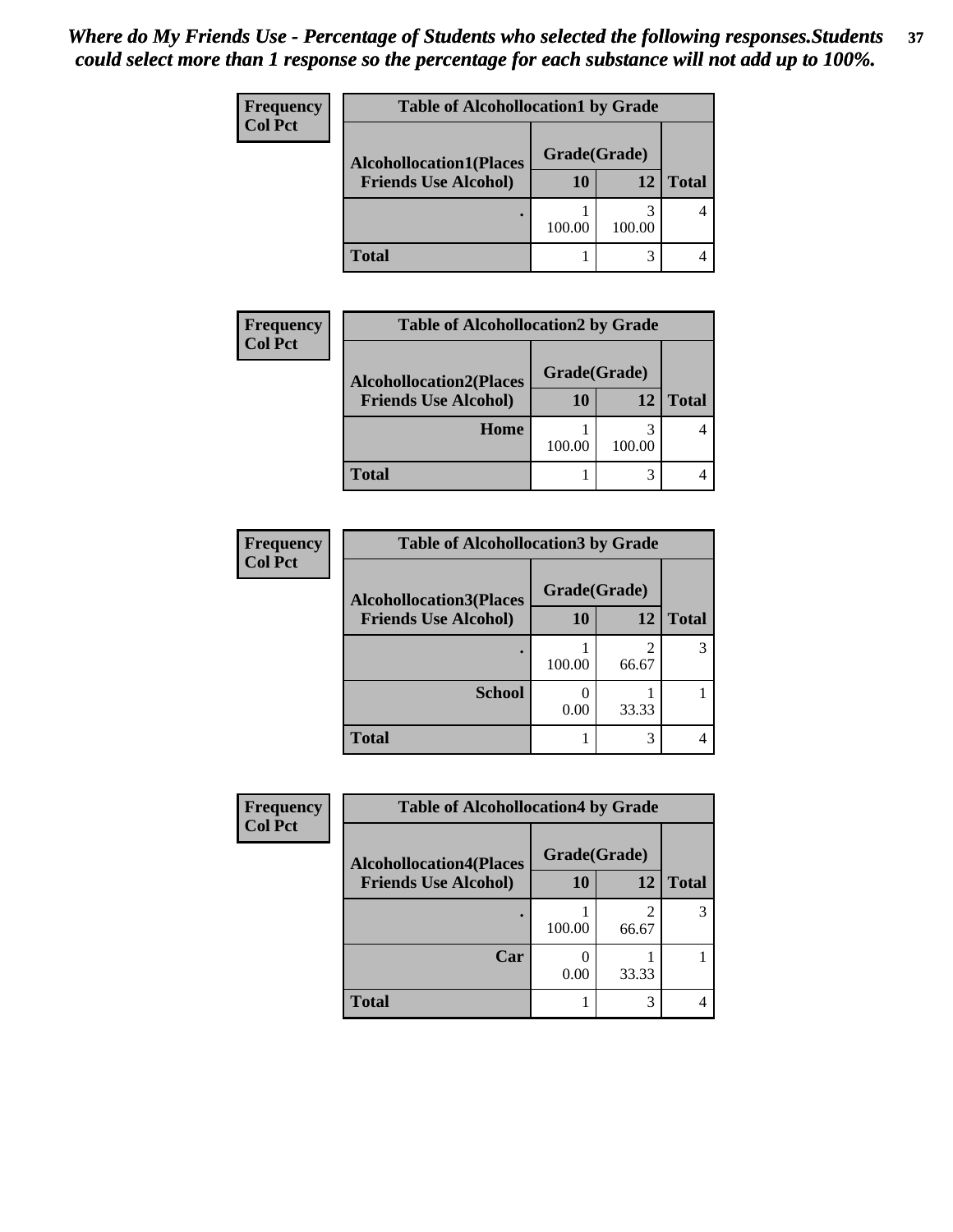| <b>Frequency</b><br><b>Col Pct</b> | <b>Table of Alcohollocation1 by Grade</b> |              |        |              |  |
|------------------------------------|-------------------------------------------|--------------|--------|--------------|--|
|                                    | <b>Alcohollocation1(Places</b>            | Grade(Grade) |        |              |  |
|                                    | <b>Friends Use Alcohol)</b>               | 10           | 12     | <b>Total</b> |  |
|                                    |                                           | 100.00       | 100.00 |              |  |
|                                    | <b>Total</b>                              |              |        |              |  |

| Frequency      | <b>Table of Alcohollocation2 by Grade</b> |              |        |              |  |
|----------------|-------------------------------------------|--------------|--------|--------------|--|
| <b>Col Pct</b> | <b>Alcohollocation2(Places</b>            | Grade(Grade) |        |              |  |
|                | <b>Friends Use Alcohol)</b>               | 10           | 12     | <b>Total</b> |  |
|                | Home                                      | 100.00       | 100.00 |              |  |
|                | <b>Total</b>                              |              |        |              |  |

| <b>Frequency</b> | <b>Table of Alcohollocation3 by Grade</b> |              |            |              |  |
|------------------|-------------------------------------------|--------------|------------|--------------|--|
| <b>Col Pct</b>   | <b>Alcohollocation3(Places</b>            | Grade(Grade) |            |              |  |
|                  | <b>Friends Use Alcohol)</b>               | 10           | 12         | <b>Total</b> |  |
|                  |                                           | 100.00       | 2<br>66.67 |              |  |
|                  | <b>School</b>                             | 0.00         | 33.33      |              |  |
|                  | <b>Total</b>                              |              | 3          |              |  |

| Frequency      | <b>Table of Alcohollocation4 by Grade</b> |              |       |              |  |
|----------------|-------------------------------------------|--------------|-------|--------------|--|
| <b>Col Pct</b> | <b>Alcohollocation4(Places</b>            | Grade(Grade) |       |              |  |
|                | <b>Friends Use Alcohol)</b>               | 10           | 12    | <b>Total</b> |  |
|                |                                           | 100.00       | 66.67 | 3            |  |
|                | Car                                       | 0.00         | 33.33 |              |  |
|                | <b>Total</b>                              |              | 3     |              |  |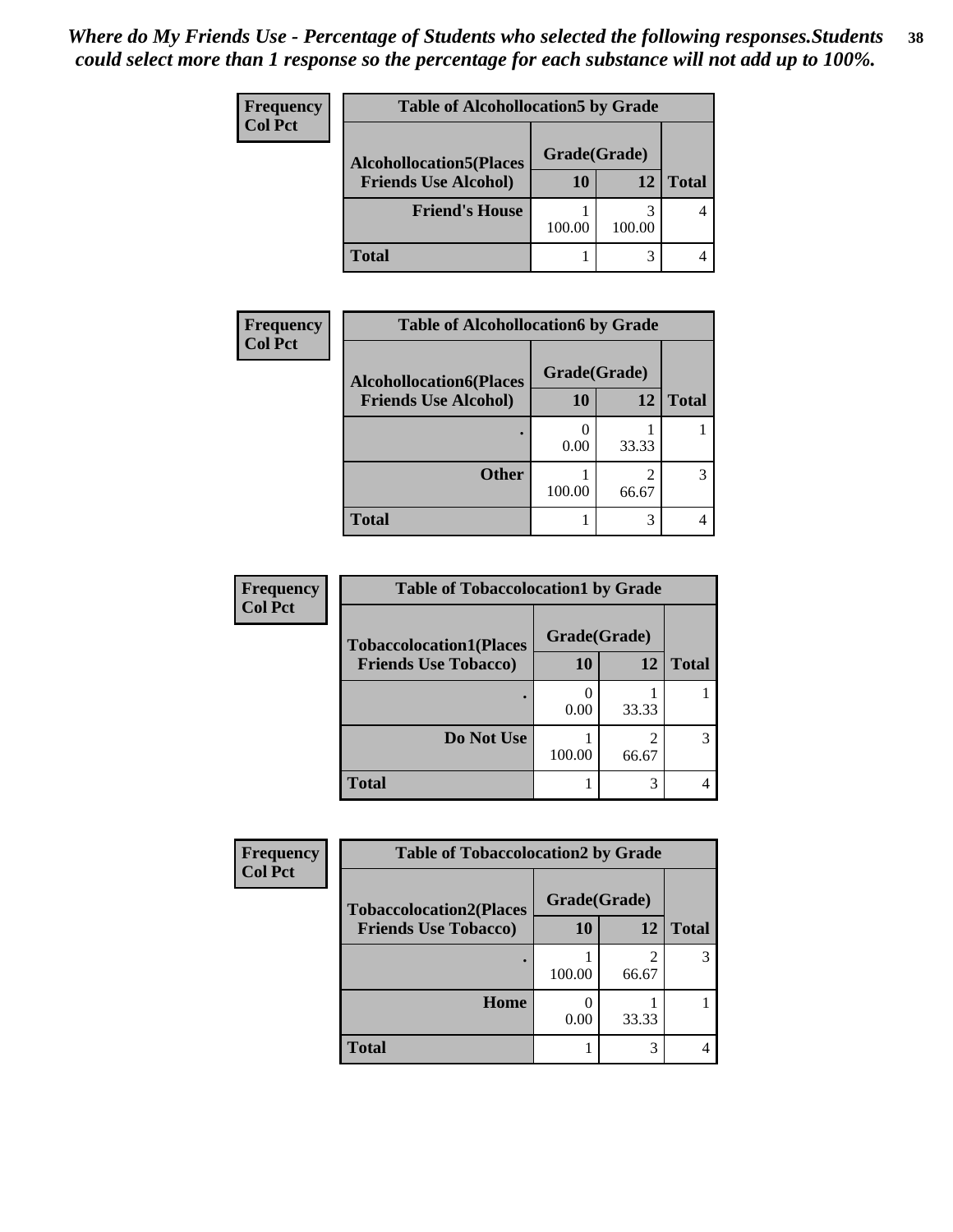| Frequency<br><b>Col Pct</b> | <b>Table of Alcohollocation5 by Grade</b> |              |        |              |  |
|-----------------------------|-------------------------------------------|--------------|--------|--------------|--|
|                             | <b>Alcohollocation5(Places</b>            | Grade(Grade) |        |              |  |
|                             | <b>Friends Use Alcohol)</b>               | 10           | 12     | <b>Total</b> |  |
|                             | <b>Friend's House</b>                     | 100.00       | 100.00 |              |  |
|                             | <b>Total</b>                              |              |        |              |  |

| Frequency      | <b>Table of Alcohollocation6 by Grade</b> |              |       |              |
|----------------|-------------------------------------------|--------------|-------|--------------|
| <b>Col Pct</b> | <b>Alcohollocation6(Places</b>            | Grade(Grade) |       |              |
|                | <b>Friends Use Alcohol)</b>               | 10           | 12    | <b>Total</b> |
|                |                                           | 0.00         | 33.33 |              |
|                | <b>Other</b>                              | 100.00       | 66.67 |              |
|                | <b>Total</b>                              |              |       |              |

| Frequency      | <b>Table of Tobaccolocation1 by Grade</b> |              |            |              |
|----------------|-------------------------------------------|--------------|------------|--------------|
| <b>Col Pct</b> | <b>Tobaccolocation1(Places</b>            | Grade(Grade) |            |              |
|                | <b>Friends Use Tobacco)</b>               | 10           | 12         | <b>Total</b> |
|                |                                           | 0.00         | 33.33      |              |
|                | Do Not Use                                | 100.00       | 2<br>66.67 |              |
|                | <b>Total</b>                              |              | 3          |              |

| Frequency      | <b>Table of Tobaccolocation2 by Grade</b> |              |            |              |
|----------------|-------------------------------------------|--------------|------------|--------------|
| <b>Col Pct</b> | <b>Tobaccolocation2(Places</b>            | Grade(Grade) |            |              |
|                | <b>Friends Use Tobacco)</b>               | 10           | 12         | <b>Total</b> |
|                |                                           | 100.00       | ി<br>66.67 | 3            |
|                | Home                                      | 0.00         | 33.33      |              |
|                | <b>Total</b>                              |              | 3          |              |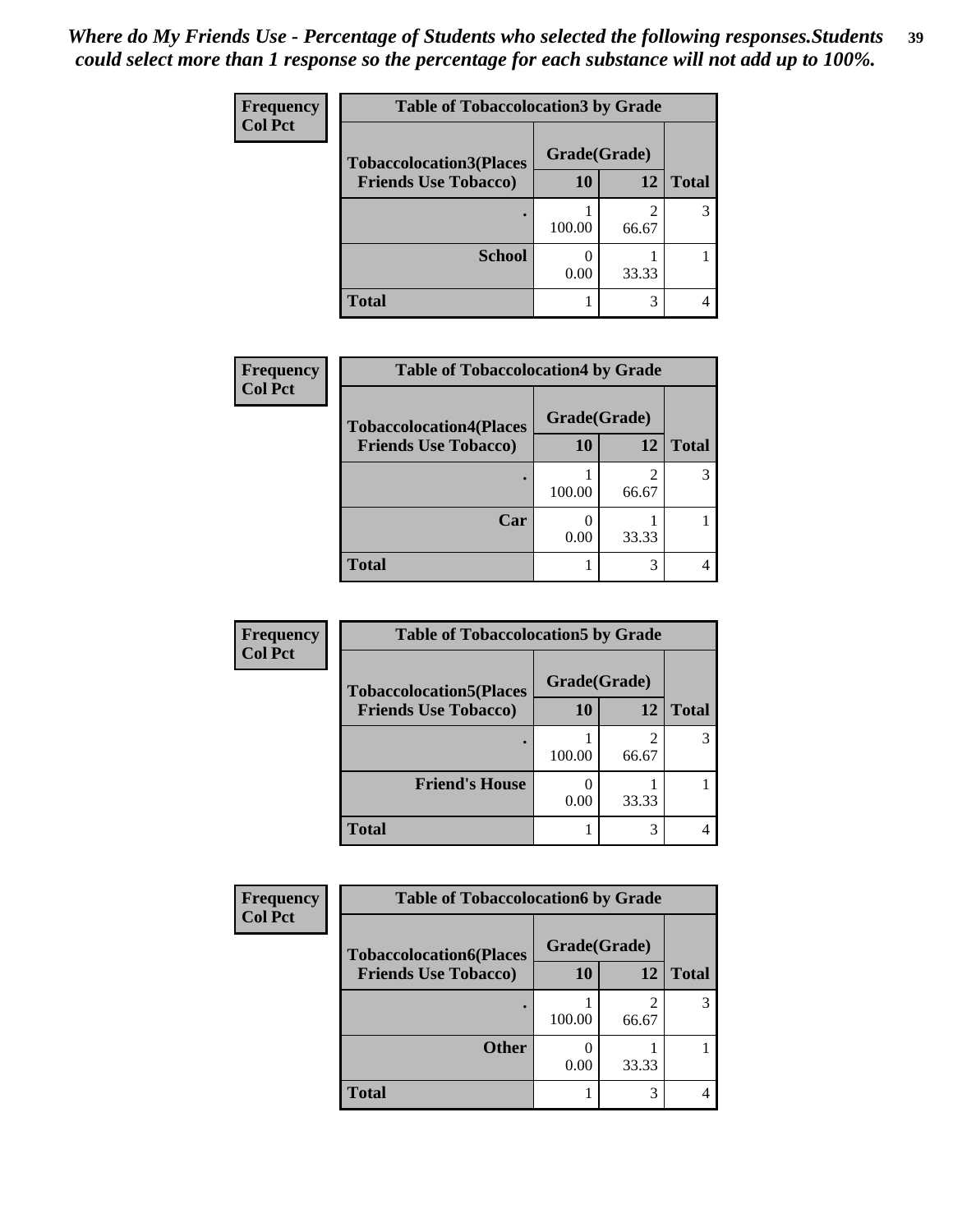| Frequency      | <b>Table of Tobaccolocation 3 by Grade</b> |              |                         |              |  |
|----------------|--------------------------------------------|--------------|-------------------------|--------------|--|
| <b>Col Pct</b> | <b>Tobaccolocation3(Places</b>             | Grade(Grade) |                         |              |  |
|                | <b>Friends Use Tobacco)</b>                | 10           | <b>12</b>               | <b>Total</b> |  |
|                |                                            | 100.00       | $\overline{2}$<br>66.67 | 3            |  |
|                | <b>School</b>                              | 0.00         | 33.33                   |              |  |
|                | <b>Total</b>                               |              | 3                       |              |  |

| Frequency      | <b>Table of Tobaccolocation4 by Grade</b> |              |                         |              |
|----------------|-------------------------------------------|--------------|-------------------------|--------------|
| <b>Col Pct</b> | <b>Tobaccolocation4(Places</b>            | Grade(Grade) |                         |              |
|                | <b>Friends Use Tobacco)</b>               | 10           | 12                      | <b>Total</b> |
|                |                                           | 100.00       | $\overline{2}$<br>66.67 |              |
|                | Car                                       | 0.00         | 33.33                   |              |
|                | <b>Total</b>                              |              | 3                       |              |

| Frequency      | <b>Table of Tobaccolocation5 by Grade</b> |              |       |              |
|----------------|-------------------------------------------|--------------|-------|--------------|
| <b>Col Pct</b> | <b>Tobaccolocation5(Places</b>            | Grade(Grade) |       |              |
|                | <b>Friends Use Tobacco)</b>               | 10           | 12    | <b>Total</b> |
|                |                                           | 100.00       | 66.67 |              |
|                | <b>Friend's House</b>                     | 0.00         | 33.33 |              |
|                | <b>Total</b>                              |              | 3     |              |

| <b>Frequency</b> | <b>Table of Tobaccolocation6 by Grade</b> |              |                         |              |
|------------------|-------------------------------------------|--------------|-------------------------|--------------|
| <b>Col Pct</b>   | <b>Tobaccolocation6(Places</b>            | Grade(Grade) |                         |              |
|                  | <b>Friends Use Tobacco)</b>               | 10           | 12                      | <b>Total</b> |
|                  |                                           | 100.00       | $\overline{2}$<br>66.67 |              |
|                  | <b>Other</b>                              | 0.00         | 33.33                   |              |
|                  | <b>Total</b>                              |              | 3                       |              |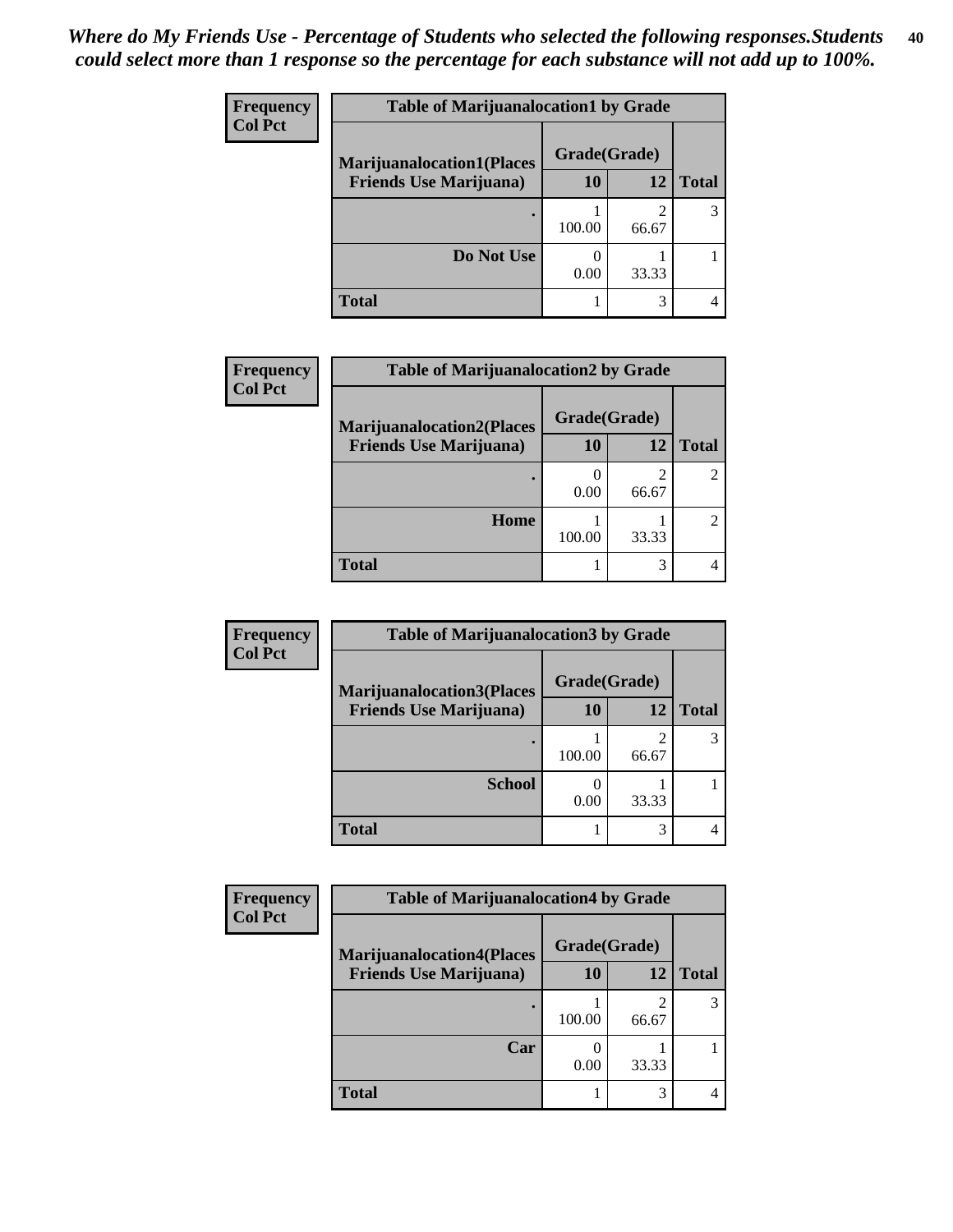| <b>Frequency</b> | <b>Table of Marijuanalocation1 by Grade</b> |              |       |              |  |
|------------------|---------------------------------------------|--------------|-------|--------------|--|
| <b>Col Pct</b>   | <b>Marijuanalocation1(Places</b>            | Grade(Grade) |       |              |  |
|                  | <b>Friends Use Marijuana</b> )              | 10           | 12    | <b>Total</b> |  |
|                  | ٠                                           | 100.00       | 66.67 |              |  |
|                  | Do Not Use                                  | 0.00         | 33.33 |              |  |
|                  | Total                                       |              | 3     |              |  |

| Frequency      | <b>Table of Marijuanalocation2 by Grade</b> |              |            |              |
|----------------|---------------------------------------------|--------------|------------|--------------|
| <b>Col Pct</b> | <b>Marijuanalocation2(Places</b>            | Grade(Grade) |            |              |
|                | <b>Friends Use Marijuana</b> )              | 10           | 12         | <b>Total</b> |
|                |                                             | 0.00         | 2<br>66.67 |              |
|                | Home                                        | 100.00       | 33.33      |              |
|                | <b>Total</b>                                |              | 3          |              |

| Frequency      | <b>Table of Marijuanalocation3 by Grade</b> |              |       |              |
|----------------|---------------------------------------------|--------------|-------|--------------|
| <b>Col Pct</b> | <b>Marijuanalocation3(Places</b>            | Grade(Grade) |       |              |
|                | <b>Friends Use Marijuana</b> )              | 10           | 12    | <b>Total</b> |
|                |                                             | 100.00       | 66.67 |              |
|                | <b>School</b>                               | 0.00         | 33.33 |              |
|                | <b>Total</b>                                |              | 3     |              |

| <b>Frequency</b> | <b>Table of Marijuanalocation4 by Grade</b> |              |       |              |  |
|------------------|---------------------------------------------|--------------|-------|--------------|--|
| <b>Col Pct</b>   | <b>Marijuanalocation4(Places</b>            | Grade(Grade) |       |              |  |
|                  | <b>Friends Use Marijuana</b> )              | 10           | 12    | <b>Total</b> |  |
|                  |                                             | 100.00       | 66.67 |              |  |
|                  | Car                                         | 0.00         | 33.33 |              |  |
|                  | <b>Total</b>                                |              |       |              |  |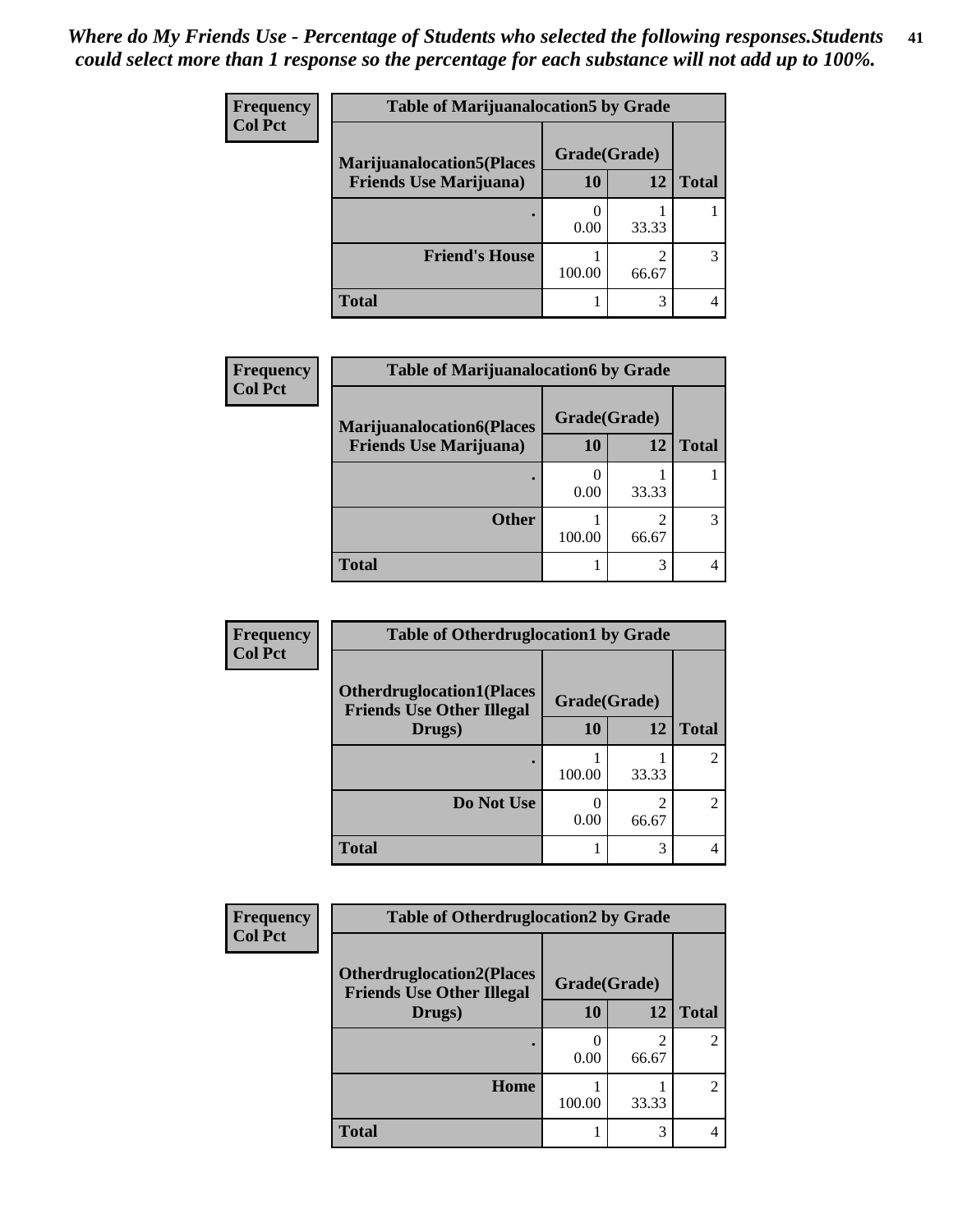| <b>Frequency</b> | <b>Table of Marijuanalocation5 by Grade</b> |              |       |              |
|------------------|---------------------------------------------|--------------|-------|--------------|
| <b>Col Pct</b>   | <b>Marijuanalocation5(Places)</b>           | Grade(Grade) |       |              |
|                  | <b>Friends Use Marijuana</b> )              | 10           | 12    | <b>Total</b> |
|                  |                                             | 0.00         | 33.33 |              |
|                  | <b>Friend's House</b>                       | 100.00       | 66.67 | 3            |
|                  | <b>Total</b>                                |              | 3     |              |

| <b>Frequency</b> | <b>Table of Marijuanalocation6 by Grade</b> |              |            |              |
|------------------|---------------------------------------------|--------------|------------|--------------|
| <b>Col Pct</b>   | <b>Marijuanalocation6(Places</b>            | Grade(Grade) |            |              |
|                  | <b>Friends Use Marijuana</b> )              | 10           | 12         | <b>Total</b> |
|                  |                                             | 0.00         | 33.33      |              |
|                  | <b>Other</b>                                | 100.00       | ∍<br>66.67 |              |
|                  | <b>Total</b>                                |              | 3          |              |

| Frequency      | <b>Table of Otherdruglocation1 by Grade</b>                          |              |                         |                             |
|----------------|----------------------------------------------------------------------|--------------|-------------------------|-----------------------------|
| <b>Col Pct</b> | <b>Otherdruglocation1(Places</b><br><b>Friends Use Other Illegal</b> | Grade(Grade) |                         |                             |
|                | Drugs)                                                               | 10           | 12                      | <b>Total</b>                |
|                |                                                                      | 100.00       | 33.33                   | $\mathfrak{D}$              |
|                | Do Not Use                                                           | 0.00         | $\mathfrak{D}$<br>66.67 | $\mathcal{D}_{\mathcal{L}}$ |
|                | <b>Total</b>                                                         |              | 3                       |                             |

| <b>Frequency</b> | <b>Table of Otherdruglocation2 by Grade</b> |        |                         |                |
|------------------|---------------------------------------------|--------|-------------------------|----------------|
| <b>Col Pct</b>   | Grade(Grade)                                |        |                         |                |
|                  | <b>Friends Use Other Illegal</b><br>Drugs)  | 10     | 12                      | <b>Total</b>   |
|                  |                                             | 0.00   | $\mathfrak{D}$<br>66.67 | $\mathfrak{D}$ |
|                  | Home                                        | 100.00 | 33.33                   | 2              |
|                  | <b>Total</b>                                |        | 3                       | 4              |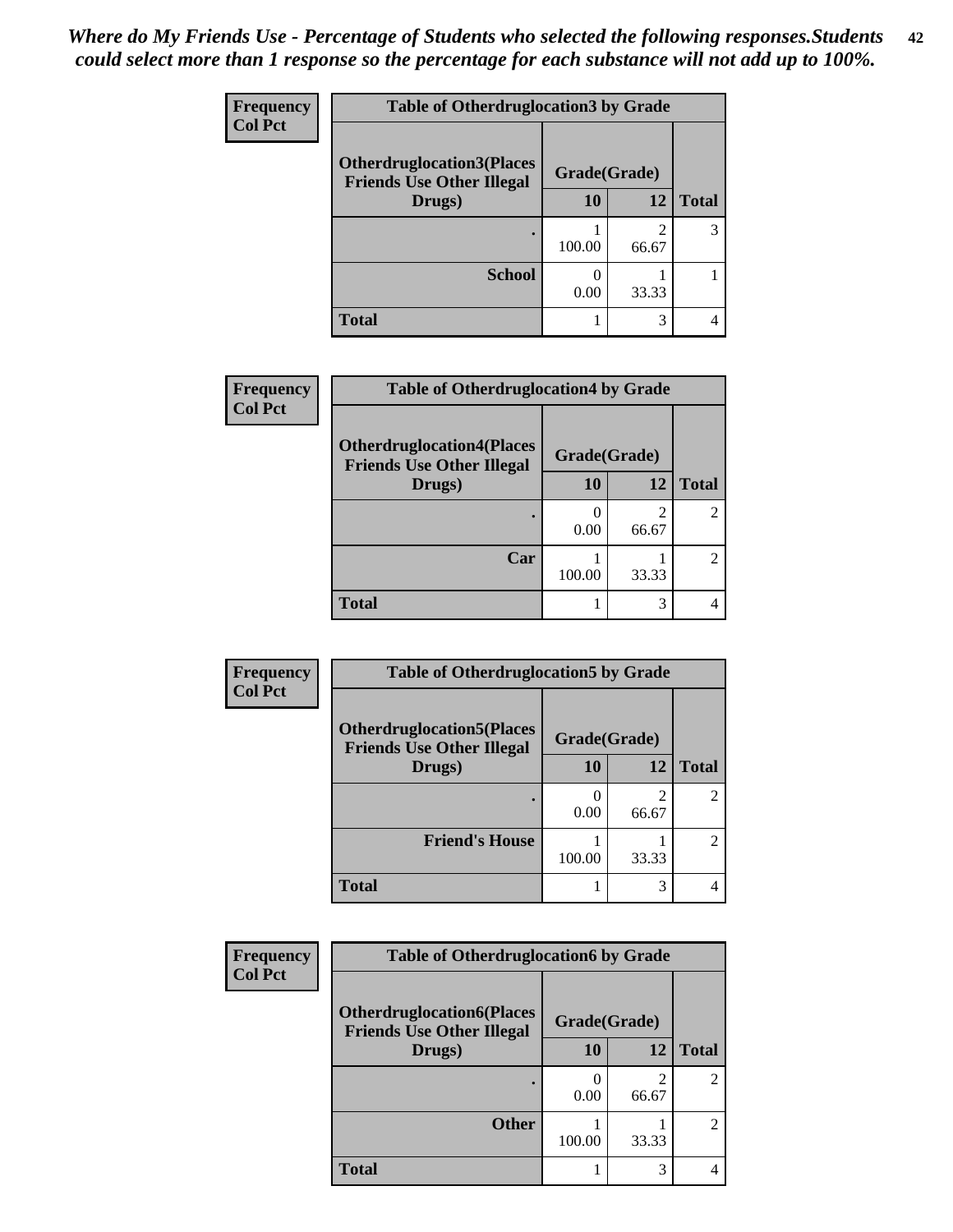| <b>Frequency</b> | <b>Table of Otherdruglocation3 by Grade</b>                          |              |            |              |
|------------------|----------------------------------------------------------------------|--------------|------------|--------------|
| <b>Col Pct</b>   | <b>Otherdruglocation3(Places</b><br><b>Friends Use Other Illegal</b> | Grade(Grade) |            |              |
|                  | Drugs)                                                               | 10           | 12         | <b>Total</b> |
|                  |                                                                      | 100.00       | ∍<br>66.67 | 3            |
|                  | <b>School</b>                                                        | 0.00         | 33.33      |              |
|                  | <b>Total</b>                                                         |              | 3          |              |

| <b>Frequency</b> | <b>Table of Otherdruglocation4 by Grade</b>                          |              |       |               |
|------------------|----------------------------------------------------------------------|--------------|-------|---------------|
| <b>Col Pct</b>   | <b>Otherdruglocation4(Places</b><br><b>Friends Use Other Illegal</b> | Grade(Grade) |       |               |
|                  | Drugs)                                                               | 10           | 12    | <b>Total</b>  |
|                  |                                                                      | 0.00         | 66.67 | 2             |
|                  | Car                                                                  | 100.00       | 33.33 | $\mathcal{L}$ |
|                  | <b>Total</b>                                                         |              | 3     |               |

| <b>Frequency</b> | <b>Table of Otherdruglocation5 by Grade</b>                          |              |                         |                |
|------------------|----------------------------------------------------------------------|--------------|-------------------------|----------------|
| <b>Col Pct</b>   | <b>Otherdruglocation5(Places</b><br><b>Friends Use Other Illegal</b> | Grade(Grade) |                         |                |
|                  | Drugs)                                                               | 10           | 12                      | <b>Total</b>   |
|                  |                                                                      | 0.00         | $\mathfrak{D}$<br>66.67 | $\overline{2}$ |
|                  | <b>Friend's House</b>                                                | 100.00       | 33.33                   | $\overline{c}$ |
|                  | Total                                                                |              | 3                       |                |

| Frequency      | <b>Table of Otherdruglocation6 by Grade</b>                          |              |                                                                                                                                                                          |                                                                                                                                                                 |
|----------------|----------------------------------------------------------------------|--------------|--------------------------------------------------------------------------------------------------------------------------------------------------------------------------|-----------------------------------------------------------------------------------------------------------------------------------------------------------------|
| <b>Col Pct</b> | <b>Otherdruglocation6(Places</b><br><b>Friends Use Other Illegal</b> | Grade(Grade) |                                                                                                                                                                          |                                                                                                                                                                 |
|                | Drugs)                                                               | 10           | 12                                                                                                                                                                       | <b>Total</b>                                                                                                                                                    |
|                |                                                                      | 0.00         | $\mathcal{D}_{\mathcal{A}}^{\mathcal{A}}(\mathcal{A})=\mathcal{D}_{\mathcal{A}}^{\mathcal{A}}(\mathcal{A})\mathcal{D}_{\mathcal{A}}^{\mathcal{A}}(\mathcal{A})$<br>66.67 | $\mathcal{D}_{\mathcal{A}}^{\mathcal{A}}(\mathcal{A})=\mathcal{D}_{\mathcal{A}}^{\mathcal{A}}(\mathcal{A})\mathcal{D}_{\mathcal{A}}^{\mathcal{A}}(\mathcal{A})$ |
|                | <b>Other</b>                                                         | 100.00       | 33.33                                                                                                                                                                    | $\mathfrak{D}$                                                                                                                                                  |
|                | <b>Total</b>                                                         |              | 3                                                                                                                                                                        |                                                                                                                                                                 |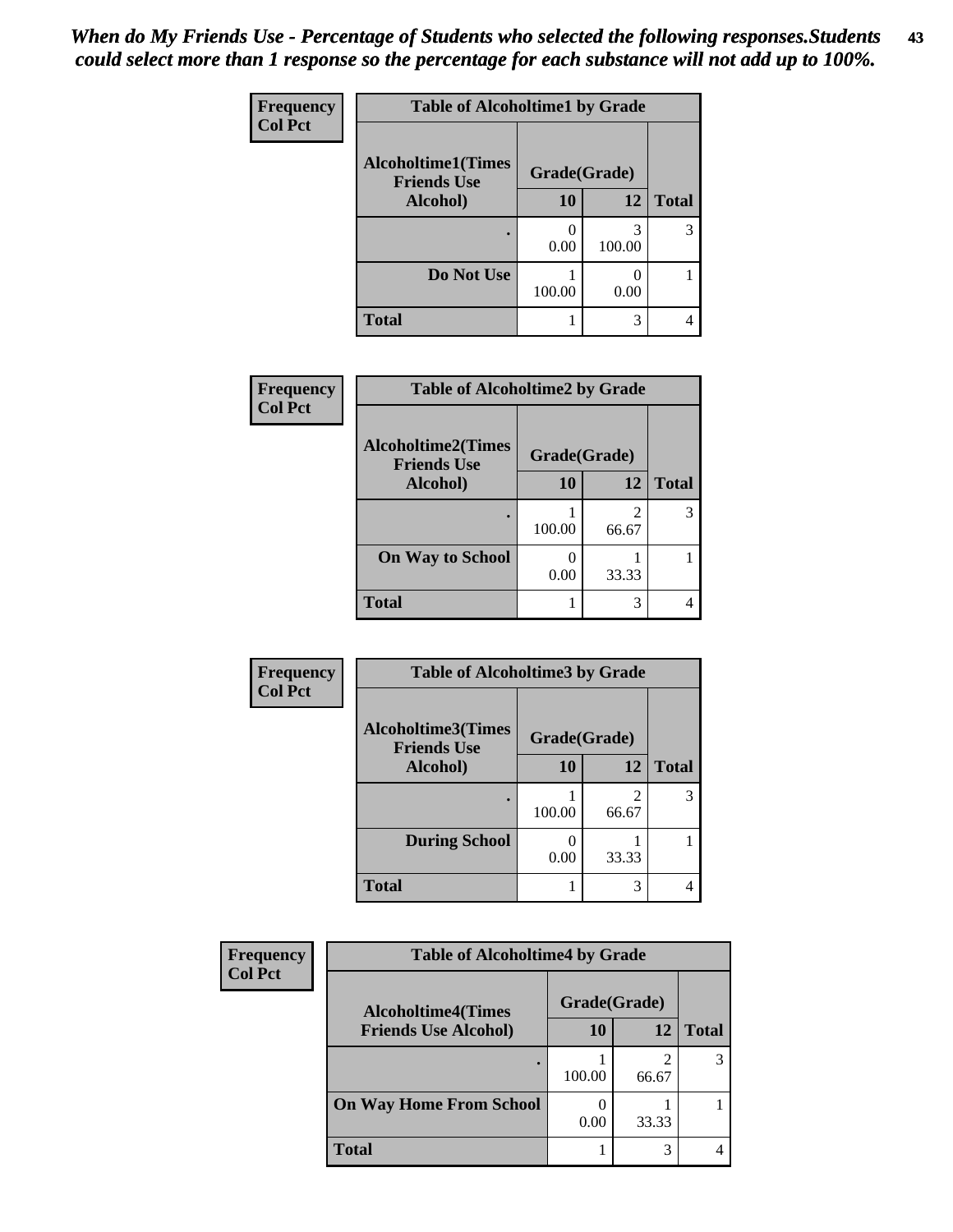| Frequency      | <b>Table of Alcoholtime1 by Grade</b>           |              |             |              |
|----------------|-------------------------------------------------|--------------|-------------|--------------|
| <b>Col Pct</b> | <b>Alcoholtime1(Times</b><br><b>Friends Use</b> | Grade(Grade) |             |              |
|                | Alcohol)                                        | 10           | 12          | <b>Total</b> |
|                |                                                 | 0.00         | 3<br>100.00 | 3            |
|                | Do Not Use                                      | 100.00       | 0.00        |              |
|                | <b>Total</b>                                    |              | 3           |              |

| Frequency      | <b>Table of Alcoholtime2 by Grade</b>           |              |            |              |
|----------------|-------------------------------------------------|--------------|------------|--------------|
| <b>Col Pct</b> | <b>Alcoholtime2(Times</b><br><b>Friends Use</b> | Grade(Grade) |            |              |
|                | Alcohol)                                        | 10           | 12         | <b>Total</b> |
|                |                                                 | 100.00       | 2<br>66.67 |              |
|                | <b>On Way to School</b>                         | 0.00         | 33.33      |              |
|                | <b>Total</b>                                    |              | 3          |              |

| Frequency      | <b>Table of Alcoholtime3 by Grade</b>                           |           |            |              |
|----------------|-----------------------------------------------------------------|-----------|------------|--------------|
| <b>Col Pct</b> | <b>Alcoholtime3(Times</b><br>Grade(Grade)<br><b>Friends Use</b> |           |            |              |
|                | Alcohol)                                                        | 10        | 12         | <b>Total</b> |
|                |                                                                 | 100.00    | 2<br>66.67 | 3            |
|                | <b>During School</b>                                            | 0<br>0.00 | 33.33      |              |
|                | <b>Total</b>                                                    |           | 3          | 4            |

| <b>Frequency</b> | <b>Table of Alcoholtime4 by Grade</b><br>Grade(Grade)<br><b>Alcoholtime4(Times</b> |        |       |              |
|------------------|------------------------------------------------------------------------------------|--------|-------|--------------|
| <b>Col Pct</b>   |                                                                                    |        |       |              |
|                  | <b>Friends Use Alcohol)</b>                                                        | 10     | 12    | <b>Total</b> |
|                  |                                                                                    | 100.00 | 66.67 |              |
|                  | <b>On Way Home From School</b>                                                     | 0.00   | 33.33 |              |
|                  | <b>Total</b>                                                                       |        | 3     |              |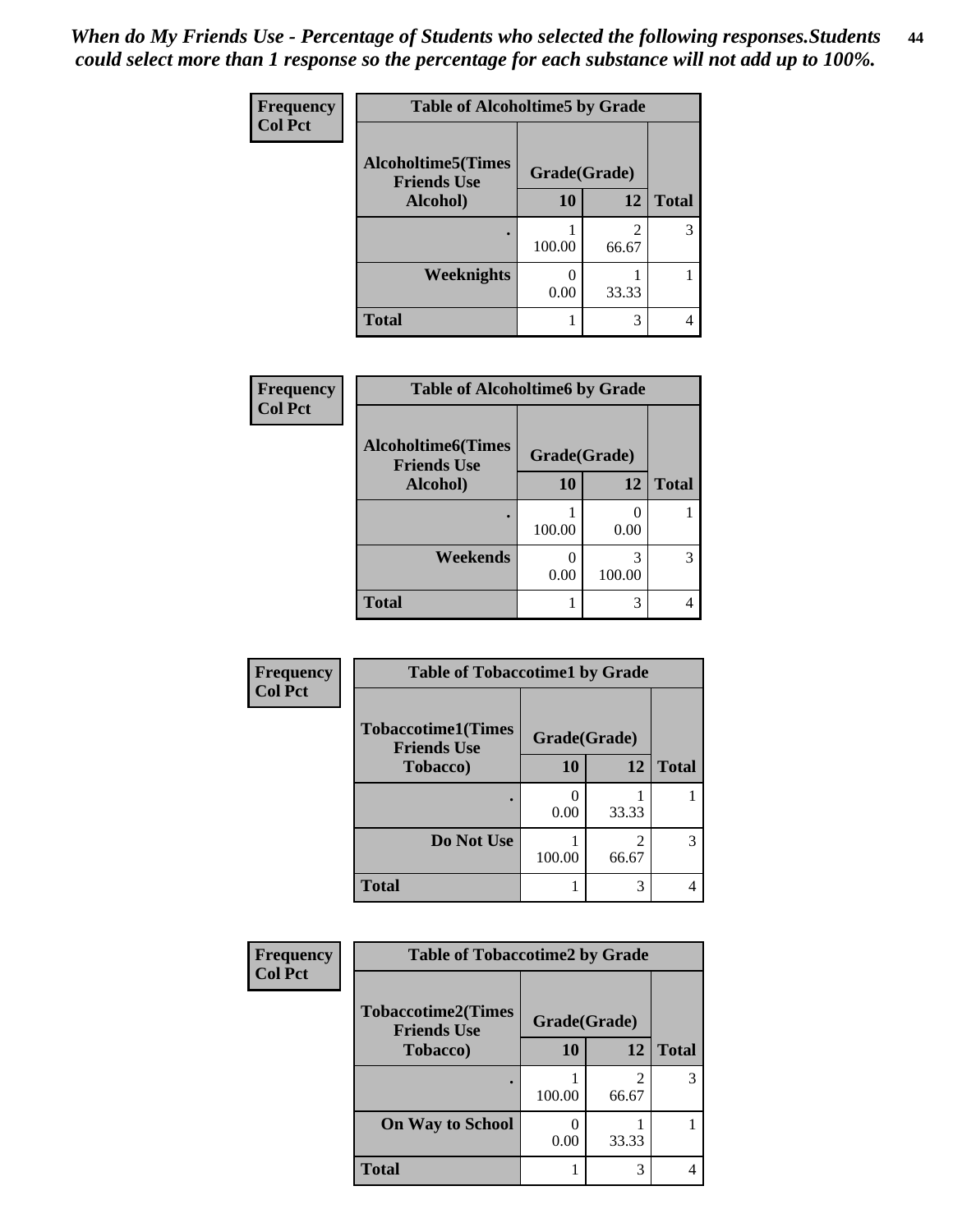*When do My Friends Use - Percentage of Students who selected the following responses.Students could select more than 1 response so the percentage for each substance will not add up to 100%.* **44**

| <b>Frequency</b> | <b>Table of Alcoholtime5 by Grade</b>           |              |            |              |
|------------------|-------------------------------------------------|--------------|------------|--------------|
| <b>Col Pct</b>   | <b>Alcoholtime5(Times</b><br><b>Friends Use</b> | Grade(Grade) |            |              |
|                  | Alcohol)                                        | 10           | 12         | <b>Total</b> |
|                  |                                                 | 100.00       | 2<br>66.67 | 3            |
|                  | Weeknights                                      | 0.00         | 33.33      |              |
|                  | <b>Total</b>                                    |              | 3          |              |

| Frequency      | <b>Table of Alcoholtime6 by Grade</b>           |              |             |              |
|----------------|-------------------------------------------------|--------------|-------------|--------------|
| <b>Col Pct</b> | <b>Alcoholtime6(Times</b><br><b>Friends Use</b> | Grade(Grade) |             |              |
|                | Alcohol)                                        | 10           | 12          | <b>Total</b> |
|                |                                                 | 100.00       | 0.00        |              |
|                | Weekends                                        | 0.00         | 3<br>100.00 |              |
|                | <b>Total</b>                                    |              | 3           |              |

| Frequency      | <b>Table of Tobaccotime1 by Grade</b>           |              |       |              |
|----------------|-------------------------------------------------|--------------|-------|--------------|
| <b>Col Pct</b> | <b>Tobaccotime1(Times</b><br><b>Friends Use</b> | Grade(Grade) |       |              |
|                | Tobacco)                                        | 10           | 12    | <b>Total</b> |
|                |                                                 | 0.00         | 33.33 |              |
|                | Do Not Use                                      | 100.00       | 66.67 | 3            |
|                | <b>Total</b>                                    |              | 3     | 4            |

| <b>Frequency</b> | <b>Table of Tobaccotime2 by Grade</b>           |              |            |              |
|------------------|-------------------------------------------------|--------------|------------|--------------|
| <b>Col Pct</b>   | <b>Tobaccotime2(Times</b><br><b>Friends Use</b> | Grade(Grade) |            |              |
|                  | <b>Tobacco</b> )                                | 10           | 12         | <b>Total</b> |
|                  |                                                 | 100.00       | 2<br>66.67 | 3            |
|                  | <b>On Way to School</b>                         | 0.00         | 33.33      |              |
|                  | <b>Total</b>                                    |              | 3          | 4            |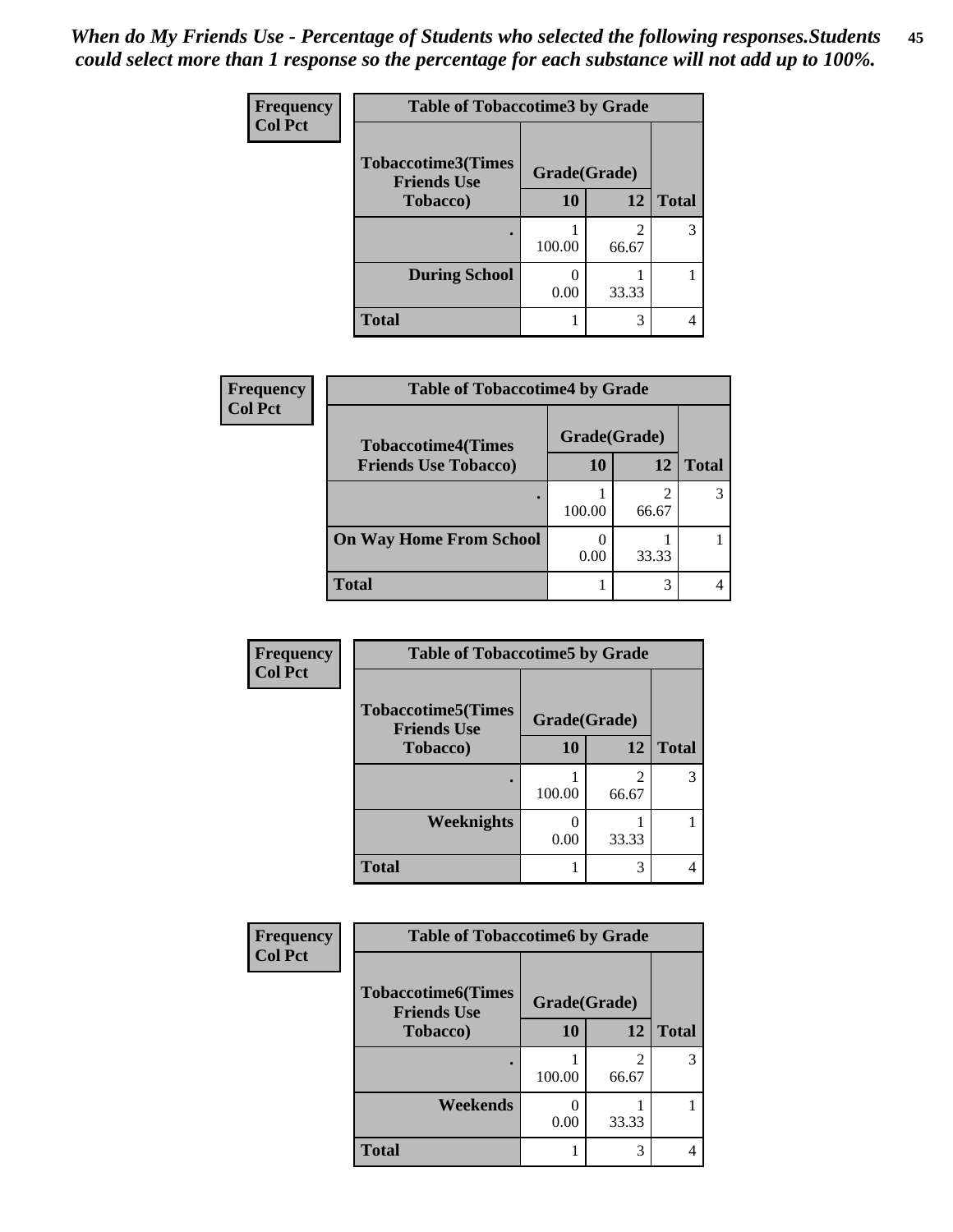| <b>Frequency</b> | <b>Table of Tobaccotime3 by Grade</b>           |              |            |              |
|------------------|-------------------------------------------------|--------------|------------|--------------|
| <b>Col Pct</b>   | <b>Tobaccotime3(Times</b><br><b>Friends Use</b> | Grade(Grade) |            |              |
|                  | <b>Tobacco</b> )                                | 10           | 12         | <b>Total</b> |
|                  |                                                 | 100.00       | 2<br>66.67 | 3            |
|                  | <b>During School</b>                            | 0.00         | 33.33      |              |
|                  | <b>Total</b>                                    |              | 3          |              |

| Frequency      | <b>Table of Tobaccotime4 by Grade</b> |              |       |              |
|----------------|---------------------------------------|--------------|-------|--------------|
| <b>Col Pct</b> | <b>Tobaccotime4(Times</b>             | Grade(Grade) |       |              |
|                | <b>Friends Use Tobacco)</b>           | 10           | 12    | <b>Total</b> |
|                |                                       | 100.00       | 66.67 |              |
|                | <b>On Way Home From School</b>        | 0.00         | 33.33 |              |
|                | <b>Total</b>                          |              |       |              |

| Frequency      | <b>Table of Tobaccotime5 by Grade</b>            |              |            |              |
|----------------|--------------------------------------------------|--------------|------------|--------------|
| <b>Col Pct</b> | <b>Tobaccotime5</b> (Times<br><b>Friends Use</b> | Grade(Grade) |            |              |
|                | <b>Tobacco</b> )                                 | 10           | 12         | <b>Total</b> |
|                |                                                  | 100.00       | 2<br>66.67 | 3            |
|                | Weeknights                                       | 0.00         | 33.33      |              |
|                | <b>Total</b>                                     |              | 3          |              |

| Frequency<br><b>Col Pct</b> | <b>Table of Tobaccotime6 by Grade</b>           |              |       |              |
|-----------------------------|-------------------------------------------------|--------------|-------|--------------|
|                             | <b>Tobaccotime6(Times</b><br><b>Friends Use</b> | Grade(Grade) |       |              |
|                             | <b>Tobacco</b> )                                | 10           | 12    | <b>Total</b> |
|                             |                                                 | 100.00       | 66.67 | 3            |
|                             | Weekends                                        | 0.00         | 33.33 |              |
|                             | <b>Total</b>                                    |              | 3     | 4            |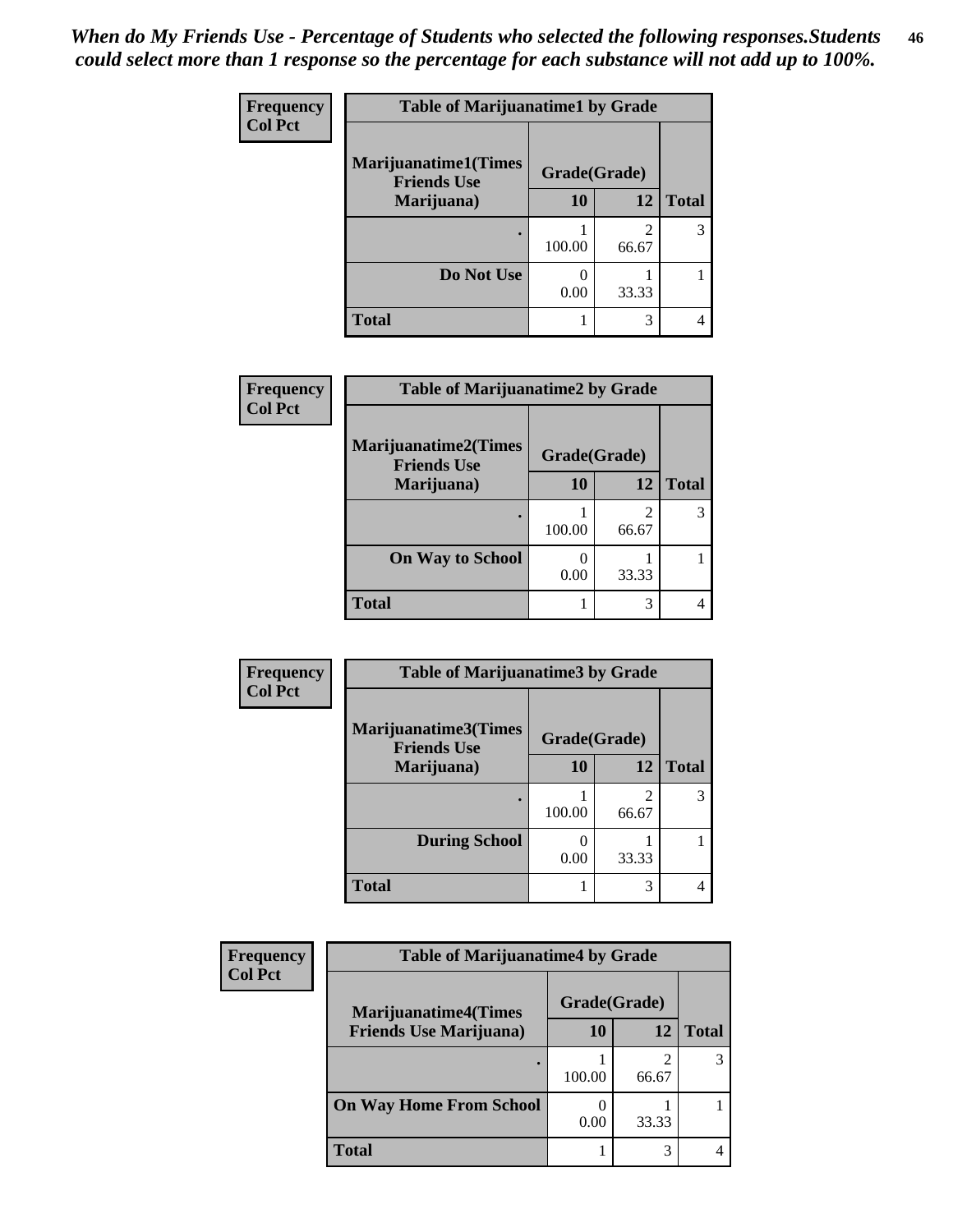| <b>Frequency</b> | <b>Table of Marijuanatime1 by Grade</b>           |              |            |              |
|------------------|---------------------------------------------------|--------------|------------|--------------|
| <b>Col Pct</b>   | <b>Marijuanatime1(Times</b><br><b>Friends Use</b> | Grade(Grade) |            |              |
|                  | Marijuana)                                        | 10           | 12         | <b>Total</b> |
|                  |                                                   | 100.00       | 2<br>66.67 | 3            |
|                  | Do Not Use                                        | 0.00         | 33.33      |              |
|                  | <b>Total</b>                                      | 1            | 3          |              |

| Frequency      | <b>Table of Marijuanatime2 by Grade</b>           |              |       |              |
|----------------|---------------------------------------------------|--------------|-------|--------------|
| <b>Col Pct</b> | <b>Marijuanatime2(Times</b><br><b>Friends Use</b> | Grade(Grade) |       |              |
|                | Marijuana)                                        | 10           | 12    | <b>Total</b> |
|                |                                                   | 100.00       | 66.67 | 3            |
|                | <b>On Way to School</b>                           | 0.00         | 33.33 |              |
|                | <b>Total</b>                                      |              | 3     |              |

| <b>Frequency</b> | <b>Table of Marijuanatime3 by Grade</b>    |              |            |              |
|------------------|--------------------------------------------|--------------|------------|--------------|
| <b>Col Pct</b>   | Marijuanatime3(Times<br><b>Friends Use</b> | Grade(Grade) |            |              |
|                  | Marijuana)                                 | 10           | 12         | <b>Total</b> |
|                  |                                            | 100.00       | 2<br>66.67 | 3            |
|                  | <b>During School</b>                       | 0.00         | 33.33      |              |
|                  | <b>Total</b>                               |              | 3          |              |

| <b>Frequency</b> | <b>Table of Marijuanatime4 by Grade</b> |              |       |              |
|------------------|-----------------------------------------|--------------|-------|--------------|
| <b>Col Pct</b>   | <b>Marijuanatime4(Times</b>             | Grade(Grade) |       |              |
|                  | <b>Friends Use Marijuana</b> )          | 10           | 12    | <b>Total</b> |
|                  |                                         | 100.00       | 66.67 |              |
|                  | <b>On Way Home From School</b>          | 0.00         | 33.33 |              |
|                  | <b>Total</b>                            |              | 3     |              |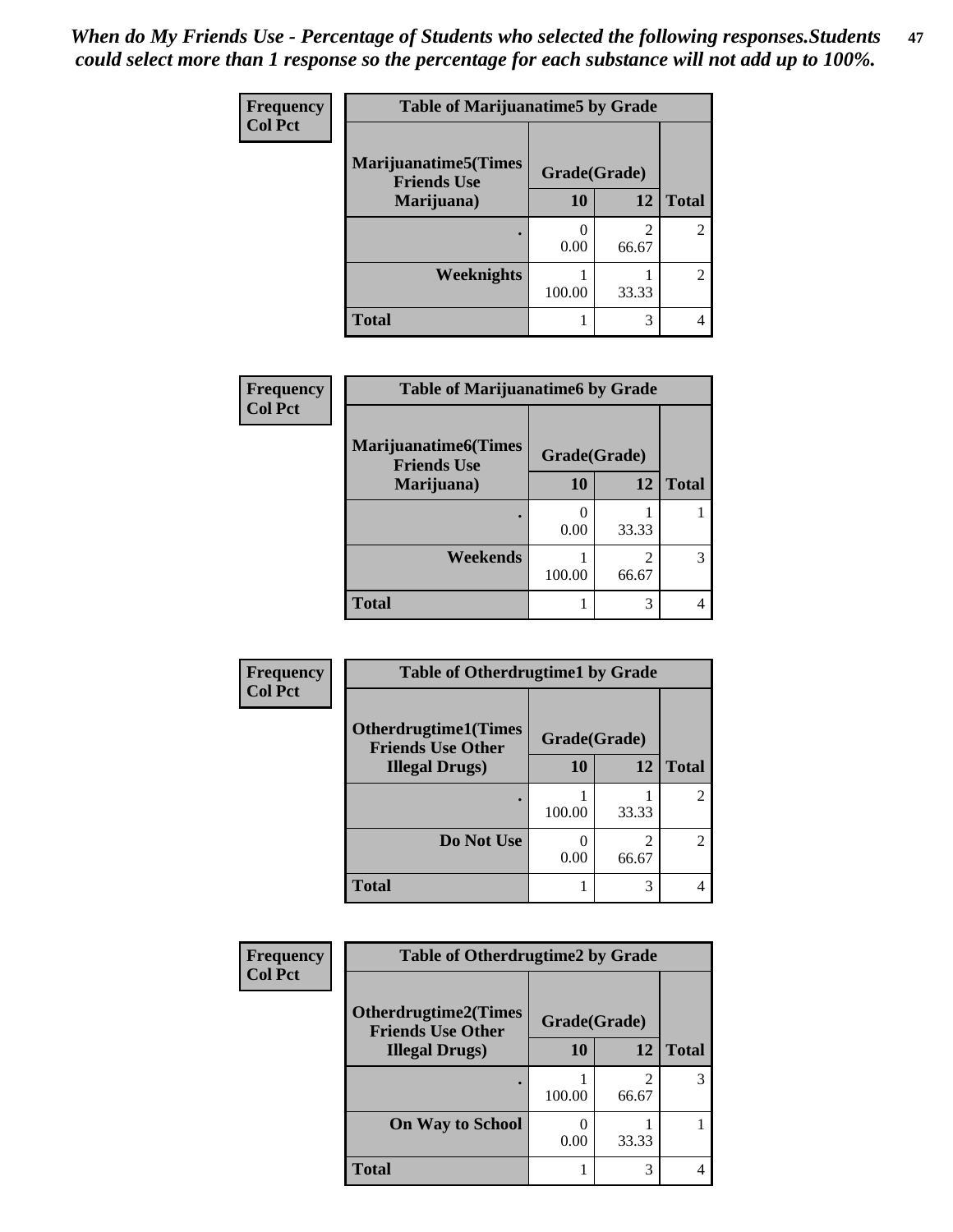| Frequency      | <b>Table of Marijuanatime5 by Grade</b>            |              |                         |                             |
|----------------|----------------------------------------------------|--------------|-------------------------|-----------------------------|
| <b>Col Pct</b> | <b>Marijuanatime5</b> (Times<br><b>Friends Use</b> | Grade(Grade) |                         |                             |
|                | Marijuana)                                         | 10           | 12                      | <b>Total</b>                |
|                |                                                    | 0.00         | $\mathfrak{D}$<br>66.67 | $\mathfrak{D}$              |
|                | Weeknights                                         | 100.00       | 33.33                   | $\mathcal{D}_{\mathcal{L}}$ |
|                | <b>Total</b>                                       |              | 3                       |                             |

| Frequency      | <b>Table of Marijuanatime6 by Grade</b>            |              |       |              |
|----------------|----------------------------------------------------|--------------|-------|--------------|
| <b>Col Pct</b> | <b>Marijuanatime6</b> (Times<br><b>Friends Use</b> | Grade(Grade) |       |              |
|                | Marijuana)                                         | <b>10</b>    | 12    | <b>Total</b> |
|                |                                                    | 0.00         | 33.33 |              |
|                | Weekends                                           | 100.00       | 66.67 | 3            |
|                | <b>Total</b>                                       |              | 3     | 4            |

| Frequency      | <b>Table of Otherdrugtime1 by Grade</b>                 |              |                         |                |
|----------------|---------------------------------------------------------|--------------|-------------------------|----------------|
| <b>Col Pct</b> | <b>Otherdrugtime1(Times</b><br><b>Friends Use Other</b> | Grade(Grade) |                         |                |
|                | <b>Illegal Drugs</b> )                                  | 10           | 12                      | <b>Total</b>   |
|                |                                                         | 100.00       | 33.33                   | 2              |
|                | Do Not Use                                              | 0.00         | $\mathfrak{D}$<br>66.67 | $\mathfrak{D}$ |
|                | <b>Total</b>                                            |              | 3                       |                |

| <b>Frequency</b><br><b>Col Pct</b> | <b>Table of Otherdrugtime2 by Grade</b>                 |              |            |              |
|------------------------------------|---------------------------------------------------------|--------------|------------|--------------|
|                                    | <b>Otherdrugtime2(Times</b><br><b>Friends Use Other</b> | Grade(Grade) |            |              |
|                                    | <b>Illegal Drugs</b> )                                  | 10           | 12         | <b>Total</b> |
|                                    |                                                         | 100.00       | 2<br>66.67 | 3            |
|                                    | <b>On Way to School</b>                                 | 0.00         | 33.33      |              |
|                                    | Total                                                   |              | 3          |              |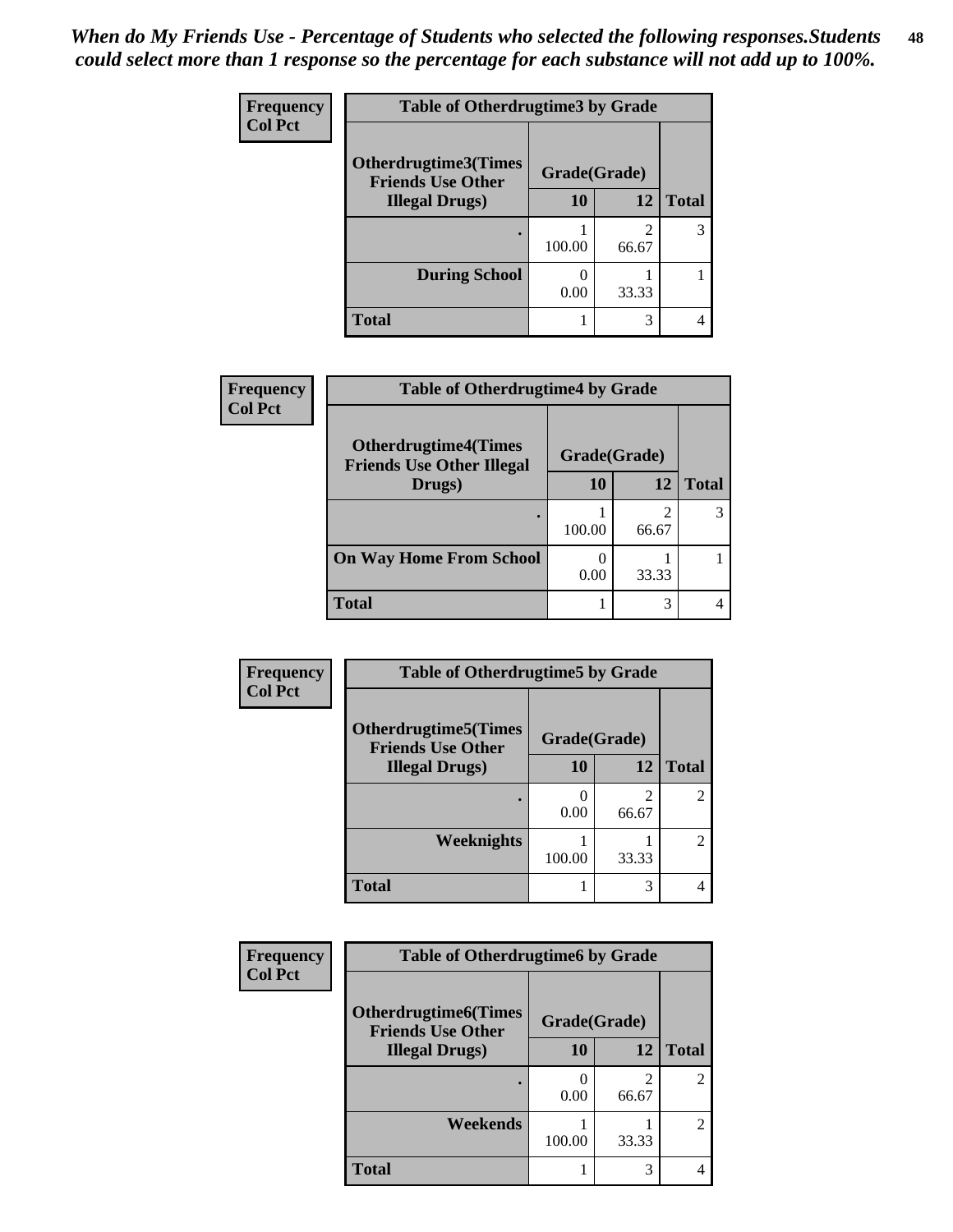| <b>Frequency</b> | <b>Table of Otherdrugtime3 by Grade</b><br>Otherdrugtime3(Times<br>Grade(Grade)<br><b>Friends Use Other</b> |        |            |              |
|------------------|-------------------------------------------------------------------------------------------------------------|--------|------------|--------------|
| <b>Col Pct</b>   |                                                                                                             |        |            |              |
|                  | <b>Illegal Drugs</b> )                                                                                      | 10     | 12         | <b>Total</b> |
|                  |                                                                                                             | 100.00 | 2<br>66.67 | 3            |
|                  | <b>During School</b>                                                                                        | 0.00   | 33.33      |              |
|                  | Total                                                                                                       |        | 3          |              |

| Frequency      | <b>Table of Otherdrugtime4 by Grade</b>                         |              |       |              |
|----------------|-----------------------------------------------------------------|--------------|-------|--------------|
| <b>Col Pct</b> | <b>Otherdrugtime4(Times</b><br><b>Friends Use Other Illegal</b> | Grade(Grade) |       |              |
|                | Drugs)                                                          | 10           | 12    | <b>Total</b> |
|                | ٠                                                               | 100.00       | 66.67 | 3            |
|                | <b>On Way Home From School</b>                                  | 0.00         | 33.33 |              |
|                | <b>Total</b>                                                    |              | 3     |              |

| <b>Frequency</b> | <b>Table of Otherdrugtime5 by Grade</b>                 |              |            |                |
|------------------|---------------------------------------------------------|--------------|------------|----------------|
| <b>Col Pct</b>   | <b>Otherdrugtime5(Times</b><br><b>Friends Use Other</b> | Grade(Grade) |            |                |
|                  | <b>Illegal Drugs</b> )                                  | 10           | 12         | <b>Total</b>   |
|                  |                                                         | 0.00         | 2<br>66.67 | $\overline{2}$ |
|                  | <b>Weeknights</b>                                       | 100.00       | 33.33      | $\mathfrak{D}$ |
|                  | Total                                                   |              | 3          |                |

| <b>Frequency</b> | <b>Table of Otherdrugtime6 by Grade</b>                 |              |                         |                |
|------------------|---------------------------------------------------------|--------------|-------------------------|----------------|
| <b>Col Pct</b>   | <b>Otherdrugtime6(Times</b><br><b>Friends Use Other</b> | Grade(Grade) |                         |                |
|                  | <b>Illegal Drugs</b> )                                  | 10           | 12                      | <b>Total</b>   |
|                  |                                                         | 0.00         | $\mathfrak{D}$<br>66.67 | $\overline{c}$ |
|                  | Weekends                                                | 100.00       | 33.33                   | $\overline{c}$ |
|                  | <b>Total</b>                                            |              | 3                       |                |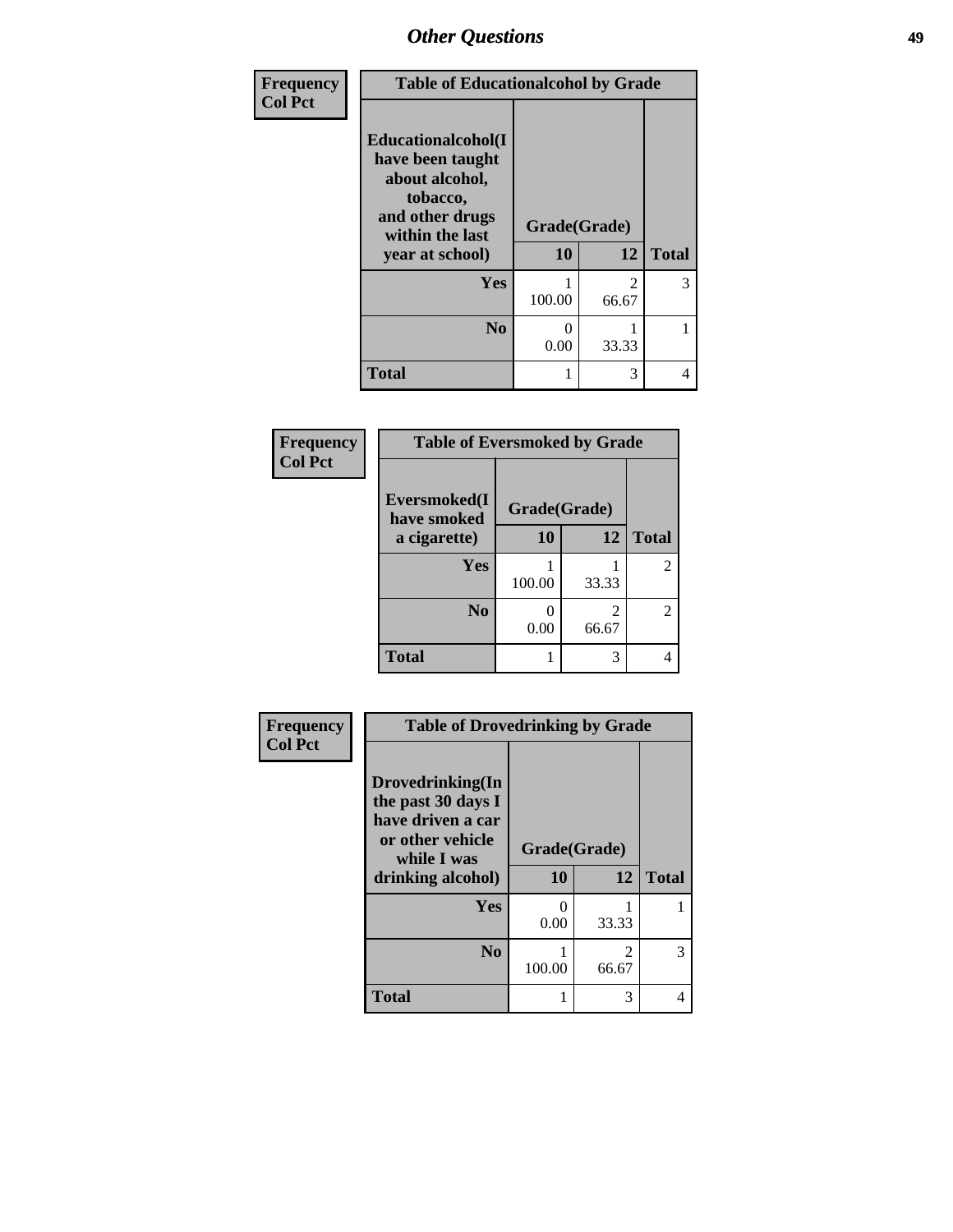| Frequency      | <b>Table of Educationalcohol by Grade</b>                                                                  |              |                                      |              |  |
|----------------|------------------------------------------------------------------------------------------------------------|--------------|--------------------------------------|--------------|--|
| <b>Col Pct</b> | Educationalcohol(I<br>have been taught<br>about alcohol,<br>tobacco,<br>and other drugs<br>within the last | Grade(Grade) |                                      |              |  |
|                | year at school)                                                                                            |              | 12                                   | <b>Total</b> |  |
|                | <b>Yes</b>                                                                                                 | 100.00       | $\mathcal{D}_{\mathcal{L}}$<br>66.67 | 3            |  |
|                | N <sub>0</sub>                                                                                             | 0<br>0.00    | 33.33                                |              |  |
|                | <b>Total</b>                                                                                               | 1            | 3                                    | 4            |  |

| Frequency      | <b>Table of Eversmoked by Grade</b> |              |            |              |  |
|----------------|-------------------------------------|--------------|------------|--------------|--|
| <b>Col Pct</b> | Eversmoked(I<br>have smoked         | Grade(Grade) |            |              |  |
|                | a cigarette)                        | 10           | 12         | <b>Total</b> |  |
|                | Yes                                 | 100.00       | 33.33      | 2            |  |
|                | N <sub>0</sub>                      | 0.00         | 2<br>66.67 | 2            |  |
|                | <b>Total</b>                        |              | 3          | 4            |  |

| Frequency      | <b>Table of Drovedrinking by Grade</b>                                                                              |                          |                         |              |
|----------------|---------------------------------------------------------------------------------------------------------------------|--------------------------|-------------------------|--------------|
| <b>Col Pct</b> | Drovedrinking(In<br>the past 30 days I<br>have driven a car<br>or other vehicle<br>while I was<br>drinking alcohol) | Grade(Grade)<br>10<br>12 |                         | <b>Total</b> |
|                | <b>Yes</b>                                                                                                          | 0<br>0.00                | 33.33                   |              |
|                | N <sub>0</sub>                                                                                                      | 100.00                   | $\mathfrak{D}$<br>66.67 | 3            |
|                | <b>Total</b>                                                                                                        |                          | 3                       |              |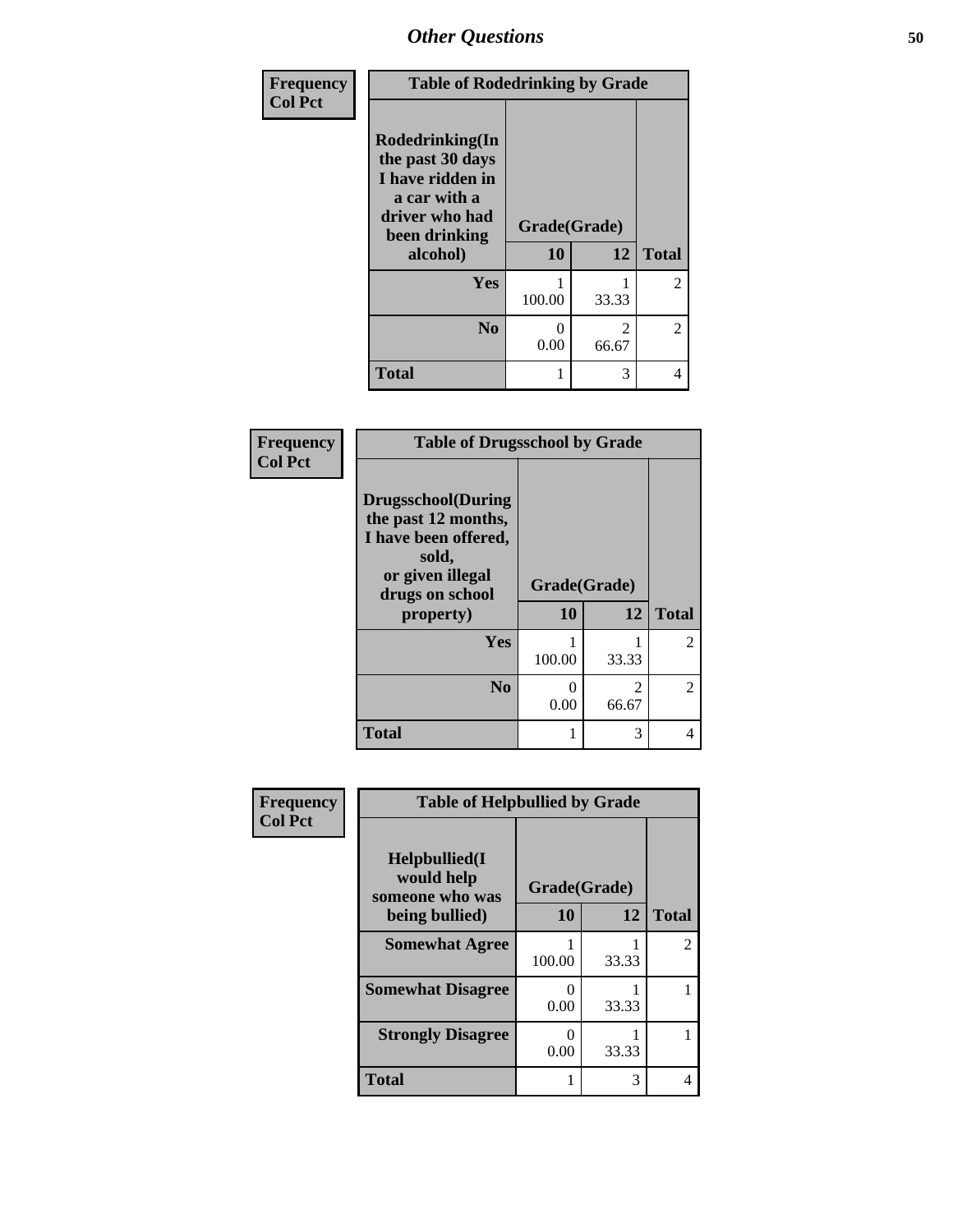| <b>Frequency</b> | <b>Table of Rodedrinking by Grade</b>                                                                                  |                    |                         |                |
|------------------|------------------------------------------------------------------------------------------------------------------------|--------------------|-------------------------|----------------|
| <b>Col Pct</b>   | Rodedrinking(In<br>the past 30 days<br>I have ridden in<br>a car with a<br>driver who had<br>been drinking<br>alcohol) | Grade(Grade)<br>10 | 12                      | <b>Total</b>   |
|                  |                                                                                                                        |                    |                         |                |
|                  | <b>Yes</b>                                                                                                             | 100.00             | 33.33                   | $\overline{2}$ |
|                  | N <sub>0</sub>                                                                                                         | 0<br>0.00          | $\mathfrak{D}$<br>66.67 | $\overline{2}$ |
|                  | <b>Total</b>                                                                                                           |                    | 3                       | 4              |

#### **Frequency Col Pct**

| <b>Table of Drugsschool by Grade</b>                                                                                      |              |                         |                             |  |
|---------------------------------------------------------------------------------------------------------------------------|--------------|-------------------------|-----------------------------|--|
| <b>Drugsschool</b> (During<br>the past 12 months,<br>I have been offered,<br>sold,<br>or given illegal<br>drugs on school | Grade(Grade) |                         |                             |  |
| property)                                                                                                                 | 10           | 12                      | <b>Total</b>                |  |
| Yes                                                                                                                       | 100.00       | 33.33                   |                             |  |
| $\bf No$                                                                                                                  | 0<br>0.00    | $\mathfrak{D}$<br>66.67 | $\mathcal{D}_{\mathcal{L}}$ |  |
| <b>Total</b>                                                                                                              | 1            | 3                       |                             |  |

| <b>Frequency</b> | <b>Table of Helpbullied by Grade</b>           |        |              |              |  |
|------------------|------------------------------------------------|--------|--------------|--------------|--|
| <b>Col Pct</b>   | Helpbullied(I<br>would help<br>someone who was |        | Grade(Grade) |              |  |
|                  | being bullied)                                 | 10     | 12           | <b>Total</b> |  |
|                  | <b>Somewhat Agree</b>                          | 100.00 | 33.33        | 2            |  |
|                  | <b>Somewhat Disagree</b>                       | 0.00   | 33.33        |              |  |
|                  | <b>Strongly Disagree</b>                       | 0.00   | 33.33        |              |  |
|                  | <b>Total</b>                                   |        | 3            |              |  |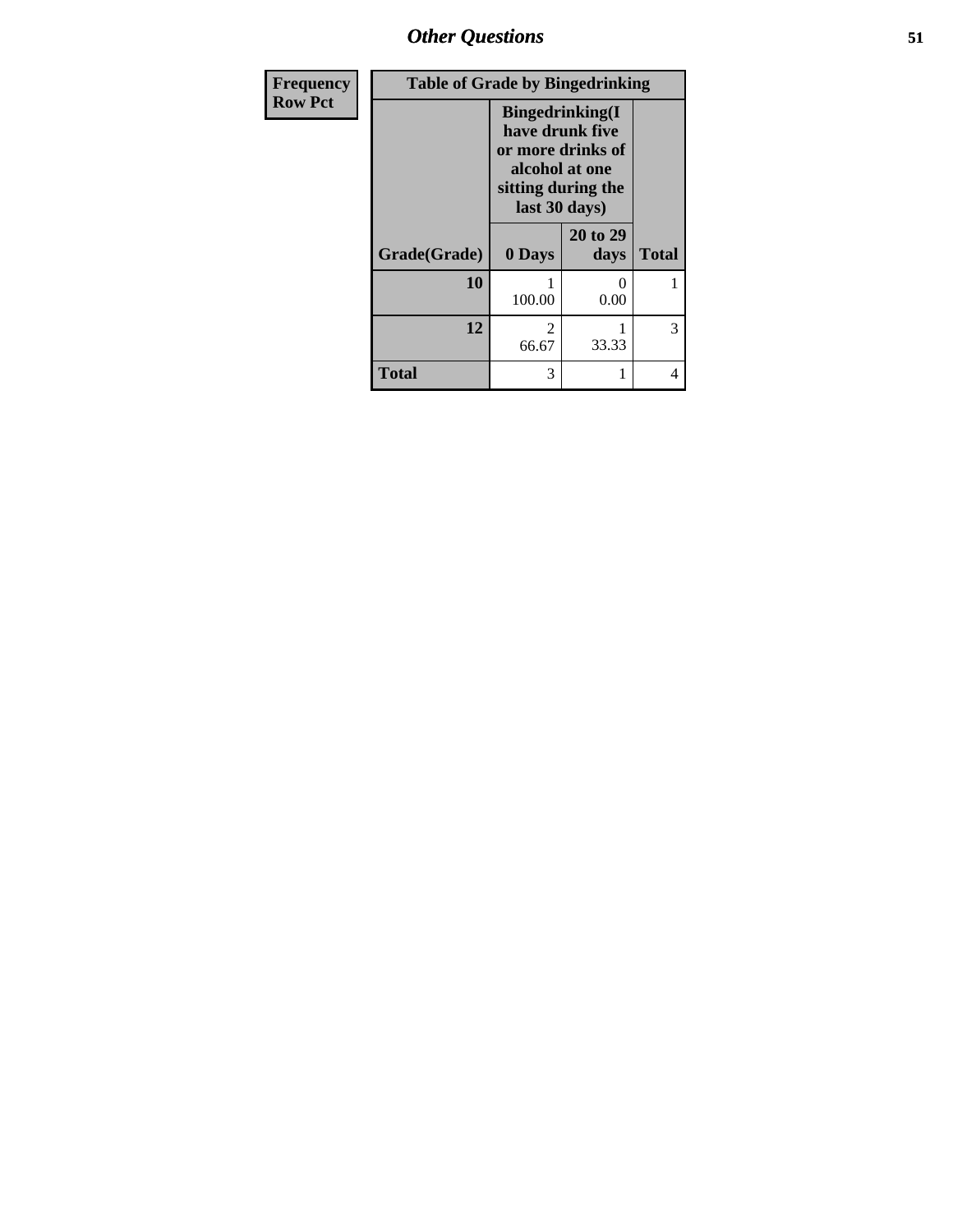*Other Questions* **51**

| Frequency      | <b>Table of Grade by Bingedrinking</b> |                                                                                                                          |                  |              |
|----------------|----------------------------------------|--------------------------------------------------------------------------------------------------------------------------|------------------|--------------|
| <b>Row Pct</b> |                                        | <b>Bingedrinking</b> (I<br>have drunk five<br>or more drinks of<br>alcohol at one<br>sitting during the<br>last 30 days) |                  |              |
|                | Grade(Grade)                           | 0 Days                                                                                                                   | 20 to 29<br>days | <b>Total</b> |
|                | 10                                     | 100.00                                                                                                                   | 0.00             |              |
|                | 12                                     | $\mathfrak{D}$<br>66.67                                                                                                  | 33.33            | 3            |
|                | <b>Total</b>                           | 3                                                                                                                        |                  | 4            |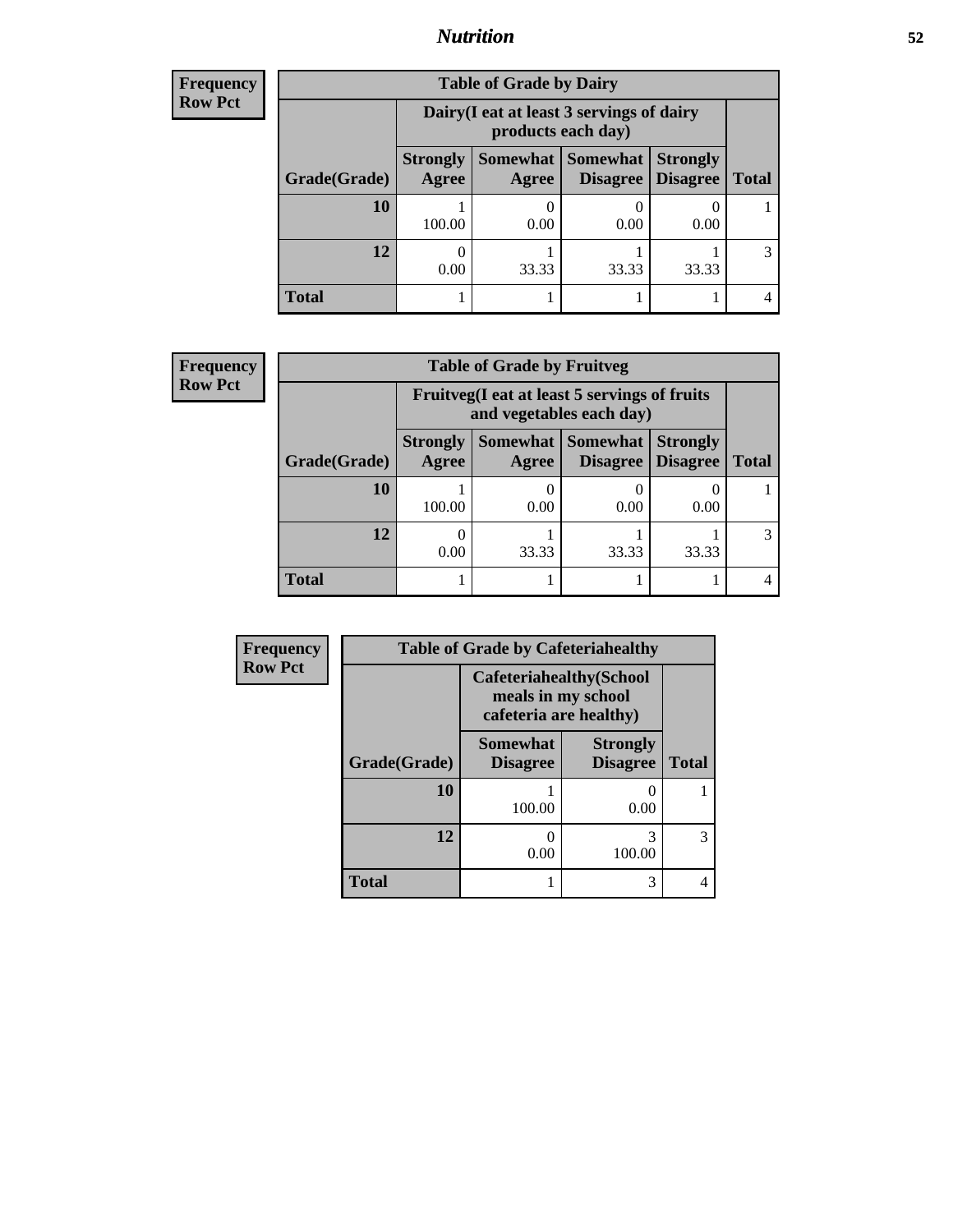## *Nutrition* **52**

| <b>Frequency</b> |
|------------------|
| Row Pct          |

| <b>Table of Grade by Dairy</b> |                          |                                                                 |                             |                                    |              |  |
|--------------------------------|--------------------------|-----------------------------------------------------------------|-----------------------------|------------------------------------|--------------|--|
|                                |                          | Dairy (I eat at least 3 servings of dairy<br>products each day) |                             |                                    |              |  |
| Grade(Grade)                   | <b>Strongly</b><br>Agree | Somewhat  <br>Agree                                             | <b>Somewhat</b><br>Disagree | <b>Strongly</b><br><b>Disagree</b> | <b>Total</b> |  |
| 10                             | 100.00                   | 0.00                                                            | 0.00                        | 0.00                               |              |  |
| 12                             | 0.00                     | 33.33                                                           | 33.33                       | 33.33                              | 3            |  |
| <b>Total</b>                   |                          |                                                                 |                             |                                    |              |  |

#### **Frequency Row Pct**

| <b>Table of Grade by Fruitveg</b> |              |                          |                                                                          |                     |                                        |              |  |
|-----------------------------------|--------------|--------------------------|--------------------------------------------------------------------------|---------------------|----------------------------------------|--------------|--|
|                                   |              |                          | Fruitveg(I eat at least 5 servings of fruits<br>and vegetables each day) |                     |                                        |              |  |
|                                   | Grade(Grade) | <b>Strongly</b><br>Agree | Agree                                                                    | Somewhat   Somewhat | <b>Strongly</b><br>Disagree   Disagree | <b>Total</b> |  |
|                                   | 10           | 100.00                   | 0.00                                                                     | 0.00                | 0.00                                   |              |  |
|                                   | 12           | 0<br>0.00                | 33.33                                                                    | 33.33               | 33.33                                  |              |  |
|                                   | Total        |                          |                                                                          |                     |                                        |              |  |

| Frequency      |              | <b>Table of Grade by Cafeteriahealthy</b> |                                                                                |              |
|----------------|--------------|-------------------------------------------|--------------------------------------------------------------------------------|--------------|
| <b>Row Pct</b> |              |                                           | <b>Cafeteriahealthy(School</b><br>meals in my school<br>cafeteria are healthy) |              |
|                | Grade(Grade) | <b>Somewhat</b><br><b>Disagree</b>        | <b>Strongly</b><br><b>Disagree</b>                                             | <b>Total</b> |
|                | 10           | 100.00                                    | 0.00                                                                           |              |
|                | 12           | 0.00                                      | 3<br>100.00                                                                    | 3            |
|                | <b>Total</b> |                                           | 3                                                                              | 4            |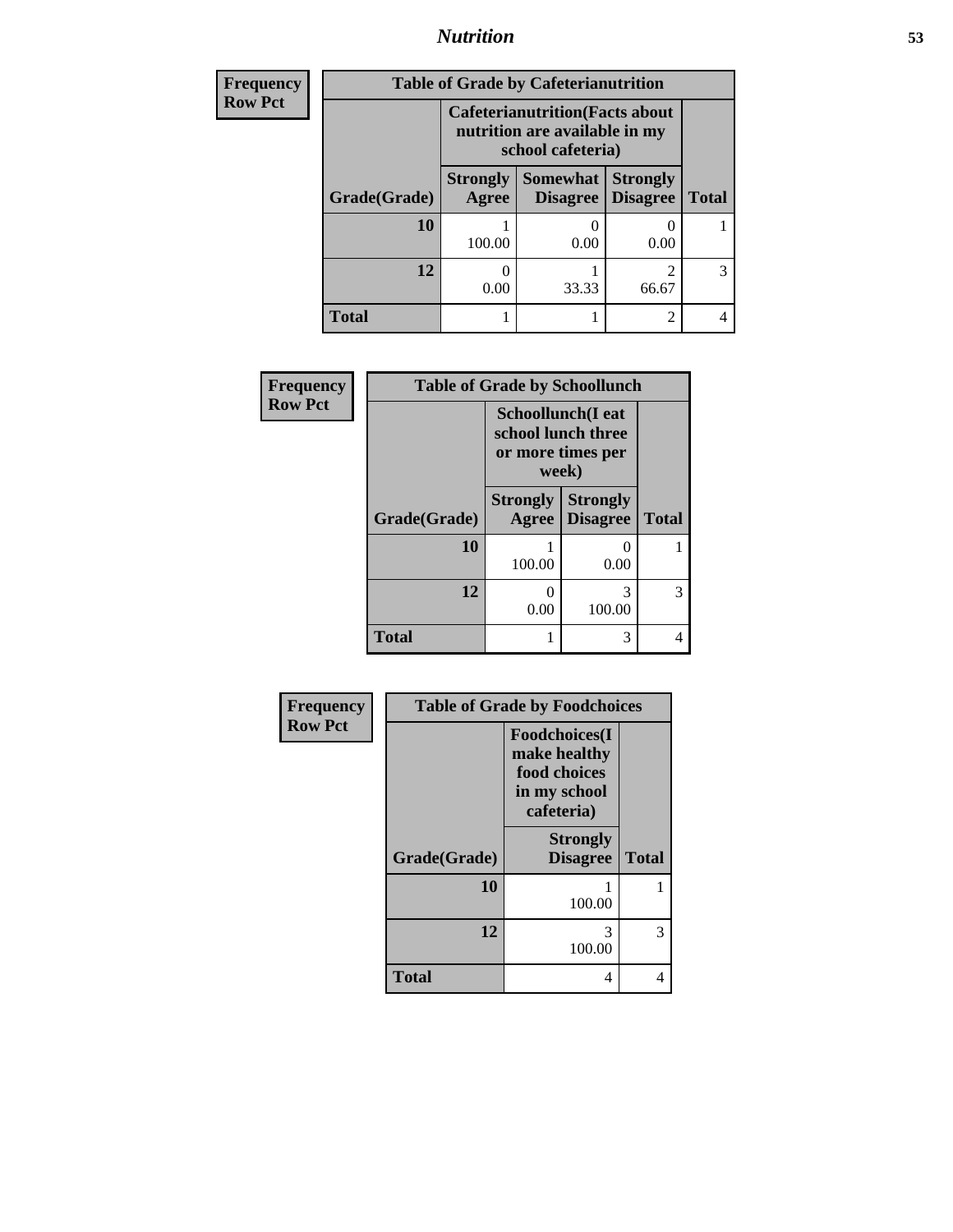# *Nutrition* **53**

| <b>Frequency</b> | <b>Table of Grade by Cafeterianutrition</b> |                                                                                              |          |                                        |              |
|------------------|---------------------------------------------|----------------------------------------------------------------------------------------------|----------|----------------------------------------|--------------|
| <b>Row Pct</b>   |                                             | <b>Cafeterianutrition</b> (Facts about<br>nutrition are available in my<br>school cafeteria) |          |                                        |              |
|                  | Grade(Grade)                                | <b>Strongly</b><br>Agree                                                                     | Somewhat | <b>Strongly</b><br>Disagree   Disagree | <b>Total</b> |
|                  | 10                                          | 100.00                                                                                       | 0.00     | 0.00                                   |              |
|                  | 12                                          | 0.00                                                                                         | 33.33    | 66.67                                  | 3            |
|                  | <b>Total</b>                                |                                                                                              |          | 2                                      |              |

| Frequency      | <b>Table of Grade by Schoollunch</b> |                          |                                                              |              |
|----------------|--------------------------------------|--------------------------|--------------------------------------------------------------|--------------|
| <b>Row Pct</b> |                                      | week)                    | Schoollunch(I eat<br>school lunch three<br>or more times per |              |
|                | Grade(Grade)                         | <b>Strongly</b><br>Agree | <b>Strongly</b><br><b>Disagree</b>                           | <b>Total</b> |
|                | 10                                   | 100.00                   | $\mathbf{\Omega}$<br>0.00                                    |              |
|                | 12                                   | 0<br>0.00                | 3<br>100.00                                                  | 3            |
|                | <b>Total</b>                         | 1                        | 3                                                            | 4            |

| Frequency      |              | <b>Table of Grade by Foodchoices</b>                                                |              |  |
|----------------|--------------|-------------------------------------------------------------------------------------|--------------|--|
| <b>Row Pct</b> |              | <b>Foodchoices</b> (I<br>make healthy<br>food choices<br>in my school<br>cafeteria) |              |  |
|                | Grade(Grade) | <b>Strongly</b><br><b>Disagree</b>                                                  | <b>Total</b> |  |
|                | 10           | 100.00                                                                              | 1            |  |
|                | 12           | 3<br>100.00                                                                         | 3            |  |
|                | <b>Total</b> | 4                                                                                   | 4            |  |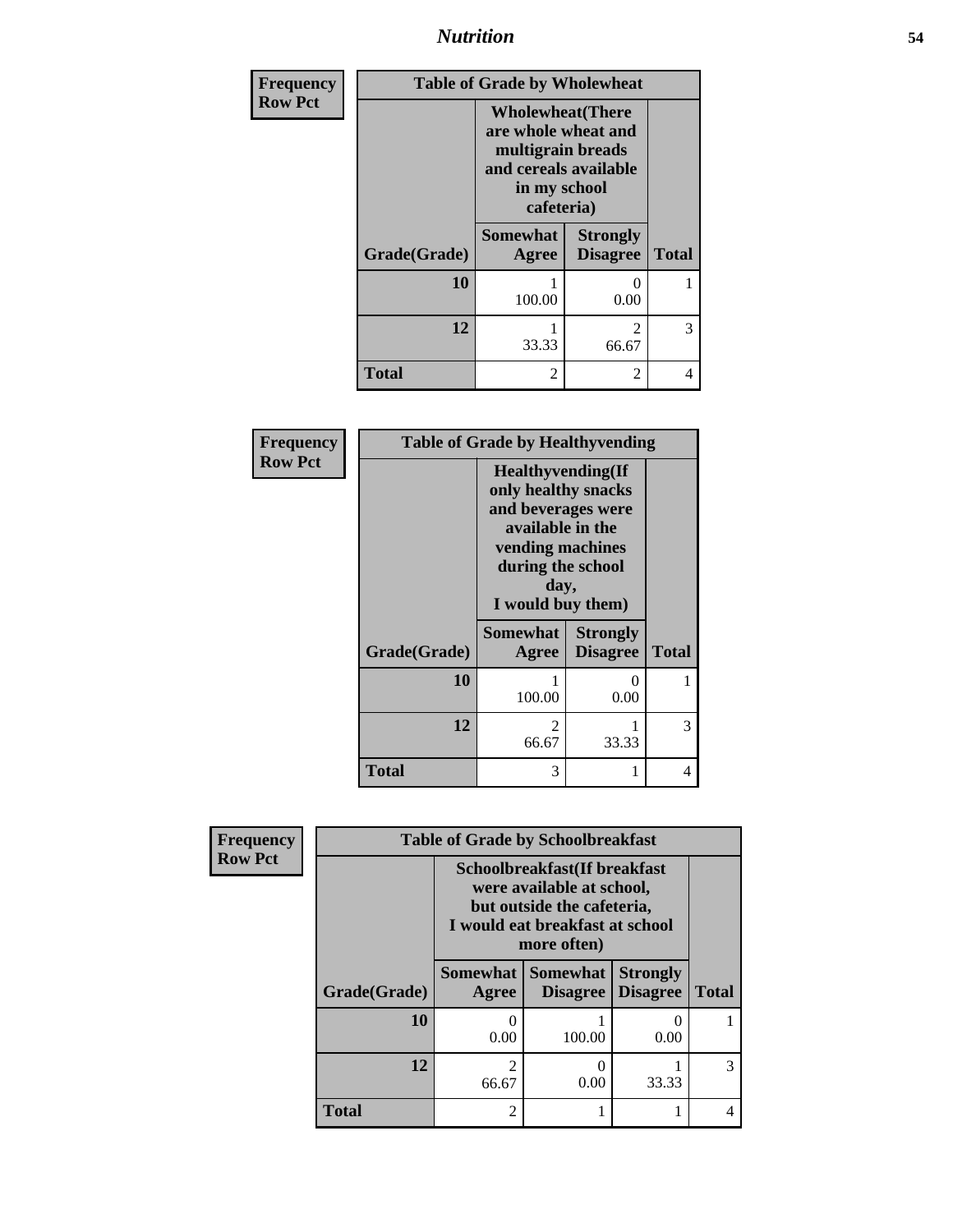*Nutrition* **54**

| <b>Frequency</b> | <b>Table of Grade by Wholewheat</b> |                                                                                                                             |                                      |              |
|------------------|-------------------------------------|-----------------------------------------------------------------------------------------------------------------------------|--------------------------------------|--------------|
| <b>Row Pct</b>   |                                     | <b>Wholewheat</b> (There<br>are whole wheat and<br>multigrain breads<br>and cereals available<br>in my school<br>cafeteria) |                                      |              |
|                  | Grade(Grade)                        | <b>Somewhat</b><br><b>Agree</b>                                                                                             | <b>Strongly</b><br><b>Disagree</b>   | <b>Total</b> |
|                  | 10                                  | 100.00                                                                                                                      | $\mathbf{\Omega}$<br>0.00            | 1            |
|                  | 12                                  | 33.33                                                                                                                       | $\mathcal{D}_{\mathcal{L}}$<br>66.67 | 3            |
|                  | <b>Total</b>                        | 2                                                                                                                           | 2                                    | 4            |

| Frequency      |              | <b>Table of Grade by Healthyvending</b>                                                                                                                          |                                    |              |
|----------------|--------------|------------------------------------------------------------------------------------------------------------------------------------------------------------------|------------------------------------|--------------|
| <b>Row Pct</b> |              | <b>Healthyvending</b> (If<br>only healthy snacks<br>and beverages were<br>available in the<br>vending machines<br>during the school<br>day,<br>I would buy them) |                                    |              |
|                | Grade(Grade) | <b>Somewhat</b><br>Agree                                                                                                                                         | <b>Strongly</b><br><b>Disagree</b> | <b>Total</b> |
|                | 10           | 1<br>100.00                                                                                                                                                      | 0<br>0.00                          |              |
|                | 12           | $\mathfrak{D}$<br>66.67                                                                                                                                          | 33.33                              | 3            |
|                | <b>Total</b> | 3                                                                                                                                                                |                                    | 4            |

| <b>Frequency</b> | <b>Table of Grade by Schoolbreakfast</b> |                                                                                                                                                                   |                 |                                    |              |
|------------------|------------------------------------------|-------------------------------------------------------------------------------------------------------------------------------------------------------------------|-----------------|------------------------------------|--------------|
| <b>Row Pct</b>   |                                          | Schoolbreakfast(If breakfast<br>were available at school,<br>but outside the cafeteria,<br>I would eat breakfast at school<br>more often)<br>Somewhat<br>Somewhat |                 |                                    |              |
|                  | Grade(Grade)                             | Agree                                                                                                                                                             | <b>Disagree</b> | <b>Strongly</b><br><b>Disagree</b> | <b>Total</b> |
|                  | 10                                       | 0<br>0.00                                                                                                                                                         | 100.00          | 0<br>0.00                          |              |
|                  | 12                                       | $\overline{2}$<br>66.67                                                                                                                                           | 0<br>0.00       | 33.33                              | 3            |
|                  | <b>Total</b>                             | $\overline{2}$                                                                                                                                                    |                 | 1                                  |              |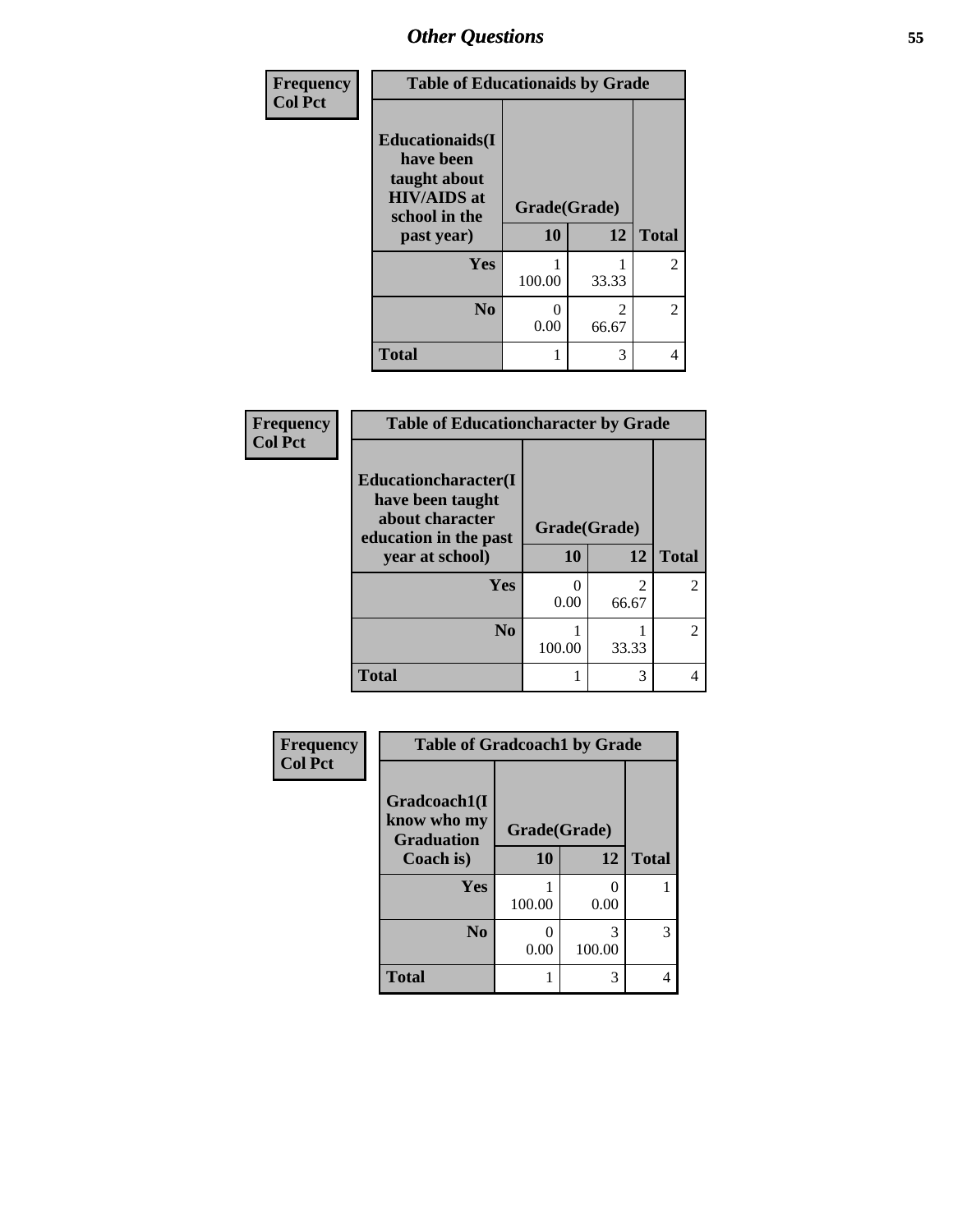| Frequency<br><b>Col Pct</b> | <b>Table of Educationaids by Grade</b>                                                      |              |                         |                |
|-----------------------------|---------------------------------------------------------------------------------------------|--------------|-------------------------|----------------|
|                             | <b>Educationaids</b> (I<br>have been<br>taught about<br><b>HIV/AIDS</b> at<br>school in the | Grade(Grade) |                         |                |
|                             | past year)                                                                                  | 10           | 12                      | <b>Total</b>   |
|                             | <b>Yes</b>                                                                                  | 100.00       | 33.33                   | $\overline{2}$ |
|                             | N <sub>0</sub>                                                                              | 0.00         | $\mathfrak{D}$<br>66.67 | 2              |
|                             | <b>Total</b>                                                                                |              | 3                       | 4              |

| Frequency      | <b>Table of Educationcharacter by Grade</b>                                          |              |            |               |  |
|----------------|--------------------------------------------------------------------------------------|--------------|------------|---------------|--|
| <b>Col Pct</b> | Educationcharacter(I<br>have been taught<br>about character<br>education in the past | Grade(Grade) |            |               |  |
|                | year at school)                                                                      | 10           | 12         | <b>Total</b>  |  |
|                | Yes                                                                                  | 0.00         | 2<br>66.67 |               |  |
|                | N <sub>0</sub>                                                                       | 100.00       | 33.33      | $\mathcal{L}$ |  |
|                | <b>Total</b>                                                                         |              | 3          |               |  |

| <b>Frequency</b> | <b>Table of Gradcoach1 by Grade</b>              |              |             |              |
|------------------|--------------------------------------------------|--------------|-------------|--------------|
| <b>Col Pct</b>   | Gradcoach1(I<br>know who my<br><b>Graduation</b> | Grade(Grade) |             |              |
|                  | Coach is)                                        | 10           | 12          | <b>Total</b> |
|                  | Yes                                              | 100.00       | 0.00        |              |
|                  | N <sub>0</sub>                                   | 0.00         | 3<br>100.00 | 3            |
|                  | <b>Total</b>                                     |              | 3           | 4            |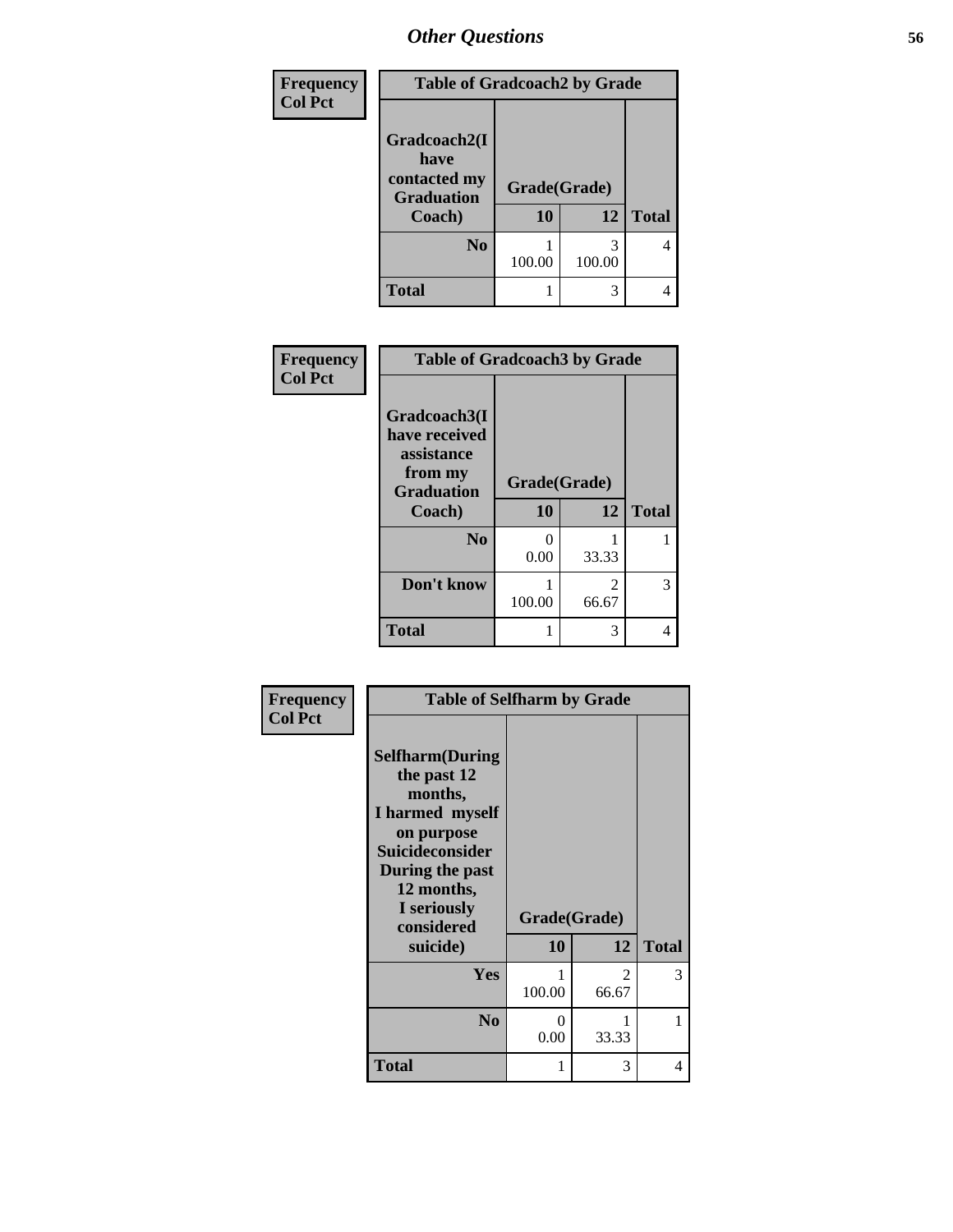| Frequency      | <b>Table of Gradcoach2 by Grade</b>                                 |                    |             |              |
|----------------|---------------------------------------------------------------------|--------------------|-------------|--------------|
| <b>Col Pct</b> | Gradcoach2(I<br>have<br>contacted my<br><b>Graduation</b><br>Coach) | Grade(Grade)<br>10 | 12          | <b>Total</b> |
|                | N <sub>0</sub>                                                      | 100.00             | 3<br>100.00 |              |
|                | <b>Total</b>                                                        |                    | 3           |              |

| Frequency      | <b>Table of Gradcoach3 by Grade</b>                                                   |                    |                         |              |
|----------------|---------------------------------------------------------------------------------------|--------------------|-------------------------|--------------|
| <b>Col Pct</b> | Gradcoach3(I<br>have received<br>assistance<br>from my<br><b>Graduation</b><br>Coach) | Grade(Grade)<br>10 | 12                      | <b>Total</b> |
|                | N <sub>0</sub>                                                                        | 0<br>0.00          | 33.33                   |              |
|                | Don't know                                                                            | 100.00             | $\mathfrak{D}$<br>66.67 | 3            |
|                | <b>Total</b>                                                                          |                    | 3                       |              |

| Frequency<br><b>Col Pct</b> | <b>Table of Selfharm by Grade</b>                                                                                                                                          |              |                         |              |
|-----------------------------|----------------------------------------------------------------------------------------------------------------------------------------------------------------------------|--------------|-------------------------|--------------|
|                             | <b>Selfharm</b> (During<br>the past 12<br>months,<br>I harmed myself<br>on purpose<br><b>Suicideconsider</b><br>During the past<br>12 months,<br>I seriously<br>considered | Grade(Grade) |                         |              |
|                             | suicide)                                                                                                                                                                   | <b>10</b>    | 12                      | <b>Total</b> |
|                             | Yes                                                                                                                                                                        | 100.00       | $\mathfrak{D}$<br>66.67 | 3            |
|                             | N <sub>0</sub>                                                                                                                                                             | 0<br>0.00    | 33.33                   | 1            |
|                             | <b>Total</b>                                                                                                                                                               | 1            | 3                       | 4            |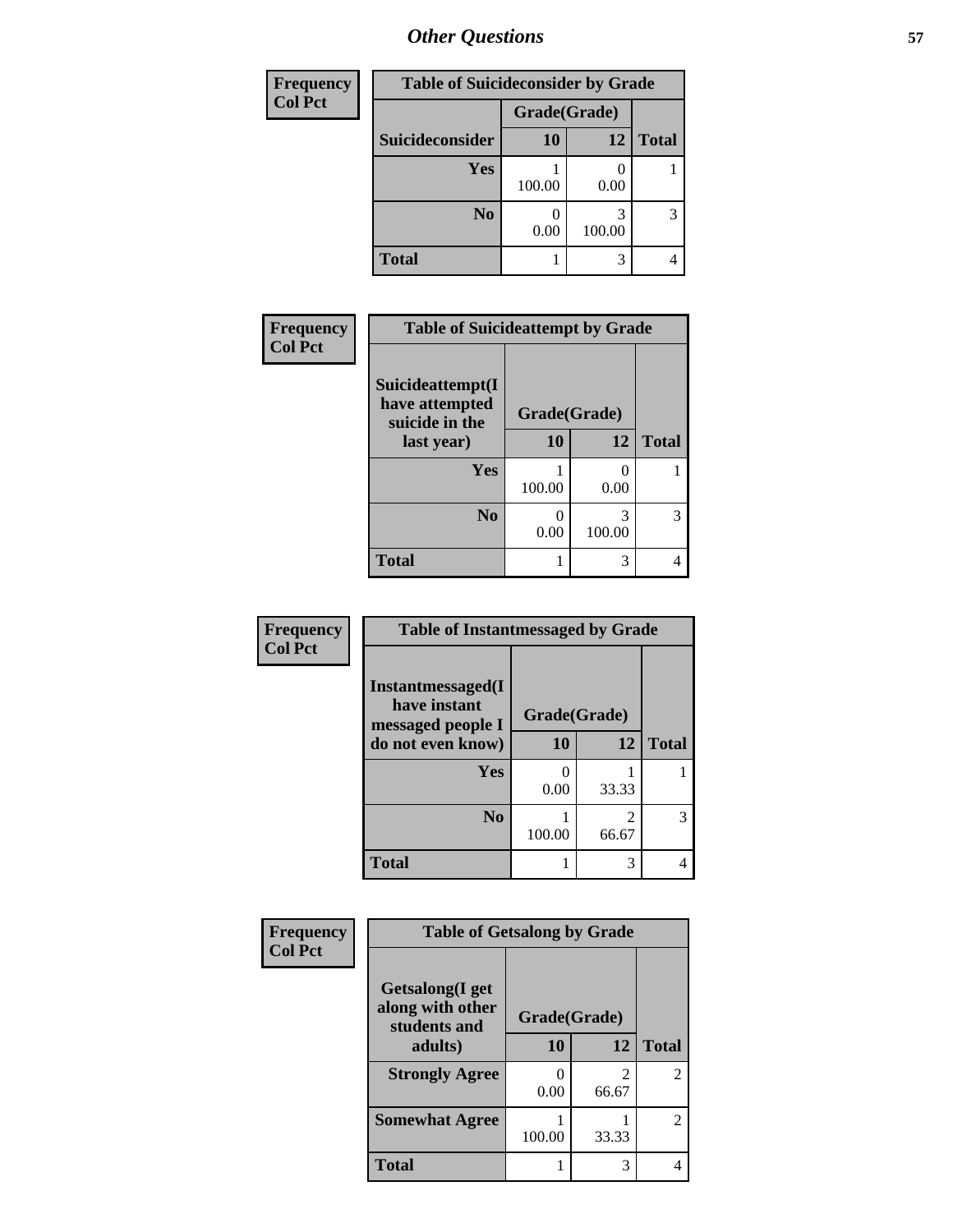| <b>Frequency</b> | <b>Table of Suicideconsider by Grade</b> |              |        |              |
|------------------|------------------------------------------|--------------|--------|--------------|
| <b>Col Pct</b>   |                                          | Grade(Grade) |        |              |
|                  | Suicideconsider                          | <b>10</b>    | 12     | <b>Total</b> |
|                  | Yes                                      | 100.00       | 0.00   |              |
|                  | N <sub>0</sub>                           | 0.00         | 100.00 | 3            |
|                  | <b>Total</b>                             |              | 3      |              |

| Frequency      | <b>Table of Suicideattempt by Grade</b>              |              |             |              |
|----------------|------------------------------------------------------|--------------|-------------|--------------|
| <b>Col Pct</b> | Suicideattempt(I<br>have attempted<br>suicide in the | Grade(Grade) |             |              |
|                | last year)                                           | 10           | 12          | <b>Total</b> |
|                | Yes                                                  | 100.00       | 0.00        |              |
|                | N <sub>0</sub>                                       | 0<br>0.00    | 3<br>100.00 | 3            |
|                | <b>Total</b>                                         | 1            | 3           |              |

| Frequency      | <b>Table of Instantmessaged by Grade</b>               |              |       |              |  |  |
|----------------|--------------------------------------------------------|--------------|-------|--------------|--|--|
| <b>Col Pct</b> | Instantmessaged(I<br>have instant<br>messaged people I | Grade(Grade) |       |              |  |  |
|                | do not even know)                                      | 10           | 12    | <b>Total</b> |  |  |
|                | Yes                                                    | 0.00         | 33.33 |              |  |  |
|                | N <sub>0</sub>                                         | 100.00       | 66.67 |              |  |  |
|                | <b>Total</b>                                           | 1            | 3     |              |  |  |

| Frequency      | <b>Table of Getsalong by Grade</b>                  |              |                         |                |  |
|----------------|-----------------------------------------------------|--------------|-------------------------|----------------|--|
| <b>Col Pct</b> | Getsalong(I get<br>along with other<br>students and | Grade(Grade) |                         |                |  |
|                | adults)                                             | 10           | 12                      | <b>Total</b>   |  |
|                | <b>Strongly Agree</b>                               | 0.00         | $\mathfrak{D}$<br>66.67 | $\overline{2}$ |  |
|                | <b>Somewhat Agree</b>                               | 100.00       | 33.33                   | $\overline{2}$ |  |
|                | Total                                               |              | 3                       | 4              |  |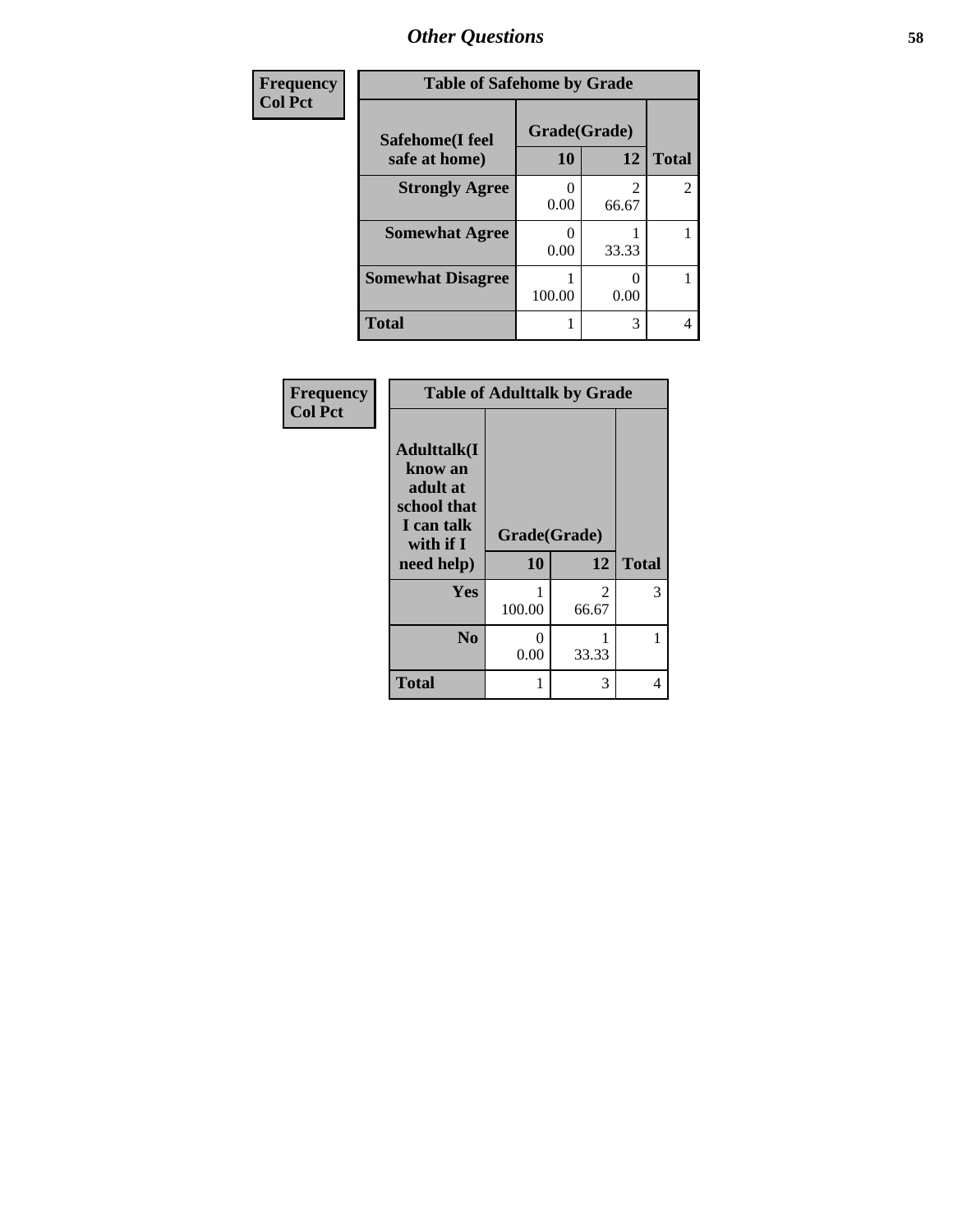| Frequency      | <b>Table of Safehome by Grade</b> |                    |            |                |  |
|----------------|-----------------------------------|--------------------|------------|----------------|--|
| <b>Col Pct</b> | Safehome(I feel<br>safe at home)  | Grade(Grade)<br>10 | 12         | <b>Total</b>   |  |
|                | <b>Strongly Agree</b>             | 0.00               | 2<br>66.67 | $\overline{2}$ |  |
|                | <b>Somewhat Agree</b>             | 0.00               | 33.33      |                |  |
|                | <b>Somewhat Disagree</b>          | 100.00             | 0.00       |                |  |
|                | <b>Total</b>                      |                    | 3          | 4              |  |

| Frequency<br><b>Col Pct</b> | <b>Table of Adulttalk by Grade</b>                                                                 |                    |            |              |  |  |
|-----------------------------|----------------------------------------------------------------------------------------------------|--------------------|------------|--------------|--|--|
|                             | <b>Adulttalk</b> (I<br>know an<br>adult at<br>school that<br>I can talk<br>with if I<br>need help) | Grade(Grade)<br>10 | 12         | <b>Total</b> |  |  |
|                             | Yes                                                                                                | 100.00             | 2<br>66.67 | 3            |  |  |
|                             | N <sub>0</sub>                                                                                     | 0<br>0.00          | 33.33      |              |  |  |
|                             | <b>Total</b>                                                                                       |                    | 3          | 4            |  |  |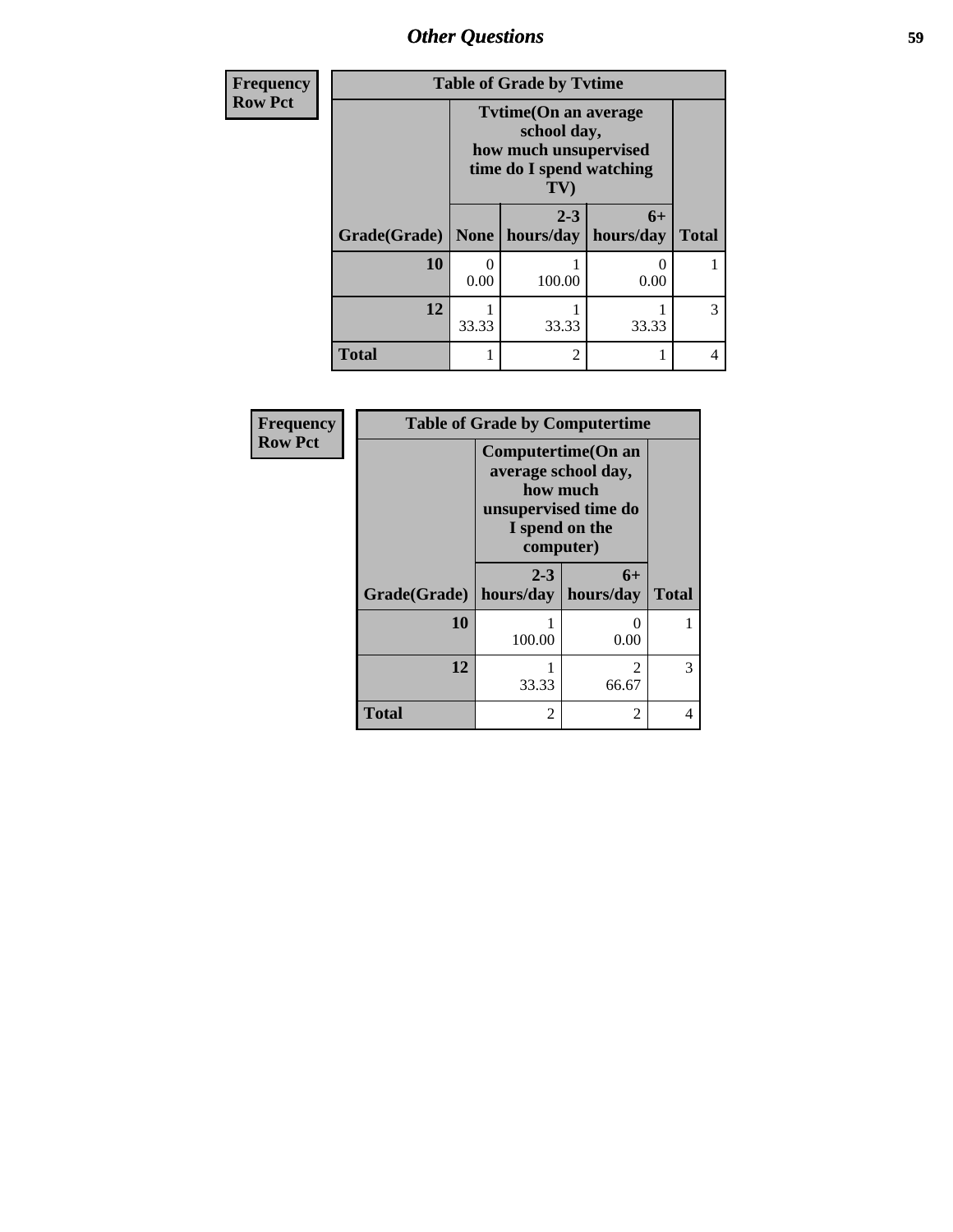| <b>Frequency</b> | <b>Table of Grade by Tvtime</b> |                                                                                   |                             |                   |              |
|------------------|---------------------------------|-----------------------------------------------------------------------------------|-----------------------------|-------------------|--------------|
| <b>Row Pct</b>   |                                 | <b>Tytime(On an average)</b><br>how much unsupervised<br>time do I spend watching |                             |                   |              |
|                  | <b>Grade</b> (Grade)            |                                                                                   | $2 - 3$<br>None   hours/day | $6+$<br>hours/day | <b>Total</b> |
|                  | 10                              | 0<br>0.00                                                                         | 100.00                      | 0<br>0.00         |              |
|                  | 12                              | 33.33                                                                             | 33.33                       | 33.33             | 3            |
|                  | <b>Total</b>                    |                                                                                   | $\mathfrak{D}$              |                   | 4            |

| Frequency      | <b>Table of Grade by Computertime</b> |                                                                                                               |                         |              |  |
|----------------|---------------------------------------|---------------------------------------------------------------------------------------------------------------|-------------------------|--------------|--|
| <b>Row Pct</b> |                                       | Computertime (On an<br>average school day,<br>how much<br>unsupervised time do<br>I spend on the<br>computer) |                         |              |  |
|                | Grade(Grade)                          | $2 - 3$<br>hours/day                                                                                          | $6+$<br>hours/day       | <b>Total</b> |  |
|                | 10                                    | 100.00                                                                                                        | 0<br>0.00               |              |  |
|                | 12                                    | 33.33                                                                                                         | $\mathfrak{D}$<br>66.67 | 3            |  |
|                | <b>Total</b>                          | $\mathfrak{D}$                                                                                                | 2                       | 4            |  |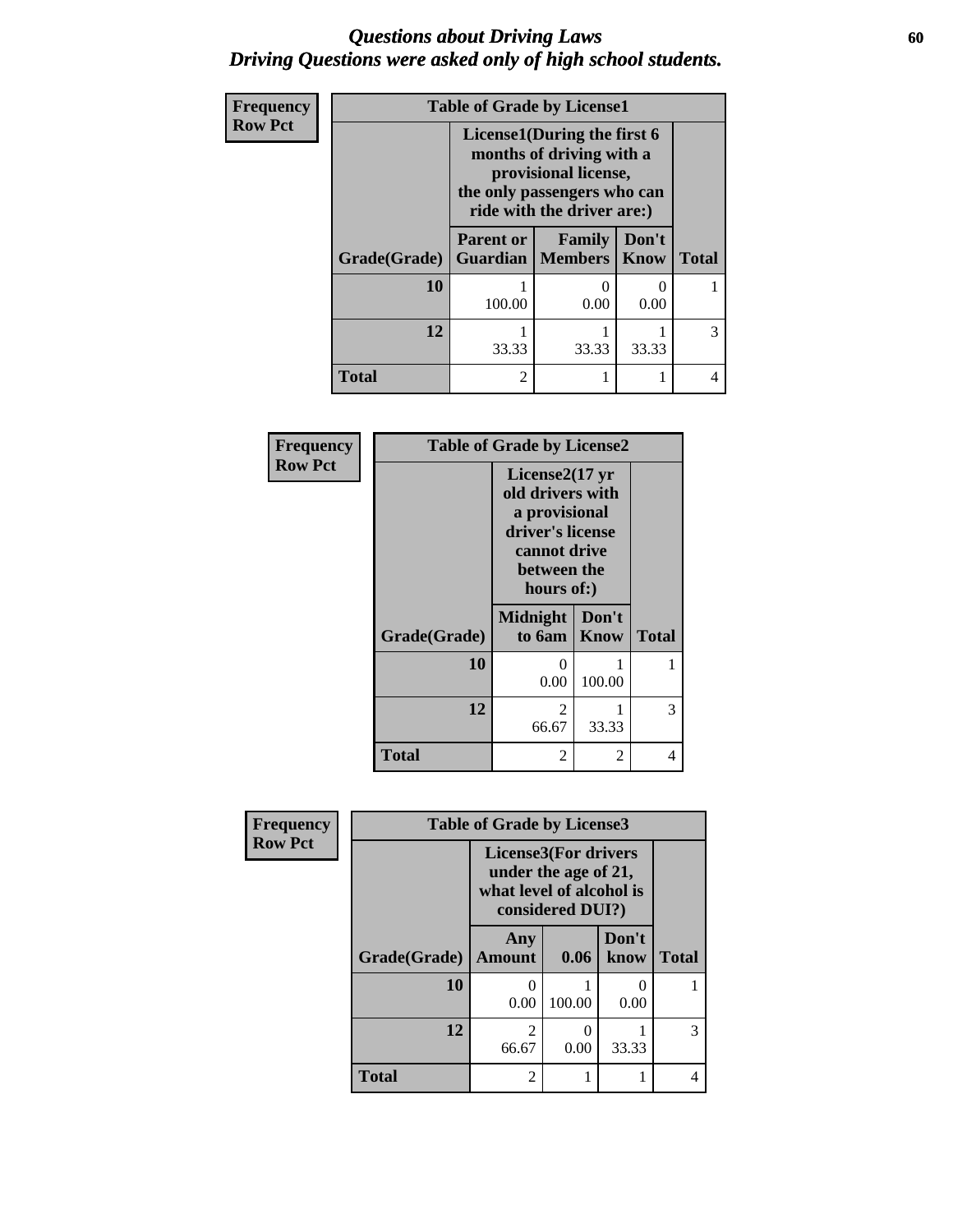### *Questions about Driving Laws* **60** *Driving Questions were asked only of high school students.*

| <b>Frequency</b> | <b>Table of Grade by License1</b> |                                                                                                                                              |                                     |               |              |
|------------------|-----------------------------------|----------------------------------------------------------------------------------------------------------------------------------------------|-------------------------------------|---------------|--------------|
| <b>Row Pct</b>   |                                   | License1(During the first 6<br>months of driving with a<br>provisional license,<br>the only passengers who can<br>ride with the driver are:) |                                     |               |              |
|                  | Grade(Grade)                      | <b>Parent or</b>                                                                                                                             | Family<br><b>Guardian</b>   Members | Don't<br>Know | <b>Total</b> |
|                  | 10                                | 100.00                                                                                                                                       | 0<br>0.00                           | 0<br>0.00     |              |
|                  | 12                                | 33.33                                                                                                                                        | 33.33                               | 33.33         | 3            |
|                  | <b>Total</b>                      | $\mathfrak{D}$                                                                                                                               |                                     |               | 4            |

| Frequency      | <b>Table of Grade by License2</b> |                                                                                                                                  |                |              |
|----------------|-----------------------------------|----------------------------------------------------------------------------------------------------------------------------------|----------------|--------------|
| <b>Row Pct</b> |                                   | License $2(17 \text{ yr})$<br>old drivers with<br>a provisional<br>driver's license<br>cannot drive<br>between the<br>hours of:) |                |              |
|                | Grade(Grade)                      | <b>Midnight</b><br>to 6am                                                                                                        | Don't<br>Know  | <b>Total</b> |
|                | 10                                | 0<br>0.00                                                                                                                        | 100.00         |              |
|                | 12                                | 2<br>66.67                                                                                                                       | 33.33          | 3            |
|                | <b>Total</b>                      | 2                                                                                                                                | $\overline{2}$ | 4            |

| Frequency      | <b>Table of Grade by License3</b> |                                                                                                     |        |               |              |  |
|----------------|-----------------------------------|-----------------------------------------------------------------------------------------------------|--------|---------------|--------------|--|
| <b>Row Pct</b> |                                   | <b>License3(For drivers</b><br>under the age of 21,<br>what level of alcohol is<br>considered DUI?) |        |               |              |  |
|                | Grade(Grade)                      | Any<br><b>Amount</b>                                                                                | 0.06   | Don't<br>know | <b>Total</b> |  |
|                | 10                                | $\Omega$<br>0.00                                                                                    | 100.00 | 0<br>0.00     |              |  |
|                | 12                                | 2<br>66.67                                                                                          | 0.00   | 33.33         | 3            |  |
|                | <b>Total</b>                      | 2                                                                                                   |        | 1             | 4            |  |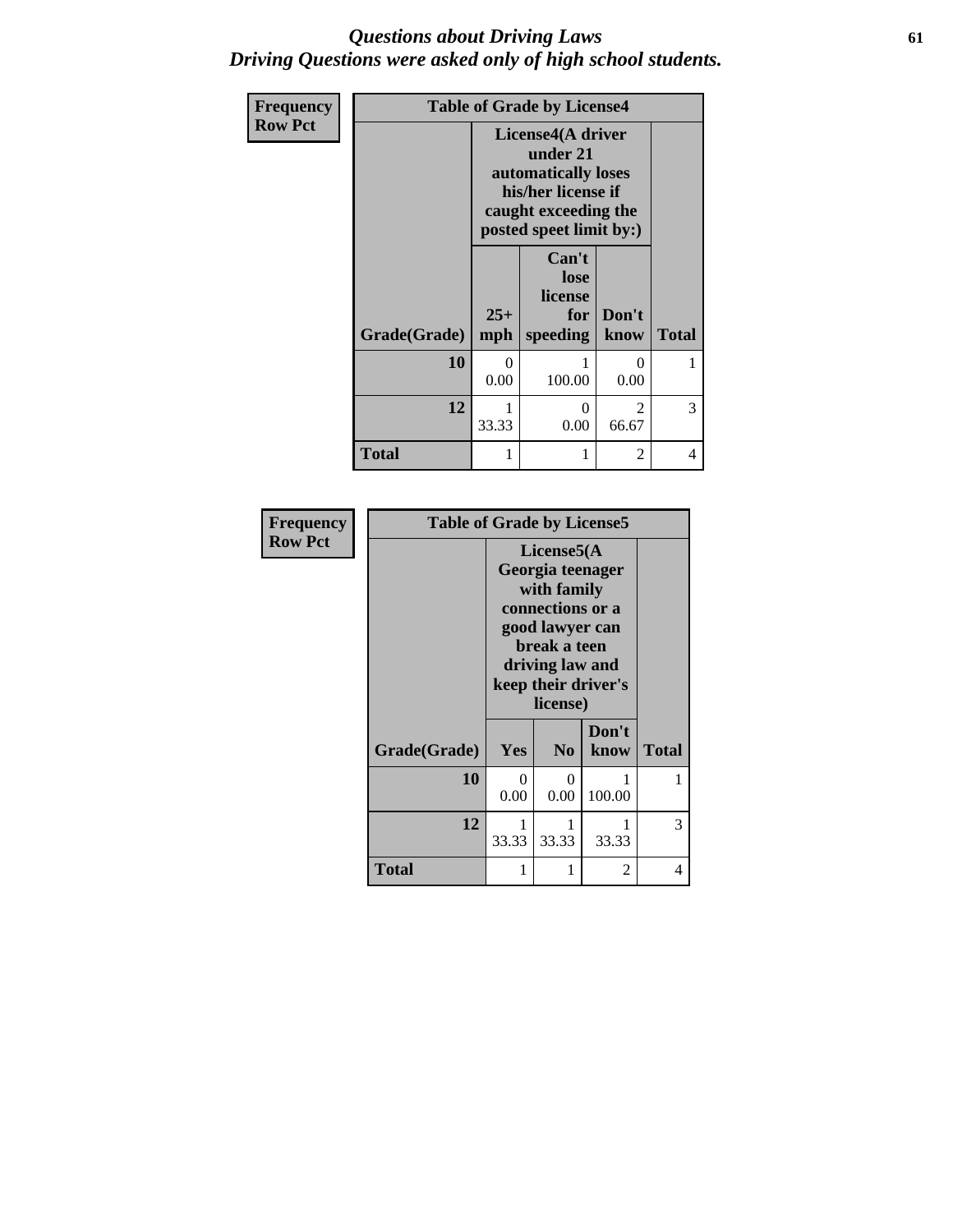### *Questions about Driving Laws* **61** *Driving Questions were asked only of high school students.*

| Frequency      | <b>Table of Grade by License4</b> |                                                                                                                               |                                             |                        |              |  |
|----------------|-----------------------------------|-------------------------------------------------------------------------------------------------------------------------------|---------------------------------------------|------------------------|--------------|--|
| <b>Row Pct</b> |                                   | License4(A driver<br>under 21<br>automatically loses<br>his/her license if<br>caught exceeding the<br>posted speet limit by:) |                                             |                        |              |  |
|                | Grade(Grade)                      | $25+$<br>mph                                                                                                                  | Can't<br>lose<br>license<br>for<br>speeding | Don't<br>know          | <b>Total</b> |  |
|                | 10                                | 0<br>0.00                                                                                                                     | 100.00                                      | 0<br>0.00              |              |  |
|                | 12                                | 33.33                                                                                                                         | 0<br>0.00                                   | $\mathcal{D}$<br>66.67 | 3            |  |
|                | <b>Total</b>                      |                                                                                                                               | 1                                           | 2                      | 4            |  |

| <b>Frequency</b> | <b>Table of Grade by License5</b> |                                                                                                       |                |               |              |  |
|------------------|-----------------------------------|-------------------------------------------------------------------------------------------------------|----------------|---------------|--------------|--|
| <b>Row Pct</b>   |                                   | License5(A)<br>Georgia teenager<br>with family<br>connections or a<br>good lawyer can<br>break a teen |                |               |              |  |
|                  |                                   | driving law and<br>keep their driver's<br>license)                                                    |                |               |              |  |
|                  | Grade(Grade)                      | Yes                                                                                                   | N <sub>0</sub> | Don't<br>know | <b>Total</b> |  |
|                  | 10                                | 0<br>0.00                                                                                             | 0<br>0.00      | 100.00        |              |  |
|                  | 12                                | 33.33                                                                                                 | 33.33          | 33.33         | 3            |  |
|                  | <b>Total</b>                      |                                                                                                       | 1              | 2             | 4            |  |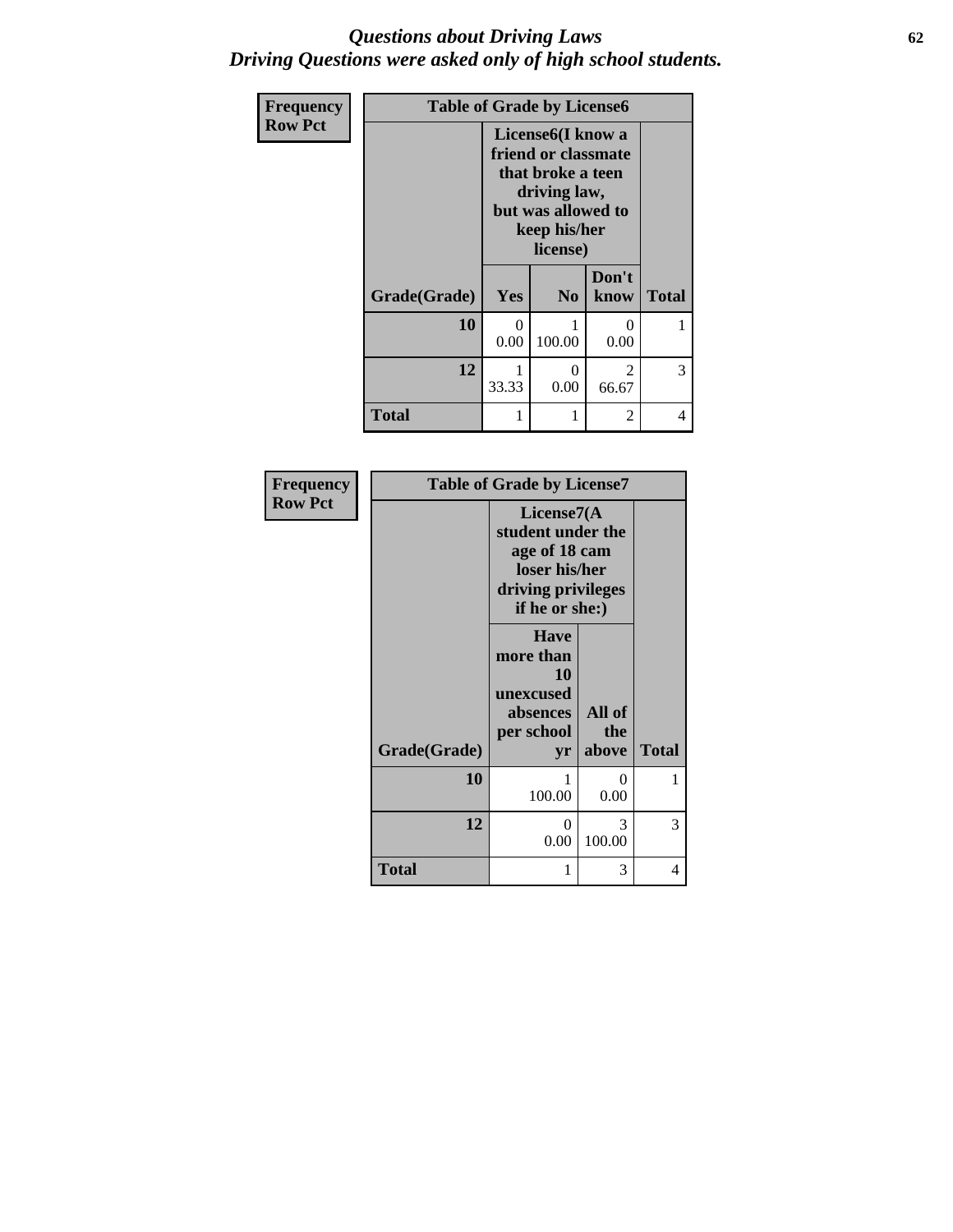### *Questions about Driving Laws* **62** *Driving Questions were asked only of high school students.*

| Frequency      | <b>Table of Grade by License6</b> |           |                                                                                                                                              |               |              |
|----------------|-----------------------------------|-----------|----------------------------------------------------------------------------------------------------------------------------------------------|---------------|--------------|
| <b>Row Pct</b> |                                   |           | License <sub>6</sub> (I know a<br>friend or classmate<br>that broke a teen<br>driving law,<br>but was allowed to<br>keep his/her<br>license) |               |              |
|                | Grade(Grade)                      | Yes       | N <sub>0</sub>                                                                                                                               | Don't<br>know | <b>Total</b> |
|                | 10                                | 0<br>0.00 | 100.00                                                                                                                                       | 0.00          |              |
|                | 12                                | 33.33     | 0<br>0.00                                                                                                                                    | 2<br>66.67    | 3            |
|                | <b>Total</b>                      | 1         |                                                                                                                                              | 2             | 4            |

| <b>Table of Grade by License7</b><br><b>Frequency</b> |              |                                                                                                            |                         |              |
|-------------------------------------------------------|--------------|------------------------------------------------------------------------------------------------------------|-------------------------|--------------|
| <b>Row Pct</b>                                        |              | License7(A)<br>student under the<br>age of 18 cam<br>loser his/her<br>driving privileges<br>if he or she:) |                         |              |
|                                                       | Grade(Grade) | <b>Have</b><br>more than<br>10<br>unexcused<br>absences<br>per school<br>yr                                | All of<br>the<br>above  | <b>Total</b> |
|                                                       | 10           | 100.00                                                                                                     | 0<br>0.00               | 1            |
|                                                       | 12           | 0<br>0.00                                                                                                  | $\mathcal{F}$<br>100.00 | 3            |
|                                                       | <b>Total</b> | 1                                                                                                          | 3                       | 4            |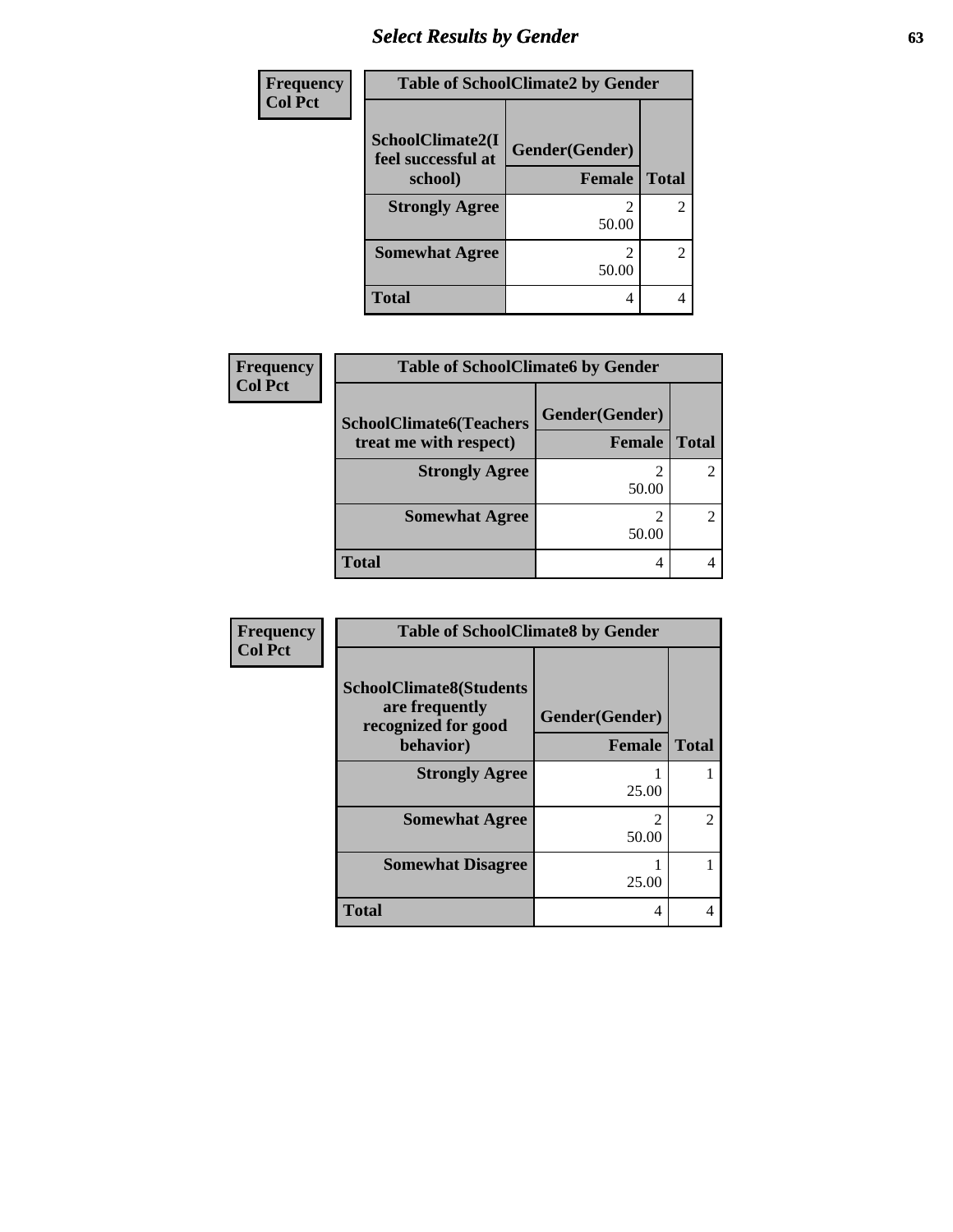# *Select Results by Gender* **63**

| <b>Frequency</b> | <b>Table of SchoolClimate2 by Gender</b>          |                                 |                |  |
|------------------|---------------------------------------------------|---------------------------------|----------------|--|
| <b>Col Pct</b>   | SchoolClimate2(I<br>feel successful at<br>school) | Gender(Gender)<br><b>Female</b> | <b>Total</b>   |  |
|                  | <b>Strongly Agree</b>                             | 50.00                           | $\overline{2}$ |  |
|                  | <b>Somewhat Agree</b>                             | 50.00                           | $\overline{c}$ |  |
|                  | <b>Total</b>                                      | 4                               |                |  |

| <b>Frequency</b> | <b>Table of SchoolClimate6 by Gender</b>                 |                                 |              |  |
|------------------|----------------------------------------------------------|---------------------------------|--------------|--|
| <b>Col Pct</b>   | <b>SchoolClimate6(Teachers</b><br>treat me with respect) | Gender(Gender)<br><b>Female</b> | <b>Total</b> |  |
|                  | <b>Strongly Agree</b>                                    | 50.00                           |              |  |
|                  | <b>Somewhat Agree</b>                                    | 50.00                           |              |  |
|                  | <b>Total</b>                                             | 4                               |              |  |

| Frequency      | <b>Table of SchoolClimate8 by Gender</b>                                             |                                 |                |  |
|----------------|--------------------------------------------------------------------------------------|---------------------------------|----------------|--|
| <b>Col Pct</b> | <b>SchoolClimate8(Students</b><br>are frequently<br>recognized for good<br>behavior) | Gender(Gender)<br><b>Female</b> | <b>Total</b>   |  |
|                | <b>Strongly Agree</b>                                                                | 25.00                           |                |  |
|                | <b>Somewhat Agree</b>                                                                | 50.00                           | $\mathfrak{D}$ |  |
|                | <b>Somewhat Disagree</b>                                                             | 25.00                           |                |  |
|                | <b>Total</b>                                                                         | 4                               |                |  |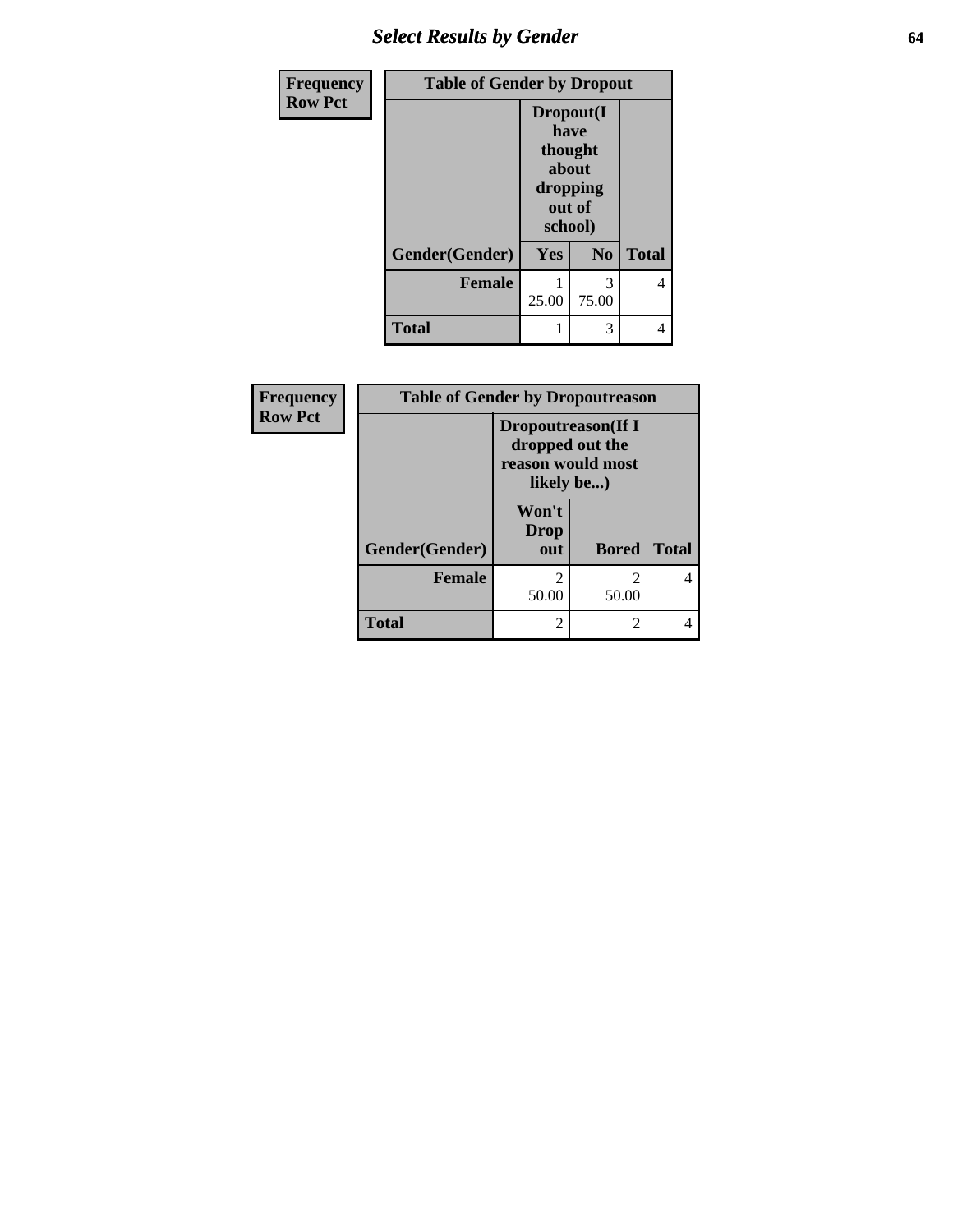# *Select Results by Gender* **64**

| <b>Frequency</b> | <b>Table of Gender by Dropout</b> |                 |                                                     |              |
|------------------|-----------------------------------|-----------------|-----------------------------------------------------|--------------|
| <b>Row Pct</b>   |                                   | have<br>school) | Dropout(I<br>thought<br>about<br>dropping<br>out of |              |
|                  | Gender(Gender)                    | Yes             | N <sub>0</sub>                                      | <b>Total</b> |
|                  | <b>Female</b>                     | 25.00           | 3<br>75.00                                          |              |
|                  | <b>Total</b>                      |                 | 3                                                   |              |

| Frequency      | <b>Table of Gender by Dropoutreason</b> |                                                                                  |                |              |
|----------------|-----------------------------------------|----------------------------------------------------------------------------------|----------------|--------------|
| <b>Row Pct</b> |                                         | <b>Dropoutreason</b> (If I<br>dropped out the<br>reason would most<br>likely be) |                |              |
|                |                                         | Won't<br>Drop                                                                    |                |              |
|                | Gender(Gender)                          | out                                                                              | <b>Bored</b>   | <b>Total</b> |
|                | <b>Female</b>                           | $\overline{2}$<br>50.00                                                          | 2<br>50.00     | 4            |
|                | <b>Total</b>                            | $\mathfrak{D}$                                                                   | $\overline{2}$ |              |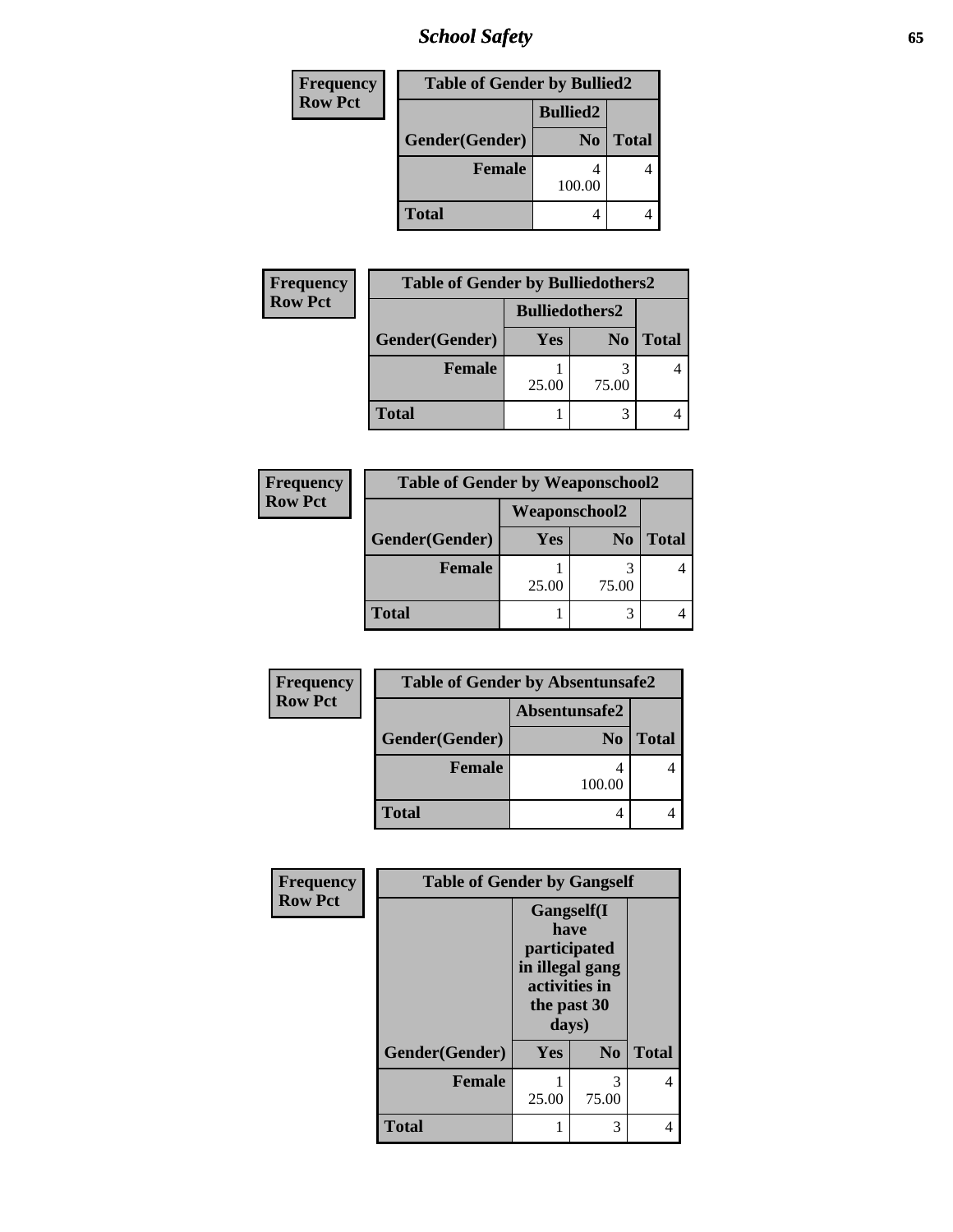*School Safety* **65**

| <b>Frequency</b> | <b>Table of Gender by Bullied2</b> |                 |              |  |
|------------------|------------------------------------|-----------------|--------------|--|
| <b>Row Pct</b>   |                                    | <b>Bullied2</b> |              |  |
|                  | Gender(Gender)                     | N <sub>0</sub>  | <b>Total</b> |  |
|                  | <b>Female</b>                      | 100.00          |              |  |
|                  | <b>Total</b>                       |                 |              |  |

| Frequency      | <b>Table of Gender by Bulliedothers2</b> |                       |                |              |
|----------------|------------------------------------------|-----------------------|----------------|--------------|
| <b>Row Pct</b> |                                          | <b>Bulliedothers2</b> |                |              |
|                | Gender(Gender)                           | <b>Yes</b>            | N <sub>0</sub> | <b>Total</b> |
|                | <b>Female</b>                            | 25.00                 | 75.00          |              |
|                | <b>Total</b>                             |                       |                |              |

| Frequency      | <b>Table of Gender by Weaponschool2</b> |               |                |       |
|----------------|-----------------------------------------|---------------|----------------|-------|
| <b>Row Pct</b> |                                         | Weaponschool2 |                |       |
|                | Gender(Gender)                          | <b>Yes</b>    | N <sub>0</sub> | Total |
|                | <b>Female</b>                           | 25.00         | 75.00          |       |
|                | <b>Total</b>                            |               |                |       |

| Frequency      |                | <b>Table of Gender by Absentunsafe2</b> |              |
|----------------|----------------|-----------------------------------------|--------------|
| <b>Row Pct</b> | Absentunsafe2  |                                         |              |
|                | Gender(Gender) | N <sub>0</sub>                          | <b>Total</b> |
|                | <b>Female</b>  | 100.00                                  |              |
|                | <b>Total</b>   |                                         |              |

| Frequency      | <b>Table of Gender by Gangself</b> |                                                                                                |                |              |
|----------------|------------------------------------|------------------------------------------------------------------------------------------------|----------------|--------------|
| <b>Row Pct</b> |                                    | Gangself(I<br>have<br>participated<br>in illegal gang<br>activities in<br>the past 30<br>days) |                |              |
|                | Gender(Gender)                     | Yes                                                                                            | N <sub>0</sub> | <b>Total</b> |
|                | <b>Female</b>                      | 25.00                                                                                          | 3<br>75.00     | 4            |
|                | <b>Total</b>                       | 1                                                                                              | 3              |              |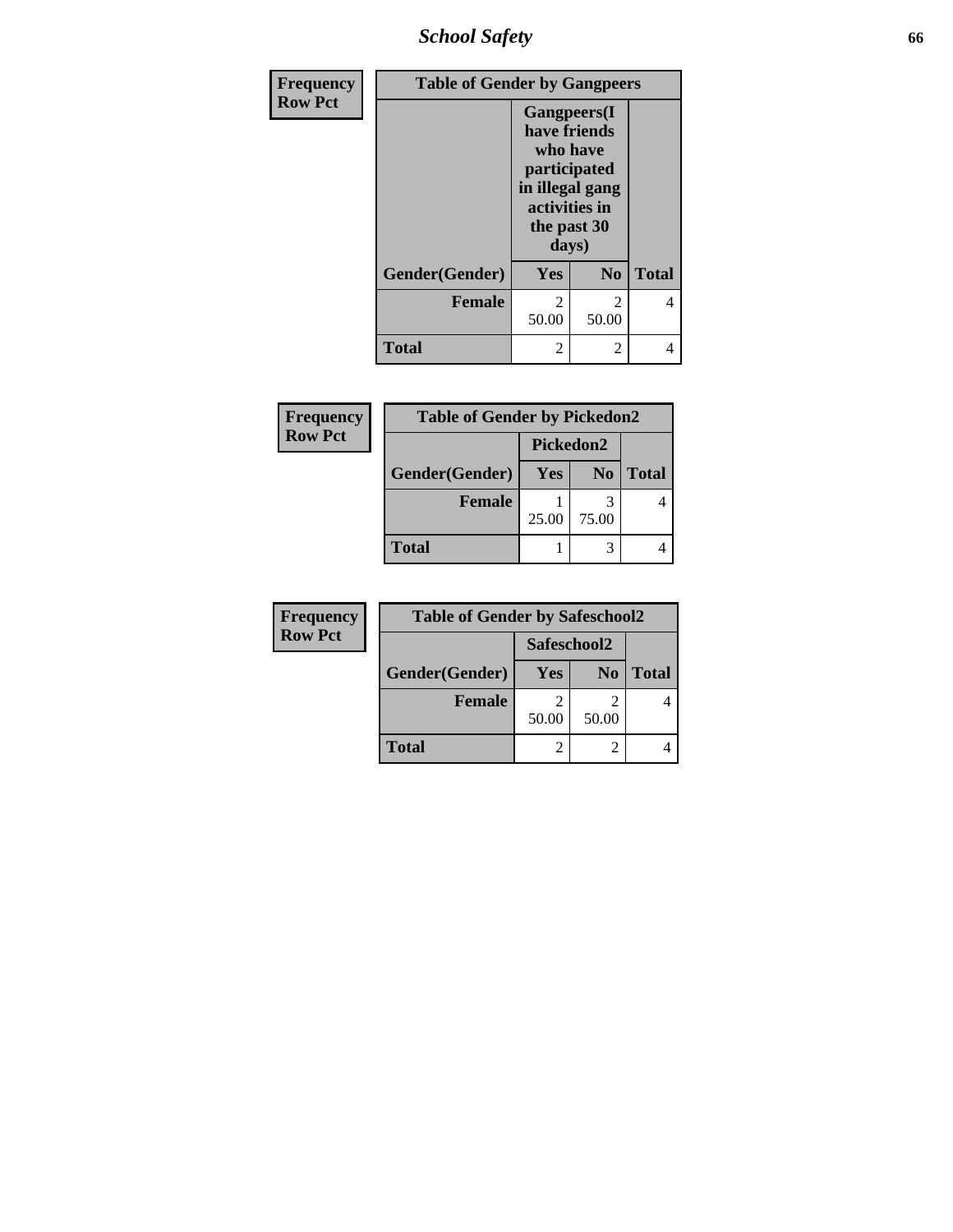*School Safety* **66**

| Frequency      | <b>Table of Gender by Gangpeers</b> |                                                                                                                             |                         |              |
|----------------|-------------------------------------|-----------------------------------------------------------------------------------------------------------------------------|-------------------------|--------------|
| <b>Row Pct</b> |                                     | <b>Gangpeers</b> (I<br>have friends<br>who have<br>participated<br>in illegal gang<br>activities in<br>the past 30<br>days) |                         |              |
|                | Gender(Gender)                      | <b>Yes</b>                                                                                                                  | N <sub>0</sub>          | <b>Total</b> |
|                | <b>Female</b>                       | 2<br>50.00                                                                                                                  | $\mathfrak{D}$<br>50.00 | 4            |
|                | Total                               | 2                                                                                                                           | 2                       |              |

| Frequency      | <b>Table of Gender by Pickedon2</b> |            |                |              |  |
|----------------|-------------------------------------|------------|----------------|--------------|--|
| <b>Row Pct</b> |                                     | Pickedon2  |                |              |  |
|                | Gender(Gender)                      | <b>Yes</b> | N <sub>0</sub> | <b>Total</b> |  |
|                | <b>Female</b>                       | 25.00      | 75.00          |              |  |
|                | <b>Total</b>                        |            |                |              |  |

| Frequency      | <b>Table of Gender by Safeschool2</b> |             |                |              |  |
|----------------|---------------------------------------|-------------|----------------|--------------|--|
| <b>Row Pct</b> |                                       | Safeschool2 |                |              |  |
|                | Gender(Gender)                        | Yes         | N <sub>0</sub> | <b>Total</b> |  |
|                | <b>Female</b>                         | 2           |                |              |  |
|                |                                       | 50.00       | 50.00          |              |  |
|                | <b>Total</b>                          |             |                |              |  |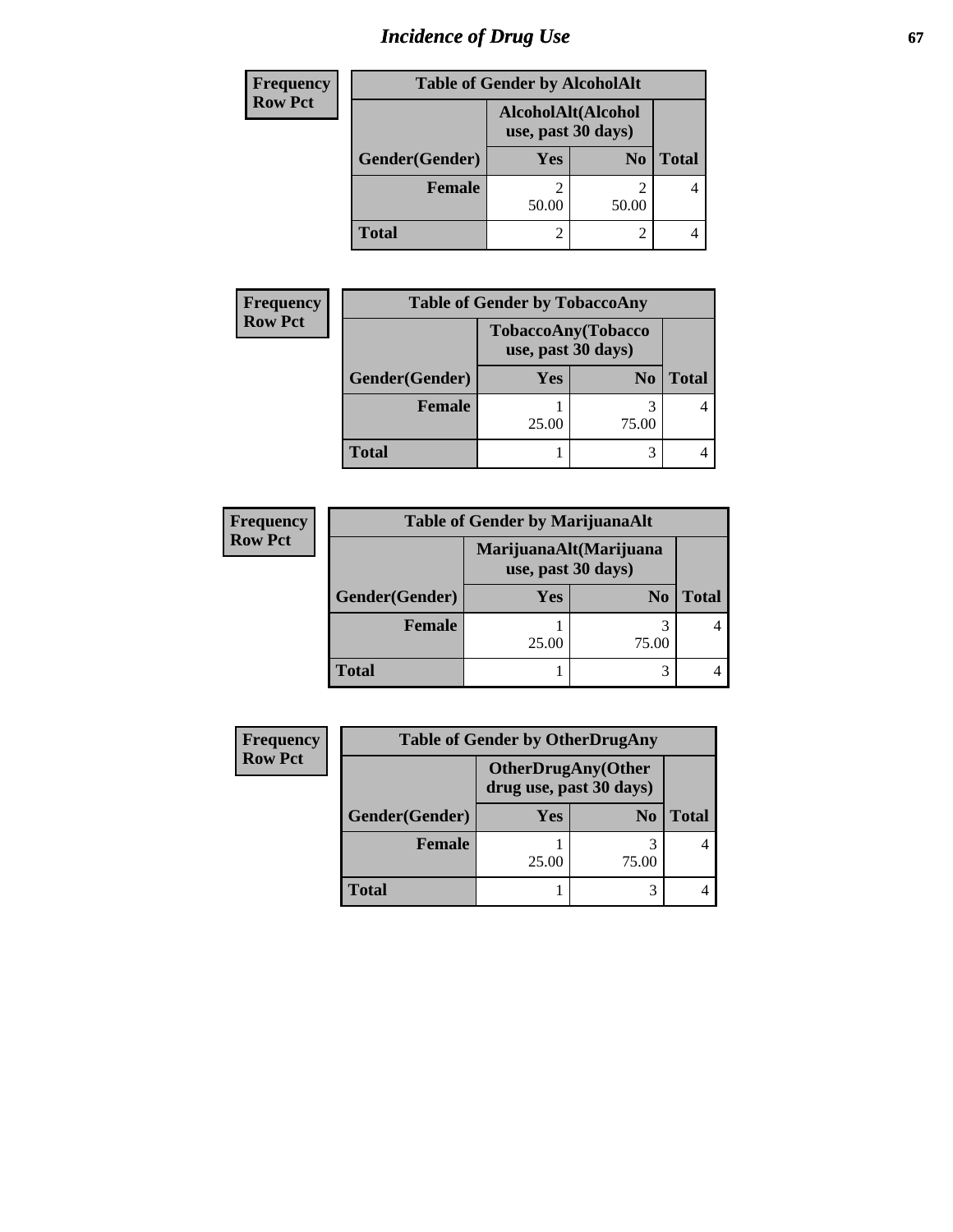# *Incidence of Drug Use* 67

| <b>Frequency</b> | <b>Table of Gender by AlcoholAlt</b> |                                          |                |              |
|------------------|--------------------------------------|------------------------------------------|----------------|--------------|
| <b>Row Pct</b>   |                                      | AlcoholAlt(Alcohol<br>use, past 30 days) |                |              |
|                  | Gender(Gender)                       | <b>Yes</b>                               | N <sub>0</sub> | <b>Total</b> |
|                  | <b>Female</b>                        | 2<br>50.00                               | 50.00          | 4            |
|                  | <b>Total</b>                         | 2                                        |                |              |

| <b>Frequency</b> | <b>Table of Gender by TobaccoAny</b> |                                          |                |              |
|------------------|--------------------------------------|------------------------------------------|----------------|--------------|
| <b>Row Pct</b>   |                                      | TobaccoAny(Tobacco<br>use, past 30 days) |                |              |
|                  | Gender(Gender)                       | <b>Yes</b>                               | N <sub>0</sub> | <b>Total</b> |
|                  | <b>Female</b>                        | 25.00                                    | 3<br>75.00     |              |
|                  | <b>Total</b>                         |                                          | 3              |              |

| <b>Frequency</b> | <b>Table of Gender by MarijuanaAlt</b> |                                              |                |              |
|------------------|----------------------------------------|----------------------------------------------|----------------|--------------|
| <b>Row Pct</b>   |                                        | MarijuanaAlt(Marijuana<br>use, past 30 days) |                |              |
|                  | Gender(Gender)                         | <b>Yes</b>                                   | N <sub>0</sub> | <b>Total</b> |
|                  | <b>Female</b>                          | 25.00                                        | 75.00          |              |
|                  | <b>Total</b>                           |                                              |                |              |

| Frequency      |                | <b>Table of Gender by OtherDrugAny</b>               |                |              |
|----------------|----------------|------------------------------------------------------|----------------|--------------|
| <b>Row Pct</b> |                | <b>OtherDrugAny(Other</b><br>drug use, past 30 days) |                |              |
|                | Gender(Gender) | <b>Yes</b>                                           | N <sub>0</sub> | <b>Total</b> |
|                | <b>Female</b>  | 25.00                                                | 3<br>75.00     |              |
|                | <b>Total</b>   |                                                      |                |              |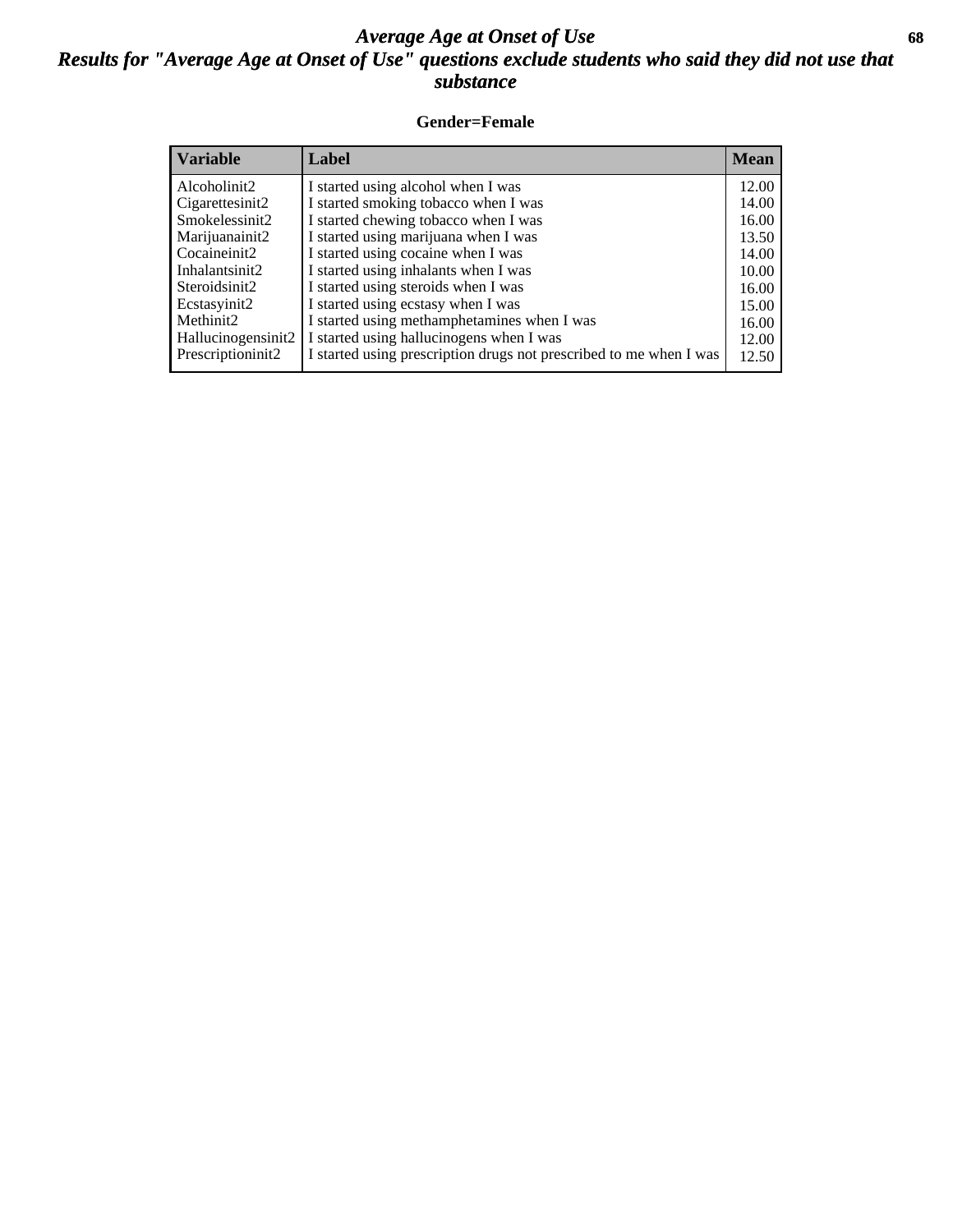## *Average Age at Onset of Use* **68** *Results for "Average Age at Onset of Use" questions exclude students who said they did not use that substance*

#### **Gender=Female**

| <b>Variable</b>    | Label                                                              | <b>Mean</b> |
|--------------------|--------------------------------------------------------------------|-------------|
| Alcoholinit2       | I started using alcohol when I was                                 | 12.00       |
| Cigarettesinit2    | I started smoking tobacco when I was                               | 14.00       |
| Smokelessinit2     | I started chewing tobacco when I was                               | 16.00       |
| Marijuanainit2     | I started using marijuana when I was                               | 13.50       |
| Cocaineinit2       | I started using cocaine when I was                                 | 14.00       |
| Inhalantsinit2     | I started using inhalants when I was                               | 10.00       |
| Steroidsinit2      | I started using steroids when I was                                | 16.00       |
| Ecstasyinit2       | I started using ecstasy when I was                                 | 15.00       |
| Methinit2          | I started using methamphetamines when I was                        | 16.00       |
| Hallucinogensinit2 | I started using hallucinogens when I was                           | 12.00       |
| Prescriptioninit2  | I started using prescription drugs not prescribed to me when I was | 12.50       |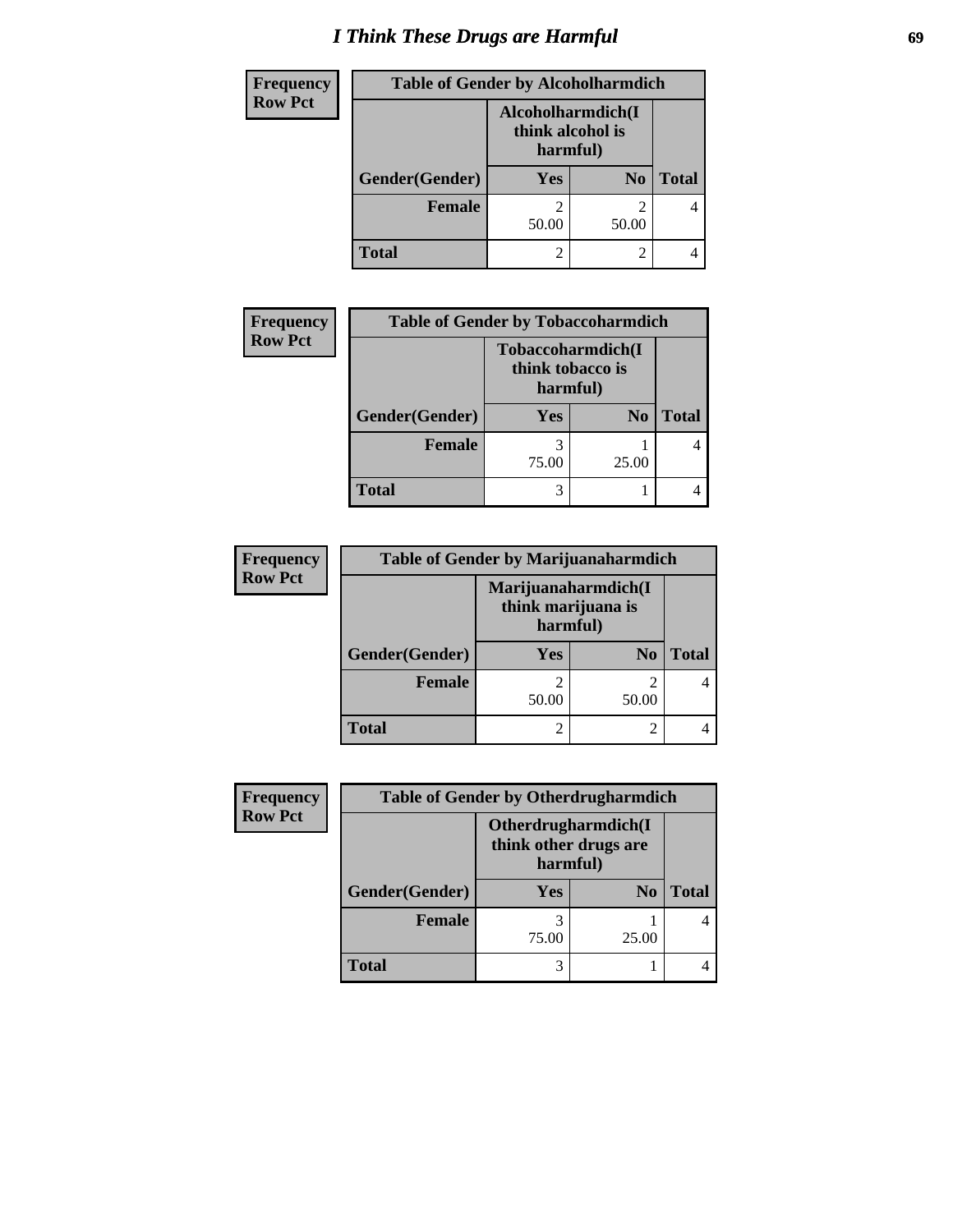# *I Think These Drugs are Harmful* **69**

| <b>Frequency</b> | <b>Table of Gender by Alcoholharmdich</b> |                                                   |                |              |
|------------------|-------------------------------------------|---------------------------------------------------|----------------|--------------|
| <b>Row Pct</b>   |                                           | Alcoholharmdich(I<br>think alcohol is<br>harmful) |                |              |
|                  | Gender(Gender)                            | Yes                                               | N <sub>0</sub> | <b>Total</b> |
|                  | <b>Female</b>                             | 50.00                                             | 50.00          |              |
|                  | <b>Total</b>                              | 2                                                 | 2              |              |

| <b>Frequency</b> |                | <b>Table of Gender by Tobaccoharmdich</b>         |                |              |  |
|------------------|----------------|---------------------------------------------------|----------------|--------------|--|
| <b>Row Pct</b>   |                | Tobaccoharmdich(I<br>think tobacco is<br>harmful) |                |              |  |
|                  | Gender(Gender) | <b>Yes</b>                                        | N <sub>0</sub> | <b>Total</b> |  |
|                  | <b>Female</b>  | 75.00                                             | 25.00          |              |  |
|                  | Total          |                                                   |                |              |  |

| <b>Frequency</b> | <b>Table of Gender by Marijuanaharmdich</b> |                                                       |                |              |
|------------------|---------------------------------------------|-------------------------------------------------------|----------------|--------------|
| <b>Row Pct</b>   |                                             | Marijuanaharmdich(I<br>think marijuana is<br>harmful) |                |              |
|                  | Gender(Gender)                              | <b>Yes</b>                                            | N <sub>0</sub> | <b>Total</b> |
|                  | <b>Female</b>                               | ി<br>50.00                                            | 50.00          |              |
|                  | <b>Total</b>                                | 2                                                     |                |              |

| <b>Frequency</b> | <b>Table of Gender by Otherdrugharmdich</b> |                                                          |                |              |
|------------------|---------------------------------------------|----------------------------------------------------------|----------------|--------------|
| <b>Row Pct</b>   |                                             | Otherdrugharmdich(I<br>think other drugs are<br>harmful) |                |              |
|                  | Gender(Gender)                              | <b>Yes</b>                                               | N <sub>0</sub> | <b>Total</b> |
|                  | <b>Female</b>                               | 75.00                                                    | 25.00          |              |
|                  | <b>Total</b>                                | 3                                                        |                |              |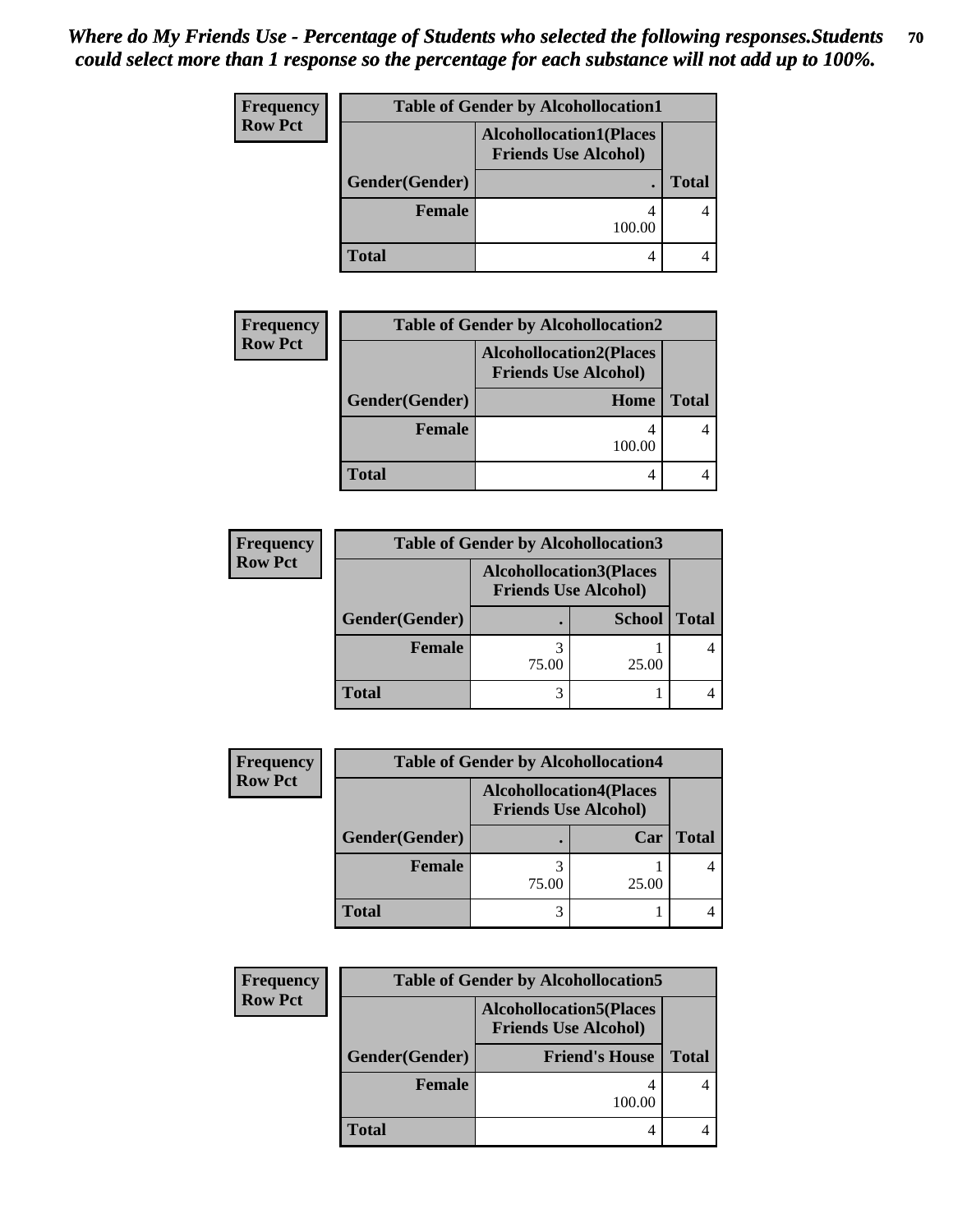| Frequency      |                | <b>Table of Gender by Alcohollocation1</b>                    |              |
|----------------|----------------|---------------------------------------------------------------|--------------|
| <b>Row Pct</b> |                | <b>Alcohollocation1(Places</b><br><b>Friends Use Alcohol)</b> |              |
|                | Gender(Gender) |                                                               | <b>Total</b> |
|                | <b>Female</b>  | 100.00                                                        |              |
|                | <b>Total</b>   | 4                                                             |              |

| <b>Frequency</b> | <b>Table of Gender by Alcohollocation2</b> |                                                               |              |  |
|------------------|--------------------------------------------|---------------------------------------------------------------|--------------|--|
| <b>Row Pct</b>   |                                            | <b>Alcohollocation2(Places</b><br><b>Friends Use Alcohol)</b> |              |  |
|                  | Gender(Gender)<br>Home                     |                                                               | <b>Total</b> |  |
|                  | Female                                     | 100.00                                                        |              |  |
|                  | Total                                      | 4                                                             |              |  |

| <b>Frequency</b> | <b>Table of Gender by Alcohollocation3</b> |                                                               |               |              |
|------------------|--------------------------------------------|---------------------------------------------------------------|---------------|--------------|
| <b>Row Pct</b>   |                                            | <b>Alcohollocation3(Places</b><br><b>Friends Use Alcohol)</b> |               |              |
|                  | Gender(Gender)                             |                                                               | <b>School</b> | <b>Total</b> |
|                  | <b>Female</b>                              | 75.00                                                         | 25.00         |              |
|                  | <b>Total</b>                               |                                                               |               |              |

| <b>Frequency</b> | <b>Table of Gender by Alcohollocation4</b> |                                |                             |              |
|------------------|--------------------------------------------|--------------------------------|-----------------------------|--------------|
| <b>Row Pct</b>   |                                            | <b>Alcohollocation4(Places</b> | <b>Friends Use Alcohol)</b> |              |
|                  | Gender(Gender)                             | ٠                              | Car                         | <b>Total</b> |
|                  | <b>Female</b>                              | 75.00                          | 25.00                       |              |
|                  | <b>Total</b>                               |                                |                             |              |

| <b>Frequency</b> | <b>Table of Gender by Alcohollocation5</b> |                                                                |              |  |
|------------------|--------------------------------------------|----------------------------------------------------------------|--------------|--|
| <b>Row Pct</b>   |                                            | <b>Alcohollocation5</b> (Places<br><b>Friends Use Alcohol)</b> |              |  |
|                  | Gender(Gender)                             | <b>Friend's House</b>                                          | <b>Total</b> |  |
|                  | <b>Female</b>                              | 100.00                                                         |              |  |
|                  | <b>Total</b>                               |                                                                |              |  |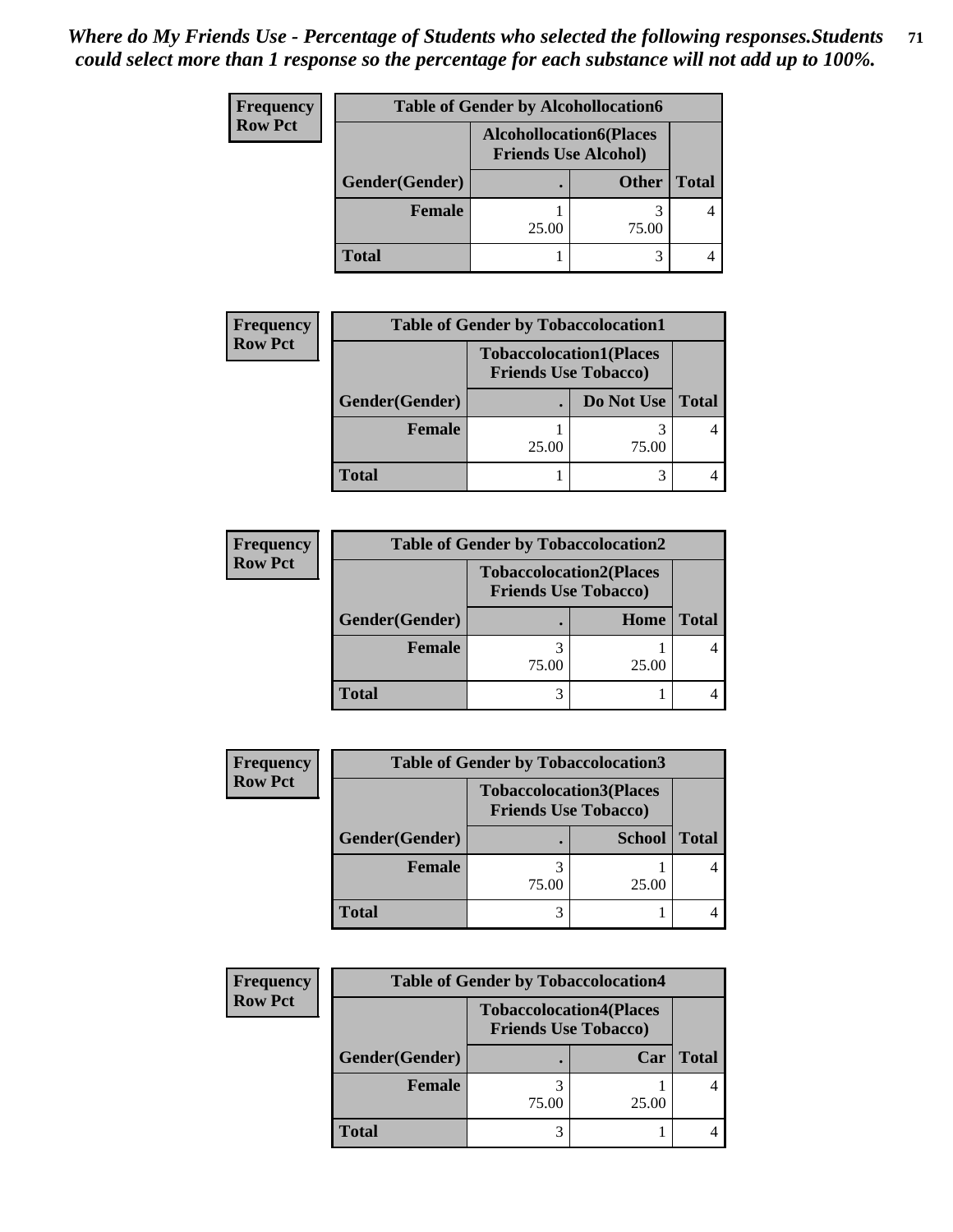| Frequency      | <b>Table of Gender by Alcohollocation6</b> |                                                               |              |              |
|----------------|--------------------------------------------|---------------------------------------------------------------|--------------|--------------|
| <b>Row Pct</b> |                                            | <b>Alcohollocation6(Places</b><br><b>Friends Use Alcohol)</b> |              |              |
|                | Gender(Gender)                             |                                                               | <b>Other</b> | <b>Total</b> |
|                | Female                                     | 25.00                                                         | 75.00        |              |
|                | <b>Total</b>                               |                                                               |              |              |

| <b>Frequency</b> | <b>Table of Gender by Tobaccolocation1</b> |                                                               |            |              |
|------------------|--------------------------------------------|---------------------------------------------------------------|------------|--------------|
| <b>Row Pct</b>   |                                            | <b>Tobaccolocation1(Places</b><br><b>Friends Use Tobacco)</b> |            |              |
|                  | Gender(Gender)                             |                                                               | Do Not Use | <b>Total</b> |
|                  | Female                                     | 25.00                                                         | 75.00      |              |
|                  | <b>Total</b>                               |                                                               |            |              |

| <b>Frequency</b> | <b>Table of Gender by Tobaccolocation2</b> |                                                               |       |              |
|------------------|--------------------------------------------|---------------------------------------------------------------|-------|--------------|
| <b>Row Pct</b>   |                                            | <b>Tobaccolocation2(Places</b><br><b>Friends Use Tobacco)</b> |       |              |
|                  | Gender(Gender)                             |                                                               | Home  | <b>Total</b> |
|                  | <b>Female</b>                              | 75.00                                                         | 25.00 |              |
|                  | <b>Total</b>                               |                                                               |       |              |

| <b>Frequency</b> |                | <b>Table of Gender by Tobaccolocation3</b>                    |               |              |  |
|------------------|----------------|---------------------------------------------------------------|---------------|--------------|--|
| <b>Row Pct</b>   |                | <b>Tobaccolocation3(Places</b><br><b>Friends Use Tobacco)</b> |               |              |  |
|                  | Gender(Gender) |                                                               | <b>School</b> | <b>Total</b> |  |
|                  | <b>Female</b>  | 75.00                                                         | 25.00         |              |  |
|                  | <b>Total</b>   | 3                                                             |               |              |  |

| Frequency      | <b>Table of Gender by Tobaccolocation4</b> |                                                               |       |              |
|----------------|--------------------------------------------|---------------------------------------------------------------|-------|--------------|
| <b>Row Pct</b> |                                            | <b>Tobaccolocation4(Places</b><br><b>Friends Use Tobacco)</b> |       |              |
|                | Gender(Gender)                             |                                                               | Car   | <b>Total</b> |
|                | Female                                     | 75.00                                                         | 25.00 |              |
|                | <b>Total</b>                               |                                                               |       |              |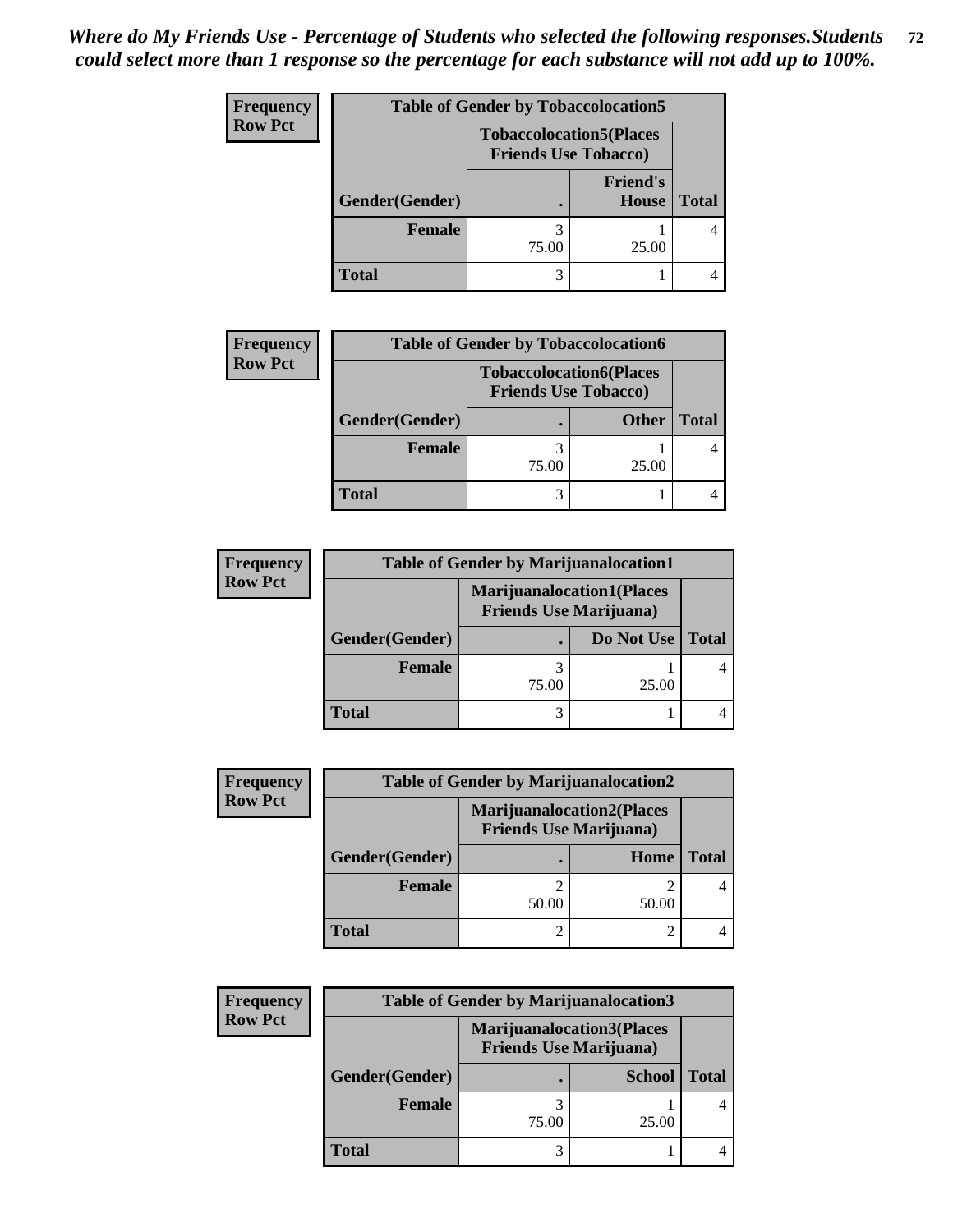| <b>Frequency</b> | <b>Table of Gender by Tobaccolocation5</b> |                             |                                 |              |
|------------------|--------------------------------------------|-----------------------------|---------------------------------|--------------|
| <b>Row Pct</b>   |                                            | <b>Friends Use Tobacco)</b> | <b>Tobaccolocation5(Places</b>  |              |
|                  | Gender(Gender)                             |                             | <b>Friend's</b><br><b>House</b> | <b>Total</b> |
|                  | <b>Female</b>                              | 75.00                       | 25.00                           |              |
|                  | <b>Total</b>                               | 3                           |                                 |              |

| Frequency      | <b>Table of Gender by Tobaccolocation6</b> |                                                               |              |              |
|----------------|--------------------------------------------|---------------------------------------------------------------|--------------|--------------|
| <b>Row Pct</b> |                                            | <b>Tobaccolocation6(Places</b><br><b>Friends Use Tobacco)</b> |              |              |
|                | Gender(Gender)                             |                                                               | <b>Other</b> | <b>Total</b> |
|                | Female                                     | 75.00                                                         | 25.00        |              |
|                | <b>Total</b>                               | 3                                                             |              |              |

| <b>Frequency</b> | <b>Table of Gender by Marijuanalocation1</b> |                                                                    |            |       |
|------------------|----------------------------------------------|--------------------------------------------------------------------|------------|-------|
| <b>Row Pct</b>   |                                              | <b>Marijuanalocation1(Places</b><br><b>Friends Use Marijuana</b> ) |            |       |
|                  | Gender(Gender)                               |                                                                    | Do Not Use | Total |
|                  | <b>Female</b>                                | 75.00                                                              | 25.00      |       |
|                  | <b>Total</b>                                 |                                                                    |            |       |

| <b>Frequency</b> | <b>Table of Gender by Marijuanalocation2</b> |                                                                    |       |              |
|------------------|----------------------------------------------|--------------------------------------------------------------------|-------|--------------|
| <b>Row Pct</b>   |                                              | <b>Marijuanalocation2(Places</b><br><b>Friends Use Marijuana</b> ) |       |              |
|                  | Gender(Gender)                               |                                                                    | Home  | <b>Total</b> |
|                  | <b>Female</b>                                | 50.00                                                              | 50.00 |              |
|                  | <b>Total</b>                                 |                                                                    |       |              |

| Frequency      | <b>Table of Gender by Marijuanalocation3</b> |                                                                    |               |              |  |
|----------------|----------------------------------------------|--------------------------------------------------------------------|---------------|--------------|--|
| <b>Row Pct</b> |                                              | <b>Marijuanalocation3(Places</b><br><b>Friends Use Marijuana</b> ) |               |              |  |
|                | Gender(Gender)                               |                                                                    | <b>School</b> | <b>Total</b> |  |
|                | <b>Female</b>                                | 75.00                                                              | 25.00         |              |  |
|                | <b>Total</b>                                 |                                                                    |               |              |  |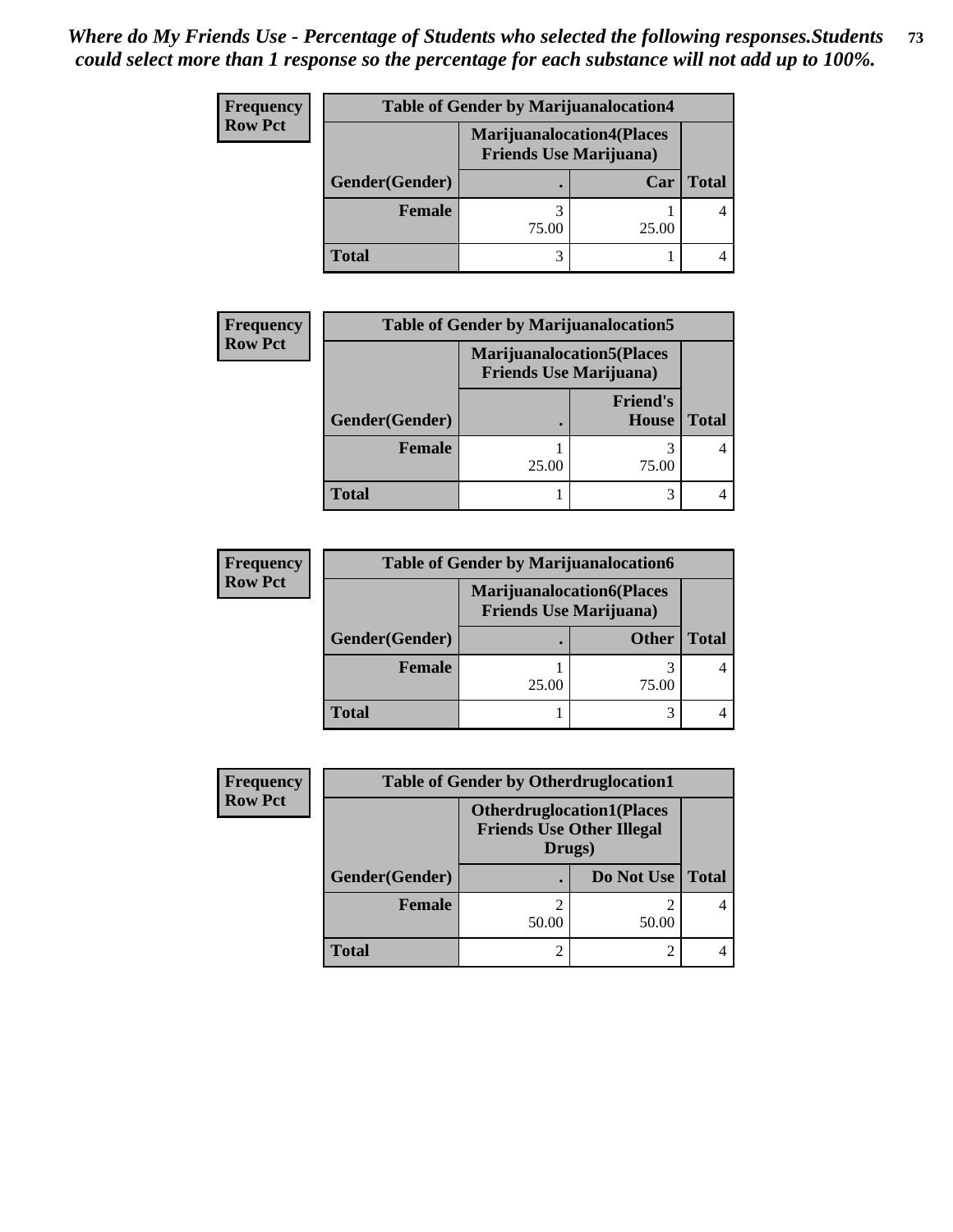| <b>Frequency</b> | <b>Table of Gender by Marijuanalocation4</b> |                                |                                  |              |
|------------------|----------------------------------------------|--------------------------------|----------------------------------|--------------|
| <b>Row Pct</b>   |                                              | <b>Friends Use Marijuana</b> ) | <b>Marijuanalocation4(Places</b> |              |
|                  | Gender(Gender)                               |                                | Car                              | <b>Total</b> |
|                  | <b>Female</b>                                | 75.00                          | 25.00                            |              |
|                  | <b>Total</b>                                 |                                |                                  |              |

| <b>Frequency</b> | <b>Table of Gender by Marijuanalocation5</b> |                                                                    |                                 |              |
|------------------|----------------------------------------------|--------------------------------------------------------------------|---------------------------------|--------------|
| <b>Row Pct</b>   |                                              | <b>Marijuanalocation5(Places</b><br><b>Friends Use Marijuana</b> ) |                                 |              |
|                  | Gender(Gender)                               |                                                                    | <b>Friend's</b><br><b>House</b> | <b>Total</b> |
|                  | <b>Female</b>                                | 25.00                                                              | 75.00                           |              |
|                  | <b>Total</b>                                 |                                                                    |                                 |              |

| <b>Frequency</b> |                | <b>Table of Gender by Marijuanalocation6</b>                       |              |       |
|------------------|----------------|--------------------------------------------------------------------|--------------|-------|
| <b>Row Pct</b>   |                | <b>Marijuanalocation6(Places</b><br><b>Friends Use Marijuana</b> ) |              |       |
|                  | Gender(Gender) |                                                                    | <b>Other</b> | Total |
|                  | Female         | 25.00                                                              | 75.00        |       |
|                  | <b>Total</b>   |                                                                    |              |       |

| <b>Frequency</b> | <b>Table of Gender by Otherdruglocation1</b> |                                                                                |            |              |
|------------------|----------------------------------------------|--------------------------------------------------------------------------------|------------|--------------|
| <b>Row Pct</b>   |                                              | <b>Otherdruglocation1(Places</b><br><b>Friends Use Other Illegal</b><br>Drugs) |            |              |
|                  | Gender(Gender)                               |                                                                                | Do Not Use | <b>Total</b> |
|                  | <b>Female</b>                                | 50.00                                                                          | 50.00      |              |
|                  | Total                                        |                                                                                |            |              |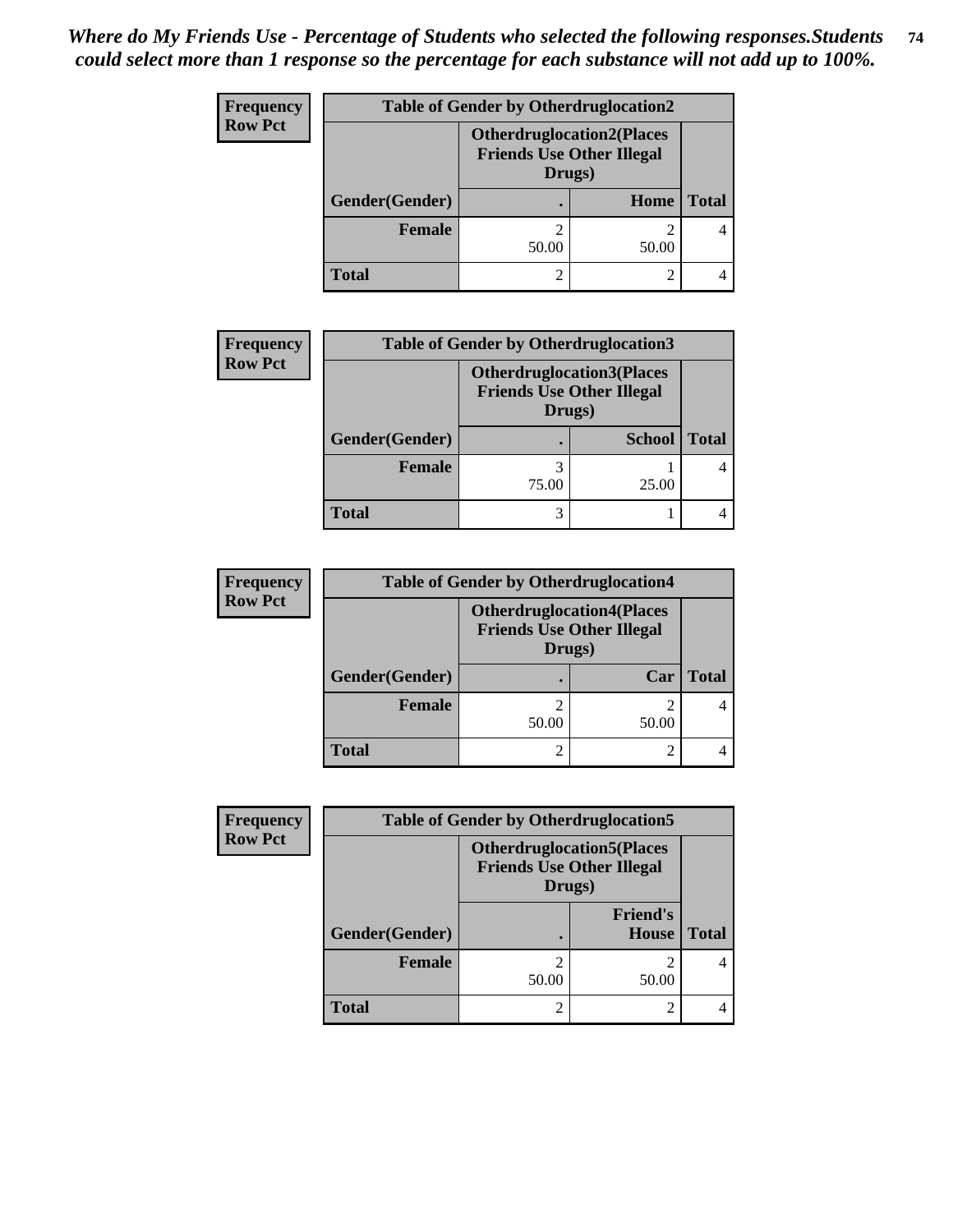| <b>Frequency</b> | <b>Table of Gender by Otherdruglocation2</b> |                                                                                |       |              |
|------------------|----------------------------------------------|--------------------------------------------------------------------------------|-------|--------------|
| <b>Row Pct</b>   |                                              | <b>Otherdruglocation2(Places</b><br><b>Friends Use Other Illegal</b><br>Drugs) |       |              |
|                  | Gender(Gender)                               |                                                                                | Home  | <b>Total</b> |
|                  | <b>Female</b>                                | 50.00                                                                          | 50.00 |              |
|                  | <b>Total</b>                                 |                                                                                |       |              |

| <b>Frequency</b> | <b>Table of Gender by Otherdruglocation3</b> |                                                                                |               |       |
|------------------|----------------------------------------------|--------------------------------------------------------------------------------|---------------|-------|
| <b>Row Pct</b>   |                                              | <b>Otherdruglocation3(Places</b><br><b>Friends Use Other Illegal</b><br>Drugs) |               |       |
|                  | Gender(Gender)                               |                                                                                | <b>School</b> | Total |
|                  | <b>Female</b>                                | 75.00                                                                          | 25.00         |       |
|                  | Total                                        | 3                                                                              |               |       |

| <b>Frequency</b> |                | <b>Table of Gender by Otherdruglocation4</b>                                   |       |              |
|------------------|----------------|--------------------------------------------------------------------------------|-------|--------------|
| <b>Row Pct</b>   |                | <b>Otherdruglocation4(Places</b><br><b>Friends Use Other Illegal</b><br>Drugs) |       |              |
|                  | Gender(Gender) |                                                                                | Car   | <b>Total</b> |
|                  | <b>Female</b>  | 50.00                                                                          | 50.00 |              |
|                  | <b>Total</b>   |                                                                                |       |              |

| <b>Frequency</b> | <b>Table of Gender by Otherdruglocation5</b> |                                            |                                  |              |
|------------------|----------------------------------------------|--------------------------------------------|----------------------------------|--------------|
| <b>Row Pct</b>   |                                              | <b>Friends Use Other Illegal</b><br>Drugs) | <b>Otherdruglocation5(Places</b> |              |
|                  | Gender(Gender)                               |                                            | <b>Friend's</b><br>House         | <b>Total</b> |
|                  | <b>Female</b>                                | 50.00                                      | 50.00                            |              |
|                  | <b>Total</b>                                 |                                            |                                  |              |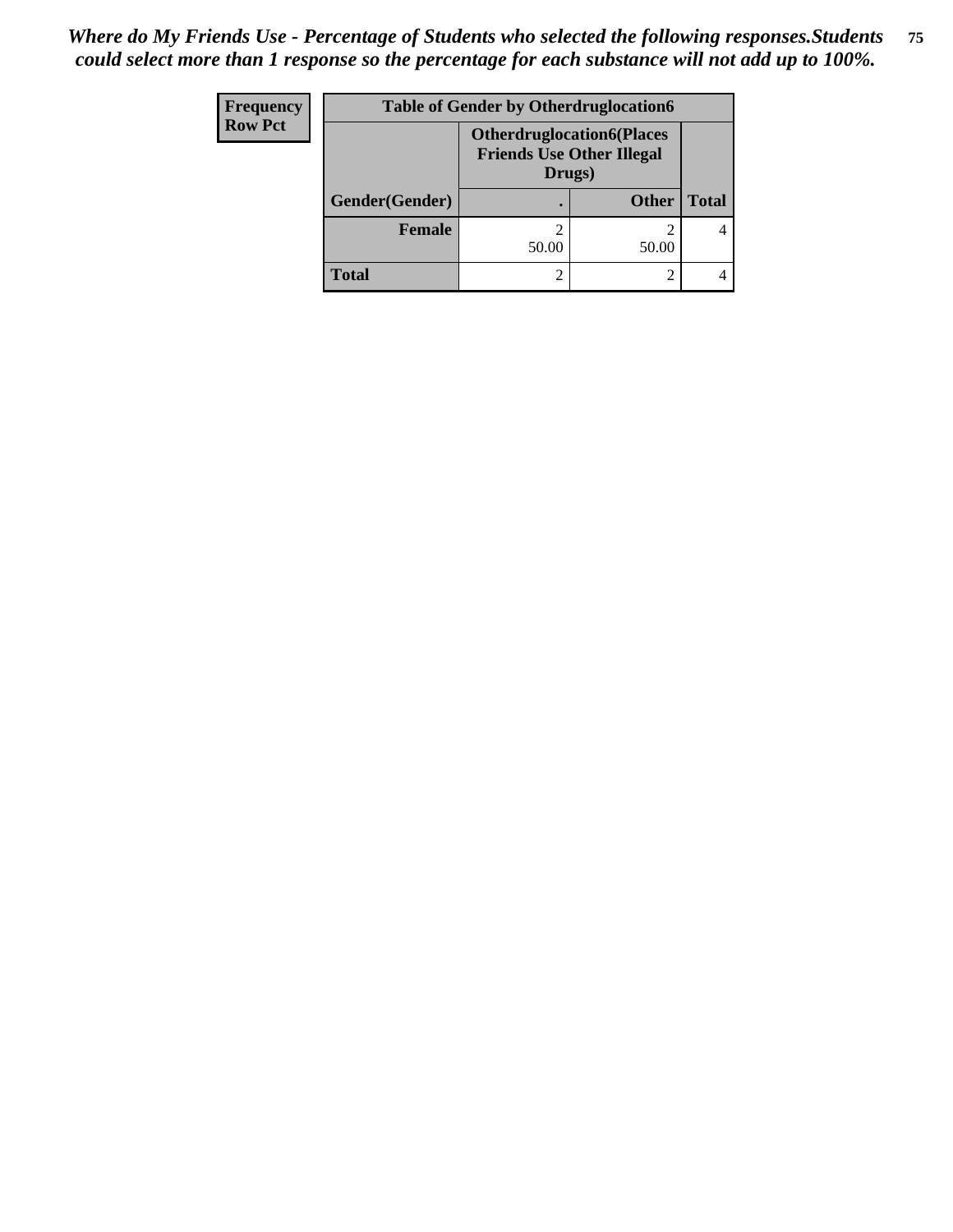| <b>Frequency</b> | <b>Table of Gender by Otherdruglocation6</b> |                                                                                |              |              |
|------------------|----------------------------------------------|--------------------------------------------------------------------------------|--------------|--------------|
| <b>Row Pct</b>   |                                              | <b>Otherdruglocation6(Places</b><br><b>Friends Use Other Illegal</b><br>Drugs) |              |              |
|                  | <b>Gender</b> (Gender)                       |                                                                                | <b>Other</b> | <b>Total</b> |
|                  | Female                                       | 50.00                                                                          | 50.00        |              |
|                  | <b>Total</b>                                 | ി                                                                              |              |              |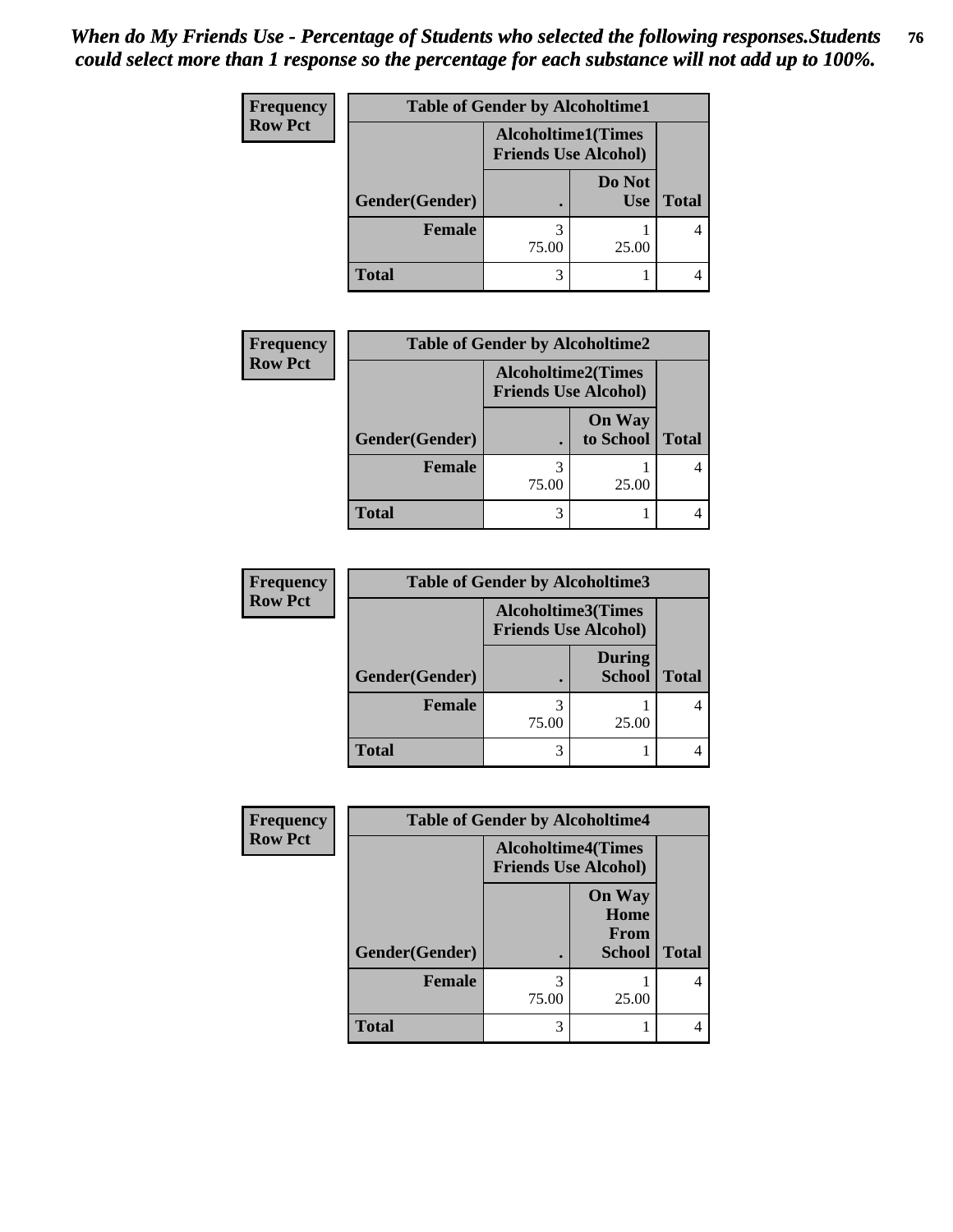| Frequency      | <b>Table of Gender by Alcoholtime1</b> |                                                          |                      |              |  |
|----------------|----------------------------------------|----------------------------------------------------------|----------------------|--------------|--|
| <b>Row Pct</b> |                                        | <b>Alcoholtime1(Times</b><br><b>Friends Use Alcohol)</b> |                      |              |  |
|                | Gender(Gender)                         | $\bullet$                                                | Do Not<br><b>Use</b> | <b>Total</b> |  |
|                | <b>Female</b>                          | 75.00                                                    | 25.00                |              |  |
|                | <b>Total</b>                           | 3                                                        |                      |              |  |

| <b>Frequency</b> | <b>Table of Gender by Alcoholtime2</b> |                                                          |                            |              |
|------------------|----------------------------------------|----------------------------------------------------------|----------------------------|--------------|
| <b>Row Pct</b>   |                                        | <b>Alcoholtime2(Times</b><br><b>Friends Use Alcohol)</b> |                            |              |
|                  | Gender(Gender)                         |                                                          | <b>On Way</b><br>to School | <b>Total</b> |
|                  | <b>Female</b>                          | 3<br>75.00                                               | 25.00                      |              |
|                  | Total                                  | 3                                                        |                            |              |

| <b>Frequency</b> | <b>Table of Gender by Alcoholtime3</b> |                                                   |                                |              |
|------------------|----------------------------------------|---------------------------------------------------|--------------------------------|--------------|
| <b>Row Pct</b>   |                                        | Alcoholtime3(Times<br><b>Friends Use Alcohol)</b> |                                |              |
|                  | Gender(Gender)                         |                                                   | <b>During</b><br><b>School</b> | <b>Total</b> |
|                  | <b>Female</b>                          | 75.00                                             | 25.00                          |              |
|                  | <b>Total</b>                           |                                                   |                                |              |

| Frequency      | <b>Table of Gender by Alcoholtime4</b>                   |            |                                                |              |  |
|----------------|----------------------------------------------------------|------------|------------------------------------------------|--------------|--|
| <b>Row Pct</b> | <b>Alcoholtime4(Times</b><br><b>Friends Use Alcohol)</b> |            |                                                |              |  |
|                | Gender(Gender)                                           | ٠          | <b>On Way</b><br>Home<br>From<br><b>School</b> | <b>Total</b> |  |
|                | <b>Female</b>                                            | 3<br>75.00 | 25.00                                          |              |  |
|                | <b>Total</b>                                             | 3          |                                                |              |  |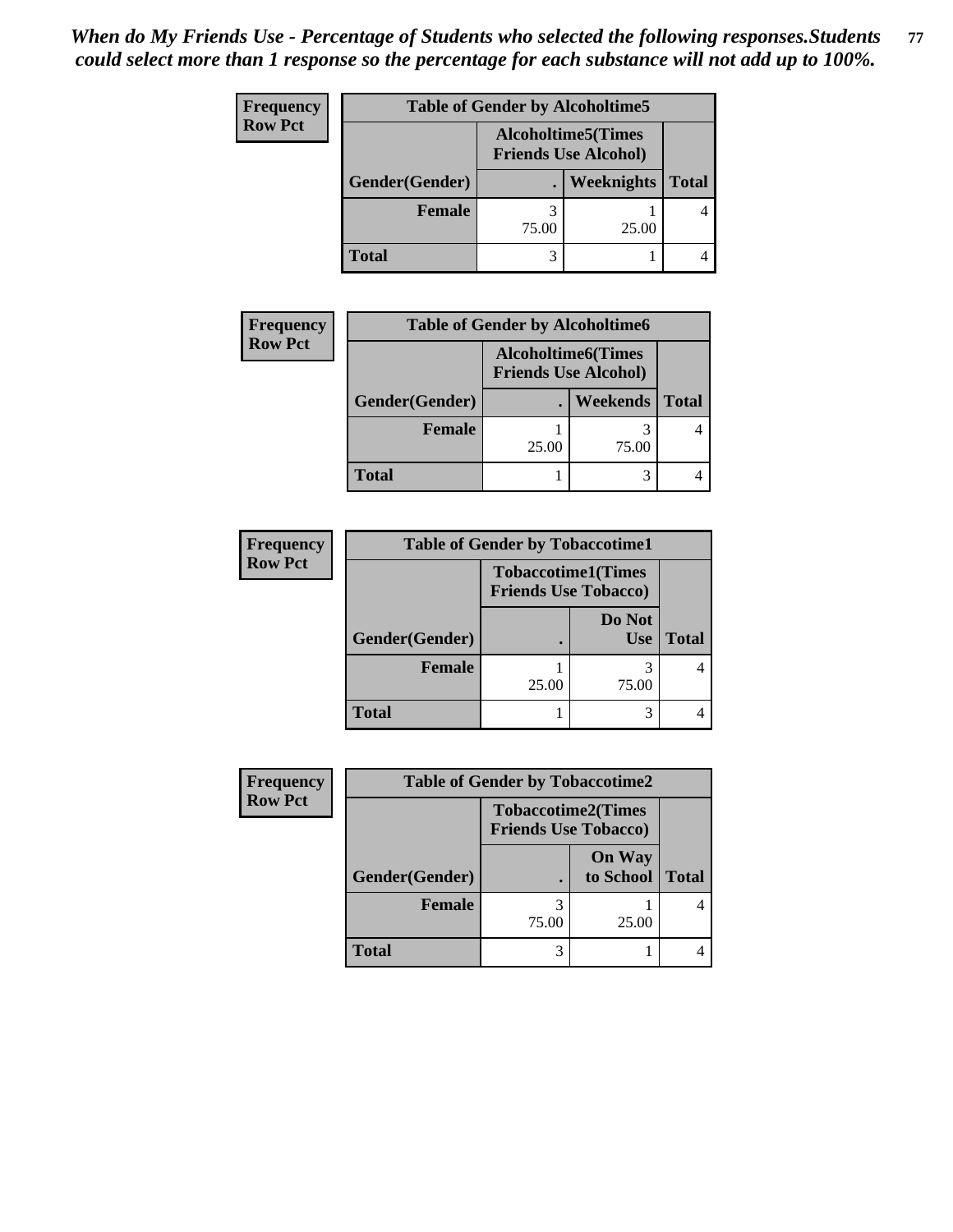| Frequency      | <b>Table of Gender by Alcoholtime5</b> |                                                           |            |              |
|----------------|----------------------------------------|-----------------------------------------------------------|------------|--------------|
| <b>Row Pct</b> |                                        | <b>Alcoholtime5</b> (Times<br><b>Friends Use Alcohol)</b> |            |              |
|                | Gender(Gender)                         |                                                           | Weeknights | <b>Total</b> |
|                | <b>Female</b>                          | 75.00                                                     | 25.00      |              |
|                | <b>Total</b>                           |                                                           |            |              |

| <b>Frequency</b> | <b>Table of Gender by Alcoholtime6</b> |                                                          |          |              |
|------------------|----------------------------------------|----------------------------------------------------------|----------|--------------|
| <b>Row Pct</b>   |                                        | <b>Alcoholtime6(Times</b><br><b>Friends Use Alcohol)</b> |          |              |
|                  | Gender(Gender)                         |                                                          | Weekends | <b>Total</b> |
|                  | <b>Female</b>                          | 25.00                                                    | 75.00    |              |
|                  | <b>Total</b>                           |                                                          | 3        |              |

| <b>Frequency</b> |                | <b>Table of Gender by Tobaccotime1</b> |                           |              |
|------------------|----------------|----------------------------------------|---------------------------|--------------|
| <b>Row Pct</b>   |                | <b>Friends Use Tobacco)</b>            | <b>Tobaccotime1(Times</b> |              |
|                  | Gender(Gender) |                                        | Do Not<br><b>Use</b>      | <b>Total</b> |
|                  | Female         | 25.00                                  | 75.00                     |              |
|                  | <b>Total</b>   |                                        |                           |              |

| <b>Frequency</b> | <b>Table of Gender by Tobaccotime2</b> |                                                          |                            |              |
|------------------|----------------------------------------|----------------------------------------------------------|----------------------------|--------------|
| <b>Row Pct</b>   |                                        | <b>Tobaccotime2(Times</b><br><b>Friends Use Tobacco)</b> |                            |              |
|                  | Gender(Gender)                         |                                                          | <b>On Way</b><br>to School | <b>Total</b> |
|                  | Female                                 | 3<br>75.00                                               | 25.00                      |              |
|                  | <b>Total</b>                           | 3                                                        |                            |              |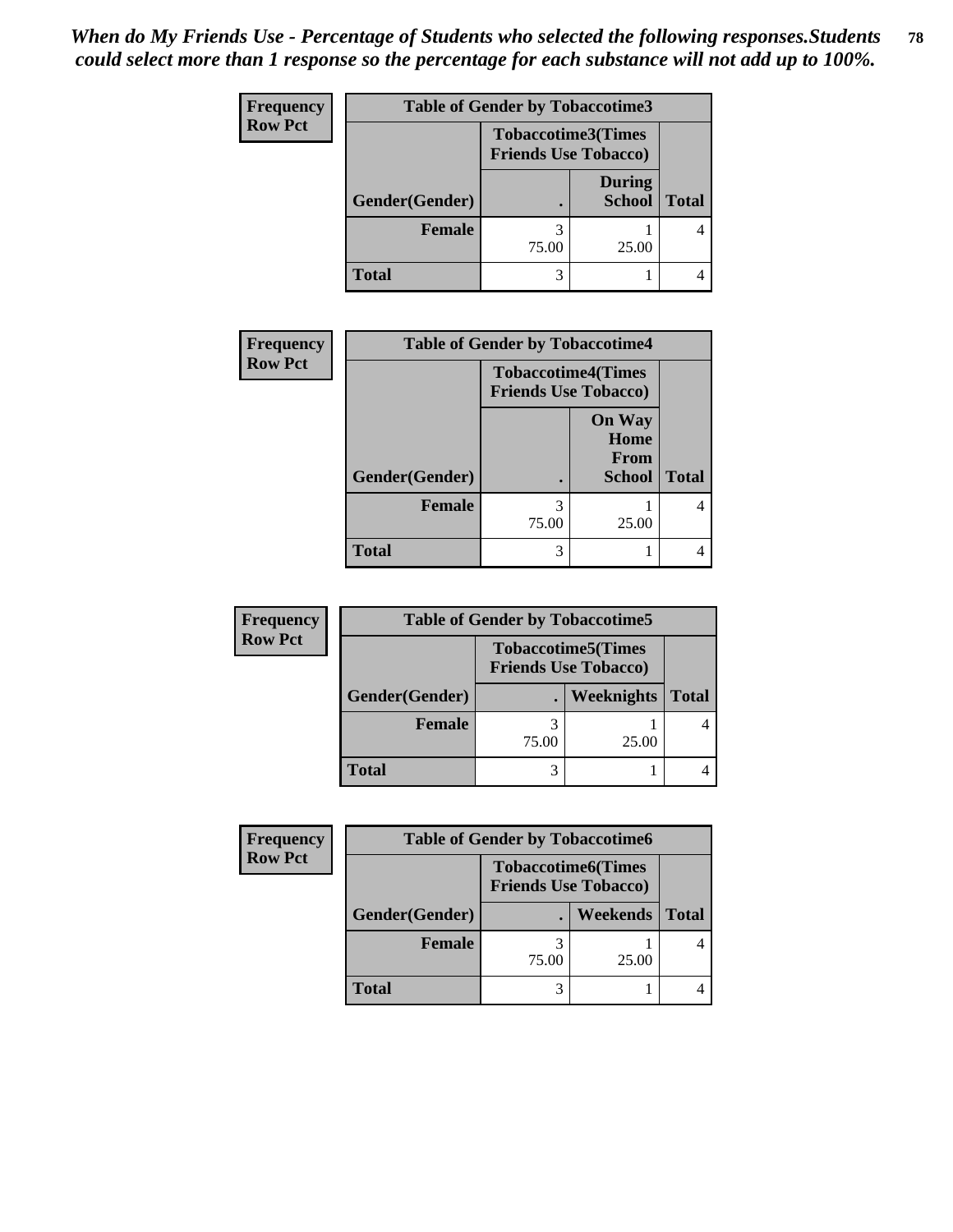| <b>Frequency</b> | <b>Table of Gender by Tobaccotime3</b> |                                                          |                                |              |  |
|------------------|----------------------------------------|----------------------------------------------------------|--------------------------------|--------------|--|
| <b>Row Pct</b>   |                                        | <b>Tobaccotime3(Times</b><br><b>Friends Use Tobacco)</b> |                                |              |  |
|                  | Gender(Gender)                         |                                                          | <b>During</b><br><b>School</b> | <b>Total</b> |  |
|                  | Female                                 | 75.00                                                    | 25.00                          |              |  |
|                  | <b>Total</b>                           | 3                                                        |                                |              |  |

| <b>Frequency</b> | <b>Table of Gender by Tobaccotime4</b> |            |                                                          |              |
|------------------|----------------------------------------|------------|----------------------------------------------------------|--------------|
| <b>Row Pct</b>   |                                        |            | <b>Tobaccotime4(Times</b><br><b>Friends Use Tobacco)</b> |              |
|                  | Gender(Gender)                         |            | <b>On Way</b><br>Home<br>From<br><b>School</b>           | <b>Total</b> |
|                  | <b>Female</b>                          | 3<br>75.00 | 25.00                                                    | 4            |
|                  | <b>Total</b>                           | 3          |                                                          |              |

| <b>Frequency</b> | <b>Table of Gender by Tobaccotime5</b> |       |                                                          |              |
|------------------|----------------------------------------|-------|----------------------------------------------------------|--------------|
| <b>Row Pct</b>   |                                        |       | <b>Tobaccotime5(Times</b><br><b>Friends Use Tobacco)</b> |              |
|                  | Gender(Gender)                         |       | <b>Weeknights</b>                                        | <b>Total</b> |
|                  | Female                                 | 75.00 | 25.00                                                    |              |
|                  | <b>Total</b>                           |       |                                                          |              |

| <b>Frequency</b> | <b>Table of Gender by Tobaccotime6</b> |                                                          |          |              |
|------------------|----------------------------------------|----------------------------------------------------------|----------|--------------|
| <b>Row Pct</b>   |                                        | <b>Tobaccotime6(Times</b><br><b>Friends Use Tobacco)</b> |          |              |
|                  | Gender(Gender)                         |                                                          | Weekends | <b>Total</b> |
|                  | Female                                 | 75.00                                                    | 25.00    |              |
|                  | <b>Total</b>                           | 3                                                        |          |              |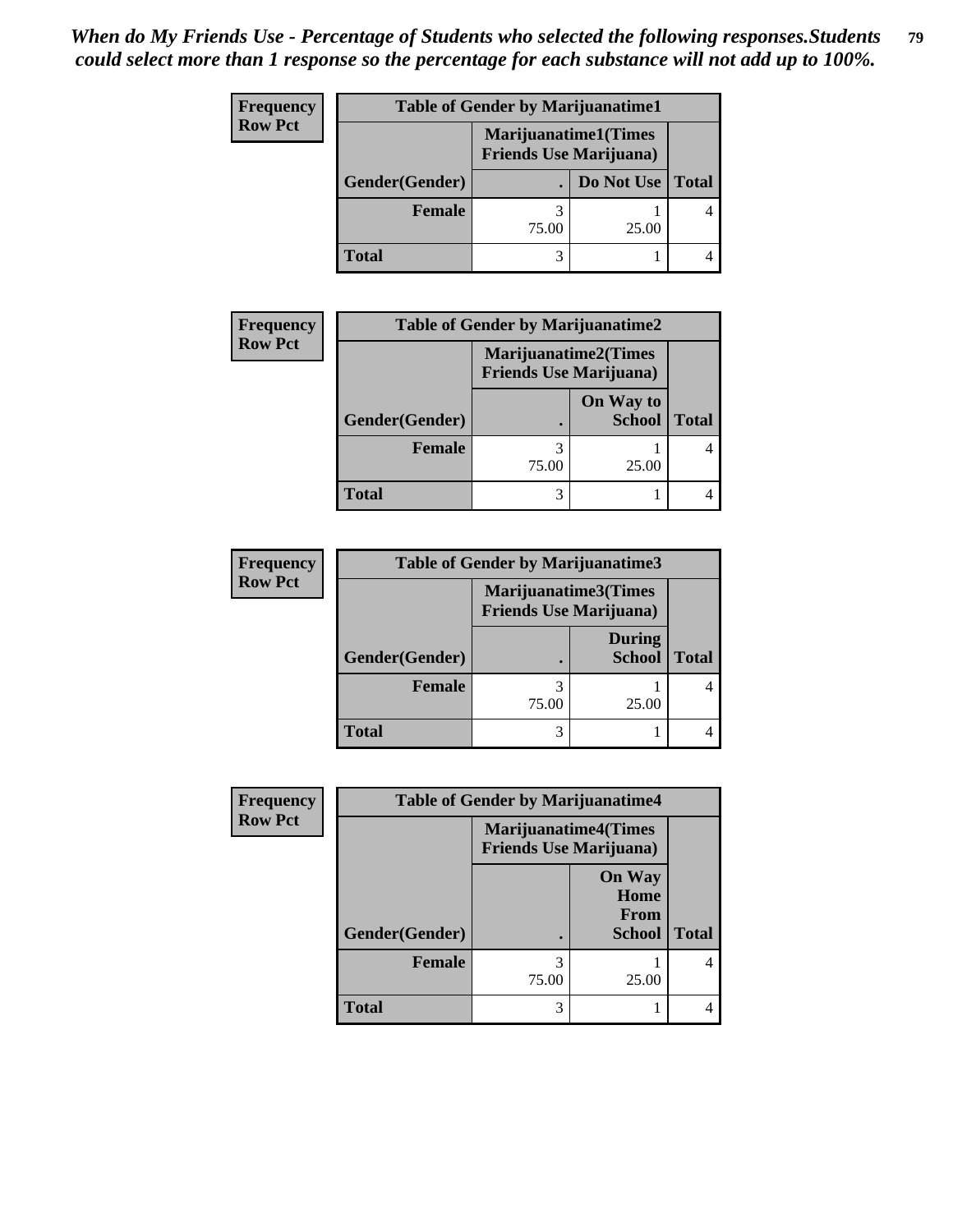| Frequency      | <b>Table of Gender by Marijuanatime1</b> |                                |                             |              |
|----------------|------------------------------------------|--------------------------------|-----------------------------|--------------|
| <b>Row Pct</b> |                                          | <b>Friends Use Marijuana</b> ) | <b>Marijuanatime1(Times</b> |              |
|                | Gender(Gender)                           |                                | Do Not Use                  | <b>Total</b> |
|                | <b>Female</b>                            | 75.00                          | 25.00                       |              |
|                | <b>Total</b>                             |                                |                             |              |

| <b>Frequency</b> | <b>Table of Gender by Marijuanatime2</b> |                                                               |               |              |
|------------------|------------------------------------------|---------------------------------------------------------------|---------------|--------------|
| <b>Row Pct</b>   |                                          | <b>Marijuanatime2(Times</b><br><b>Friends Use Marijuana</b> ) |               |              |
|                  |                                          |                                                               | On Way to     |              |
|                  | Gender(Gender)                           |                                                               | <b>School</b> | <b>Total</b> |
|                  | <b>Female</b>                            | 3                                                             |               |              |
|                  |                                          | 75.00                                                         | 25.00         |              |
|                  | <b>Total</b>                             | 3                                                             |               |              |

| <b>Frequency</b> | <b>Table of Gender by Marijuanatime3</b> |                                                        |                                |              |  |
|------------------|------------------------------------------|--------------------------------------------------------|--------------------------------|--------------|--|
| <b>Row Pct</b>   |                                          | Marijuanatime3(Times<br><b>Friends Use Marijuana</b> ) |                                |              |  |
|                  | Gender(Gender)                           |                                                        | <b>During</b><br><b>School</b> | <b>Total</b> |  |
|                  | <b>Female</b>                            | 75.00                                                  | 25.00                          |              |  |
|                  | <b>Total</b>                             | 3                                                      |                                |              |  |

| Frequency      | <b>Table of Gender by Marijuanatime4</b> |                                |                                                |              |
|----------------|------------------------------------------|--------------------------------|------------------------------------------------|--------------|
| <b>Row Pct</b> |                                          | <b>Friends Use Marijuana</b> ) | <b>Marijuanatime4(Times</b>                    |              |
|                | Gender(Gender)                           |                                | <b>On Way</b><br>Home<br>From<br><b>School</b> | <b>Total</b> |
|                | <b>Female</b>                            | 3<br>75.00                     | 25.00                                          |              |
|                | <b>Total</b>                             | 3                              |                                                |              |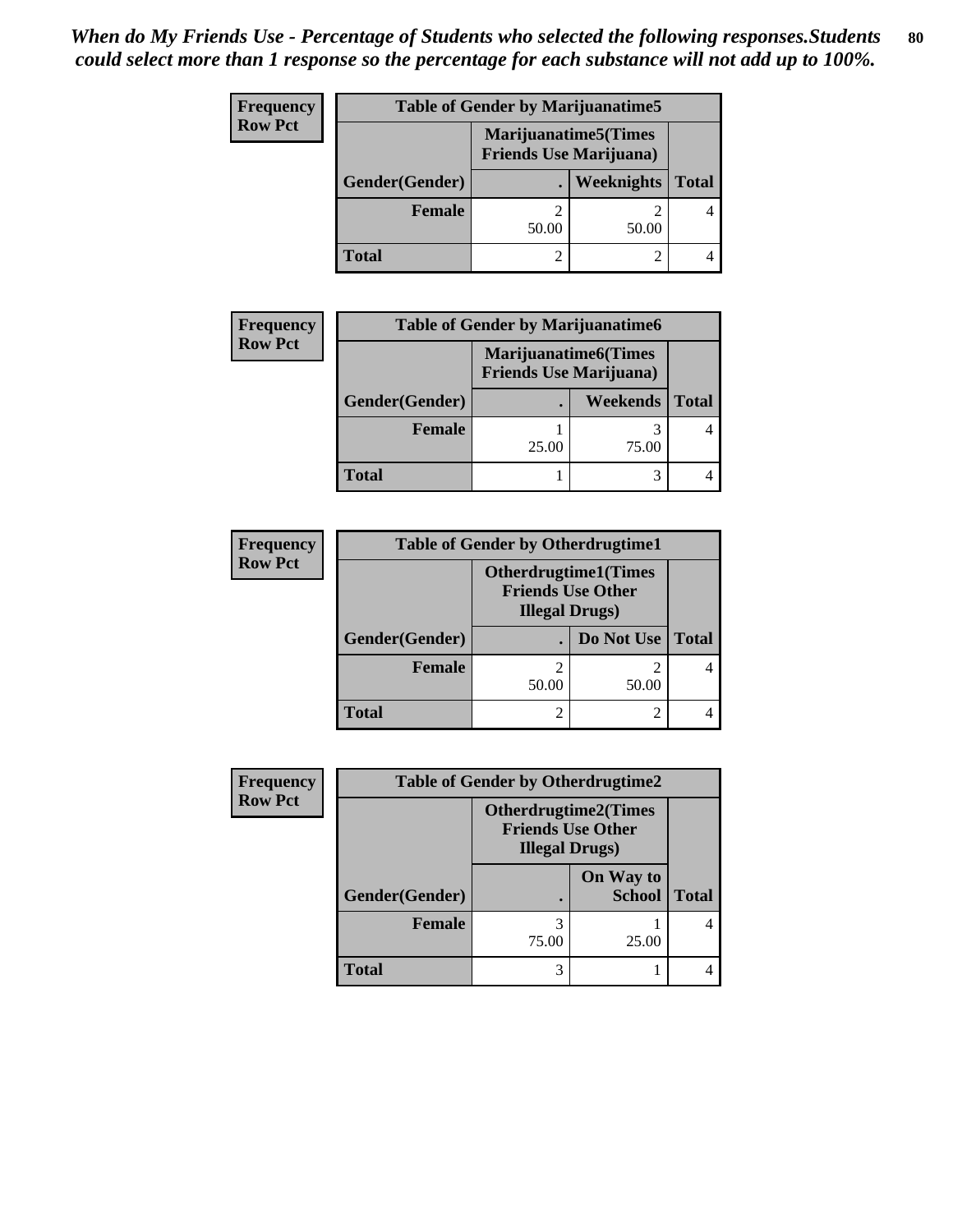| <b>Frequency</b> | <b>Table of Gender by Marijuanatime5</b> |       |                                                                |              |
|------------------|------------------------------------------|-------|----------------------------------------------------------------|--------------|
| <b>Row Pct</b>   |                                          |       | <b>Marijuanatime5</b> (Times<br><b>Friends Use Marijuana</b> ) |              |
|                  | Gender(Gender)                           |       | Weeknights                                                     | <b>Total</b> |
|                  | Female                                   | 50.00 | 50.00                                                          |              |
|                  | <b>Total</b>                             |       |                                                                |              |

| <b>Frequency</b> | <b>Table of Gender by Marijuanatime6</b> |                                |                             |              |
|------------------|------------------------------------------|--------------------------------|-----------------------------|--------------|
| <b>Row Pct</b>   |                                          | <b>Friends Use Marijuana</b> ) | <b>Marijuanatime6(Times</b> |              |
|                  | Gender(Gender)                           |                                | <b>Weekends</b>             | <b>Total</b> |
|                  | Female                                   | 25.00                          | 75.00                       |              |
|                  | <b>Total</b>                             |                                |                             |              |

| <b>Frequency</b> | <b>Table of Gender by Otherdrugtime1</b> |                                                                                   |            |              |
|------------------|------------------------------------------|-----------------------------------------------------------------------------------|------------|--------------|
| <b>Row Pct</b>   |                                          | <b>Otherdrugtime1(Times</b><br><b>Friends Use Other</b><br><b>Illegal Drugs</b> ) |            |              |
|                  | Gender(Gender)                           |                                                                                   | Do Not Use | <b>Total</b> |
|                  | <b>Female</b>                            | 2<br>50.00                                                                        | 50.00      |              |
|                  | <b>Total</b>                             | 2                                                                                 |            |              |

| <b>Frequency</b> | <b>Table of Gender by Otherdrugtime2</b> |                                                                                   |                            |              |
|------------------|------------------------------------------|-----------------------------------------------------------------------------------|----------------------------|--------------|
| <b>Row Pct</b>   |                                          | <b>Otherdrugtime2(Times</b><br><b>Friends Use Other</b><br><b>Illegal Drugs</b> ) |                            |              |
|                  | Gender(Gender)                           |                                                                                   | On Way to<br><b>School</b> | <b>Total</b> |
|                  | Female                                   | 3<br>75.00                                                                        | 25.00                      |              |
|                  | <b>Total</b>                             | 3                                                                                 |                            |              |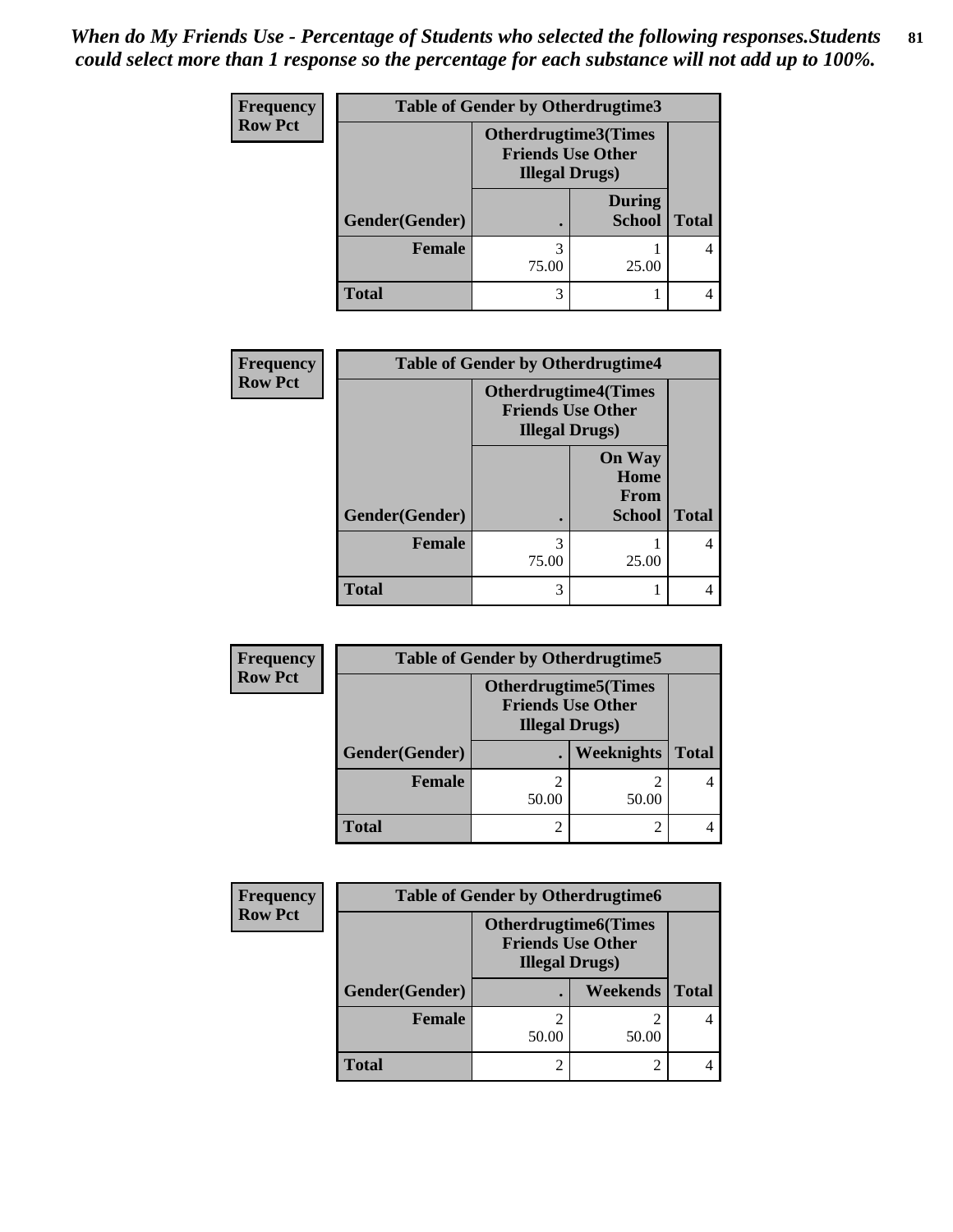*When do My Friends Use - Percentage of Students who selected the following responses.Students could select more than 1 response so the percentage for each substance will not add up to 100%.* **81**

| <b>Frequency</b> | <b>Table of Gender by Otherdrugtime3</b> |                                                                                    |                                |              |  |
|------------------|------------------------------------------|------------------------------------------------------------------------------------|--------------------------------|--------------|--|
| <b>Row Pct</b>   |                                          | <b>Otherdrugtime3</b> (Times<br><b>Friends Use Other</b><br><b>Illegal Drugs</b> ) |                                |              |  |
|                  | Gender(Gender)                           |                                                                                    | <b>During</b><br><b>School</b> | <b>Total</b> |  |
|                  | Female                                   | 75.00                                                                              | 25.00                          |              |  |
|                  | <b>Total</b>                             | 3                                                                                  |                                |              |  |

| <b>Frequency</b> | <b>Table of Gender by Otherdrugtime4</b> |                        |                                                         |              |
|------------------|------------------------------------------|------------------------|---------------------------------------------------------|--------------|
| <b>Row Pct</b>   |                                          | <b>Illegal Drugs</b> ) | <b>Otherdrugtime4(Times</b><br><b>Friends Use Other</b> |              |
|                  | Gender(Gender)                           | $\bullet$              | <b>On Way</b><br>Home<br>From<br><b>School</b>          | <b>Total</b> |
|                  | <b>Female</b>                            | 3<br>75.00             | 25.00                                                   |              |
|                  | <b>Total</b>                             | 3                      |                                                         |              |

| Frequency      | <b>Table of Gender by Otherdrugtime5</b> |                                                                                   |            |              |
|----------------|------------------------------------------|-----------------------------------------------------------------------------------|------------|--------------|
| <b>Row Pct</b> |                                          | <b>Otherdrugtime5(Times</b><br><b>Friends Use Other</b><br><b>Illegal Drugs</b> ) |            |              |
|                | Gender(Gender)                           |                                                                                   | Weeknights | <b>Total</b> |
|                | <b>Female</b>                            | 50.00                                                                             | 50.00      |              |
|                | <b>Total</b>                             |                                                                                   |            |              |

| Frequency      | <b>Table of Gender by Otherdrugtime6</b> |                                                                                   |          |              |
|----------------|------------------------------------------|-----------------------------------------------------------------------------------|----------|--------------|
| <b>Row Pct</b> |                                          | <b>Otherdrugtime6(Times</b><br><b>Friends Use Other</b><br><b>Illegal Drugs</b> ) |          |              |
|                | Gender(Gender)                           |                                                                                   | Weekends | <b>Total</b> |
|                | <b>Female</b>                            | 50.00                                                                             | 50.00    |              |
|                | <b>Total</b>                             |                                                                                   |          |              |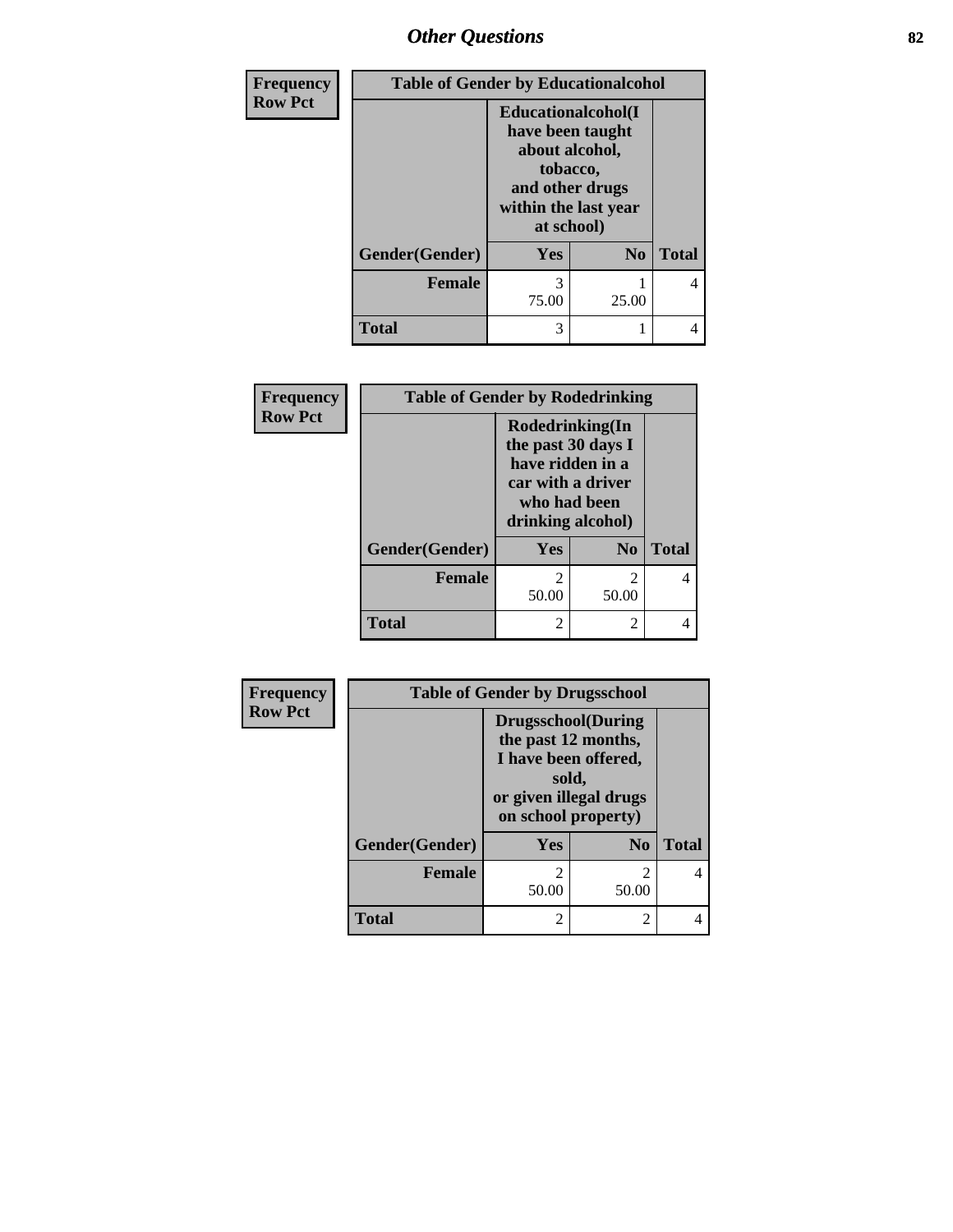# *Other Questions* **82**

| Frequency<br><b>Row Pct</b> |                | <b>Table of Gender by Educationalcohol</b>                                                                                            |                |              |  |
|-----------------------------|----------------|---------------------------------------------------------------------------------------------------------------------------------------|----------------|--------------|--|
|                             |                | <b>Educationalcohol</b> (I<br>have been taught<br>about alcohol,<br>tobacco,<br>and other drugs<br>within the last year<br>at school) |                |              |  |
|                             | Gender(Gender) | <b>Yes</b>                                                                                                                            | N <sub>0</sub> | <b>Total</b> |  |
|                             | <b>Female</b>  | 3<br>75.00                                                                                                                            | 25.00          | 4            |  |
|                             | <b>Total</b>   | 3                                                                                                                                     |                | 4            |  |

| Frequency      | <b>Table of Gender by Rodedrinking</b> |                                                                                                                     |                         |              |
|----------------|----------------------------------------|---------------------------------------------------------------------------------------------------------------------|-------------------------|--------------|
| <b>Row Pct</b> |                                        | Rodedrinking(In<br>the past 30 days I<br>have ridden in a<br>car with a driver<br>who had been<br>drinking alcohol) |                         |              |
|                | Gender(Gender)                         | Yes                                                                                                                 | $\bf No$                | <b>Total</b> |
|                | <b>Female</b>                          | っ<br>50.00                                                                                                          | $\mathfrak{D}$<br>50.00 |              |
|                | <b>Total</b>                           | $\mathfrak{D}$                                                                                                      | 2                       |              |

| Frequency      | <b>Table of Gender by Drugsschool</b> |                                                                                                                                     |                |              |
|----------------|---------------------------------------|-------------------------------------------------------------------------------------------------------------------------------------|----------------|--------------|
| <b>Row Pct</b> |                                       | <b>Drugsschool</b> (During<br>the past 12 months,<br>I have been offered,<br>sold,<br>or given illegal drugs<br>on school property) |                |              |
|                | Gender(Gender)                        | Yes                                                                                                                                 | N <sub>0</sub> | <b>Total</b> |
|                | <b>Female</b>                         | 2<br>50.00                                                                                                                          | 2<br>50.00     | 4            |
|                | <b>Total</b>                          | 2                                                                                                                                   | 2              |              |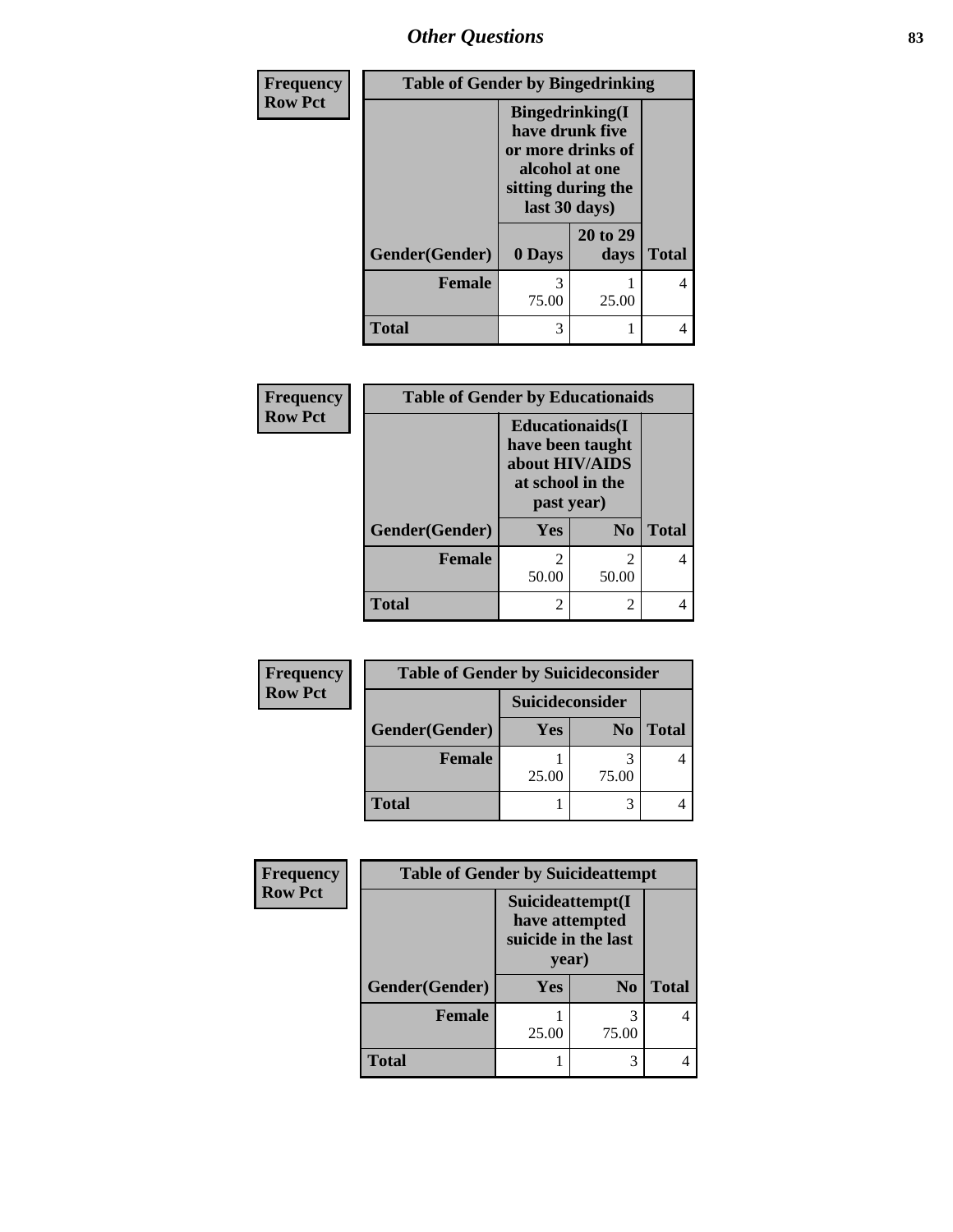*Other Questions* **83**

| <b>Frequency</b> | <b>Table of Gender by Bingedrinking</b> |                                                                                                                          |                  |              |
|------------------|-----------------------------------------|--------------------------------------------------------------------------------------------------------------------------|------------------|--------------|
| <b>Row Pct</b>   |                                         | <b>Bingedrinking</b> (I<br>have drunk five<br>or more drinks of<br>alcohol at one<br>sitting during the<br>last 30 days) |                  |              |
|                  | Gender(Gender)                          | 0 Days                                                                                                                   | 20 to 29<br>days | <b>Total</b> |
|                  | <b>Female</b>                           | 3<br>75.00                                                                                                               | 25.00            | 4            |
|                  | <b>Total</b>                            | 3                                                                                                                        |                  | 4            |

| Frequency      | <b>Table of Gender by Educationaids</b> |                                                                                                 |                |              |
|----------------|-----------------------------------------|-------------------------------------------------------------------------------------------------|----------------|--------------|
| <b>Row Pct</b> |                                         | <b>Educationaids</b> (I<br>have been taught<br>about HIV/AIDS<br>at school in the<br>past year) |                |              |
|                | Gender(Gender)                          | <b>Yes</b>                                                                                      | N <sub>0</sub> | <b>Total</b> |
|                | <b>Female</b>                           | $\mathfrak{D}$<br>50.00                                                                         | 2<br>50.00     |              |
|                | <b>Total</b>                            | $\mathcal{D}_{\mathcal{L}}$                                                                     | 2              |              |

| Frequency      | <b>Table of Gender by Suicideconsider</b> |                        |                |              |
|----------------|-------------------------------------------|------------------------|----------------|--------------|
| <b>Row Pct</b> |                                           | <b>Suicideconsider</b> |                |              |
|                | Gender(Gender)                            | Yes                    | N <sub>0</sub> | <b>Total</b> |
|                | <b>Female</b>                             |                        |                |              |
|                |                                           | 25.00                  | 75.00          |              |
|                | <b>Total</b>                              |                        |                |              |

| <b>Frequency</b> | <b>Table of Gender by Suicideattempt</b> |                                                                    |                |              |
|------------------|------------------------------------------|--------------------------------------------------------------------|----------------|--------------|
| <b>Row Pct</b>   |                                          | Suicideattempt(I<br>have attempted<br>suicide in the last<br>year) |                |              |
|                  | Gender(Gender)                           | <b>Yes</b>                                                         | N <sub>0</sub> | <b>Total</b> |
|                  | <b>Female</b>                            | 25.00                                                              | 3<br>75.00     |              |
|                  | Total                                    |                                                                    | 3              |              |